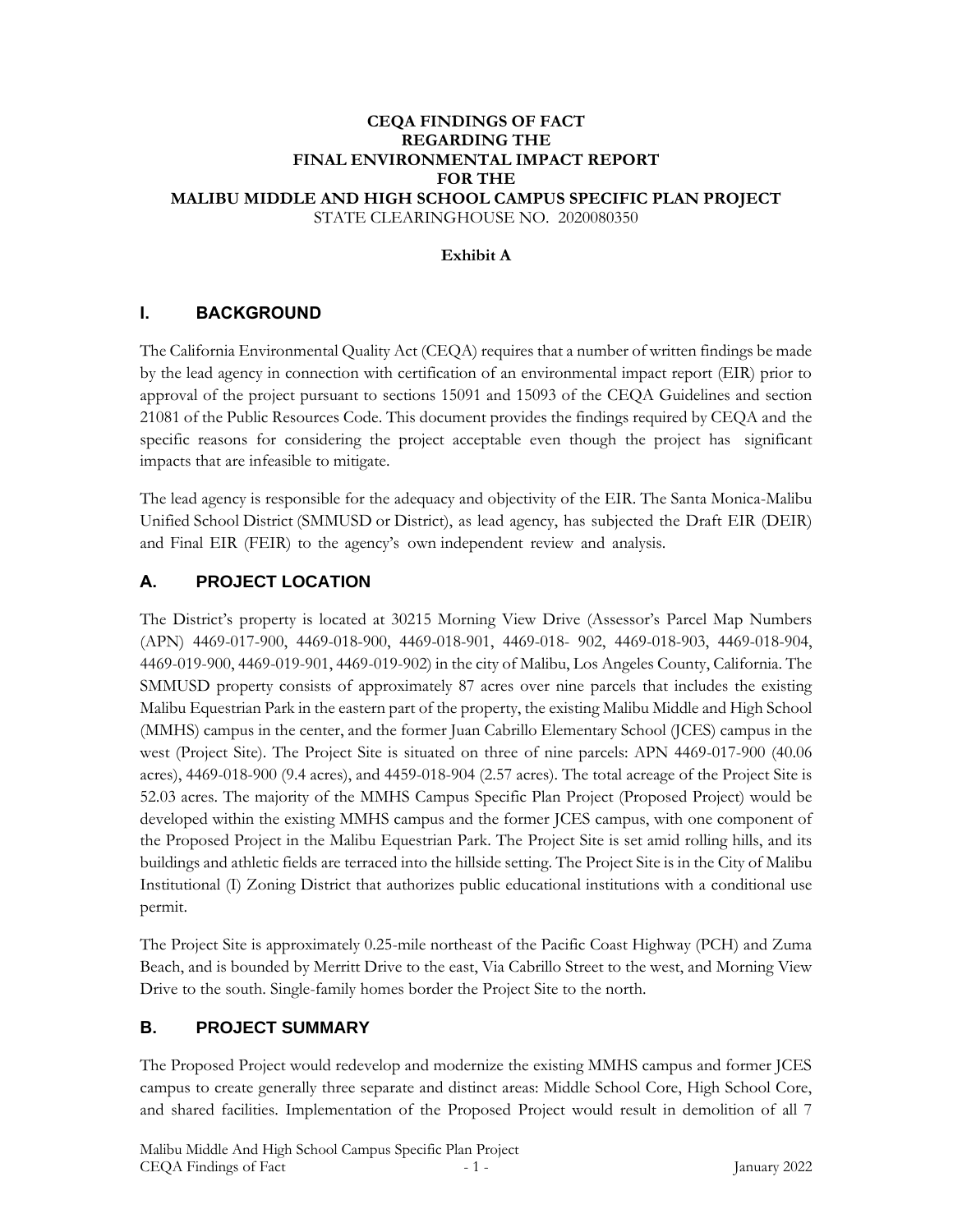#### **CEQA FINDINGS OF FACT REGARDING THE FINAL ENVIRONMENTAL IMPACT REPORT FOR THE MALIBU MIDDLE AND HIGH SCHOOL CAMPUS SPECIFIC PLAN PROJECT** STATE CLEARINGHOUSE NO. 2020080350

#### **Exhibit A**

### **I. BACKGROUND**

The California Environmental Quality Act (CEQA) requires that a number of written findings be made by the lead agency in connection with certification of an environmental impact report (EIR) prior to approval of the project pursuant to sections 15091 and 15093 of the CEQA Guidelines and section 21081 of the Public Resources Code. This document provides the findings required by CEQA and the specific reasons for considering the project acceptable even though the project has significant impacts that are infeasible to mitigate.

The lead agency is responsible for the adequacy and objectivity of the EIR. The Santa Monica-Malibu Unified School District (SMMUSD or District), as lead agency, has subjected the Draft EIR (DEIR) and Final EIR (FEIR) to the agency's own independent review and analysis.

### **A. PROJECT LOCATION**

The District's property is located at 30215 Morning View Drive (Assessor's Parcel Map Numbers (APN) 4469-017-900, 4469-018-900, 4469-018-901, 4469-018- 902, 4469-018-903, 4469-018-904, 4469-019-900, 4469-019-901, 4469-019-902) in the city of Malibu, Los Angeles County, California. The SMMUSD property consists of approximately 87 acres over nine parcels that includes the existing Malibu Equestrian Park in the eastern part of the property, the existing Malibu Middle and High School (MMHS) campus in the center, and the former Juan Cabrillo Elementary School (JCES) campus in the west (Project Site). The Project Site is situated on three of nine parcels: APN 4469-017-900 (40.06 acres), 4469-018-900 (9.4 acres), and 4459-018-904 (2.57 acres). The total acreage of the Project Site is 52.03 acres. The majority of the MMHS Campus Specific Plan Project (Proposed Project) would be developed within the existing MMHS campus and the former JCES campus, with one component of the Proposed Project in the Malibu Equestrian Park. The Project Site is set amid rolling hills, and its buildings and athletic fields are terraced into the hillside setting. The Project Site is in the City of Malibu Institutional (I) Zoning District that authorizes public educational institutions with a conditional use permit.

The Project Site is approximately 0.25-mile northeast of the Pacific Coast Highway (PCH) and Zuma Beach, and is bounded by Merritt Drive to the east, Via Cabrillo Street to the west, and Morning View Drive to the south. Single-family homes border the Project Site to the north.

# **B. PROJECT SUMMARY**

The Proposed Project would redevelop and modernize the existing MMHS campus and former JCES campus to create generally three separate and distinct areas: Middle School Core, High School Core, and shared facilities. Implementation of the Proposed Project would result in demolition of all 7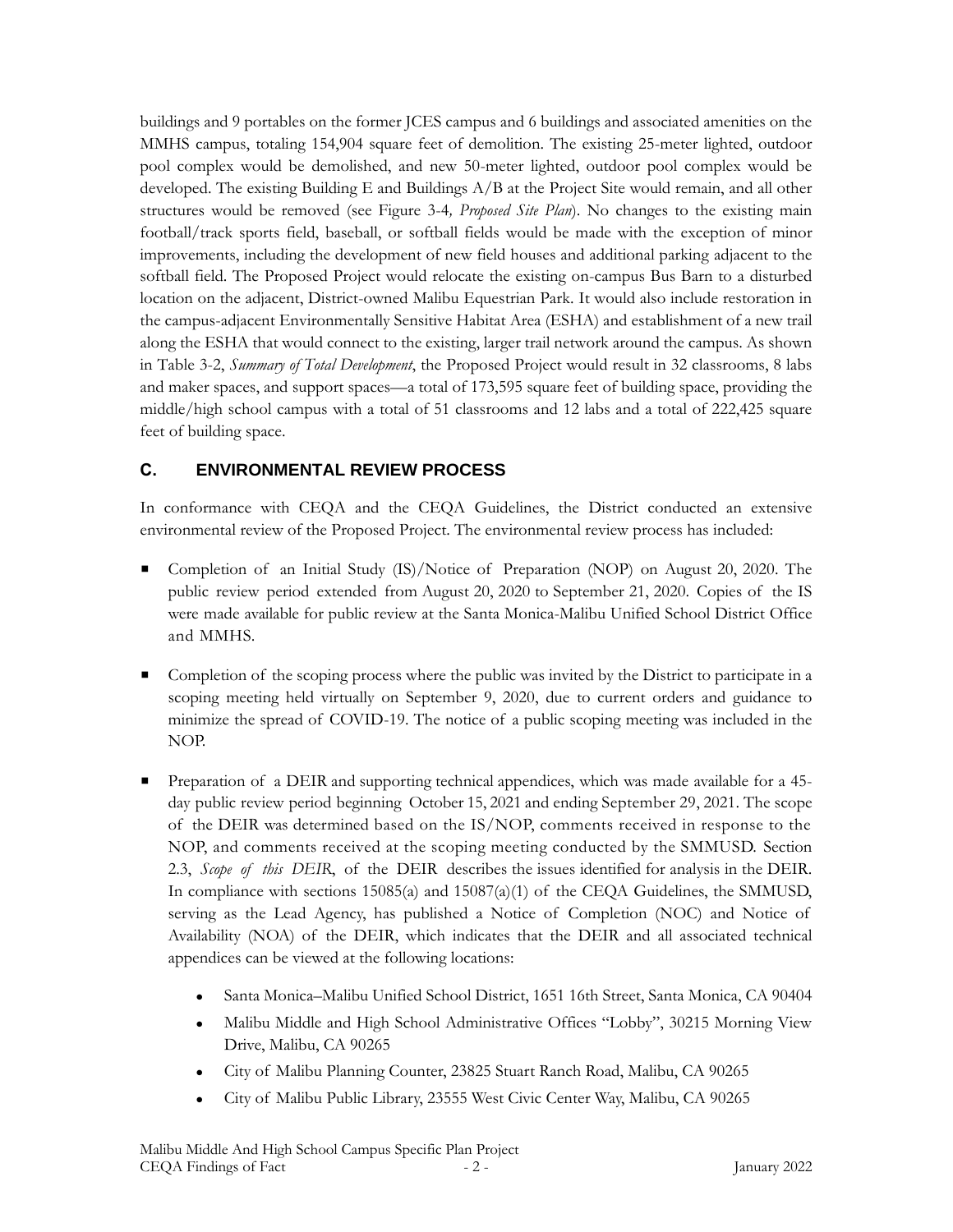buildings and 9 portables on the former JCES campus and 6 buildings and associated amenities on the MMHS campus, totaling 154,904 square feet of demolition. The existing 25-meter lighted, outdoor pool complex would be demolished, and new 50-meter lighted, outdoor pool complex would be developed. The existing Building E and Buildings A/B at the Project Site would remain, and all other structures would be removed (see Figure 3-4*, Proposed Site Plan*). No changes to the existing main football/track sports field, baseball, or softball fields would be made with the exception of minor improvements, including the development of new field houses and additional parking adjacent to the softball field. The Proposed Project would relocate the existing on-campus Bus Barn to a disturbed location on the adjacent, District-owned Malibu Equestrian Park. It would also include restoration in the campus-adjacent Environmentally Sensitive Habitat Area (ESHA) and establishment of a new trail along the ESHA that would connect to the existing, larger trail network around the campus. As shown in Table 3-2, *Summary of Total Development*, the Proposed Project would result in 32 classrooms, 8 labs and maker spaces, and support spaces—a total of 173,595 square feet of building space, providing the middle/high school campus with a total of 51 classrooms and 12 labs and a total of 222,425 square feet of building space.

# **C. ENVIRONMENTAL REVIEW PROCESS**

In conformance with CEQA and the CEQA Guidelines, the District conducted an extensive environmental review of the Proposed Project. The environmental review process has included:

- Completion of an Initial Study (IS)/Notice of Preparation (NOP) on August 20, 2020. The public review period extended from August 20, 2020 to September 21, 2020. Copies of the IS were made available for public review at the Santa Monica-Malibu Unified School District Office and MMHS.
- Completion of the scoping process where the public was invited by the District to participate in a scoping meeting held virtually on September 9, 2020, due to current orders and guidance to minimize the spread of COVID-19. The notice of a public scoping meeting was included in the NOP.
- **•** Preparation of a DEIR and supporting technical appendices, which was made available for a 45day public review period beginning October 15, 2021 and ending September 29, 2021. The scope of the DEIR was determined based on the IS/NOP, comments received in response to the NOP, and comments received at the scoping meeting conducted by the SMMUSD. Section 2.3, *Scope of this DEIR*, of the DEIR describes the issues identified for analysis in the DEIR. In compliance with sections 15085(a) and 15087(a)(1) of the CEQA Guidelines, the SMMUSD, serving as the Lead Agency, has published a Notice of Completion (NOC) and Notice of Availability (NOA) of the DEIR, which indicates that the DEIR and all associated technical appendices can be viewed at the following locations:
	- ⚫ Santa Monica–Malibu Unified School District, 1651 16th Street, Santa Monica, CA 90404
	- ⚫ Malibu Middle and High School Administrative Offices "Lobby", 30215 Morning View Drive, Malibu, CA 90265
	- ⚫ City of Malibu Planning Counter, 23825 Stuart Ranch Road, Malibu, CA 90265
	- ⚫ City of Malibu Public Library, 23555 West Civic Center Way, Malibu, CA 90265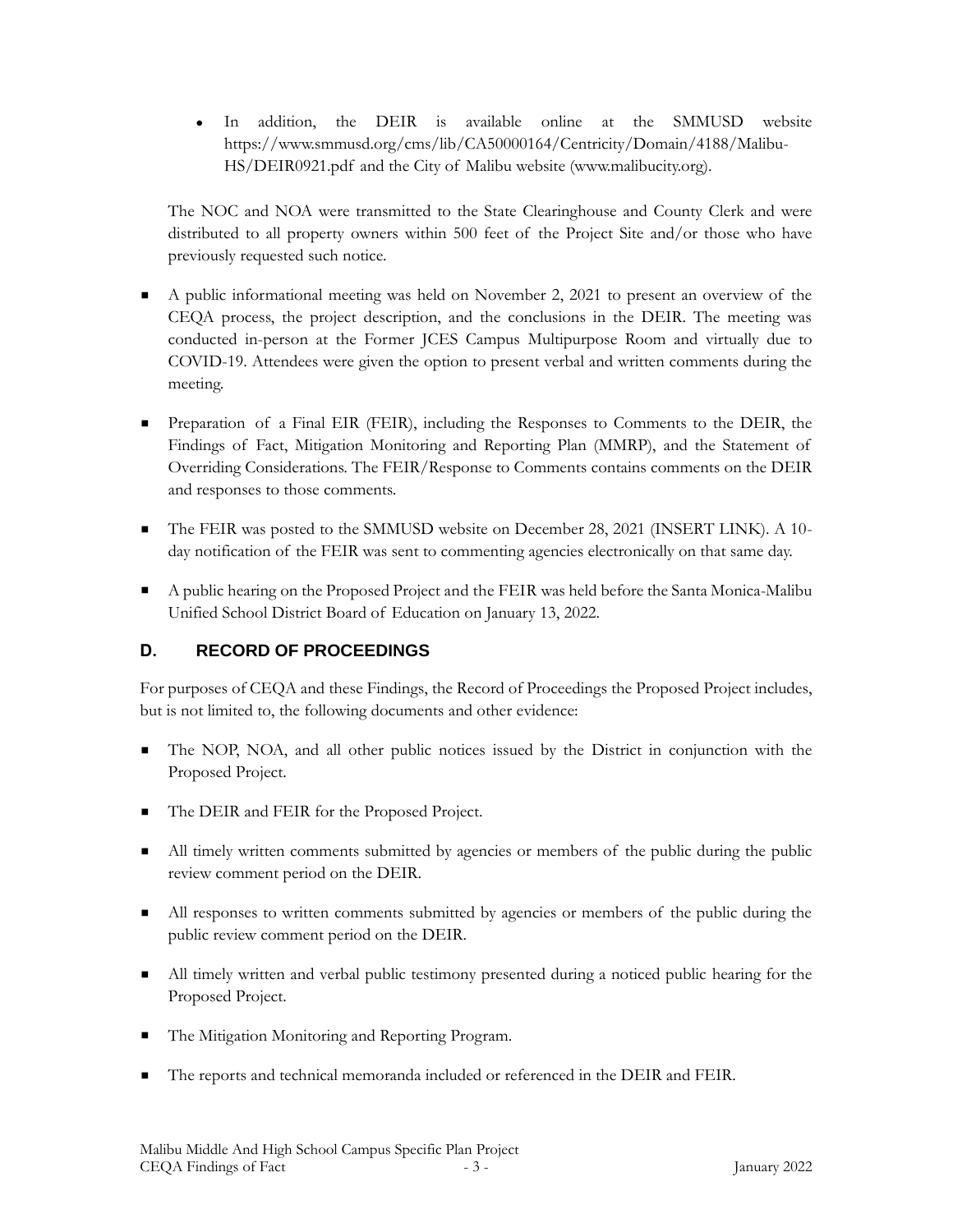⚫ In addition, the DEIR is available online at the SMMUSD website https://www.smmusd.org/cms/lib/CA50000164/Centricity/Domain/4188/Malibu-HS/DEIR0921.pdf and the City of Malibu website (www.malibucity.org).

The NOC and NOA were transmitted to the State Clearinghouse and County Clerk and were distributed to all property owners within 500 feet of the Project Site and/or those who have previously requested such notice.

- A public informational meeting was held on November 2, 2021 to present an overview of the CEQA process, the project description, and the conclusions in the DEIR. The meeting was conducted in-person at the Former JCES Campus Multipurpose Room and virtually due to COVID-19. Attendees were given the option to present verbal and written comments during the meeting.
- **Exercise 1** Preparation of a Final EIR (FEIR), including the Responses to Comments to the DEIR, the Findings of Fact, Mitigation Monitoring and Reporting Plan (MMRP), and the Statement of Overriding Considerations. The FEIR/Response to Comments contains comments on the DEIR and responses to those comments.
- The FEIR was posted to the SMMUSD website on December 28, 2021 (INSERT LINK). A 10day notification of the FEIR was sent to commenting agencies electronically on that same day.
- A public hearing on the Proposed Project and the FEIR was held before the Santa Monica-Malibu Unified School District Board of Education on January 13, 2022.

# **D. RECORD OF PROCEEDINGS**

For purposes of CEQA and these Findings, the Record of Proceedings the Proposed Project includes, but is not limited to, the following documents and other evidence:

- The NOP, NOA, and all other public notices issued by the District in conjunction with the Proposed Project.
- The DEIR and FEIR for the Proposed Project.
- All timely written comments submitted by agencies or members of the public during the public review comment period on the DEIR.
- All responses to written comments submitted by agencies or members of the public during the public review comment period on the DEIR.
- All timely written and verbal public testimony presented during a noticed public hearing for the Proposed Project.
- The Mitigation Monitoring and Reporting Program.
- The reports and technical memoranda included or referenced in the DEIR and FEIR.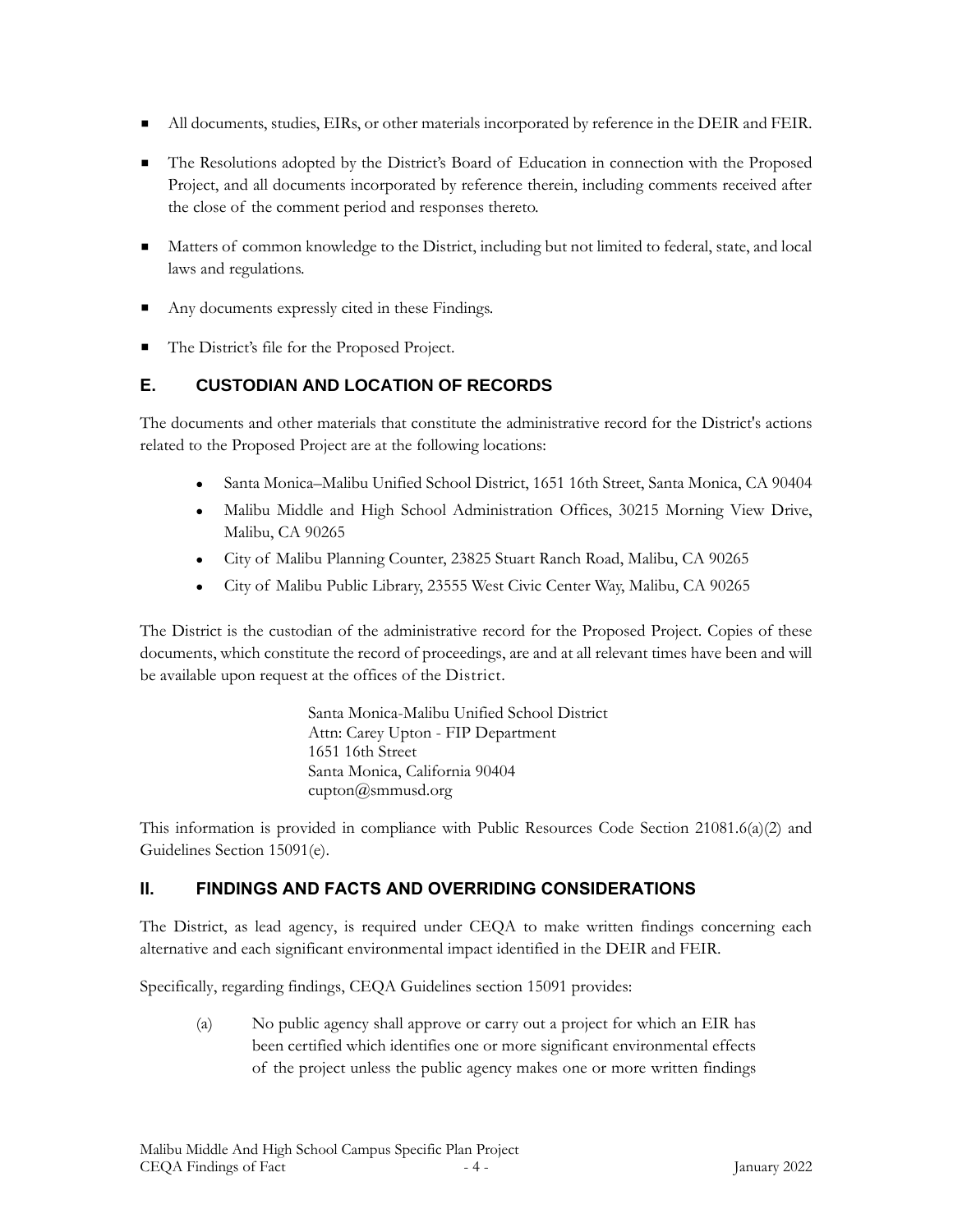- All documents, studies, EIRs, or other materials incorporated by reference in the DEIR and FEIR.
- The Resolutions adopted by the District's Board of Education in connection with the Proposed Project, and all documents incorporated by reference therein, including comments received after the close of the comment period and responses thereto.
- Matters of common knowledge to the District, including but not limited to federal, state, and local laws and regulations.
- Any documents expressly cited in these Findings.
- The District's file for the Proposed Project.

### **E. CUSTODIAN AND LOCATION OF RECORDS**

The documents and other materials that constitute the administrative record for the District's actions related to the Proposed Project are at the following locations:

- Santa Monica–Malibu Unified School District, 1651 16th Street, Santa Monica, CA 90404
- ⚫ Malibu Middle and High School Administration Offices, 30215 Morning View Drive, Malibu, CA 90265
- ⚫ City of Malibu Planning Counter, 23825 Stuart Ranch Road, Malibu, CA 90265
- ⚫ City of Malibu Public Library, 23555 West Civic Center Way, Malibu, CA 90265

The District is the custodian of the administrative record for the Proposed Project. Copies of these documents, which constitute the record of proceedings, are and at all relevant times have been and will be available upon request at the offices of the District.

> Santa Monica-Malibu Unified School District Attn: Carey Upton - FIP Department 1651 16th Street Santa Monica, California 90404 [cupton@smmusd.org](mailto:cupton@smmusd.org)

This information is provided in compliance with Public Resources Code Section 21081.6(a)(2) and Guidelines Section 15091(e).

# **II. FINDINGS AND FACTS AND OVERRIDING CONSIDERATIONS**

The District, as lead agency, is required under CEQA to make written findings concerning each alternative and each significant environmental impact identified in the DEIR and FEIR.

Specifically, regarding findings, CEQA Guidelines section 15091 provides:

(a) No public agency shall approve or carry out a project for which an EIR has been certified which identifies one or more significant environmental effects of the project unless the public agency makes one or more written findings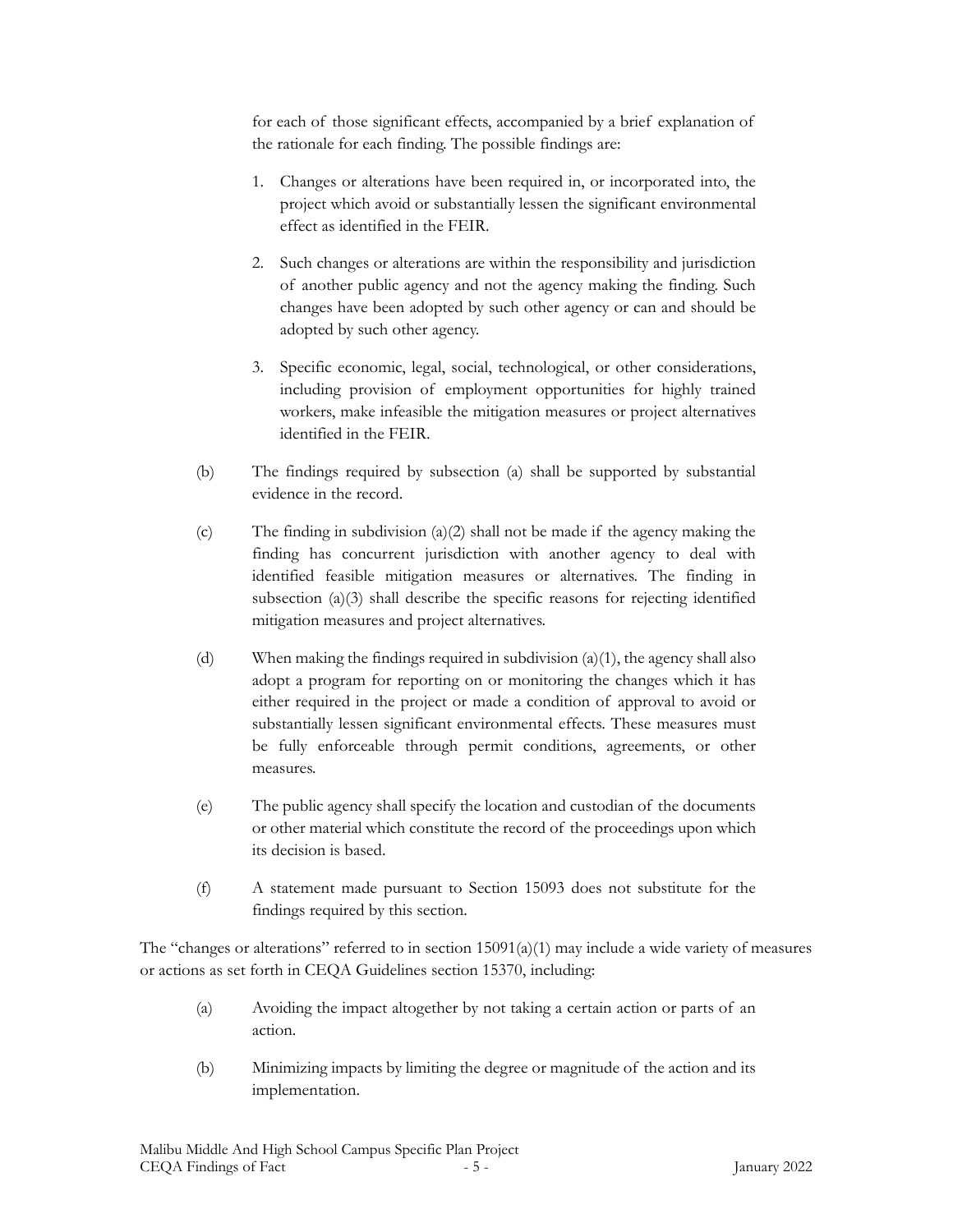for each of those significant effects, accompanied by a brief explanation of the rationale for each finding. The possible findings are:

- 1. Changes or alterations have been required in, or incorporated into, the project which avoid or substantially lessen the significant environmental effect as identified in the FEIR.
- 2. Such changes or alterations are within the responsibility and jurisdiction of another public agency and not the agency making the finding. Such changes have been adopted by such other agency or can and should be adopted by such other agency.
- 3. Specific economic, legal, social, technological, or other considerations, including provision of employment opportunities for highly trained workers, make infeasible the mitigation measures or project alternatives identified in the FEIR.
- (b) The findings required by subsection (a) shall be supported by substantial evidence in the record.
- (c) The finding in subdivision (a)(2) shall not be made if the agency making the finding has concurrent jurisdiction with another agency to deal with identified feasible mitigation measures or alternatives. The finding in subsection (a)(3) shall describe the specific reasons for rejecting identified mitigation measures and project alternatives.
- (d) When making the findings required in subdivision (a)(1), the agency shall also adopt a program for reporting on or monitoring the changes which it has either required in the project or made a condition of approval to avoid or substantially lessen significant environmental effects. These measures must be fully enforceable through permit conditions, agreements, or other measures.
- (e) The public agency shall specify the location and custodian of the documents or other material which constitute the record of the proceedings upon which its decision is based.
- (f) A statement made pursuant to Section 15093 does not substitute for the findings required by this section.

The "changes or alterations" referred to in section  $15091(a)(1)$  may include a wide variety of measures or actions as set forth in CEQA Guidelines section 15370, including:

- (a) Avoiding the impact altogether by not taking a certain action or parts of an action.
- (b) Minimizing impacts by limiting the degree or magnitude of the action and its implementation.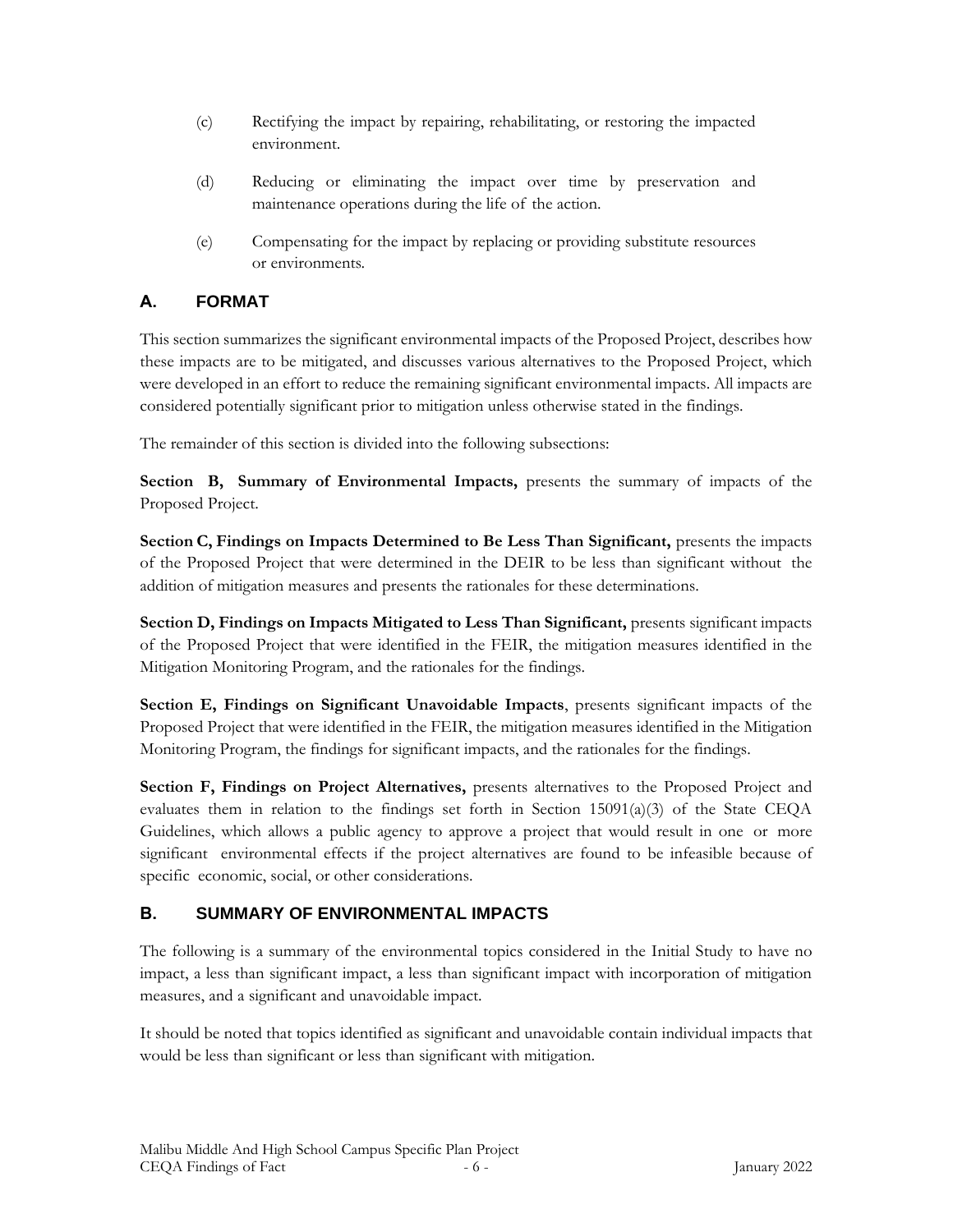- (c) Rectifying the impact by repairing, rehabilitating, or restoring the impacted environment.
- (d) Reducing or eliminating the impact over time by preservation and maintenance operations during the life of the action.
- (e) Compensating for the impact by replacing or providing substitute resources or environments.

# **A. FORMAT**

This section summarizes the significant environmental impacts of the Proposed Project, describes how these impacts are to be mitigated, and discusses various alternatives to the Proposed Project, which were developed in an effort to reduce the remaining significant environmental impacts. All impacts are considered potentially significant prior to mitigation unless otherwise stated in the findings.

The remainder of this section is divided into the following subsections:

**Section B, Summary of Environmental Impacts,** presents the summary of impacts of the Proposed Project.

**Section C, Findings on Impacts Determined to Be Less Than Significant,** presents the impacts of the Proposed Project that were determined in the DEIR to be less than significant without the addition of mitigation measures and presents the rationales for these determinations.

**Section D, Findings on Impacts Mitigated to Less Than Significant,** presents significant impacts of the Proposed Project that were identified in the FEIR, the mitigation measures identified in the Mitigation Monitoring Program, and the rationales for the findings.

**Section E, Findings on Significant Unavoidable Impacts**, presents significant impacts of the Proposed Project that were identified in the FEIR, the mitigation measures identified in the Mitigation Monitoring Program, the findings for significant impacts, and the rationales for the findings.

**Section F, Findings on Project Alternatives,** presents alternatives to the Proposed Project and evaluates them in relation to the findings set forth in Section  $15091(a)(3)$  of the State CEQA Guidelines, which allows a public agency to approve a project that would result in one or more significant environmental effects if the project alternatives are found to be infeasible because of specific economic, social, or other considerations.

# **B. SUMMARY OF ENVIRONMENTAL IMPACTS**

The following is a summary of the environmental topics considered in the Initial Study to have no impact, a less than significant impact, a less than significant impact with incorporation of mitigation measures, and a significant and unavoidable impact.

It should be noted that topics identified as significant and unavoidable contain individual impacts that would be less than significant or less than significant with mitigation.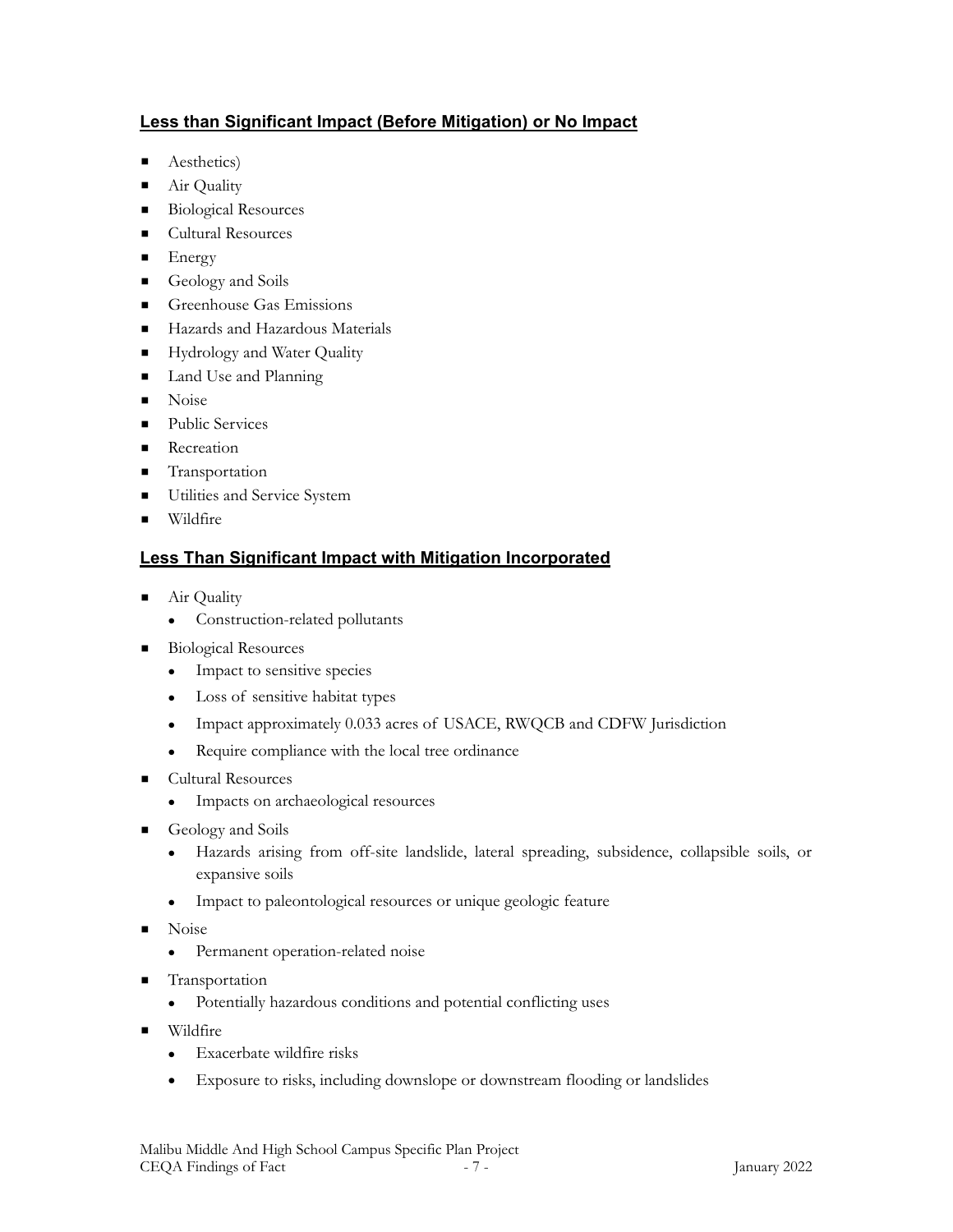# **Less than Significant Impact (Before Mitigation) or No Impact**

- Aesthetics)
- Air Quality
- Biological Resources
- Cultural Resources
- Energy
- Geology and Soils
- **Execution** Greenhouse Gas Emissions
- Hazards and Hazardous Materials
- **EXECUTE:** Hydrology and Water Quality
- Land Use and Planning
- Noise
- Public Services
- Recreation
- **Transportation**
- **Utilities and Service System**
- Wildfire

# **Less Than Significant Impact with Mitigation Incorporated**

- Air Quality
	- ⚫ Construction-related pollutants
- **Biological Resources** 
	- ⚫ Impact to sensitive species
	- ⚫ Loss of sensitive habitat types
	- ⚫ Impact approximately 0.033 acres of USACE, RWQCB and CDFW Jurisdiction
	- ⚫ Require compliance with the local tree ordinance
- **Cultural Resources** 
	- ⚫ Impacts on archaeological resources
- **•** Geology and Soils
	- ⚫ Hazards arising from off-site landslide, lateral spreading, subsidence, collapsible soils, or expansive soils
	- ⚫ Impact to paleontological resources or unique geologic feature
- Noise
	- ⚫ Permanent operation-related noise
- Transportation
	- ⚫ Potentially hazardous conditions and potential conflicting uses
- Wildfire
	- ⚫ Exacerbate wildfire risks
	- Exposure to risks, including downslope or downstream flooding or landslides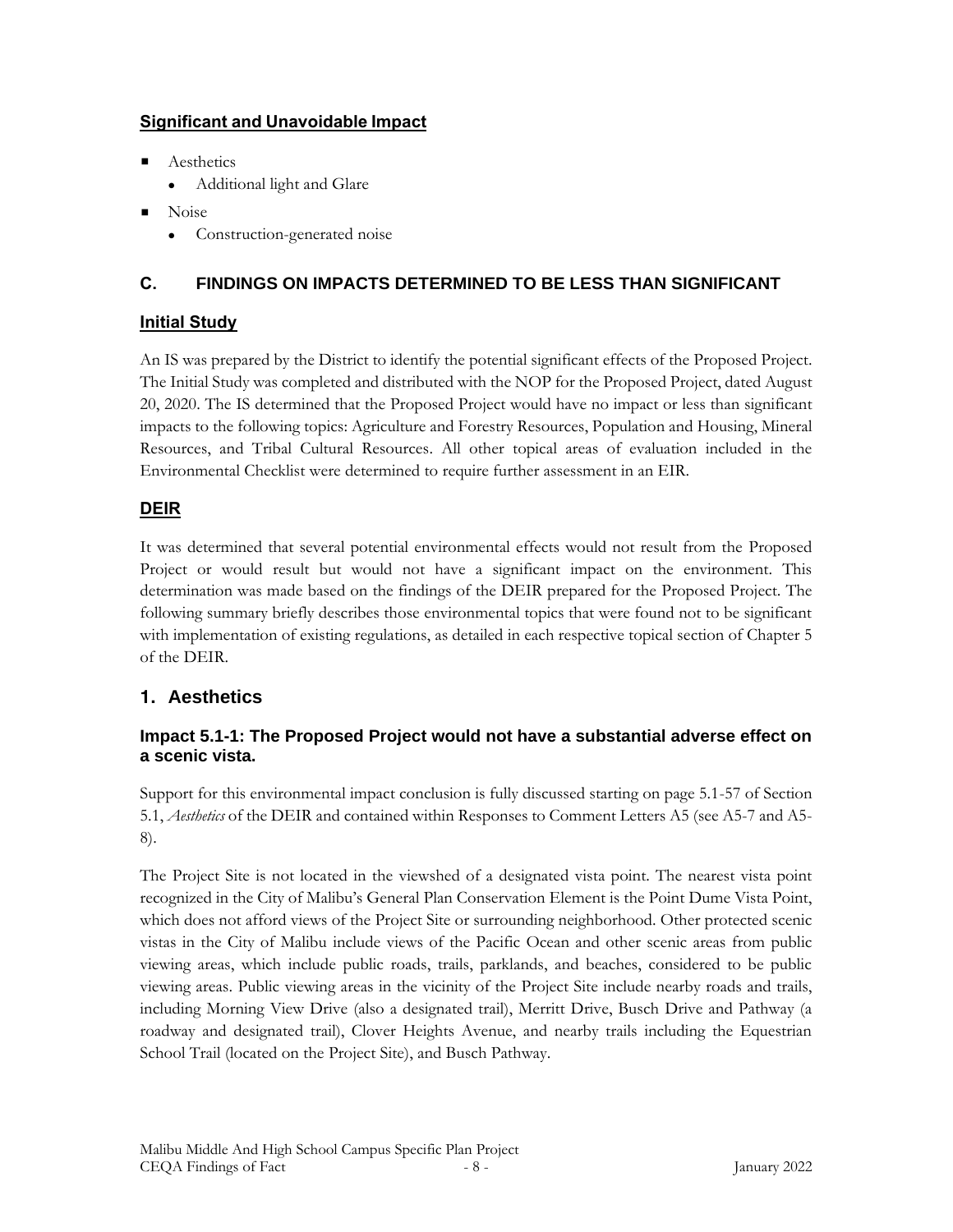# **Significant and Unavoidable Impact**

- **Aesthetics** 
	- ⚫ Additional light and Glare
- Noise
	- ⚫ Construction-generated noise

# **C. FINDINGS ON IMPACTS DETERMINED TO BE LESS THAN SIGNIFICANT**

# **Initial Study**

An IS was prepared by the District to identify the potential significant effects of the Proposed Project. The Initial Study was completed and distributed with the NOP for the Proposed Project, dated August 20, 2020. The IS determined that the Proposed Project would have no impact or less than significant impacts to the following topics: Agriculture and Forestry Resources, Population and Housing, Mineral Resources, and Tribal Cultural Resources. All other topical areas of evaluation included in the Environmental Checklist were determined to require further assessment in an EIR.

### **DEIR**

It was determined that several potential environmental effects would not result from the Proposed Project or would result but would not have a significant impact on the environment. This determination was made based on the findings of the DEIR prepared for the Proposed Project. The following summary briefly describes those environmental topics that were found not to be significant with implementation of existing regulations, as detailed in each respective topical section of Chapter 5 of the DEIR.

# **1. Aesthetics**

### **Impact 5.1-1: The Proposed Project would not have a substantial adverse effect on a scenic vista.**

Support for this environmental impact conclusion is fully discussed starting on page 5.1-57 of Section 5.1, *Aesthetics* of the DEIR and contained within Responses to Comment Letters A5 (see A5-7 and A5- 8).

The Project Site is not located in the viewshed of a designated vista point. The nearest vista point recognized in the City of Malibu's General Plan Conservation Element is the Point Dume Vista Point, which does not afford views of the Project Site or surrounding neighborhood. Other protected scenic vistas in the City of Malibu include views of the Pacific Ocean and other scenic areas from public viewing areas, which include public roads, trails, parklands, and beaches, considered to be public viewing areas. Public viewing areas in the vicinity of the Project Site include nearby roads and trails, including Morning View Drive (also a designated trail), Merritt Drive, Busch Drive and Pathway (a roadway and designated trail), Clover Heights Avenue, and nearby trails including the Equestrian School Trail (located on the Project Site), and Busch Pathway.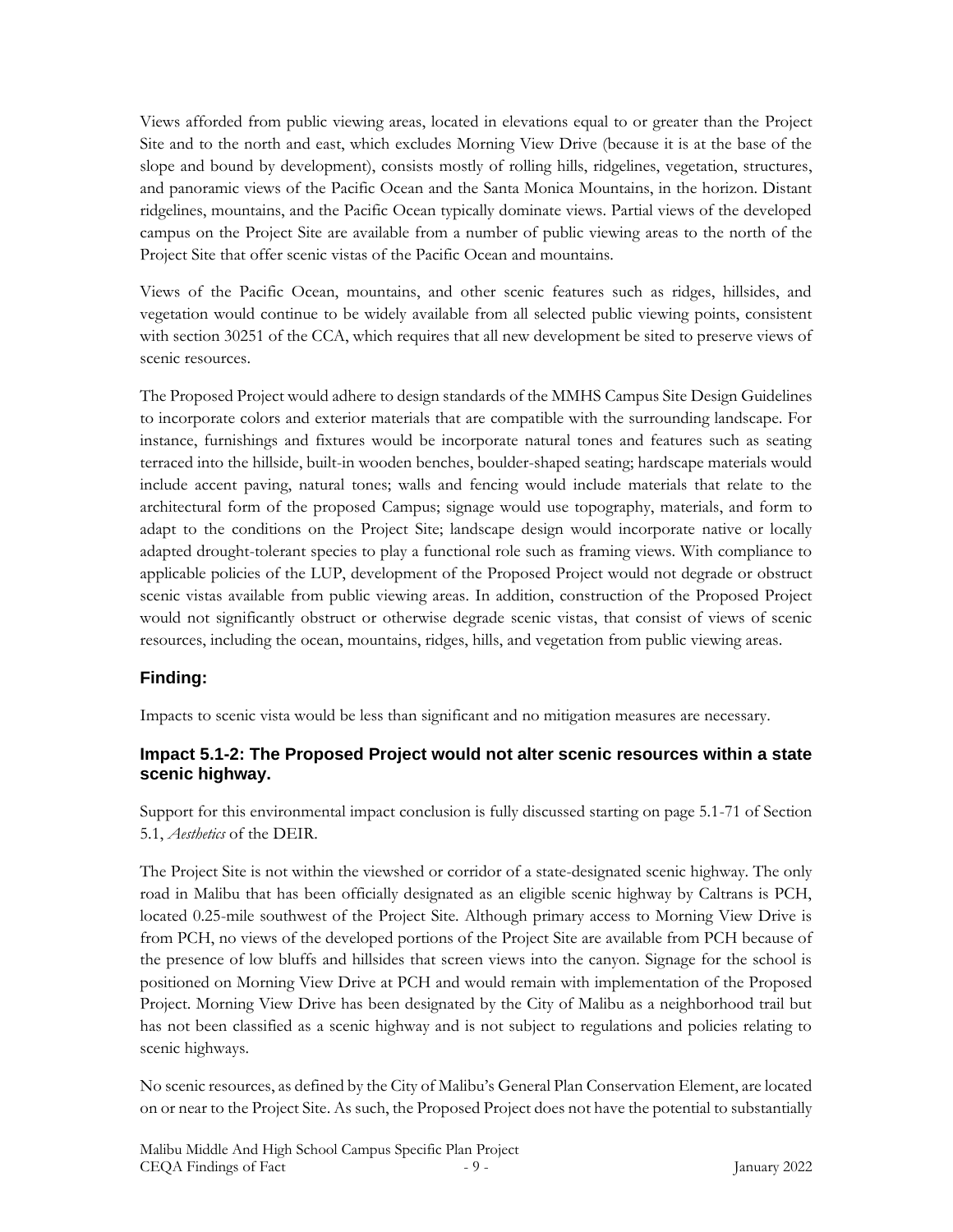Views afforded from public viewing areas, located in elevations equal to or greater than the Project Site and to the north and east, which excludes Morning View Drive (because it is at the base of the slope and bound by development), consists mostly of rolling hills, ridgelines, vegetation, structures, and panoramic views of the Pacific Ocean and the Santa Monica Mountains, in the horizon. Distant ridgelines, mountains, and the Pacific Ocean typically dominate views. Partial views of the developed campus on the Project Site are available from a number of public viewing areas to the north of the Project Site that offer scenic vistas of the Pacific Ocean and mountains.

Views of the Pacific Ocean, mountains, and other scenic features such as ridges, hillsides, and vegetation would continue to be widely available from all selected public viewing points, consistent with section 30251 of the CCA, which requires that all new development be sited to preserve views of scenic resources.

The Proposed Project would adhere to design standards of the MMHS Campus Site Design Guidelines to incorporate colors and exterior materials that are compatible with the surrounding landscape. For instance, furnishings and fixtures would be incorporate natural tones and features such as seating terraced into the hillside, built-in wooden benches, boulder-shaped seating; hardscape materials would include accent paving, natural tones; walls and fencing would include materials that relate to the architectural form of the proposed Campus; signage would use topography, materials, and form to adapt to the conditions on the Project Site; landscape design would incorporate native or locally adapted drought-tolerant species to play a functional role such as framing views. With compliance to applicable policies of the LUP, development of the Proposed Project would not degrade or obstruct scenic vistas available from public viewing areas. In addition, construction of the Proposed Project would not significantly obstruct or otherwise degrade scenic vistas, that consist of views of scenic resources, including the ocean, mountains, ridges, hills, and vegetation from public viewing areas.

# **Finding:**

Impacts to scenic vista would be less than significant and no mitigation measures are necessary.

### **Impact 5.1-2: The Proposed Project would not alter scenic resources within a state scenic highway.**

Support for this environmental impact conclusion is fully discussed starting on page 5.1-71 of Section 5.1, *Aesthetics* of the DEIR.

The Project Site is not within the viewshed or corridor of a state-designated scenic highway. The only road in Malibu that has been officially designated as an eligible scenic highway by Caltrans is PCH, located 0.25-mile southwest of the Project Site. Although primary access to Morning View Drive is from PCH, no views of the developed portions of the Project Site are available from PCH because of the presence of low bluffs and hillsides that screen views into the canyon. Signage for the school is positioned on Morning View Drive at PCH and would remain with implementation of the Proposed Project. Morning View Drive has been designated by the City of Malibu as a neighborhood trail but has not been classified as a scenic highway and is not subject to regulations and policies relating to scenic highways.

No scenic resources, as defined by the City of Malibu's General Plan Conservation Element, are located on or near to the Project Site. As such, the Proposed Project does not have the potential to substantially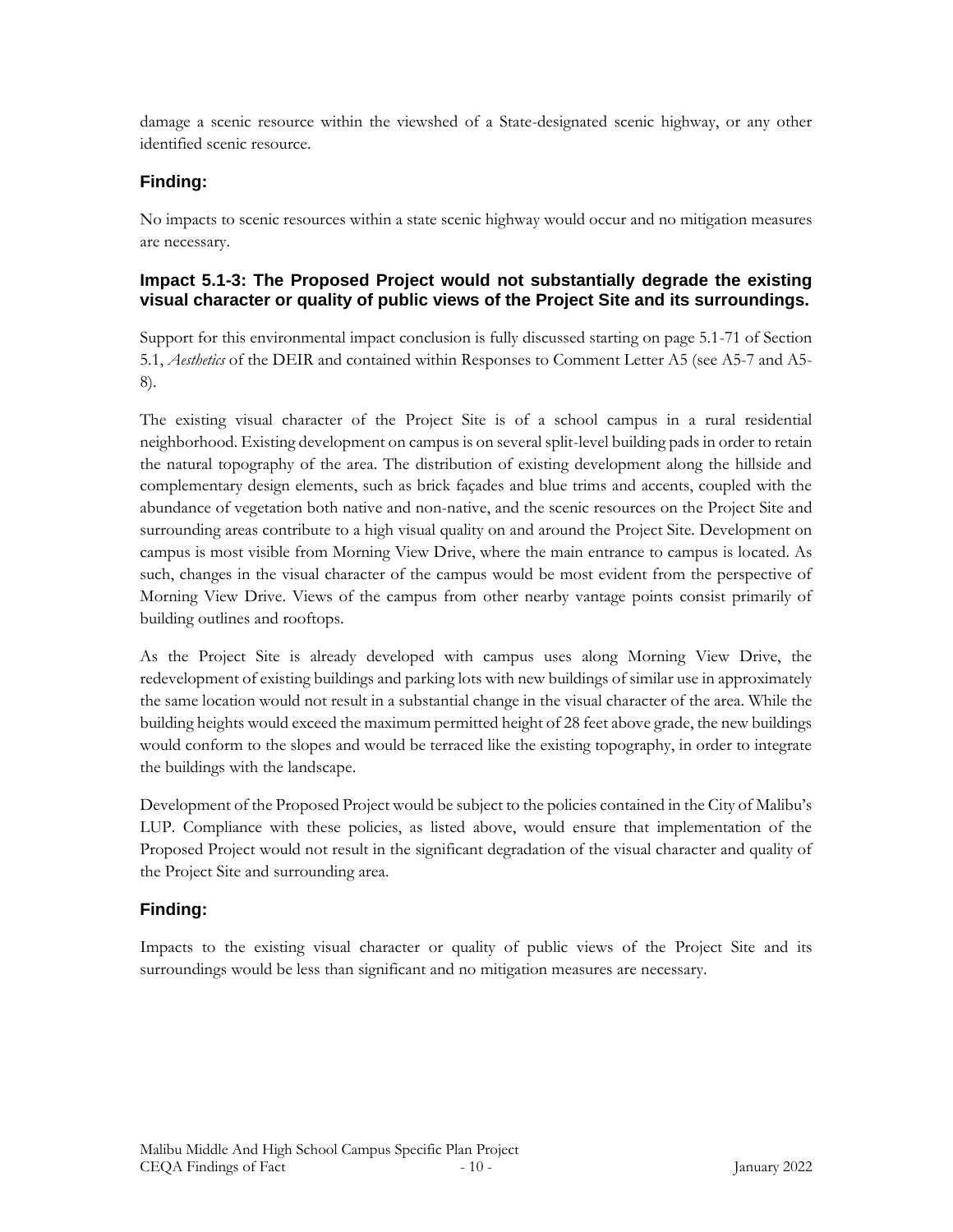damage a scenic resource within the viewshed of a State-designated scenic highway, or any other identified scenic resource.

### **Finding:**

No impacts to scenic resources within a state scenic highway would occur and no mitigation measures are necessary.

### **Impact 5.1-3: The Proposed Project would not substantially degrade the existing visual character or quality of public views of the Project Site and its surroundings.**

Support for this environmental impact conclusion is fully discussed starting on page 5.1-71 of Section 5.1, *Aesthetics* of the DEIR and contained within Responses to Comment Letter A5 (see A5-7 and A5- 8).

The existing visual character of the Project Site is of a school campus in a rural residential neighborhood. Existing development on campus is on several split-level building pads in order to retain the natural topography of the area. The distribution of existing development along the hillside and complementary design elements, such as brick façades and blue trims and accents, coupled with the abundance of vegetation both native and non-native, and the scenic resources on the Project Site and surrounding areas contribute to a high visual quality on and around the Project Site. Development on campus is most visible from Morning View Drive, where the main entrance to campus is located. As such, changes in the visual character of the campus would be most evident from the perspective of Morning View Drive. Views of the campus from other nearby vantage points consist primarily of building outlines and rooftops.

As the Project Site is already developed with campus uses along Morning View Drive, the redevelopment of existing buildings and parking lots with new buildings of similar use in approximately the same location would not result in a substantial change in the visual character of the area. While the building heights would exceed the maximum permitted height of 28 feet above grade, the new buildings would conform to the slopes and would be terraced like the existing topography, in order to integrate the buildings with the landscape.

Development of the Proposed Project would be subject to the policies contained in the City of Malibu's LUP. Compliance with these policies, as listed above, would ensure that implementation of the Proposed Project would not result in the significant degradation of the visual character and quality of the Project Site and surrounding area.

### **Finding:**

Impacts to the existing visual character or quality of public views of the Project Site and its surroundings would be less than significant and no mitigation measures are necessary.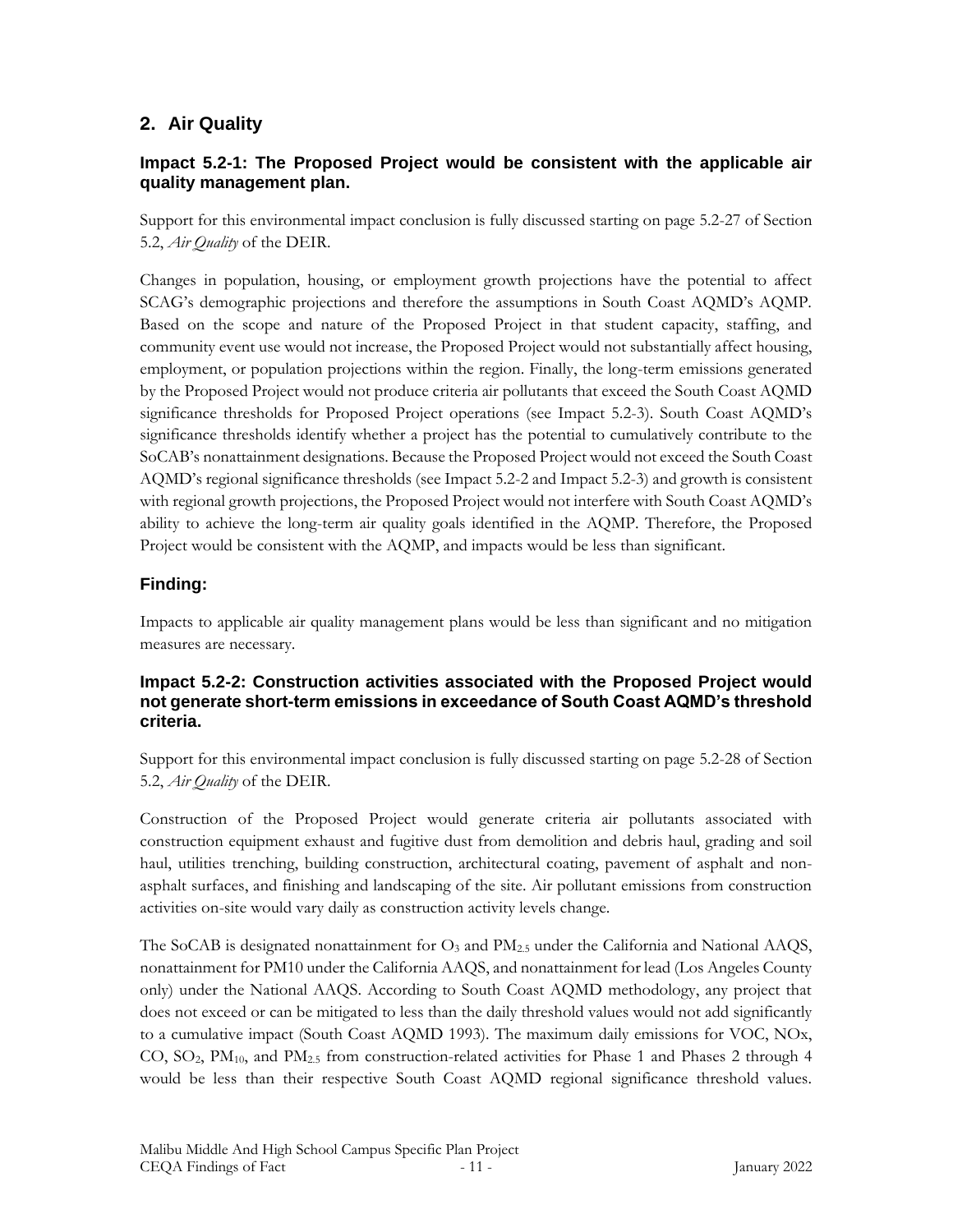# **2. Air Quality**

### **Impact 5.2-1: The Proposed Project would be consistent with the applicable air quality management plan.**

Support for this environmental impact conclusion is fully discussed starting on page 5.2-27 of Section 5.2, *Air Quality* of the DEIR.

Changes in population, housing, or employment growth projections have the potential to affect SCAG's demographic projections and therefore the assumptions in South Coast AQMD's AQMP. Based on the scope and nature of the Proposed Project in that student capacity, staffing, and community event use would not increase, the Proposed Project would not substantially affect housing, employment, or population projections within the region. Finally, the long-term emissions generated by the Proposed Project would not produce criteria air pollutants that exceed the South Coast AQMD significance thresholds for Proposed Project operations (see Impact 5.2-3). South Coast AQMD's significance thresholds identify whether a project has the potential to cumulatively contribute to the SoCAB's nonattainment designations. Because the Proposed Project would not exceed the South Coast AQMD's regional significance thresholds (see Impact 5.2-2 and Impact 5.2-3) and growth is consistent with regional growth projections, the Proposed Project would not interfere with South Coast AQMD's ability to achieve the long-term air quality goals identified in the AQMP. Therefore, the Proposed Project would be consistent with the AQMP, and impacts would be less than significant.

### **Finding:**

Impacts to applicable air quality management plans would be less than significant and no mitigation measures are necessary.

#### **Impact 5.2-2: Construction activities associated with the Proposed Project would not generate short-term emissions in exceedance of South Coast AQMD's threshold criteria.**

Support for this environmental impact conclusion is fully discussed starting on page 5.2-28 of Section 5.2, *Air Quality* of the DEIR.

Construction of the Proposed Project would generate criteria air pollutants associated with construction equipment exhaust and fugitive dust from demolition and debris haul, grading and soil haul, utilities trenching, building construction, architectural coating, pavement of asphalt and nonasphalt surfaces, and finishing and landscaping of the site. Air pollutant emissions from construction activities on-site would vary daily as construction activity levels change.

The SoCAB is designated nonattainment for  $O_3$  and  $PM_{2.5}$  under the California and National AAQS, nonattainment for PM10 under the California AAQS, and nonattainment for lead (Los Angeles County only) under the National AAQS. According to South Coast AQMD methodology, any project that does not exceed or can be mitigated to less than the daily threshold values would not add significantly to a cumulative impact (South Coast AQMD 1993). The maximum daily emissions for VOC, NOx, CO,  $SO_2$ ,  $PM_{10}$ , and  $PM_{2.5}$  from construction-related activities for Phase 1 and Phases 2 through 4 would be less than their respective South Coast AQMD regional significance threshold values.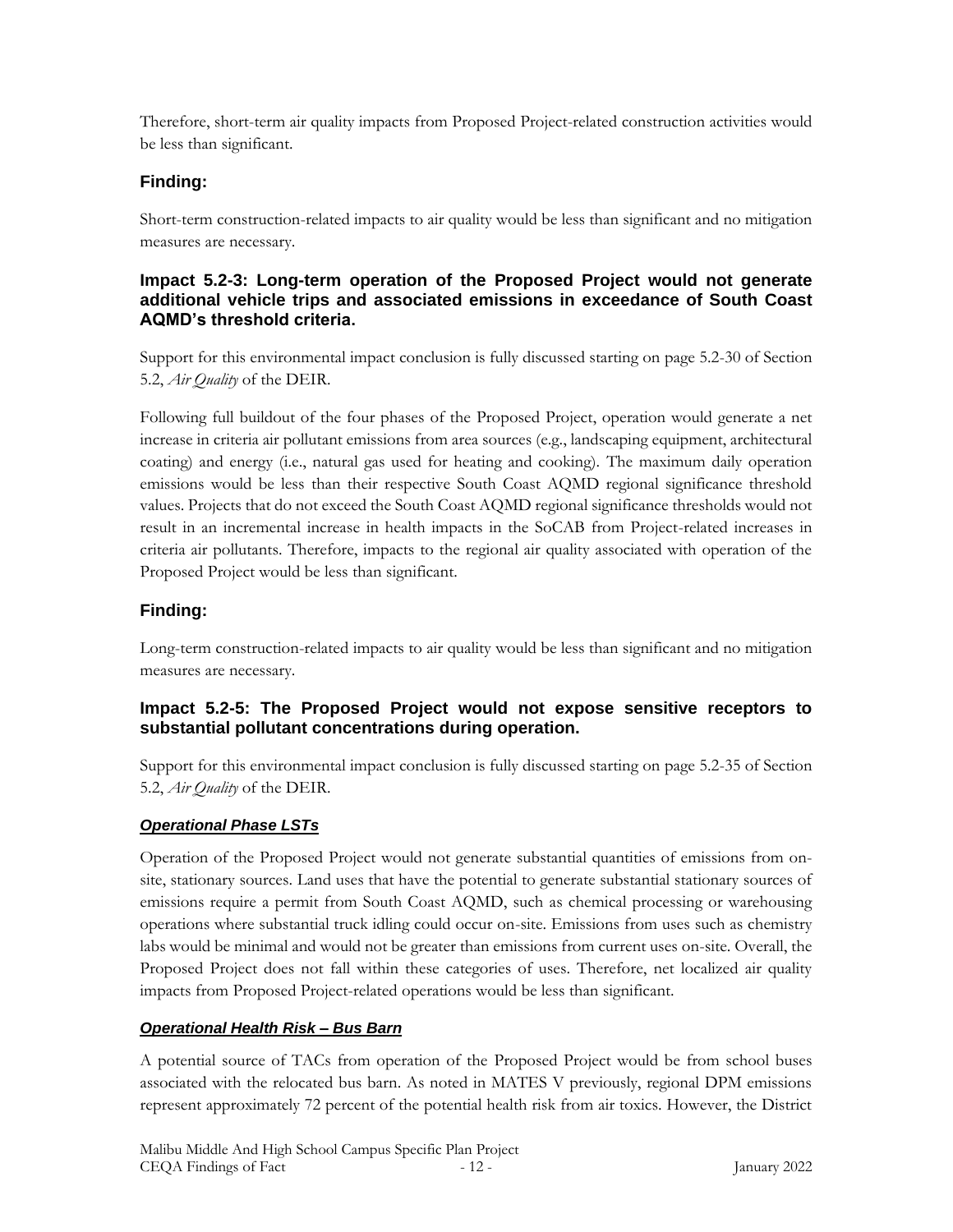Therefore, short-term air quality impacts from Proposed Project-related construction activities would be less than significant.

### **Finding:**

Short-term construction-related impacts to air quality would be less than significant and no mitigation measures are necessary.

#### **Impact 5.2-3: Long-term operation of the Proposed Project would not generate additional vehicle trips and associated emissions in exceedance of South Coast AQMD's threshold criteria.**

Support for this environmental impact conclusion is fully discussed starting on page 5.2-30 of Section 5.2, *Air Quality* of the DEIR.

Following full buildout of the four phases of the Proposed Project, operation would generate a net increase in criteria air pollutant emissions from area sources (e.g., landscaping equipment, architectural coating) and energy (i.e., natural gas used for heating and cooking). The maximum daily operation emissions would be less than their respective South Coast AQMD regional significance threshold values. Projects that do not exceed the South Coast AQMD regional significance thresholds would not result in an incremental increase in health impacts in the SoCAB from Project-related increases in criteria air pollutants. Therefore, impacts to the regional air quality associated with operation of the Proposed Project would be less than significant.

# **Finding:**

Long-term construction-related impacts to air quality would be less than significant and no mitigation measures are necessary.

### **Impact 5.2-5: The Proposed Project would not expose sensitive receptors to substantial pollutant concentrations during operation.**

Support for this environmental impact conclusion is fully discussed starting on page 5.2-35 of Section 5.2, *Air Quality* of the DEIR.

### *Operational Phase LSTs*

Operation of the Proposed Project would not generate substantial quantities of emissions from onsite, stationary sources. Land uses that have the potential to generate substantial stationary sources of emissions require a permit from South Coast AQMD, such as chemical processing or warehousing operations where substantial truck idling could occur on-site. Emissions from uses such as chemistry labs would be minimal and would not be greater than emissions from current uses on-site. Overall, the Proposed Project does not fall within these categories of uses. Therefore, net localized air quality impacts from Proposed Project-related operations would be less than significant.

### *Operational Health Risk – Bus Barn*

A potential source of TACs from operation of the Proposed Project would be from school buses associated with the relocated bus barn. As noted in MATES V previously, regional DPM emissions represent approximately 72 percent of the potential health risk from air toxics. However, the District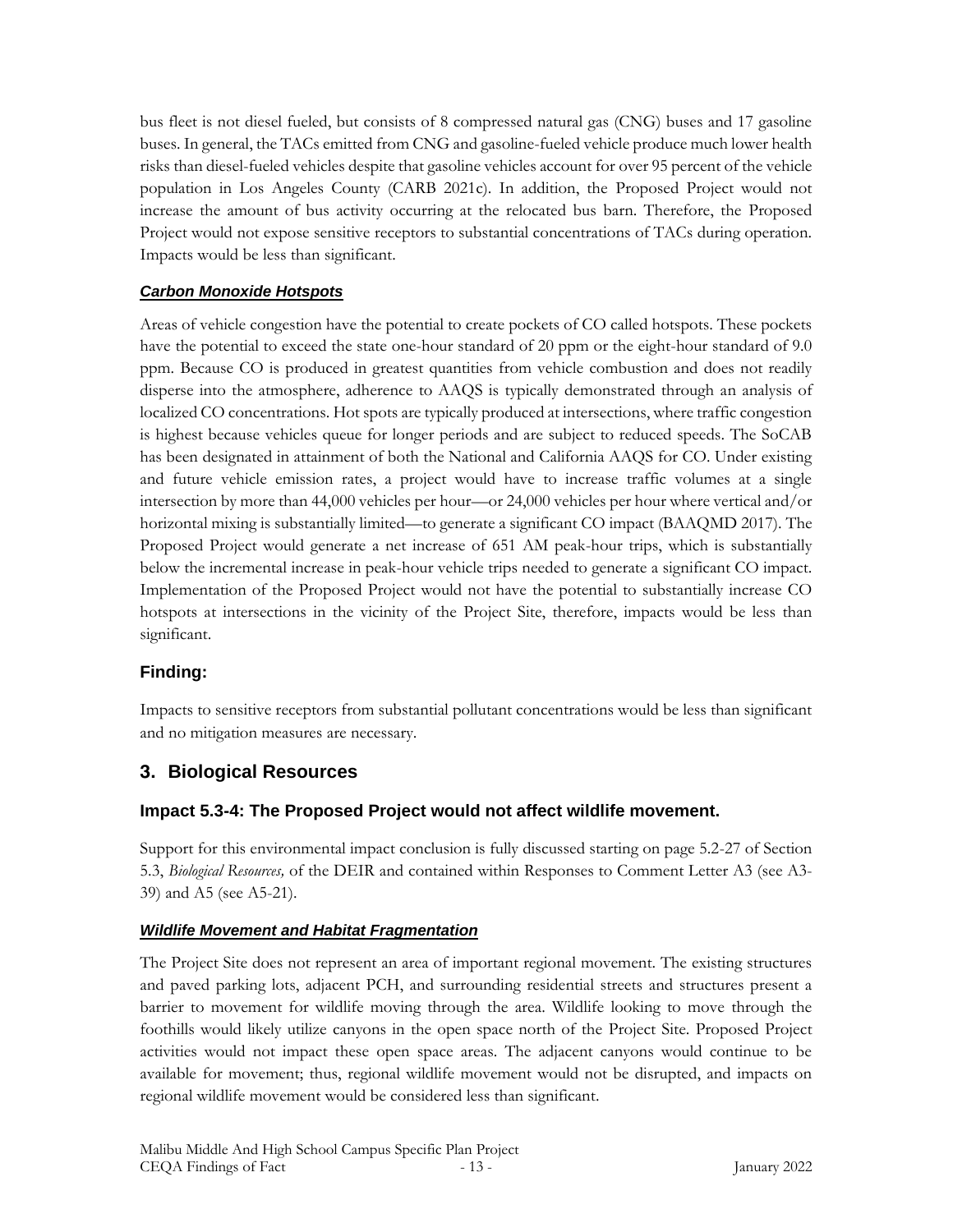bus fleet is not diesel fueled, but consists of 8 compressed natural gas (CNG) buses and 17 gasoline buses. In general, the TACs emitted from CNG and gasoline-fueled vehicle produce much lower health risks than diesel-fueled vehicles despite that gasoline vehicles account for over 95 percent of the vehicle population in Los Angeles County (CARB 2021c). In addition, the Proposed Project would not increase the amount of bus activity occurring at the relocated bus barn. Therefore, the Proposed Project would not expose sensitive receptors to substantial concentrations of TACs during operation. Impacts would be less than significant.

### *Carbon Monoxide Hotspots*

Areas of vehicle congestion have the potential to create pockets of CO called hotspots. These pockets have the potential to exceed the state one-hour standard of 20 ppm or the eight-hour standard of 9.0 ppm. Because CO is produced in greatest quantities from vehicle combustion and does not readily disperse into the atmosphere, adherence to AAQS is typically demonstrated through an analysis of localized CO concentrations. Hot spots are typically produced at intersections, where traffic congestion is highest because vehicles queue for longer periods and are subject to reduced speeds. The SoCAB has been designated in attainment of both the National and California AAQS for CO. Under existing and future vehicle emission rates, a project would have to increase traffic volumes at a single intersection by more than 44,000 vehicles per hour—or 24,000 vehicles per hour where vertical and/or horizontal mixing is substantially limited—to generate a significant CO impact (BAAQMD 2017). The Proposed Project would generate a net increase of 651 AM peak-hour trips, which is substantially below the incremental increase in peak-hour vehicle trips needed to generate a significant CO impact. Implementation of the Proposed Project would not have the potential to substantially increase CO hotspots at intersections in the vicinity of the Project Site, therefore, impacts would be less than significant.

# **Finding:**

Impacts to sensitive receptors from substantial pollutant concentrations would be less than significant and no mitigation measures are necessary.

# **3. Biological Resources**

# **Impact 5.3-4: The Proposed Project would not affect wildlife movement.**

Support for this environmental impact conclusion is fully discussed starting on page 5.2-27 of Section 5.3, *Biological Resources,* of the DEIR and contained within Responses to Comment Letter A3 (see A3- 39) and A5 (see A5-21).

### *Wildlife Movement and Habitat Fragmentation*

The Project Site does not represent an area of important regional movement. The existing structures and paved parking lots, adjacent PCH, and surrounding residential streets and structures present a barrier to movement for wildlife moving through the area. Wildlife looking to move through the foothills would likely utilize canyons in the open space north of the Project Site. Proposed Project activities would not impact these open space areas. The adjacent canyons would continue to be available for movement; thus, regional wildlife movement would not be disrupted, and impacts on regional wildlife movement would be considered less than significant.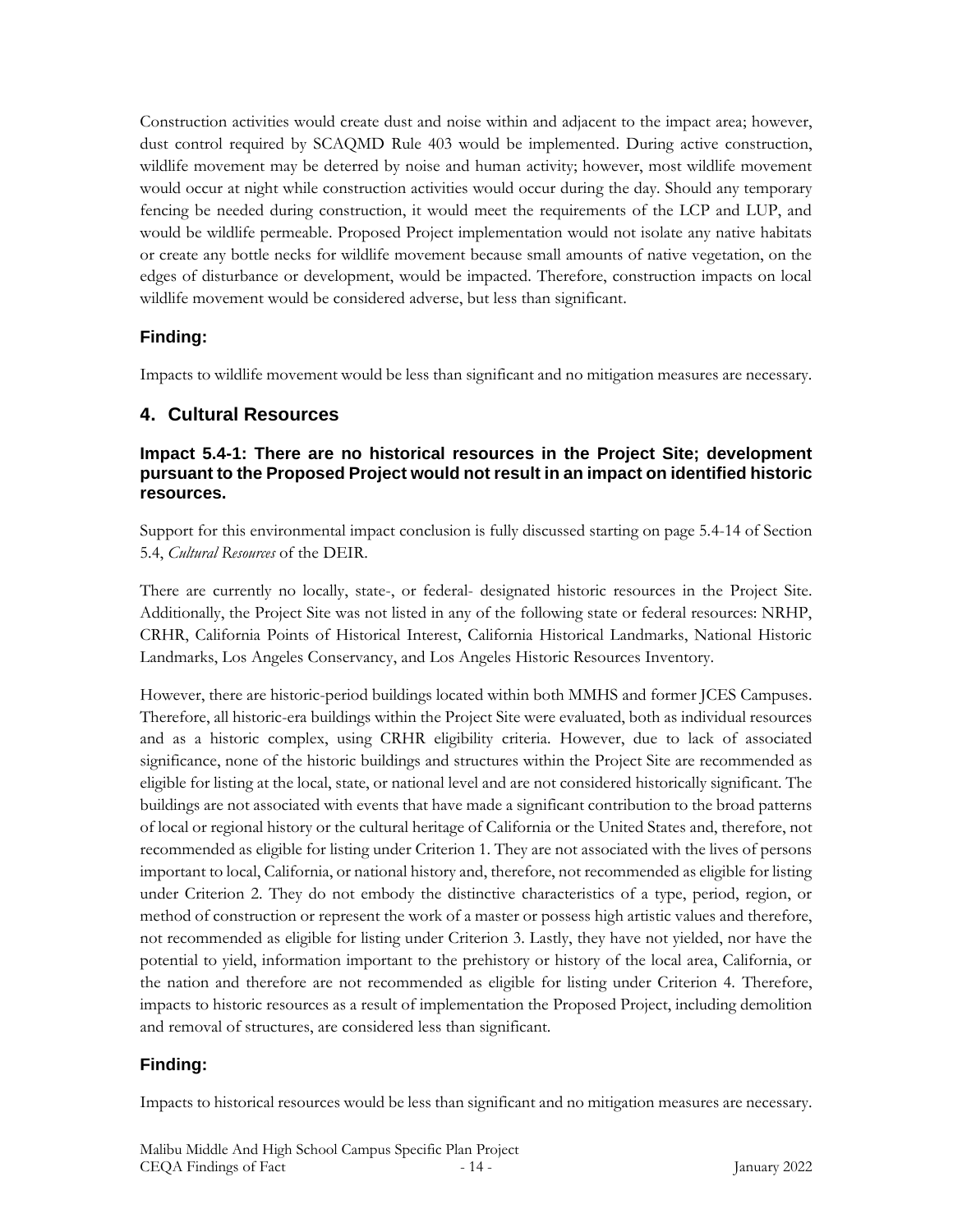Construction activities would create dust and noise within and adjacent to the impact area; however, dust control required by SCAQMD Rule 403 would be implemented. During active construction, wildlife movement may be deterred by noise and human activity; however, most wildlife movement would occur at night while construction activities would occur during the day. Should any temporary fencing be needed during construction, it would meet the requirements of the LCP and LUP, and would be wildlife permeable. Proposed Project implementation would not isolate any native habitats or create any bottle necks for wildlife movement because small amounts of native vegetation, on the edges of disturbance or development, would be impacted. Therefore, construction impacts on local wildlife movement would be considered adverse, but less than significant.

# **Finding:**

Impacts to wildlife movement would be less than significant and no mitigation measures are necessary.

# **4. Cultural Resources**

### **Impact 5.4-1: There are no historical resources in the Project Site; development pursuant to the Proposed Project would not result in an impact on identified historic resources.**

Support for this environmental impact conclusion is fully discussed starting on page 5.4-14 of Section 5.4, *Cultural Resources* of the DEIR.

There are currently no locally, state-, or federal- designated historic resources in the Project Site. Additionally, the Project Site was not listed in any of the following state or federal resources: NRHP, CRHR, California Points of Historical Interest, California Historical Landmarks, National Historic Landmarks, Los Angeles Conservancy, and Los Angeles Historic Resources Inventory.

However, there are historic-period buildings located within both MMHS and former JCES Campuses. Therefore, all historic-era buildings within the Project Site were evaluated, both as individual resources and as a historic complex, using CRHR eligibility criteria. However, due to lack of associated significance, none of the historic buildings and structures within the Project Site are recommended as eligible for listing at the local, state, or national level and are not considered historically significant. The buildings are not associated with events that have made a significant contribution to the broad patterns of local or regional history or the cultural heritage of California or the United States and, therefore, not recommended as eligible for listing under Criterion 1. They are not associated with the lives of persons important to local, California, or national history and, therefore, not recommended as eligible for listing under Criterion 2. They do not embody the distinctive characteristics of a type, period, region, or method of construction or represent the work of a master or possess high artistic values and therefore, not recommended as eligible for listing under Criterion 3. Lastly, they have not yielded, nor have the potential to yield, information important to the prehistory or history of the local area, California, or the nation and therefore are not recommended as eligible for listing under Criterion 4. Therefore, impacts to historic resources as a result of implementation the Proposed Project, including demolition and removal of structures, are considered less than significant.

# **Finding:**

Impacts to historical resources would be less than significant and no mitigation measures are necessary.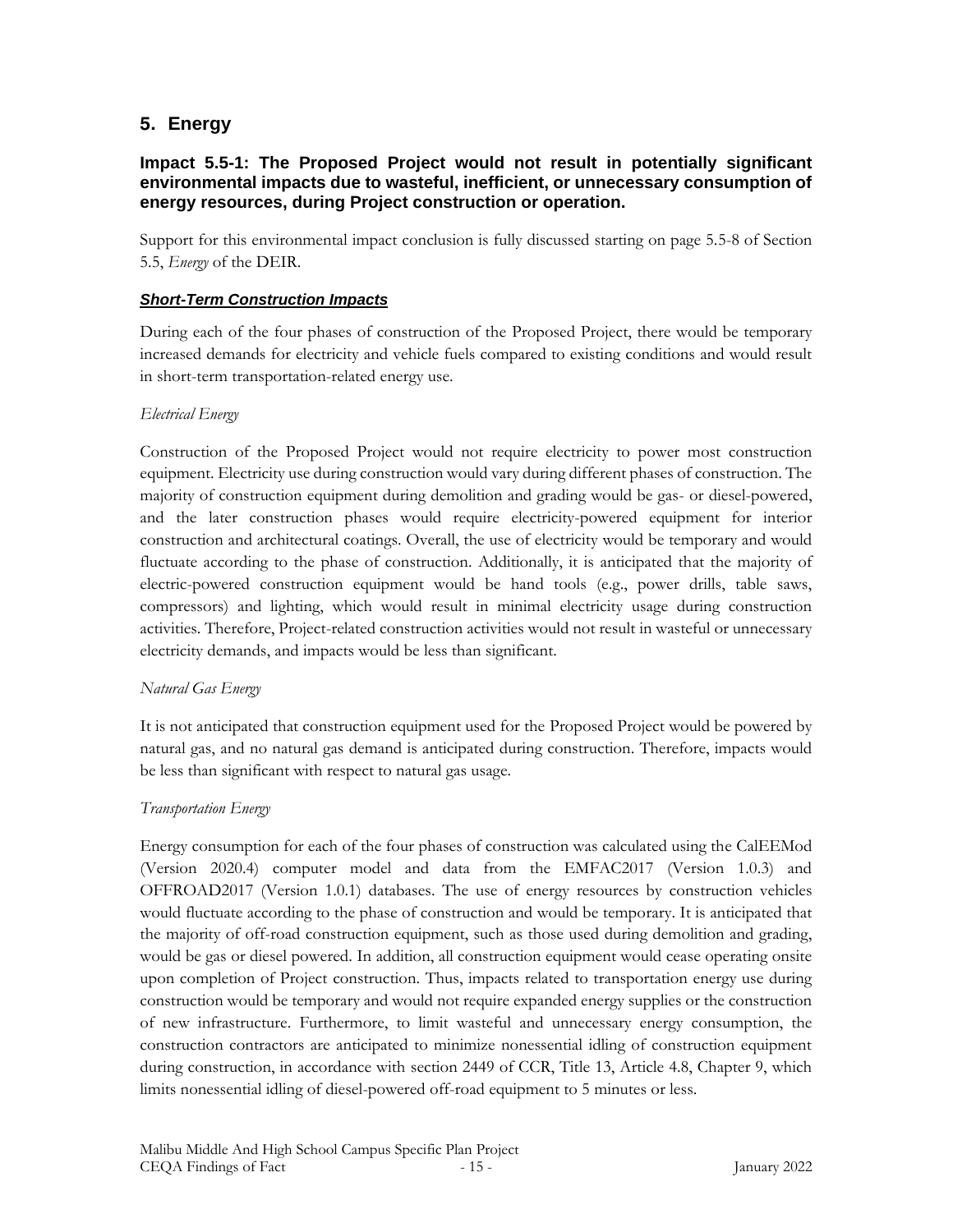### **5. Energy**

#### **Impact 5.5-1: The Proposed Project would not result in potentially significant environmental impacts due to wasteful, inefficient, or unnecessary consumption of energy resources, during Project construction or operation.**

Support for this environmental impact conclusion is fully discussed starting on page 5.5-8 of Section 5.5, *Energy* of the DEIR.

#### *Short-Term Construction Impacts*

During each of the four phases of construction of the Proposed Project, there would be temporary increased demands for electricity and vehicle fuels compared to existing conditions and would result in short-term transportation-related energy use.

#### *Electrical Energy*

Construction of the Proposed Project would not require electricity to power most construction equipment. Electricity use during construction would vary during different phases of construction. The majority of construction equipment during demolition and grading would be gas- or diesel-powered, and the later construction phases would require electricity-powered equipment for interior construction and architectural coatings. Overall, the use of electricity would be temporary and would fluctuate according to the phase of construction. Additionally, it is anticipated that the majority of electric-powered construction equipment would be hand tools (e.g., power drills, table saws, compressors) and lighting, which would result in minimal electricity usage during construction activities. Therefore, Project-related construction activities would not result in wasteful or unnecessary electricity demands, and impacts would be less than significant.

#### *Natural Gas Energy*

It is not anticipated that construction equipment used for the Proposed Project would be powered by natural gas, and no natural gas demand is anticipated during construction. Therefore, impacts would be less than significant with respect to natural gas usage.

#### *Transportation Energy*

Energy consumption for each of the four phases of construction was calculated using the CalEEMod (Version 2020.4) computer model and data from the EMFAC2017 (Version 1.0.3) and OFFROAD2017 (Version 1.0.1) databases. The use of energy resources by construction vehicles would fluctuate according to the phase of construction and would be temporary. It is anticipated that the majority of off-road construction equipment, such as those used during demolition and grading, would be gas or diesel powered. In addition, all construction equipment would cease operating onsite upon completion of Project construction. Thus, impacts related to transportation energy use during construction would be temporary and would not require expanded energy supplies or the construction of new infrastructure. Furthermore, to limit wasteful and unnecessary energy consumption, the construction contractors are anticipated to minimize nonessential idling of construction equipment during construction, in accordance with section 2449 of CCR, Title 13, Article 4.8, Chapter 9, which limits nonessential idling of diesel-powered off-road equipment to 5 minutes or less.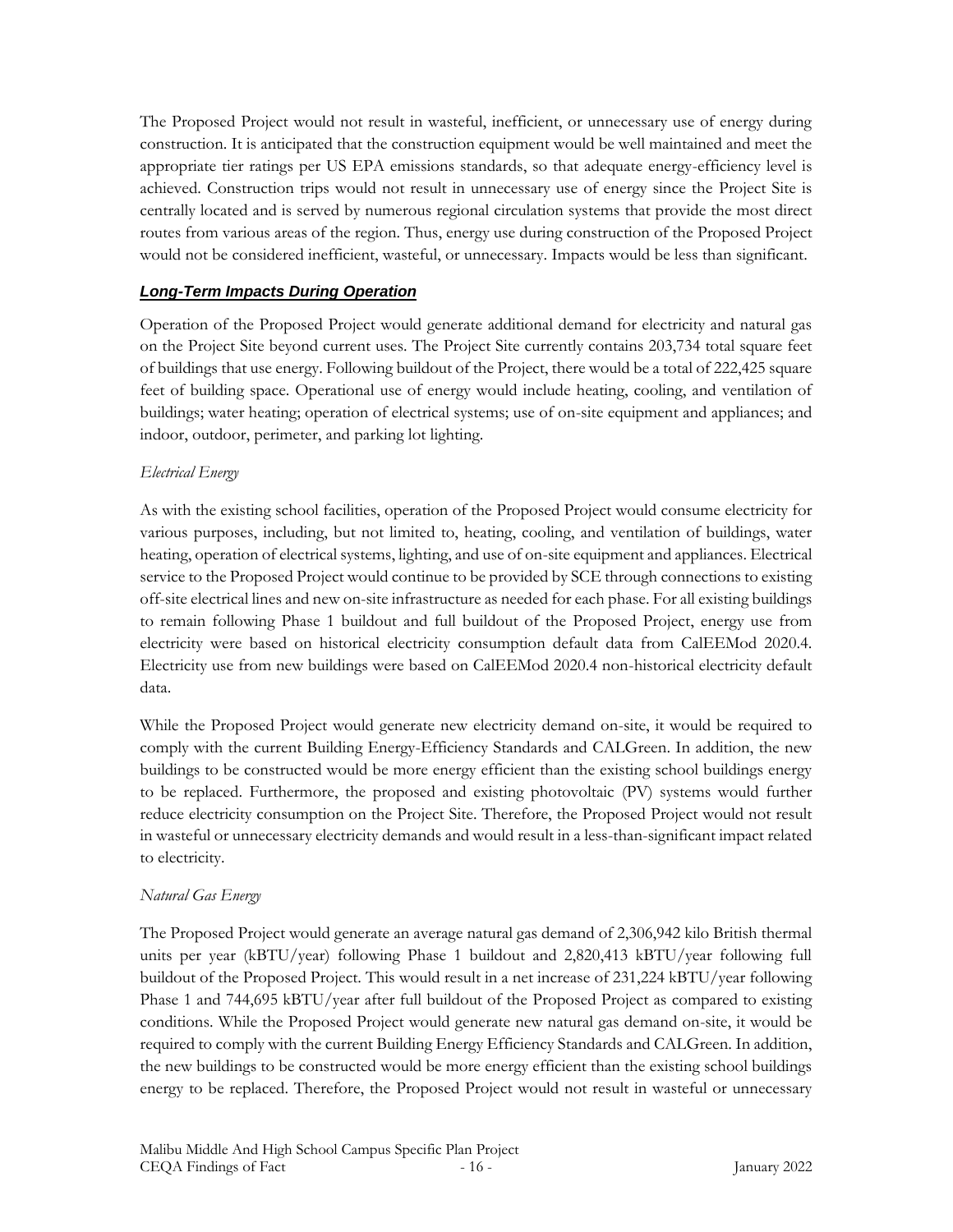The Proposed Project would not result in wasteful, inefficient, or unnecessary use of energy during construction. It is anticipated that the construction equipment would be well maintained and meet the appropriate tier ratings per US EPA emissions standards, so that adequate energy-efficiency level is achieved. Construction trips would not result in unnecessary use of energy since the Project Site is centrally located and is served by numerous regional circulation systems that provide the most direct routes from various areas of the region. Thus, energy use during construction of the Proposed Project would not be considered inefficient, wasteful, or unnecessary. Impacts would be less than significant.

### *Long-Term Impacts During Operation*

Operation of the Proposed Project would generate additional demand for electricity and natural gas on the Project Site beyond current uses. The Project Site currently contains 203,734 total square feet of buildings that use energy. Following buildout of the Project, there would be a total of 222,425 square feet of building space. Operational use of energy would include heating, cooling, and ventilation of buildings; water heating; operation of electrical systems; use of on-site equipment and appliances; and indoor, outdoor, perimeter, and parking lot lighting.

### *Electrical Energy*

As with the existing school facilities, operation of the Proposed Project would consume electricity for various purposes, including, but not limited to, heating, cooling, and ventilation of buildings, water heating, operation of electrical systems, lighting, and use of on-site equipment and appliances. Electrical service to the Proposed Project would continue to be provided by SCE through connections to existing off-site electrical lines and new on-site infrastructure as needed for each phase. For all existing buildings to remain following Phase 1 buildout and full buildout of the Proposed Project, energy use from electricity were based on historical electricity consumption default data from CalEEMod 2020.4. Electricity use from new buildings were based on CalEEMod 2020.4 non-historical electricity default data.

While the Proposed Project would generate new electricity demand on-site, it would be required to comply with the current Building Energy-Efficiency Standards and CALGreen. In addition, the new buildings to be constructed would be more energy efficient than the existing school buildings energy to be replaced. Furthermore, the proposed and existing photovoltaic (PV) systems would further reduce electricity consumption on the Project Site. Therefore, the Proposed Project would not result in wasteful or unnecessary electricity demands and would result in a less-than-significant impact related to electricity.

### *Natural Gas Energy*

The Proposed Project would generate an average natural gas demand of 2,306,942 kilo British thermal units per year (kBTU/year) following Phase 1 buildout and 2,820,413 kBTU/year following full buildout of the Proposed Project. This would result in a net increase of 231,224 kBTU/year following Phase 1 and 744,695 kBTU/year after full buildout of the Proposed Project as compared to existing conditions. While the Proposed Project would generate new natural gas demand on-site, it would be required to comply with the current Building Energy Efficiency Standards and CALGreen. In addition, the new buildings to be constructed would be more energy efficient than the existing school buildings energy to be replaced. Therefore, the Proposed Project would not result in wasteful or unnecessary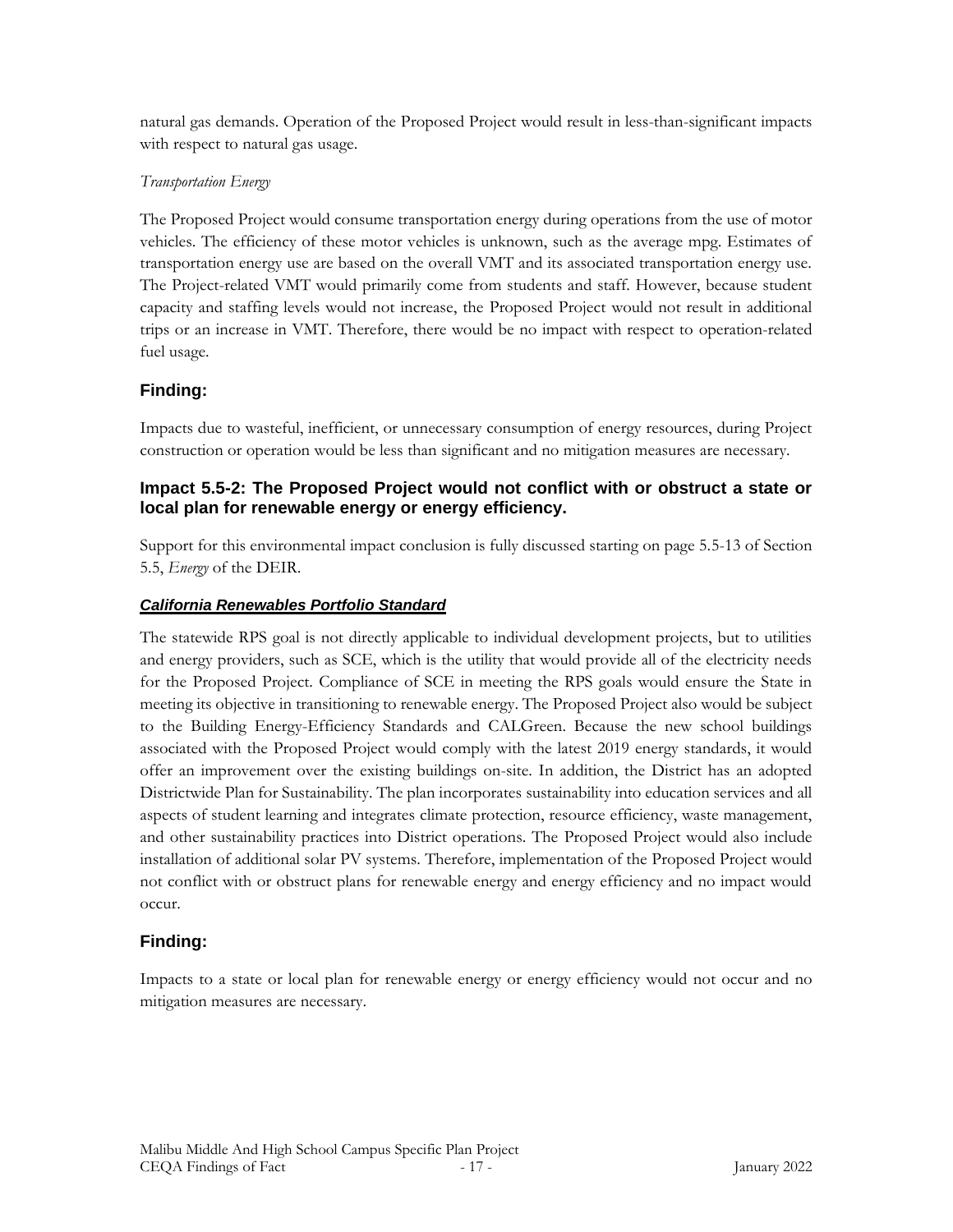natural gas demands. Operation of the Proposed Project would result in less-than-significant impacts with respect to natural gas usage.

### *Transportation Energy*

The Proposed Project would consume transportation energy during operations from the use of motor vehicles. The efficiency of these motor vehicles is unknown, such as the average mpg. Estimates of transportation energy use are based on the overall VMT and its associated transportation energy use. The Project-related VMT would primarily come from students and staff. However, because student capacity and staffing levels would not increase, the Proposed Project would not result in additional trips or an increase in VMT. Therefore, there would be no impact with respect to operation-related fuel usage.

# **Finding:**

Impacts due to wasteful, inefficient, or unnecessary consumption of energy resources, during Project construction or operation would be less than significant and no mitigation measures are necessary.

### **Impact 5.5-2: The Proposed Project would not conflict with or obstruct a state or local plan for renewable energy or energy efficiency.**

Support for this environmental impact conclusion is fully discussed starting on page 5.5-13 of Section 5.5, *Energy* of the DEIR.

### *California Renewables Portfolio Standard*

The statewide RPS goal is not directly applicable to individual development projects, but to utilities and energy providers, such as SCE, which is the utility that would provide all of the electricity needs for the Proposed Project. Compliance of SCE in meeting the RPS goals would ensure the State in meeting its objective in transitioning to renewable energy. The Proposed Project also would be subject to the Building Energy-Efficiency Standards and CALGreen. Because the new school buildings associated with the Proposed Project would comply with the latest 2019 energy standards, it would offer an improvement over the existing buildings on-site. In addition, the District has an adopted Districtwide Plan for Sustainability. The plan incorporates sustainability into education services and all aspects of student learning and integrates climate protection, resource efficiency, waste management, and other sustainability practices into District operations. The Proposed Project would also include installation of additional solar PV systems. Therefore, implementation of the Proposed Project would not conflict with or obstruct plans for renewable energy and energy efficiency and no impact would occur.

# **Finding:**

Impacts to a state or local plan for renewable energy or energy efficiency would not occur and no mitigation measures are necessary.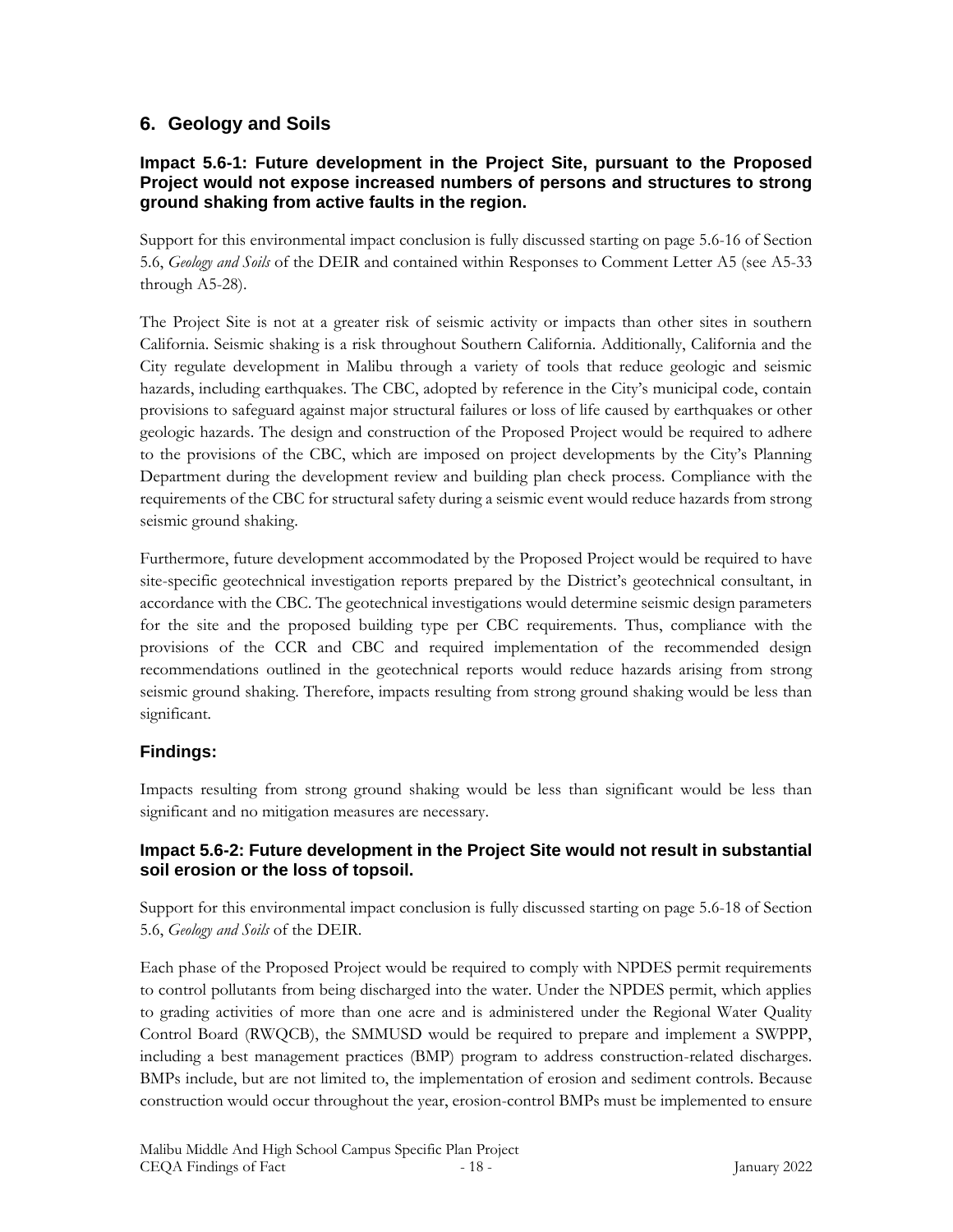# **6. Geology and Soils**

### **Impact 5.6-1: Future development in the Project Site, pursuant to the Proposed Project would not expose increased numbers of persons and structures to strong ground shaking from active faults in the region.**

Support for this environmental impact conclusion is fully discussed starting on page 5.6-16 of Section 5.6, *Geology and Soils* of the DEIR and contained within Responses to Comment Letter A5 (see A5-33 through A5-28).

The Project Site is not at a greater risk of seismic activity or impacts than other sites in southern California. Seismic shaking is a risk throughout Southern California. Additionally, California and the City regulate development in Malibu through a variety of tools that reduce geologic and seismic hazards, including earthquakes. The CBC, adopted by reference in the City's municipal code, contain provisions to safeguard against major structural failures or loss of life caused by earthquakes or other geologic hazards. The design and construction of the Proposed Project would be required to adhere to the provisions of the CBC, which are imposed on project developments by the City's Planning Department during the development review and building plan check process. Compliance with the requirements of the CBC for structural safety during a seismic event would reduce hazards from strong seismic ground shaking.

Furthermore, future development accommodated by the Proposed Project would be required to have site-specific geotechnical investigation reports prepared by the District's geotechnical consultant, in accordance with the CBC. The geotechnical investigations would determine seismic design parameters for the site and the proposed building type per CBC requirements. Thus, compliance with the provisions of the CCR and CBC and required implementation of the recommended design recommendations outlined in the geotechnical reports would reduce hazards arising from strong seismic ground shaking. Therefore, impacts resulting from strong ground shaking would be less than significant*.*

# **Findings:**

Impacts resulting from strong ground shaking would be less than significant would be less than significant and no mitigation measures are necessary.

### **Impact 5.6-2: Future development in the Project Site would not result in substantial soil erosion or the loss of topsoil.**

Support for this environmental impact conclusion is fully discussed starting on page 5.6-18 of Section 5.6, *Geology and Soils* of the DEIR.

Each phase of the Proposed Project would be required to comply with NPDES permit requirements to control pollutants from being discharged into the water. Under the NPDES permit, which applies to grading activities of more than one acre and is administered under the Regional Water Quality Control Board (RWQCB), the SMMUSD would be required to prepare and implement a SWPPP, including a best management practices (BMP) program to address construction-related discharges. BMPs include, but are not limited to, the implementation of erosion and sediment controls. Because construction would occur throughout the year, erosion-control BMPs must be implemented to ensure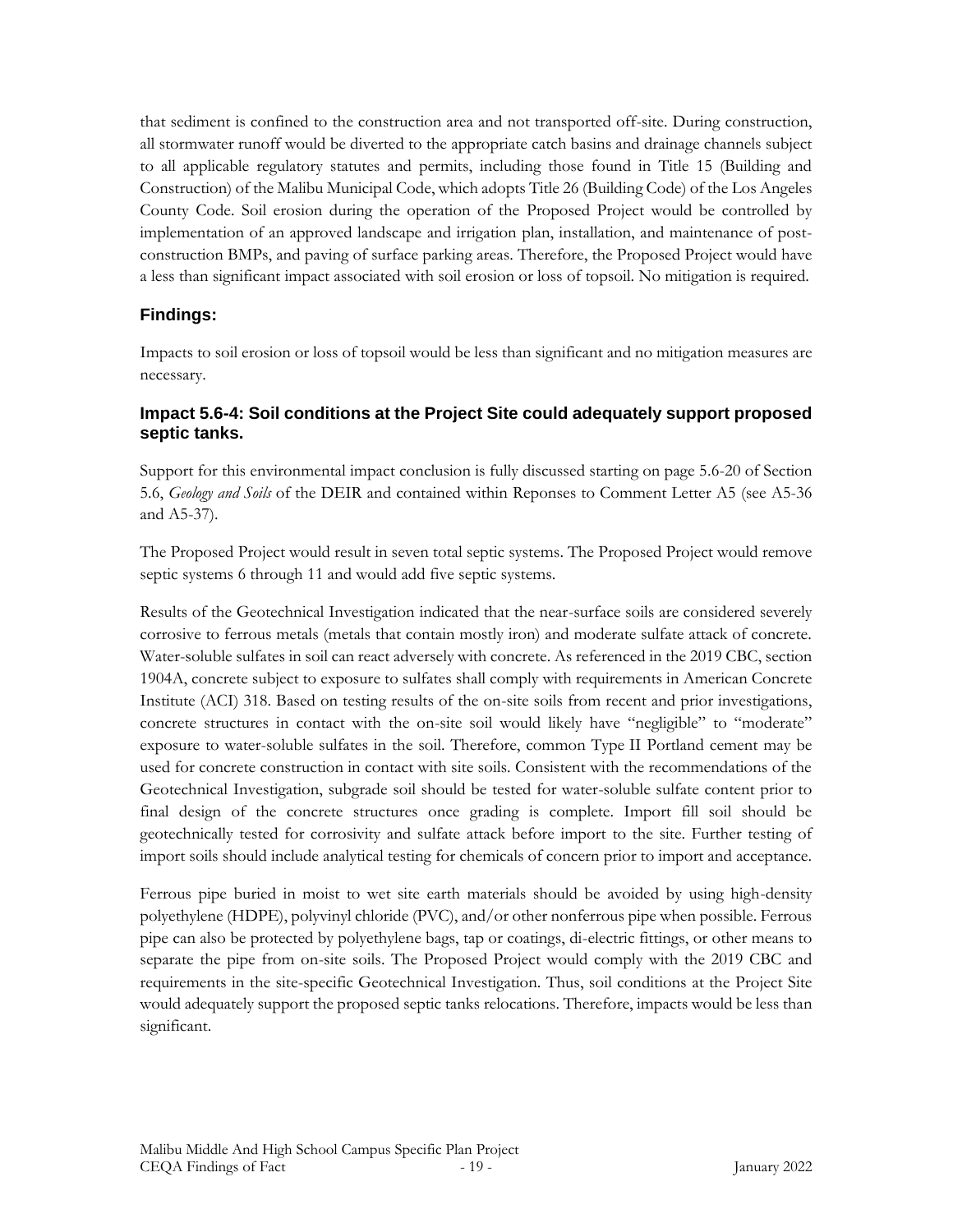that sediment is confined to the construction area and not transported off-site. During construction, all stormwater runoff would be diverted to the appropriate catch basins and drainage channels subject to all applicable regulatory statutes and permits, including those found in Title 15 (Building and Construction) of the Malibu Municipal Code, which adopts Title 26 (Building Code) of the Los Angeles County Code. Soil erosion during the operation of the Proposed Project would be controlled by implementation of an approved landscape and irrigation plan, installation, and maintenance of postconstruction BMPs, and paving of surface parking areas. Therefore, the Proposed Project would have a less than significant impact associated with soil erosion or loss of topsoil. No mitigation is required.

### **Findings:**

Impacts to soil erosion or loss of topsoil would be less than significant and no mitigation measures are necessary.

### **Impact 5.6-4: Soil conditions at the Project Site could adequately support proposed septic tanks.**

Support for this environmental impact conclusion is fully discussed starting on page 5.6-20 of Section 5.6, *Geology and Soils* of the DEIR and contained within Reponses to Comment Letter A5 (see A5-36 and A5-37).

The Proposed Project would result in seven total septic systems. The Proposed Project would remove septic systems 6 through 11 and would add five septic systems.

Results of the Geotechnical Investigation indicated that the near-surface soils are considered severely corrosive to ferrous metals (metals that contain mostly iron) and moderate sulfate attack of concrete. Water-soluble sulfates in soil can react adversely with concrete. As referenced in the 2019 CBC, section 1904A, concrete subject to exposure to sulfates shall comply with requirements in American Concrete Institute (ACI) 318. Based on testing results of the on-site soils from recent and prior investigations, concrete structures in contact with the on-site soil would likely have "negligible" to "moderate" exposure to water-soluble sulfates in the soil. Therefore, common Type II Portland cement may be used for concrete construction in contact with site soils. Consistent with the recommendations of the Geotechnical Investigation, subgrade soil should be tested for water-soluble sulfate content prior to final design of the concrete structures once grading is complete. Import fill soil should be geotechnically tested for corrosivity and sulfate attack before import to the site. Further testing of import soils should include analytical testing for chemicals of concern prior to import and acceptance.

Ferrous pipe buried in moist to wet site earth materials should be avoided by using high-density polyethylene (HDPE), polyvinyl chloride (PVC), and/or other nonferrous pipe when possible. Ferrous pipe can also be protected by polyethylene bags, tap or coatings, di-electric fittings, or other means to separate the pipe from on-site soils. The Proposed Project would comply with the 2019 CBC and requirements in the site-specific Geotechnical Investigation. Thus, soil conditions at the Project Site would adequately support the proposed septic tanks relocations. Therefore, impacts would be less than significant.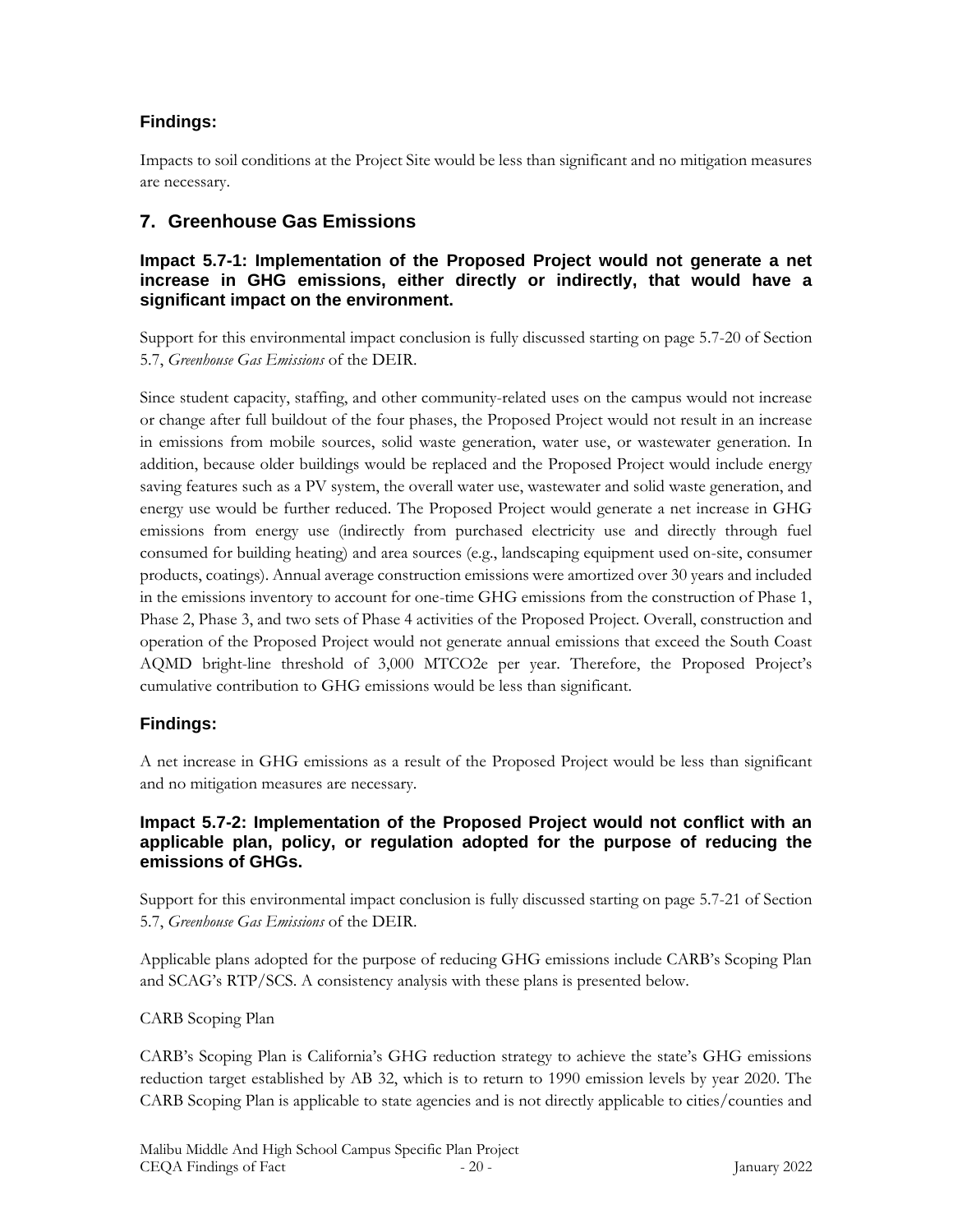# **Findings:**

Impacts to soil conditions at the Project Site would be less than significant and no mitigation measures are necessary.

# **7. Greenhouse Gas Emissions**

#### **Impact 5.7-1: Implementation of the Proposed Project would not generate a net increase in GHG emissions, either directly or indirectly, that would have a significant impact on the environment.**

Support for this environmental impact conclusion is fully discussed starting on page 5.7-20 of Section 5.7, *Greenhouse Gas Emissions* of the DEIR.

Since student capacity, staffing, and other community-related uses on the campus would not increase or change after full buildout of the four phases, the Proposed Project would not result in an increase in emissions from mobile sources, solid waste generation, water use, or wastewater generation. In addition, because older buildings would be replaced and the Proposed Project would include energy saving features such as a PV system, the overall water use, wastewater and solid waste generation, and energy use would be further reduced. The Proposed Project would generate a net increase in GHG emissions from energy use (indirectly from purchased electricity use and directly through fuel consumed for building heating) and area sources (e.g., landscaping equipment used on-site, consumer products, coatings). Annual average construction emissions were amortized over 30 years and included in the emissions inventory to account for one-time GHG emissions from the construction of Phase 1, Phase 2, Phase 3, and two sets of Phase 4 activities of the Proposed Project. Overall, construction and operation of the Proposed Project would not generate annual emissions that exceed the South Coast AQMD bright-line threshold of 3,000 MTCO2e per year. Therefore, the Proposed Project's cumulative contribution to GHG emissions would be less than significant.

### **Findings:**

A net increase in GHG emissions as a result of the Proposed Project would be less than significant and no mitigation measures are necessary.

#### **Impact 5.7-2: Implementation of the Proposed Project would not conflict with an applicable plan, policy, or regulation adopted for the purpose of reducing the emissions of GHGs.**

Support for this environmental impact conclusion is fully discussed starting on page 5.7-21 of Section 5.7, *Greenhouse Gas Emissions* of the DEIR.

Applicable plans adopted for the purpose of reducing GHG emissions include CARB's Scoping Plan and SCAG's RTP/SCS. A consistency analysis with these plans is presented below.

### CARB Scoping Plan

CARB's Scoping Plan is California's GHG reduction strategy to achieve the state's GHG emissions reduction target established by AB 32, which is to return to 1990 emission levels by year 2020. The CARB Scoping Plan is applicable to state agencies and is not directly applicable to cities/counties and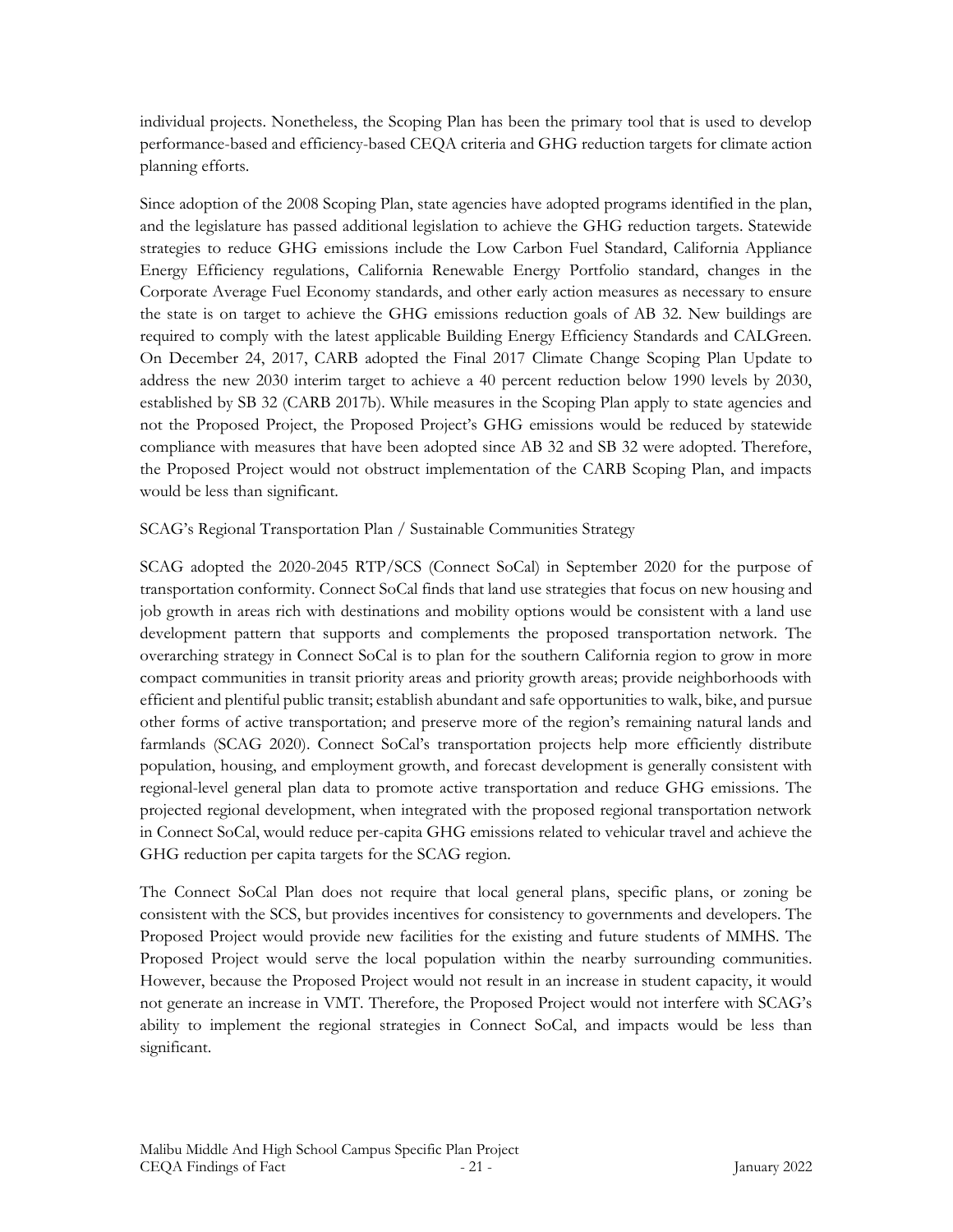individual projects. Nonetheless, the Scoping Plan has been the primary tool that is used to develop performance-based and efficiency-based CEQA criteria and GHG reduction targets for climate action planning efforts.

Since adoption of the 2008 Scoping Plan, state agencies have adopted programs identified in the plan, and the legislature has passed additional legislation to achieve the GHG reduction targets. Statewide strategies to reduce GHG emissions include the Low Carbon Fuel Standard, California Appliance Energy Efficiency regulations, California Renewable Energy Portfolio standard, changes in the Corporate Average Fuel Economy standards, and other early action measures as necessary to ensure the state is on target to achieve the GHG emissions reduction goals of AB 32. New buildings are required to comply with the latest applicable Building Energy Efficiency Standards and CALGreen. On December 24, 2017, CARB adopted the Final 2017 Climate Change Scoping Plan Update to address the new 2030 interim target to achieve a 40 percent reduction below 1990 levels by 2030, established by SB 32 (CARB 2017b). While measures in the Scoping Plan apply to state agencies and not the Proposed Project, the Proposed Project's GHG emissions would be reduced by statewide compliance with measures that have been adopted since AB 32 and SB 32 were adopted. Therefore, the Proposed Project would not obstruct implementation of the CARB Scoping Plan, and impacts would be less than significant.

#### SCAG's Regional Transportation Plan / Sustainable Communities Strategy

SCAG adopted the 2020-2045 RTP/SCS (Connect SoCal) in September 2020 for the purpose of transportation conformity. Connect SoCal finds that land use strategies that focus on new housing and job growth in areas rich with destinations and mobility options would be consistent with a land use development pattern that supports and complements the proposed transportation network. The overarching strategy in Connect SoCal is to plan for the southern California region to grow in more compact communities in transit priority areas and priority growth areas; provide neighborhoods with efficient and plentiful public transit; establish abundant and safe opportunities to walk, bike, and pursue other forms of active transportation; and preserve more of the region's remaining natural lands and farmlands (SCAG 2020). Connect SoCal's transportation projects help more efficiently distribute population, housing, and employment growth, and forecast development is generally consistent with regional-level general plan data to promote active transportation and reduce GHG emissions. The projected regional development, when integrated with the proposed regional transportation network in Connect SoCal, would reduce per-capita GHG emissions related to vehicular travel and achieve the GHG reduction per capita targets for the SCAG region.

The Connect SoCal Plan does not require that local general plans, specific plans, or zoning be consistent with the SCS, but provides incentives for consistency to governments and developers. The Proposed Project would provide new facilities for the existing and future students of MMHS. The Proposed Project would serve the local population within the nearby surrounding communities. However, because the Proposed Project would not result in an increase in student capacity, it would not generate an increase in VMT. Therefore, the Proposed Project would not interfere with SCAG's ability to implement the regional strategies in Connect SoCal, and impacts would be less than significant.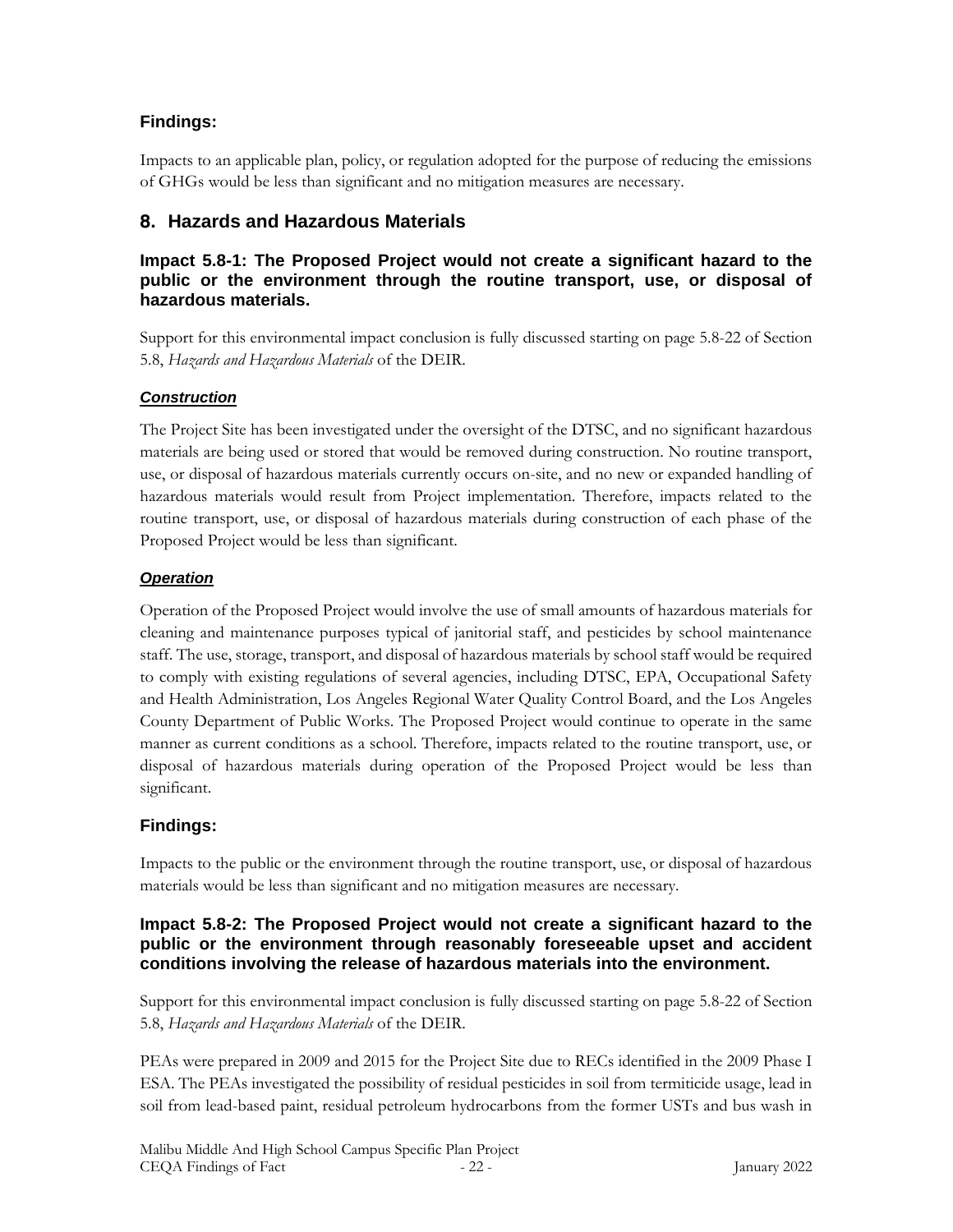# **Findings:**

Impacts to an applicable plan, policy, or regulation adopted for the purpose of reducing the emissions of GHGs would be less than significant and no mitigation measures are necessary.

# **8. Hazards and Hazardous Materials**

### **Impact 5.8-1: The Proposed Project would not create a significant hazard to the public or the environment through the routine transport, use, or disposal of hazardous materials.**

Support for this environmental impact conclusion is fully discussed starting on page 5.8-22 of Section 5.8, *Hazards and Hazardous Materials* of the DEIR.

### *Construction*

The Project Site has been investigated under the oversight of the DTSC, and no significant hazardous materials are being used or stored that would be removed during construction. No routine transport, use, or disposal of hazardous materials currently occurs on-site, and no new or expanded handling of hazardous materials would result from Project implementation. Therefore, impacts related to the routine transport, use, or disposal of hazardous materials during construction of each phase of the Proposed Project would be less than significant.

### *Operation*

Operation of the Proposed Project would involve the use of small amounts of hazardous materials for cleaning and maintenance purposes typical of janitorial staff, and pesticides by school maintenance staff. The use, storage, transport, and disposal of hazardous materials by school staff would be required to comply with existing regulations of several agencies, including DTSC, EPA, Occupational Safety and Health Administration, Los Angeles Regional Water Quality Control Board, and the Los Angeles County Department of Public Works. The Proposed Project would continue to operate in the same manner as current conditions as a school. Therefore, impacts related to the routine transport, use, or disposal of hazardous materials during operation of the Proposed Project would be less than significant.

# **Findings:**

Impacts to the public or the environment through the routine transport, use, or disposal of hazardous materials would be less than significant and no mitigation measures are necessary.

### **Impact 5.8-2: The Proposed Project would not create a significant hazard to the public or the environment through reasonably foreseeable upset and accident conditions involving the release of hazardous materials into the environment.**

Support for this environmental impact conclusion is fully discussed starting on page 5.8-22 of Section 5.8, *Hazards and Hazardous Materials* of the DEIR.

PEAs were prepared in 2009 and 2015 for the Project Site due to RECs identified in the 2009 Phase I ESA. The PEAs investigated the possibility of residual pesticides in soil from termiticide usage, lead in soil from lead-based paint, residual petroleum hydrocarbons from the former USTs and bus wash in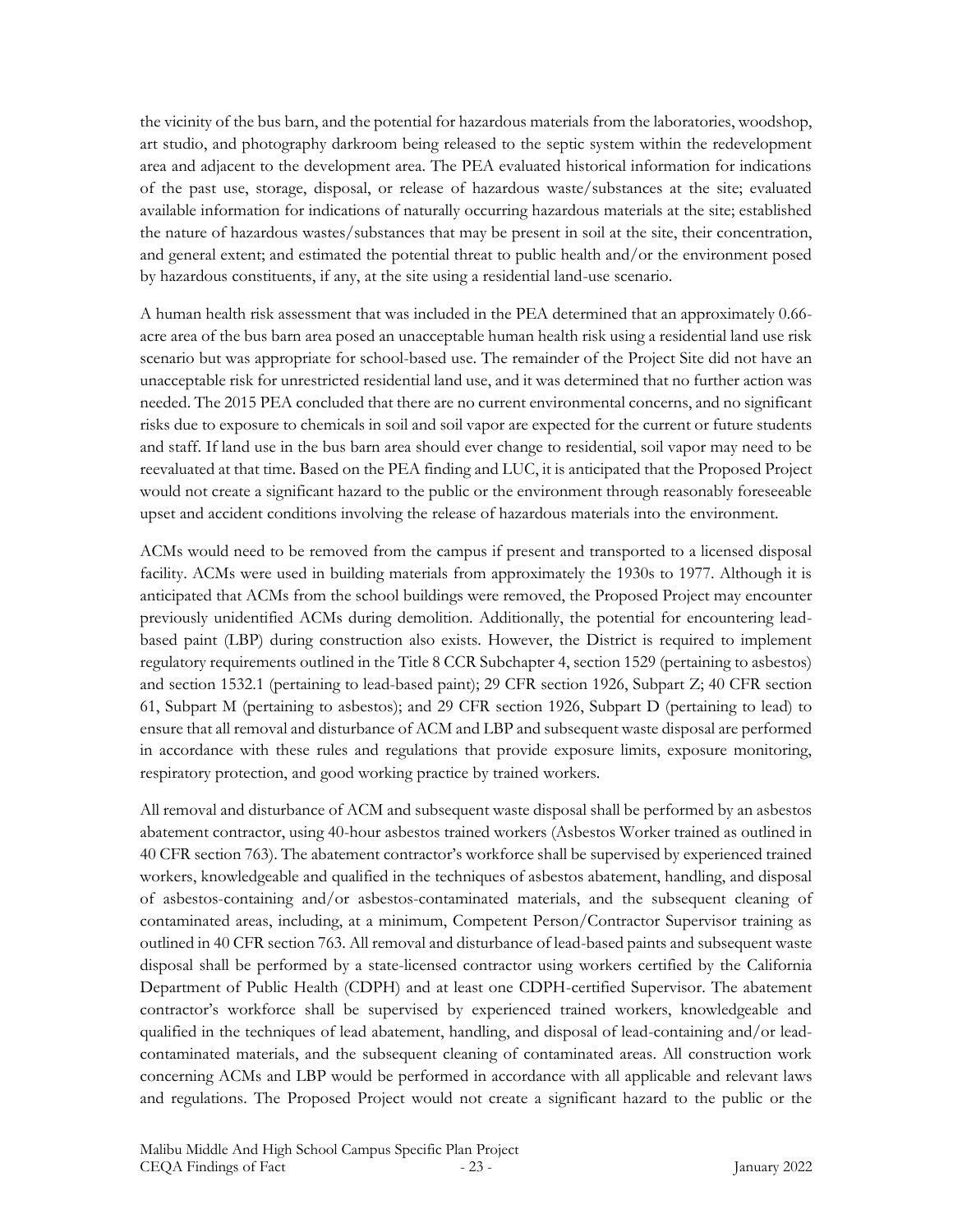the vicinity of the bus barn, and the potential for hazardous materials from the laboratories, woodshop, art studio, and photography darkroom being released to the septic system within the redevelopment area and adjacent to the development area. The PEA evaluated historical information for indications of the past use, storage, disposal, or release of hazardous waste/substances at the site; evaluated available information for indications of naturally occurring hazardous materials at the site; established the nature of hazardous wastes/substances that may be present in soil at the site, their concentration, and general extent; and estimated the potential threat to public health and/or the environment posed by hazardous constituents, if any, at the site using a residential land-use scenario.

A human health risk assessment that was included in the PEA determined that an approximately 0.66 acre area of the bus barn area posed an unacceptable human health risk using a residential land use risk scenario but was appropriate for school-based use. The remainder of the Project Site did not have an unacceptable risk for unrestricted residential land use, and it was determined that no further action was needed. The 2015 PEA concluded that there are no current environmental concerns, and no significant risks due to exposure to chemicals in soil and soil vapor are expected for the current or future students and staff. If land use in the bus barn area should ever change to residential, soil vapor may need to be reevaluated at that time. Based on the PEA finding and LUC, it is anticipated that the Proposed Project would not create a significant hazard to the public or the environment through reasonably foreseeable upset and accident conditions involving the release of hazardous materials into the environment.

ACMs would need to be removed from the campus if present and transported to a licensed disposal facility. ACMs were used in building materials from approximately the 1930s to 1977. Although it is anticipated that ACMs from the school buildings were removed, the Proposed Project may encounter previously unidentified ACMs during demolition. Additionally, the potential for encountering leadbased paint (LBP) during construction also exists. However, the District is required to implement regulatory requirements outlined in the Title 8 CCR Subchapter 4, section 1529 (pertaining to asbestos) and section 1532.1 (pertaining to lead-based paint); 29 CFR section 1926, Subpart Z; 40 CFR section 61, Subpart M (pertaining to asbestos); and 29 CFR section 1926, Subpart D (pertaining to lead) to ensure that all removal and disturbance of ACM and LBP and subsequent waste disposal are performed in accordance with these rules and regulations that provide exposure limits, exposure monitoring, respiratory protection, and good working practice by trained workers.

All removal and disturbance of ACM and subsequent waste disposal shall be performed by an asbestos abatement contractor, using 40-hour asbestos trained workers (Asbestos Worker trained as outlined in 40 CFR section 763). The abatement contractor's workforce shall be supervised by experienced trained workers, knowledgeable and qualified in the techniques of asbestos abatement, handling, and disposal of asbestos-containing and/or asbestos-contaminated materials, and the subsequent cleaning of contaminated areas, including, at a minimum, Competent Person/Contractor Supervisor training as outlined in 40 CFR section 763. All removal and disturbance of lead-based paints and subsequent waste disposal shall be performed by a state-licensed contractor using workers certified by the California Department of Public Health (CDPH) and at least one CDPH-certified Supervisor. The abatement contractor's workforce shall be supervised by experienced trained workers, knowledgeable and qualified in the techniques of lead abatement, handling, and disposal of lead-containing and/or leadcontaminated materials, and the subsequent cleaning of contaminated areas. All construction work concerning ACMs and LBP would be performed in accordance with all applicable and relevant laws and regulations. The Proposed Project would not create a significant hazard to the public or the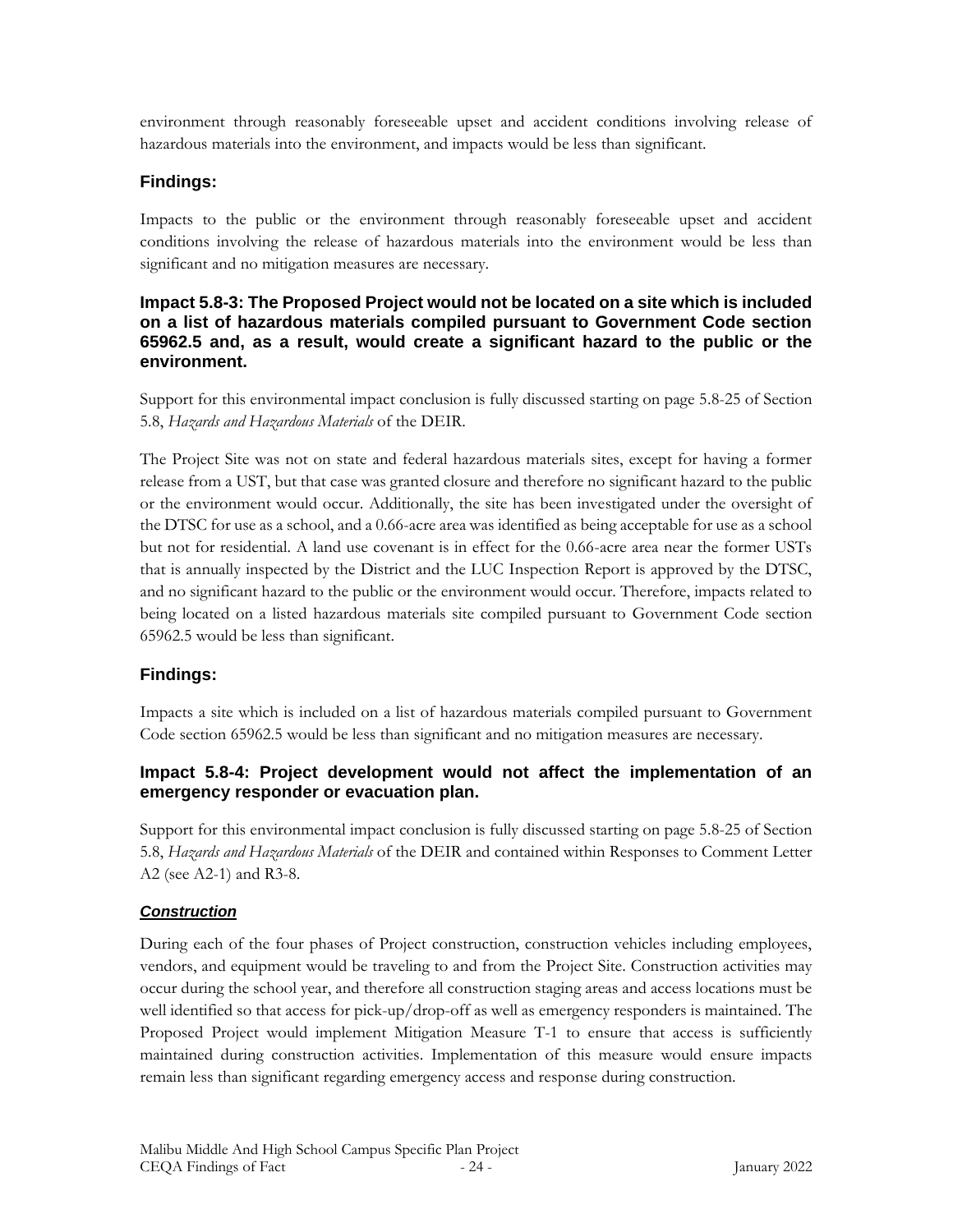environment through reasonably foreseeable upset and accident conditions involving release of hazardous materials into the environment, and impacts would be less than significant.

### **Findings:**

Impacts to the public or the environment through reasonably foreseeable upset and accident conditions involving the release of hazardous materials into the environment would be less than significant and no mitigation measures are necessary.

#### **Impact 5.8-3: The Proposed Project would not be located on a site which is included on a list of hazardous materials compiled pursuant to Government Code section 65962.5 and, as a result, would create a significant hazard to the public or the environment.**

Support for this environmental impact conclusion is fully discussed starting on page 5.8-25 of Section 5.8, *Hazards and Hazardous Materials* of the DEIR.

The Project Site was not on state and federal hazardous materials sites, except for having a former release from a UST, but that case was granted closure and therefore no significant hazard to the public or the environment would occur. Additionally, the site has been investigated under the oversight of the DTSC for use as a school, and a 0.66-acre area was identified as being acceptable for use as a school but not for residential. A land use covenant is in effect for the 0.66-acre area near the former USTs that is annually inspected by the District and the LUC Inspection Report is approved by the DTSC, and no significant hazard to the public or the environment would occur. Therefore, impacts related to being located on a listed hazardous materials site compiled pursuant to Government Code section 65962.5 would be less than significant.

### **Findings:**

Impacts a site which is included on a list of hazardous materials compiled pursuant to Government Code section 65962.5 would be less than significant and no mitigation measures are necessary.

### **Impact 5.8-4: Project development would not affect the implementation of an emergency responder or evacuation plan.**

Support for this environmental impact conclusion is fully discussed starting on page 5.8-25 of Section 5.8, *Hazards and Hazardous Materials* of the DEIR and contained within Responses to Comment Letter A2 (see A2-1) and R3-8.

### *Construction*

During each of the four phases of Project construction, construction vehicles including employees, vendors, and equipment would be traveling to and from the Project Site. Construction activities may occur during the school year, and therefore all construction staging areas and access locations must be well identified so that access for pick-up/drop-off as well as emergency responders is maintained. The Proposed Project would implement Mitigation Measure T-1 to ensure that access is sufficiently maintained during construction activities. Implementation of this measure would ensure impacts remain less than significant regarding emergency access and response during construction.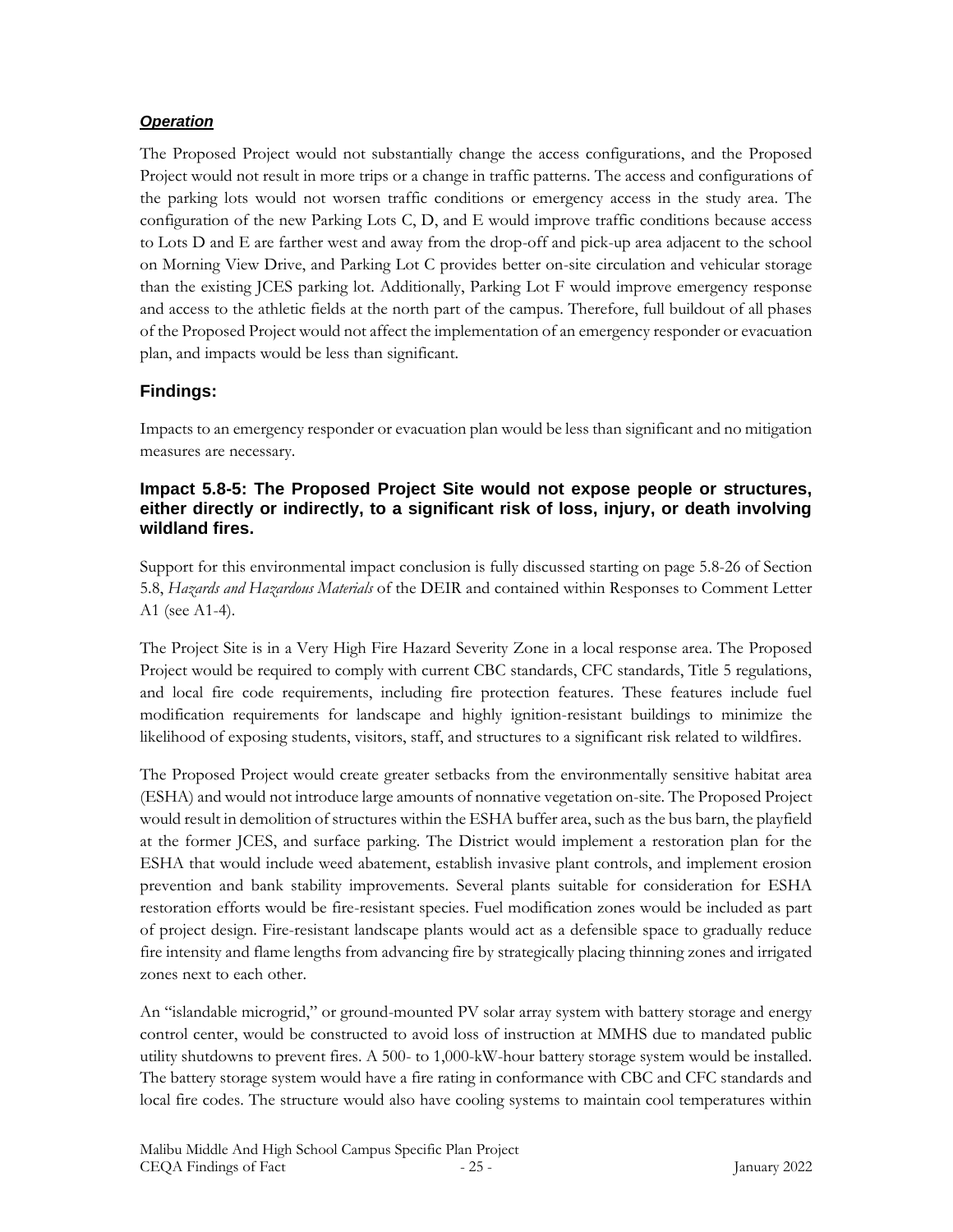#### *Operation*

The Proposed Project would not substantially change the access configurations, and the Proposed Project would not result in more trips or a change in traffic patterns. The access and configurations of the parking lots would not worsen traffic conditions or emergency access in the study area. The configuration of the new Parking Lots C, D, and E would improve traffic conditions because access to Lots D and E are farther west and away from the drop-off and pick-up area adjacent to the school on Morning View Drive, and Parking Lot C provides better on-site circulation and vehicular storage than the existing JCES parking lot. Additionally, Parking Lot F would improve emergency response and access to the athletic fields at the north part of the campus. Therefore, full buildout of all phases of the Proposed Project would not affect the implementation of an emergency responder or evacuation plan, and impacts would be less than significant.

### **Findings:**

Impacts to an emergency responder or evacuation plan would be less than significant and no mitigation measures are necessary.

#### **Impact 5.8-5: The Proposed Project Site would not expose people or structures, either directly or indirectly, to a significant risk of loss, injury, or death involving wildland fires.**

Support for this environmental impact conclusion is fully discussed starting on page 5.8-26 of Section 5.8, *Hazards and Hazardous Materials* of the DEIR and contained within Responses to Comment Letter A1 (see A1-4).

The Project Site is in a Very High Fire Hazard Severity Zone in a local response area. The Proposed Project would be required to comply with current CBC standards, CFC standards, Title 5 regulations, and local fire code requirements, including fire protection features. These features include fuel modification requirements for landscape and highly ignition-resistant buildings to minimize the likelihood of exposing students, visitors, staff, and structures to a significant risk related to wildfires.

The Proposed Project would create greater setbacks from the environmentally sensitive habitat area (ESHA) and would not introduce large amounts of nonnative vegetation on-site. The Proposed Project would result in demolition of structures within the ESHA buffer area, such as the bus barn, the playfield at the former JCES, and surface parking. The District would implement a restoration plan for the ESHA that would include weed abatement, establish invasive plant controls, and implement erosion prevention and bank stability improvements. Several plants suitable for consideration for ESHA restoration efforts would be fire-resistant species. Fuel modification zones would be included as part of project design. Fire-resistant landscape plants would act as a defensible space to gradually reduce fire intensity and flame lengths from advancing fire by strategically placing thinning zones and irrigated zones next to each other.

An "islandable microgrid," or ground-mounted PV solar array system with battery storage and energy control center, would be constructed to avoid loss of instruction at MMHS due to mandated public utility shutdowns to prevent fires. A 500- to 1,000-kW-hour battery storage system would be installed. The battery storage system would have a fire rating in conformance with CBC and CFC standards and local fire codes. The structure would also have cooling systems to maintain cool temperatures within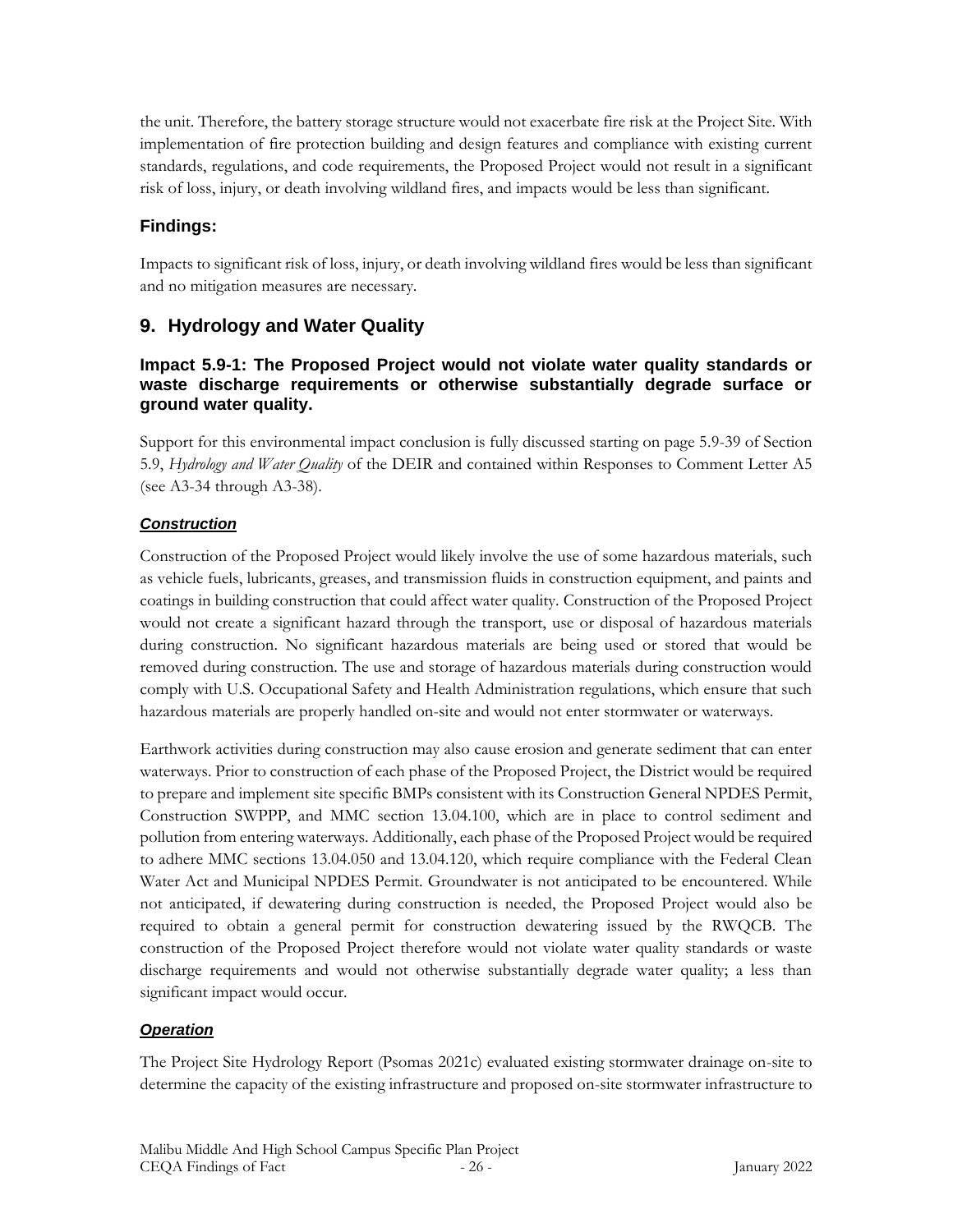the unit. Therefore, the battery storage structure would not exacerbate fire risk at the Project Site. With implementation of fire protection building and design features and compliance with existing current standards, regulations, and code requirements, the Proposed Project would not result in a significant risk of loss, injury, or death involving wildland fires, and impacts would be less than significant.

# **Findings:**

Impacts to significant risk of loss, injury, or death involving wildland fires would be less than significant and no mitigation measures are necessary.

# **9. Hydrology and Water Quality**

### **Impact 5.9-1: The Proposed Project would not violate water quality standards or waste discharge requirements or otherwise substantially degrade surface or ground water quality.**

Support for this environmental impact conclusion is fully discussed starting on page 5.9-39 of Section 5.9, *Hydrology and Water Quality* of the DEIR and contained within Responses to Comment Letter A5 (see A3-34 through A3-38).

### *Construction*

Construction of the Proposed Project would likely involve the use of some hazardous materials, such as vehicle fuels, lubricants, greases, and transmission fluids in construction equipment, and paints and coatings in building construction that could affect water quality. Construction of the Proposed Project would not create a significant hazard through the transport, use or disposal of hazardous materials during construction. No significant hazardous materials are being used or stored that would be removed during construction. The use and storage of hazardous materials during construction would comply with U.S. Occupational Safety and Health Administration regulations, which ensure that such hazardous materials are properly handled on-site and would not enter stormwater or waterways.

Earthwork activities during construction may also cause erosion and generate sediment that can enter waterways. Prior to construction of each phase of the Proposed Project, the District would be required to prepare and implement site specific BMPs consistent with its Construction General NPDES Permit, Construction SWPPP, and MMC section 13.04.100, which are in place to control sediment and pollution from entering waterways. Additionally, each phase of the Proposed Project would be required to adhere MMC sections 13.04.050 and 13.04.120, which require compliance with the Federal Clean Water Act and Municipal NPDES Permit. Groundwater is not anticipated to be encountered. While not anticipated, if dewatering during construction is needed, the Proposed Project would also be required to obtain a general permit for construction dewatering issued by the RWQCB. The construction of the Proposed Project therefore would not violate water quality standards or waste discharge requirements and would not otherwise substantially degrade water quality; a less than significant impact would occur.

### *Operation*

The Project Site Hydrology Report (Psomas 2021c) evaluated existing stormwater drainage on-site to determine the capacity of the existing infrastructure and proposed on-site stormwater infrastructure to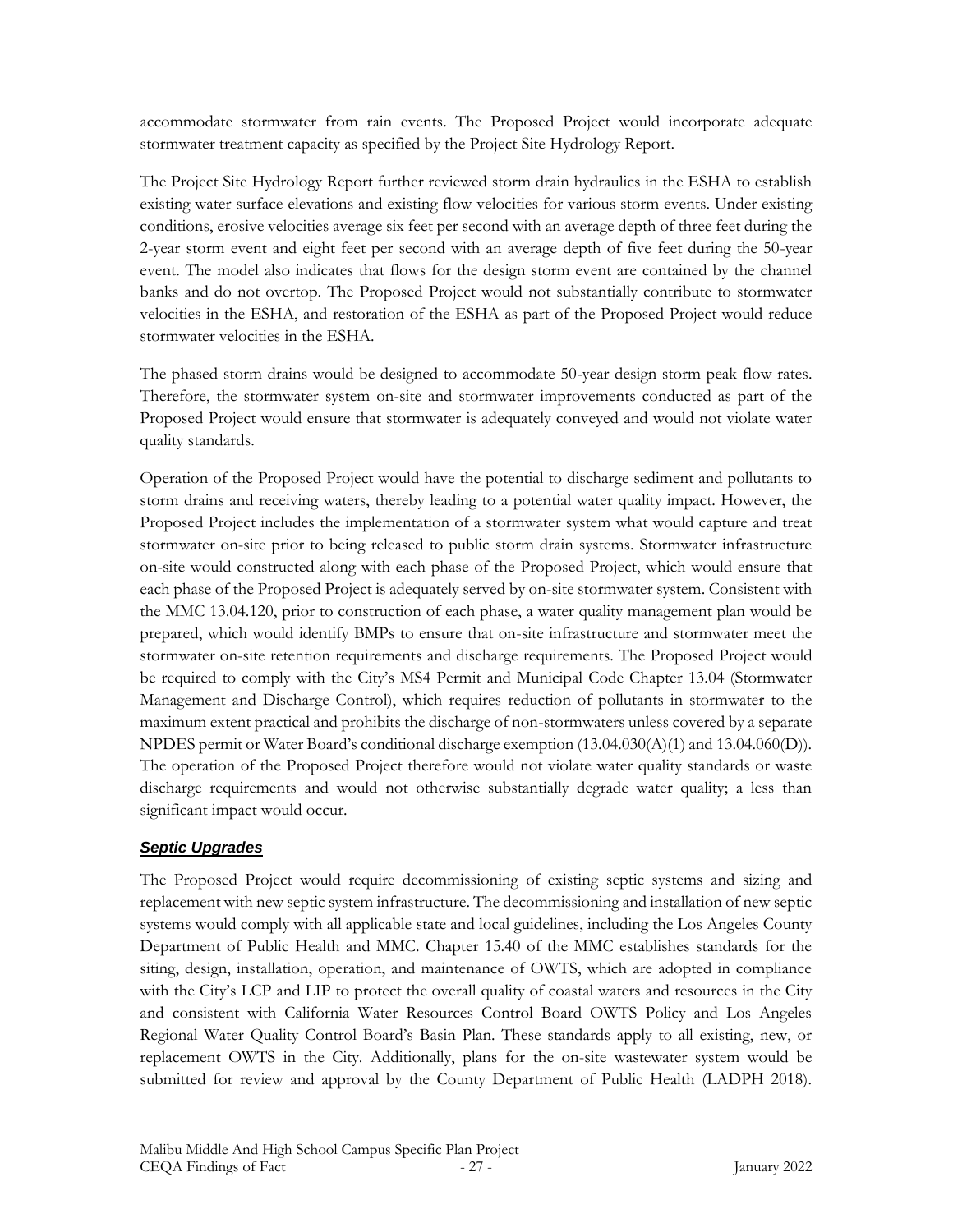accommodate stormwater from rain events. The Proposed Project would incorporate adequate stormwater treatment capacity as specified by the Project Site Hydrology Report.

The Project Site Hydrology Report further reviewed storm drain hydraulics in the ESHA to establish existing water surface elevations and existing flow velocities for various storm events. Under existing conditions, erosive velocities average six feet per second with an average depth of three feet during the 2-year storm event and eight feet per second with an average depth of five feet during the 50-year event. The model also indicates that flows for the design storm event are contained by the channel banks and do not overtop. The Proposed Project would not substantially contribute to stormwater velocities in the ESHA, and restoration of the ESHA as part of the Proposed Project would reduce stormwater velocities in the ESHA.

The phased storm drains would be designed to accommodate 50-year design storm peak flow rates. Therefore, the stormwater system on-site and stormwater improvements conducted as part of the Proposed Project would ensure that stormwater is adequately conveyed and would not violate water quality standards.

Operation of the Proposed Project would have the potential to discharge sediment and pollutants to storm drains and receiving waters, thereby leading to a potential water quality impact. However, the Proposed Project includes the implementation of a stormwater system what would capture and treat stormwater on-site prior to being released to public storm drain systems. Stormwater infrastructure on-site would constructed along with each phase of the Proposed Project, which would ensure that each phase of the Proposed Project is adequately served by on-site stormwater system. Consistent with the MMC 13.04.120, prior to construction of each phase, a water quality management plan would be prepared, which would identify BMPs to ensure that on-site infrastructure and stormwater meet the stormwater on-site retention requirements and discharge requirements. The Proposed Project would be required to comply with the City's MS4 Permit and Municipal Code Chapter 13.04 (Stormwater Management and Discharge Control), which requires reduction of pollutants in stormwater to the maximum extent practical and prohibits the discharge of non-stormwaters unless covered by a separate NPDES permit or Water Board's conditional discharge exemption (13.04.030(A)(1) and 13.04.060(D)). The operation of the Proposed Project therefore would not violate water quality standards or waste discharge requirements and would not otherwise substantially degrade water quality; a less than significant impact would occur.

### *Septic Upgrades*

The Proposed Project would require decommissioning of existing septic systems and sizing and replacement with new septic system infrastructure. The decommissioning and installation of new septic systems would comply with all applicable state and local guidelines, including the Los Angeles County Department of Public Health and MMC. Chapter 15.40 of the MMC establishes standards for the siting, design, installation, operation, and maintenance of OWTS, which are adopted in compliance with the City's LCP and LIP to protect the overall quality of coastal waters and resources in the City and consistent with California Water Resources Control Board OWTS Policy and Los Angeles Regional Water Quality Control Board's Basin Plan. These standards apply to all existing, new, or replacement OWTS in the City. Additionally, plans for the on-site wastewater system would be submitted for review and approval by the County Department of Public Health (LADPH 2018).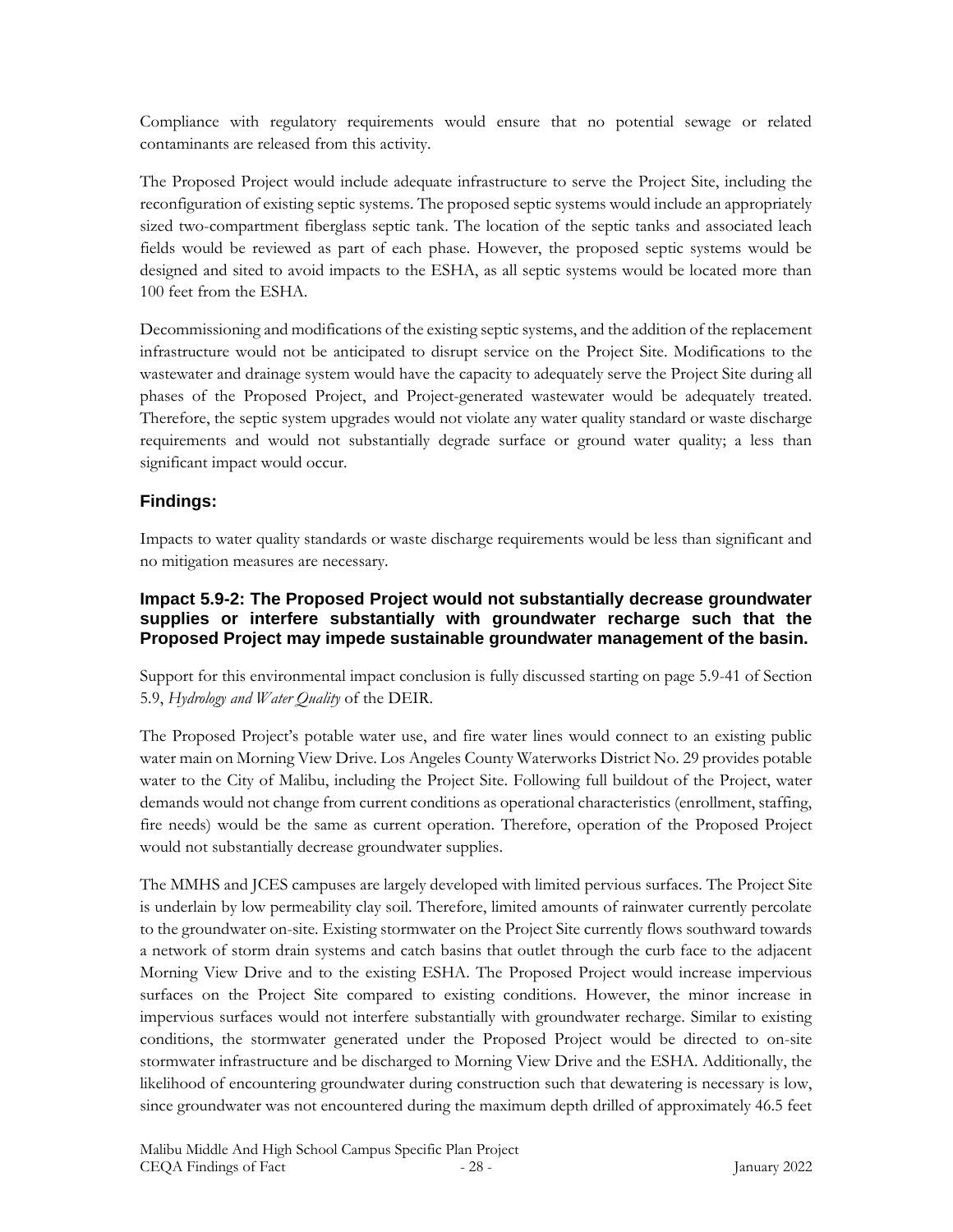Compliance with regulatory requirements would ensure that no potential sewage or related contaminants are released from this activity.

The Proposed Project would include adequate infrastructure to serve the Project Site, including the reconfiguration of existing septic systems. The proposed septic systems would include an appropriately sized two-compartment fiberglass septic tank. The location of the septic tanks and associated leach fields would be reviewed as part of each phase. However, the proposed septic systems would be designed and sited to avoid impacts to the ESHA, as all septic systems would be located more than 100 feet from the ESHA.

Decommissioning and modifications of the existing septic systems, and the addition of the replacement infrastructure would not be anticipated to disrupt service on the Project Site. Modifications to the wastewater and drainage system would have the capacity to adequately serve the Project Site during all phases of the Proposed Project, and Project-generated wastewater would be adequately treated. Therefore, the septic system upgrades would not violate any water quality standard or waste discharge requirements and would not substantially degrade surface or ground water quality; a less than significant impact would occur.

### **Findings:**

Impacts to water quality standards or waste discharge requirements would be less than significant and no mitigation measures are necessary.

#### **Impact 5.9-2: The Proposed Project would not substantially decrease groundwater supplies or interfere substantially with groundwater recharge such that the Proposed Project may impede sustainable groundwater management of the basin.**

Support for this environmental impact conclusion is fully discussed starting on page 5.9-41 of Section 5.9, *Hydrology and Water Quality* of the DEIR.

The Proposed Project's potable water use, and fire water lines would connect to an existing public water main on Morning View Drive. Los Angeles County Waterworks District No. 29 provides potable water to the City of Malibu, including the Project Site. Following full buildout of the Project, water demands would not change from current conditions as operational characteristics (enrollment, staffing, fire needs) would be the same as current operation. Therefore, operation of the Proposed Project would not substantially decrease groundwater supplies.

The MMHS and JCES campuses are largely developed with limited pervious surfaces. The Project Site is underlain by low permeability clay soil. Therefore, limited amounts of rainwater currently percolate to the groundwater on-site. Existing stormwater on the Project Site currently flows southward towards a network of storm drain systems and catch basins that outlet through the curb face to the adjacent Morning View Drive and to the existing ESHA. The Proposed Project would increase impervious surfaces on the Project Site compared to existing conditions. However, the minor increase in impervious surfaces would not interfere substantially with groundwater recharge. Similar to existing conditions, the stormwater generated under the Proposed Project would be directed to on-site stormwater infrastructure and be discharged to Morning View Drive and the ESHA. Additionally, the likelihood of encountering groundwater during construction such that dewatering is necessary is low, since groundwater was not encountered during the maximum depth drilled of approximately 46.5 feet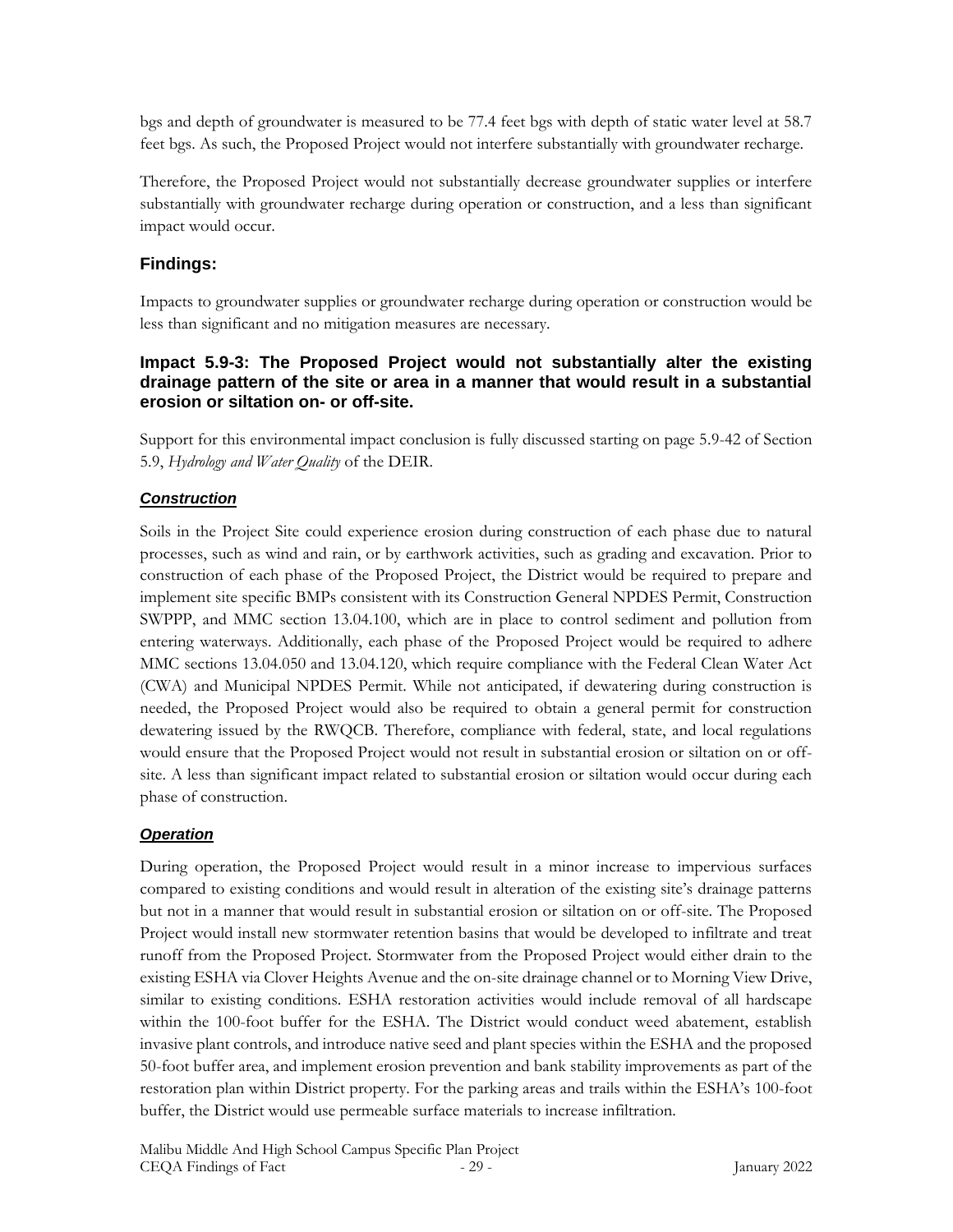bgs and depth of groundwater is measured to be 77.4 feet bgs with depth of static water level at 58.7 feet bgs. As such, the Proposed Project would not interfere substantially with groundwater recharge.

Therefore, the Proposed Project would not substantially decrease groundwater supplies or interfere substantially with groundwater recharge during operation or construction, and a less than significant impact would occur.

### **Findings:**

Impacts to groundwater supplies or groundwater recharge during operation or construction would be less than significant and no mitigation measures are necessary.

### **Impact 5.9-3: The Proposed Project would not substantially alter the existing drainage pattern of the site or area in a manner that would result in a substantial erosion or siltation on- or off-site.**

Support for this environmental impact conclusion is fully discussed starting on page 5.9-42 of Section 5.9, *Hydrology and Water Quality* of the DEIR.

### *Construction*

Soils in the Project Site could experience erosion during construction of each phase due to natural processes, such as wind and rain, or by earthwork activities, such as grading and excavation. Prior to construction of each phase of the Proposed Project, the District would be required to prepare and implement site specific BMPs consistent with its Construction General NPDES Permit, Construction SWPPP, and MMC section 13.04.100, which are in place to control sediment and pollution from entering waterways. Additionally, each phase of the Proposed Project would be required to adhere MMC sections 13.04.050 and 13.04.120, which require compliance with the Federal Clean Water Act (CWA) and Municipal NPDES Permit. While not anticipated, if dewatering during construction is needed, the Proposed Project would also be required to obtain a general permit for construction dewatering issued by the RWQCB. Therefore, compliance with federal, state, and local regulations would ensure that the Proposed Project would not result in substantial erosion or siltation on or offsite. A less than significant impact related to substantial erosion or siltation would occur during each phase of construction.

### *Operation*

During operation, the Proposed Project would result in a minor increase to impervious surfaces compared to existing conditions and would result in alteration of the existing site's drainage patterns but not in a manner that would result in substantial erosion or siltation on or off-site. The Proposed Project would install new stormwater retention basins that would be developed to infiltrate and treat runoff from the Proposed Project. Stormwater from the Proposed Project would either drain to the existing ESHA via Clover Heights Avenue and the on-site drainage channel or to Morning View Drive, similar to existing conditions. ESHA restoration activities would include removal of all hardscape within the 100-foot buffer for the ESHA. The District would conduct weed abatement, establish invasive plant controls, and introduce native seed and plant species within the ESHA and the proposed 50-foot buffer area, and implement erosion prevention and bank stability improvements as part of the restoration plan within District property. For the parking areas and trails within the ESHA's 100-foot buffer, the District would use permeable surface materials to increase infiltration.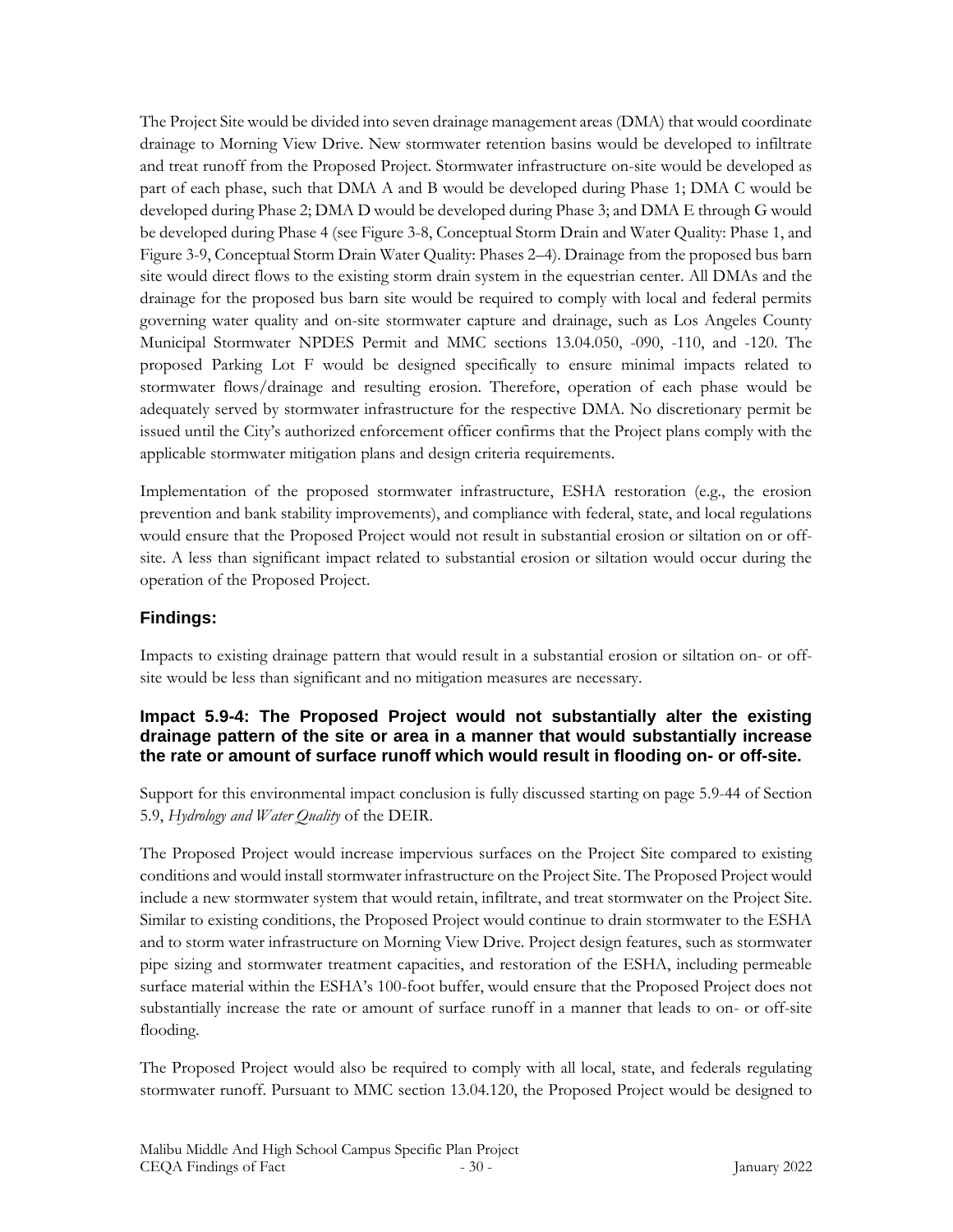The Project Site would be divided into seven drainage management areas (DMA) that would coordinate drainage to Morning View Drive. New stormwater retention basins would be developed to infiltrate and treat runoff from the Proposed Project. Stormwater infrastructure on-site would be developed as part of each phase, such that DMA A and B would be developed during Phase 1; DMA C would be developed during Phase 2; DMA D would be developed during Phase 3; and DMA E through G would be developed during Phase 4 (see Figure 3-8, Conceptual Storm Drain and Water Quality: Phase 1, and Figure 3-9, Conceptual Storm Drain Water Quality: Phases 2–4). Drainage from the proposed bus barn site would direct flows to the existing storm drain system in the equestrian center. All DMAs and the drainage for the proposed bus barn site would be required to comply with local and federal permits governing water quality and on-site stormwater capture and drainage, such as Los Angeles County Municipal Stormwater NPDES Permit and MMC sections 13.04.050, -090, -110, and -120. The proposed Parking Lot F would be designed specifically to ensure minimal impacts related to stormwater flows/drainage and resulting erosion. Therefore, operation of each phase would be adequately served by stormwater infrastructure for the respective DMA. No discretionary permit be issued until the City's authorized enforcement officer confirms that the Project plans comply with the applicable stormwater mitigation plans and design criteria requirements.

Implementation of the proposed stormwater infrastructure, ESHA restoration (e.g., the erosion prevention and bank stability improvements), and compliance with federal, state, and local regulations would ensure that the Proposed Project would not result in substantial erosion or siltation on or offsite. A less than significant impact related to substantial erosion or siltation would occur during the operation of the Proposed Project.

### **Findings:**

Impacts to existing drainage pattern that would result in a substantial erosion or siltation on- or offsite would be less than significant and no mitigation measures are necessary.

### **Impact 5.9-4: The Proposed Project would not substantially alter the existing drainage pattern of the site or area in a manner that would substantially increase the rate or amount of surface runoff which would result in flooding on- or off-site.**

Support for this environmental impact conclusion is fully discussed starting on page 5.9-44 of Section 5.9, *Hydrology and Water Quality* of the DEIR.

The Proposed Project would increase impervious surfaces on the Project Site compared to existing conditions and would install stormwater infrastructure on the Project Site. The Proposed Project would include a new stormwater system that would retain, infiltrate, and treat stormwater on the Project Site. Similar to existing conditions, the Proposed Project would continue to drain stormwater to the ESHA and to storm water infrastructure on Morning View Drive. Project design features, such as stormwater pipe sizing and stormwater treatment capacities, and restoration of the ESHA, including permeable surface material within the ESHA's 100-foot buffer, would ensure that the Proposed Project does not substantially increase the rate or amount of surface runoff in a manner that leads to on- or off-site flooding.

The Proposed Project would also be required to comply with all local, state, and federals regulating stormwater runoff. Pursuant to MMC section 13.04.120, the Proposed Project would be designed to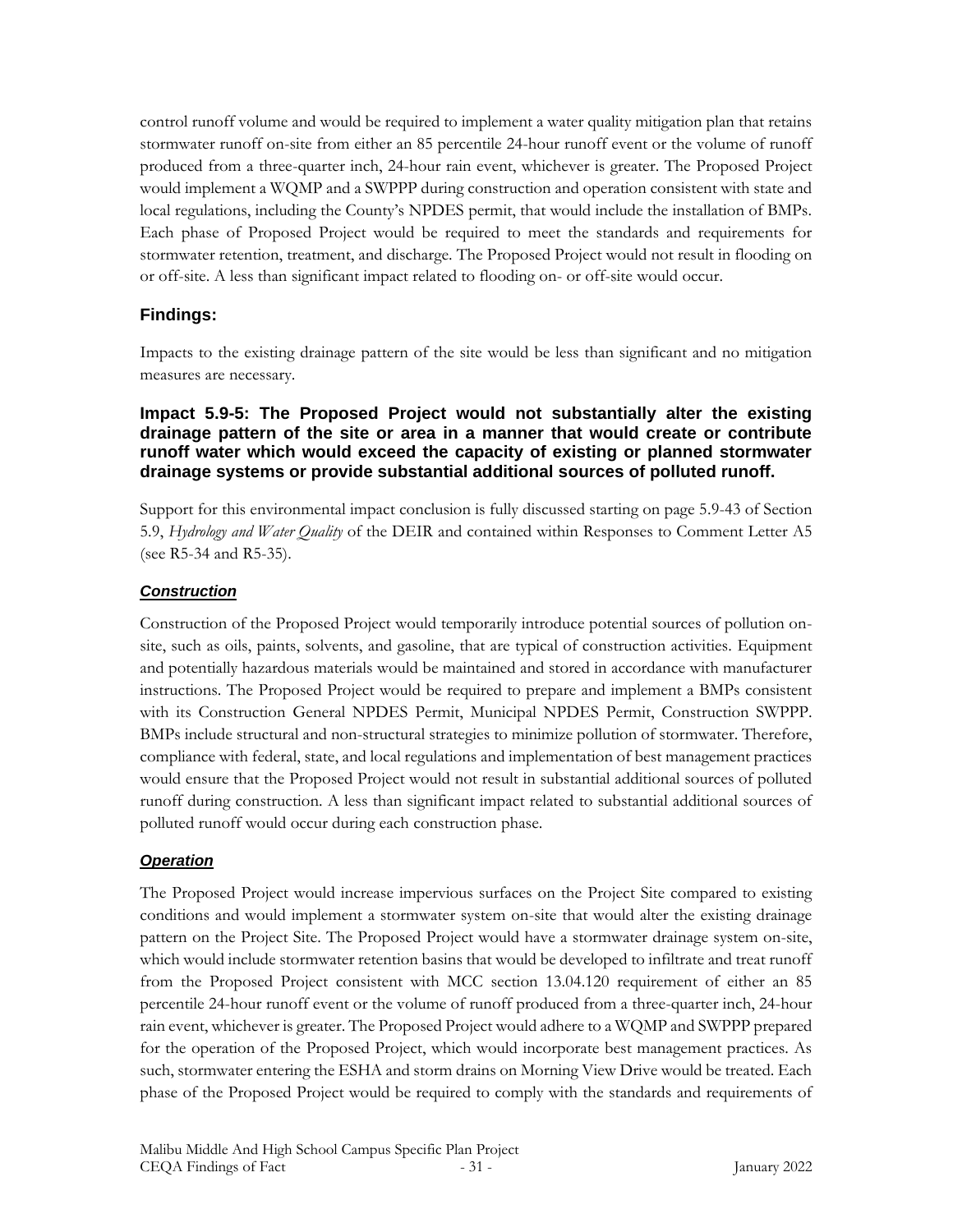control runoff volume and would be required to implement a water quality mitigation plan that retains stormwater runoff on-site from either an 85 percentile 24-hour runoff event or the volume of runoff produced from a three-quarter inch, 24-hour rain event, whichever is greater. The Proposed Project would implement a WQMP and a SWPPP during construction and operation consistent with state and local regulations, including the County's NPDES permit, that would include the installation of BMPs. Each phase of Proposed Project would be required to meet the standards and requirements for stormwater retention, treatment, and discharge. The Proposed Project would not result in flooding on or off-site. A less than significant impact related to flooding on- or off-site would occur.

### **Findings:**

Impacts to the existing drainage pattern of the site would be less than significant and no mitigation measures are necessary.

#### **Impact 5.9-5: The Proposed Project would not substantially alter the existing drainage pattern of the site or area in a manner that would create or contribute runoff water which would exceed the capacity of existing or planned stormwater drainage systems or provide substantial additional sources of polluted runoff.**

Support for this environmental impact conclusion is fully discussed starting on page 5.9-43 of Section 5.9, *Hydrology and Water Quality* of the DEIR and contained within Responses to Comment Letter A5 (see R5-34 and R5-35).

#### *Construction*

Construction of the Proposed Project would temporarily introduce potential sources of pollution onsite, such as oils, paints, solvents, and gasoline, that are typical of construction activities. Equipment and potentially hazardous materials would be maintained and stored in accordance with manufacturer instructions. The Proposed Project would be required to prepare and implement a BMPs consistent with its Construction General NPDES Permit, Municipal NPDES Permit, Construction SWPPP. BMPs include structural and non-structural strategies to minimize pollution of stormwater. Therefore, compliance with federal, state, and local regulations and implementation of best management practices would ensure that the Proposed Project would not result in substantial additional sources of polluted runoff during construction. A less than significant impact related to substantial additional sources of polluted runoff would occur during each construction phase.

### *Operation*

The Proposed Project would increase impervious surfaces on the Project Site compared to existing conditions and would implement a stormwater system on-site that would alter the existing drainage pattern on the Project Site. The Proposed Project would have a stormwater drainage system on-site, which would include stormwater retention basins that would be developed to infiltrate and treat runoff from the Proposed Project consistent with MCC section 13.04.120 requirement of either an 85 percentile 24-hour runoff event or the volume of runoff produced from a three-quarter inch, 24-hour rain event, whichever is greater. The Proposed Project would adhere to a WQMP and SWPPP prepared for the operation of the Proposed Project, which would incorporate best management practices. As such, stormwater entering the ESHA and storm drains on Morning View Drive would be treated. Each phase of the Proposed Project would be required to comply with the standards and requirements of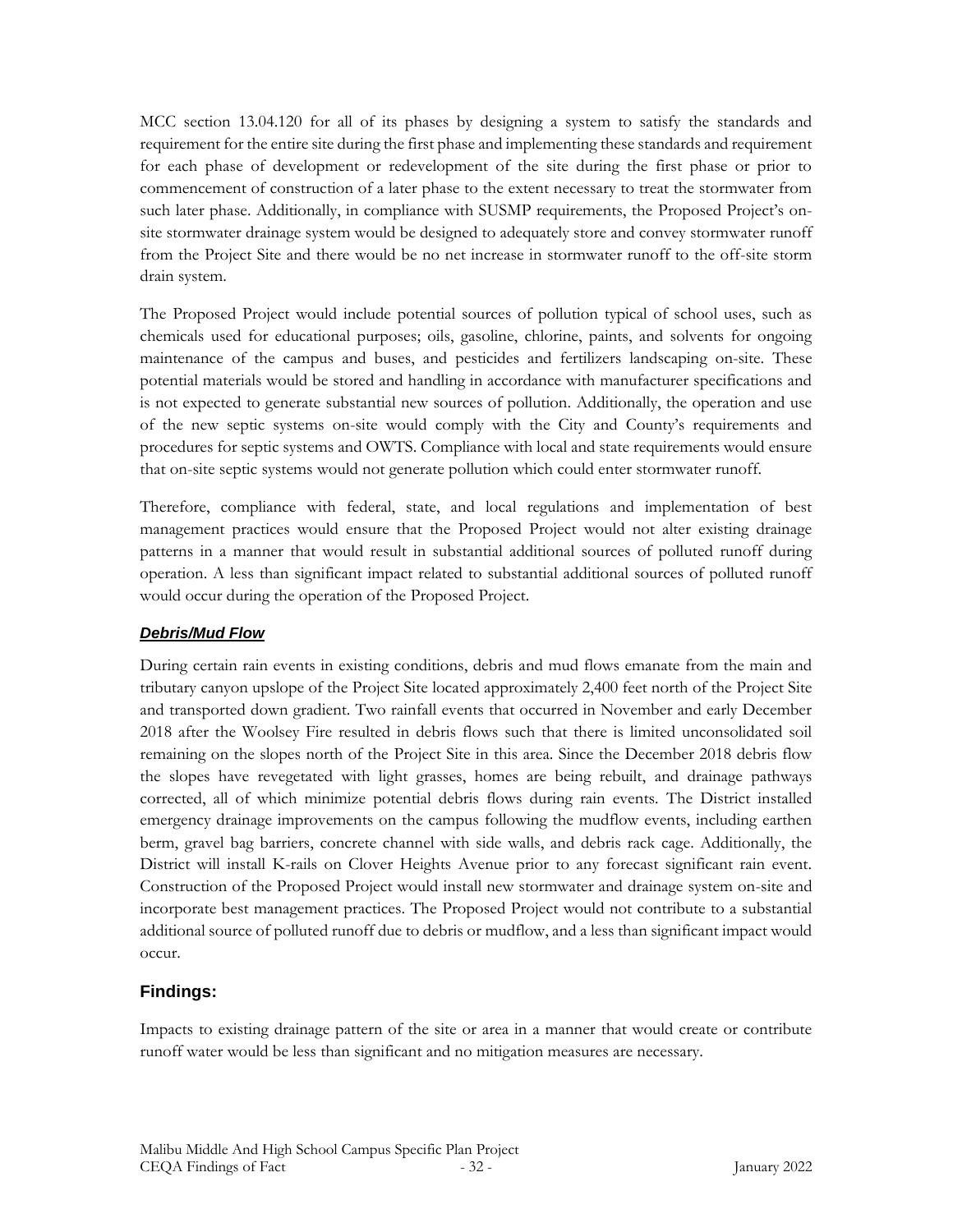MCC section 13.04.120 for all of its phases by designing a system to satisfy the standards and requirement for the entire site during the first phase and implementing these standards and requirement for each phase of development or redevelopment of the site during the first phase or prior to commencement of construction of a later phase to the extent necessary to treat the stormwater from such later phase. Additionally, in compliance with SUSMP requirements, the Proposed Project's onsite stormwater drainage system would be designed to adequately store and convey stormwater runoff from the Project Site and there would be no net increase in stormwater runoff to the off-site storm drain system.

The Proposed Project would include potential sources of pollution typical of school uses, such as chemicals used for educational purposes; oils, gasoline, chlorine, paints, and solvents for ongoing maintenance of the campus and buses, and pesticides and fertilizers landscaping on-site. These potential materials would be stored and handling in accordance with manufacturer specifications and is not expected to generate substantial new sources of pollution. Additionally, the operation and use of the new septic systems on-site would comply with the City and County's requirements and procedures for septic systems and OWTS. Compliance with local and state requirements would ensure that on-site septic systems would not generate pollution which could enter stormwater runoff.

Therefore, compliance with federal, state, and local regulations and implementation of best management practices would ensure that the Proposed Project would not alter existing drainage patterns in a manner that would result in substantial additional sources of polluted runoff during operation. A less than significant impact related to substantial additional sources of polluted runoff would occur during the operation of the Proposed Project.

### *Debris/Mud Flow*

During certain rain events in existing conditions, debris and mud flows emanate from the main and tributary canyon upslope of the Project Site located approximately 2,400 feet north of the Project Site and transported down gradient. Two rainfall events that occurred in November and early December 2018 after the Woolsey Fire resulted in debris flows such that there is limited unconsolidated soil remaining on the slopes north of the Project Site in this area. Since the December 2018 debris flow the slopes have revegetated with light grasses, homes are being rebuilt, and drainage pathways corrected, all of which minimize potential debris flows during rain events. The District installed emergency drainage improvements on the campus following the mudflow events, including earthen berm, gravel bag barriers, concrete channel with side walls, and debris rack cage. Additionally, the District will install K-rails on Clover Heights Avenue prior to any forecast significant rain event. Construction of the Proposed Project would install new stormwater and drainage system on-site and incorporate best management practices. The Proposed Project would not contribute to a substantial additional source of polluted runoff due to debris or mudflow, and a less than significant impact would occur.

### **Findings:**

Impacts to existing drainage pattern of the site or area in a manner that would create or contribute runoff water would be less than significant and no mitigation measures are necessary.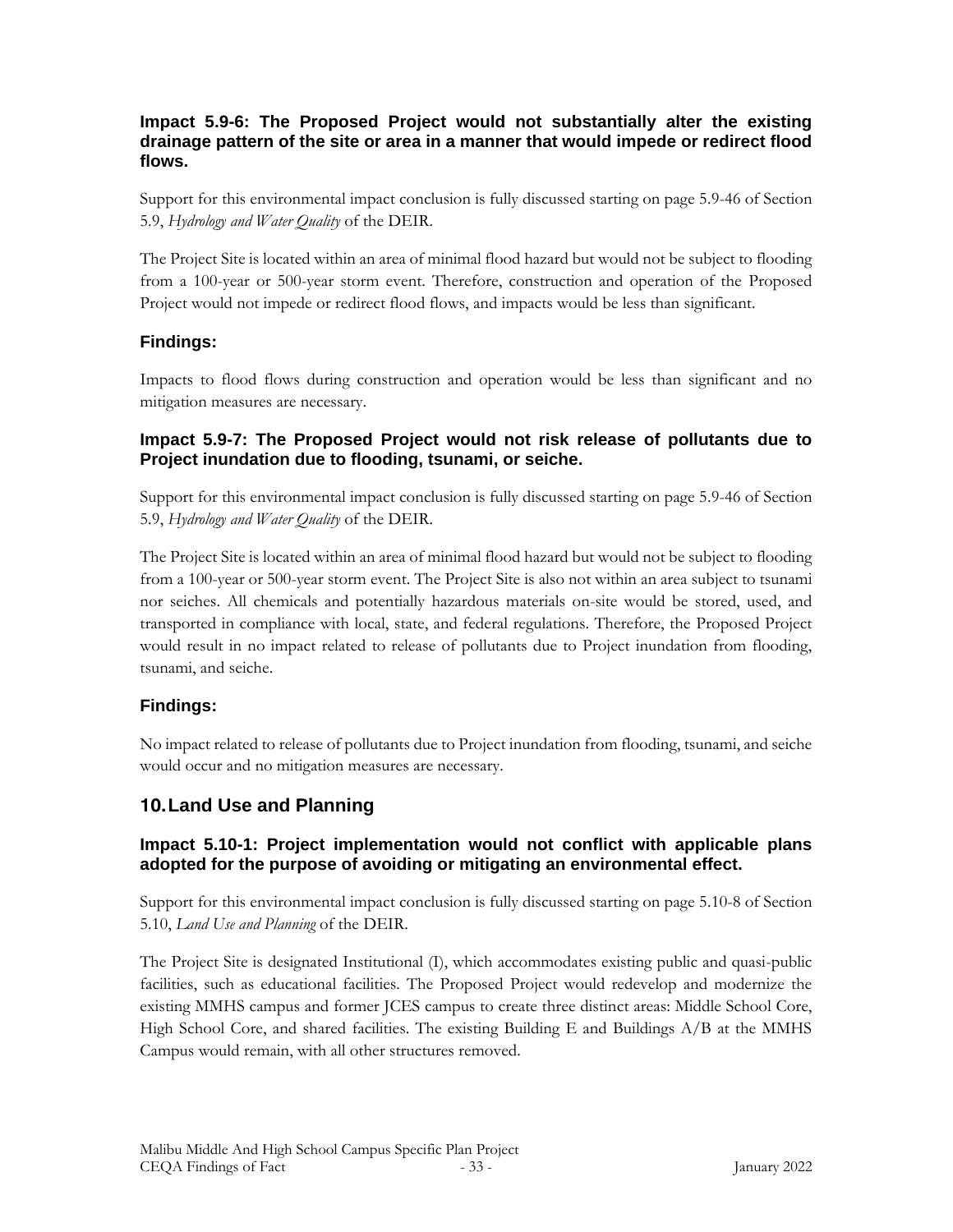#### **Impact 5.9-6: The Proposed Project would not substantially alter the existing drainage pattern of the site or area in a manner that would impede or redirect flood flows.**

Support for this environmental impact conclusion is fully discussed starting on page 5.9-46 of Section 5.9, *Hydrology and Water Quality* of the DEIR.

The Project Site is located within an area of minimal flood hazard but would not be subject to flooding from a 100-year or 500-year storm event. Therefore, construction and operation of the Proposed Project would not impede or redirect flood flows, and impacts would be less than significant.

### **Findings:**

Impacts to flood flows during construction and operation would be less than significant and no mitigation measures are necessary.

#### **Impact 5.9-7: The Proposed Project would not risk release of pollutants due to Project inundation due to flooding, tsunami, or seiche.**

Support for this environmental impact conclusion is fully discussed starting on page 5.9-46 of Section 5.9, *Hydrology and Water Quality* of the DEIR.

The Project Site is located within an area of minimal flood hazard but would not be subject to flooding from a 100-year or 500-year storm event. The Project Site is also not within an area subject to tsunami nor seiches. All chemicals and potentially hazardous materials on-site would be stored, used, and transported in compliance with local, state, and federal regulations. Therefore, the Proposed Project would result in no impact related to release of pollutants due to Project inundation from flooding, tsunami, and seiche.

### **Findings:**

No impact related to release of pollutants due to Project inundation from flooding, tsunami, and seiche would occur and no mitigation measures are necessary.

### **10.Land Use and Planning**

### **Impact 5.10-1: Project implementation would not conflict with applicable plans adopted for the purpose of avoiding or mitigating an environmental effect.**

Support for this environmental impact conclusion is fully discussed starting on page 5.10-8 of Section 5.10, *Land Use and Planning* of the DEIR.

The Project Site is designated Institutional (I), which accommodates existing public and quasi-public facilities, such as educational facilities. The Proposed Project would redevelop and modernize the existing MMHS campus and former JCES campus to create three distinct areas: Middle School Core, High School Core, and shared facilities. The existing Building E and Buildings  $A/B$  at the MMHS Campus would remain, with all other structures removed.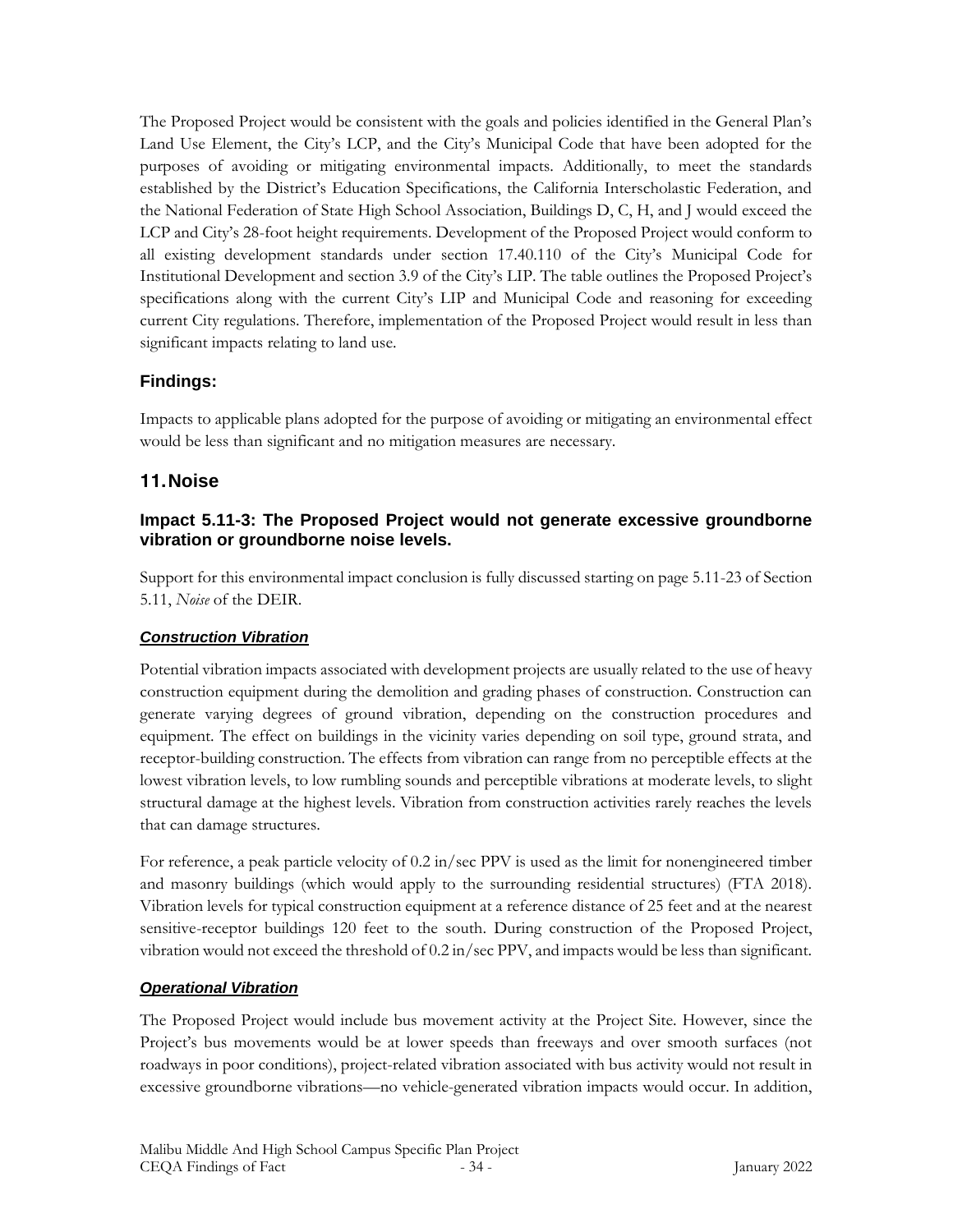The Proposed Project would be consistent with the goals and policies identified in the General Plan's Land Use Element, the City's LCP, and the City's Municipal Code that have been adopted for the purposes of avoiding or mitigating environmental impacts. Additionally, to meet the standards established by the District's Education Specifications, the California Interscholastic Federation, and the National Federation of State High School Association, Buildings D, C, H, and J would exceed the LCP and City's 28-foot height requirements. Development of the Proposed Project would conform to all existing development standards under section 17.40.110 of the City's Municipal Code for Institutional Development and section 3.9 of the City's LIP. The table outlines the Proposed Project's specifications along with the current City's LIP and Municipal Code and reasoning for exceeding current City regulations. Therefore, implementation of the Proposed Project would result in less than significant impacts relating to land use.

# **Findings:**

Impacts to applicable plans adopted for the purpose of avoiding or mitigating an environmental effect would be less than significant and no mitigation measures are necessary.

# **11.Noise**

### **Impact 5.11-3: The Proposed Project would not generate excessive groundborne vibration or groundborne noise levels.**

Support for this environmental impact conclusion is fully discussed starting on page 5.11-23 of Section 5.11, *Noise* of the DEIR.

### *Construction Vibration*

Potential vibration impacts associated with development projects are usually related to the use of heavy construction equipment during the demolition and grading phases of construction. Construction can generate varying degrees of ground vibration, depending on the construction procedures and equipment. The effect on buildings in the vicinity varies depending on soil type, ground strata, and receptor-building construction. The effects from vibration can range from no perceptible effects at the lowest vibration levels, to low rumbling sounds and perceptible vibrations at moderate levels, to slight structural damage at the highest levels. Vibration from construction activities rarely reaches the levels that can damage structures.

For reference, a peak particle velocity of 0.2 in/sec PPV is used as the limit for nonengineered timber and masonry buildings (which would apply to the surrounding residential structures) (FTA 2018). Vibration levels for typical construction equipment at a reference distance of 25 feet and at the nearest sensitive-receptor buildings 120 feet to the south. During construction of the Proposed Project, vibration would not exceed the threshold of 0.2 in/sec PPV, and impacts would be less than significant.

# *Operational Vibration*

The Proposed Project would include bus movement activity at the Project Site. However, since the Project's bus movements would be at lower speeds than freeways and over smooth surfaces (not roadways in poor conditions), project-related vibration associated with bus activity would not result in excessive groundborne vibrations—no vehicle-generated vibration impacts would occur. In addition,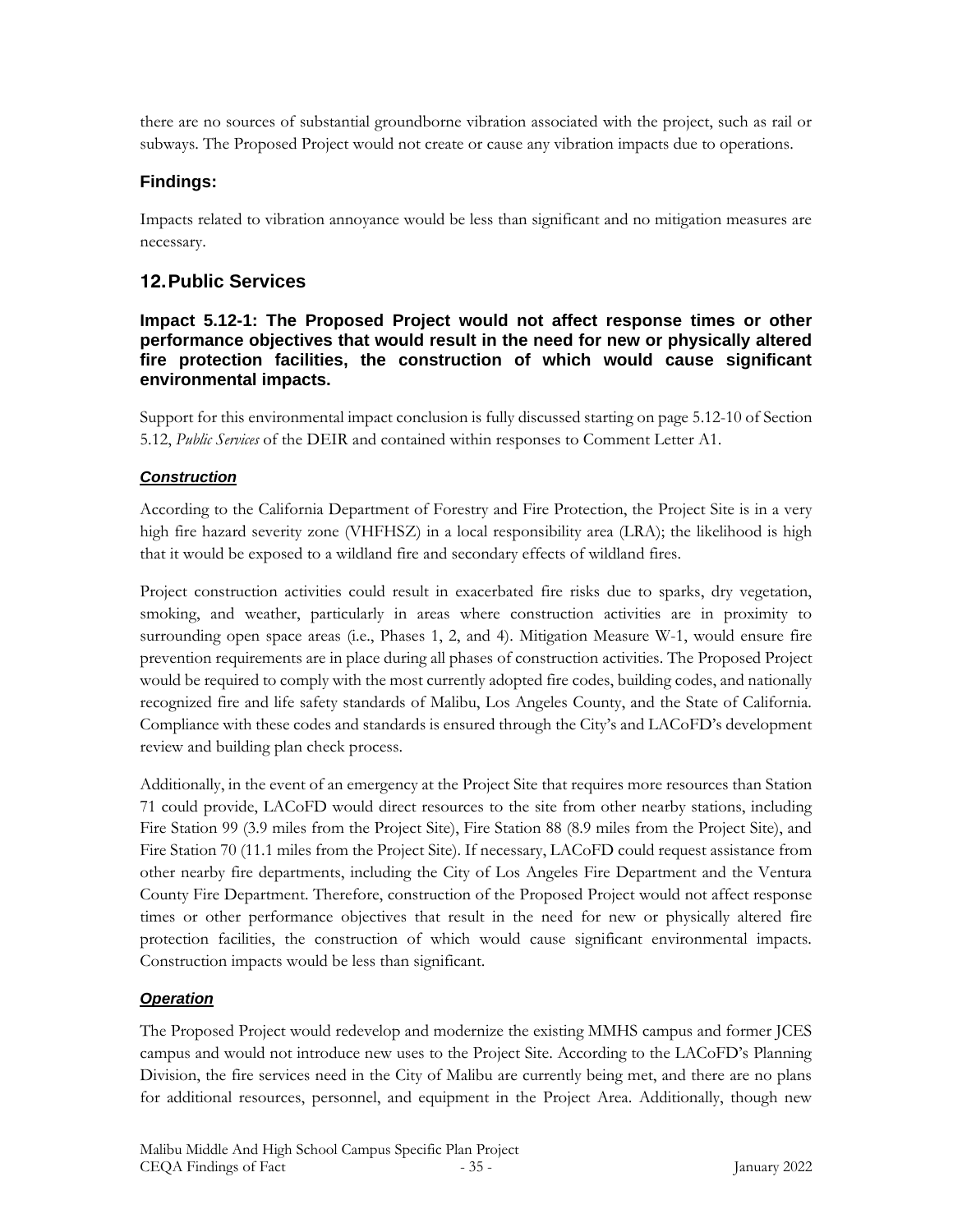there are no sources of substantial groundborne vibration associated with the project, such as rail or subways. The Proposed Project would not create or cause any vibration impacts due to operations.

### **Findings:**

Impacts related to vibration annoyance would be less than significant and no mitigation measures are necessary.

# **12.Public Services**

#### **Impact 5.12-1: The Proposed Project would not affect response times or other performance objectives that would result in the need for new or physically altered fire protection facilities, the construction of which would cause significant environmental impacts.**

Support for this environmental impact conclusion is fully discussed starting on page 5.12-10 of Section 5.12, *Public Services* of the DEIR and contained within responses to Comment Letter A1.

### *Construction*

According to the California Department of Forestry and Fire Protection, the Project Site is in a very high fire hazard severity zone (VHFHSZ) in a local responsibility area (LRA); the likelihood is high that it would be exposed to a wildland fire and secondary effects of wildland fires.

Project construction activities could result in exacerbated fire risks due to sparks, dry vegetation, smoking, and weather, particularly in areas where construction activities are in proximity to surrounding open space areas (i.e., Phases 1, 2, and 4). Mitigation Measure W-1, would ensure fire prevention requirements are in place during all phases of construction activities. The Proposed Project would be required to comply with the most currently adopted fire codes, building codes, and nationally recognized fire and life safety standards of Malibu, Los Angeles County, and the State of California. Compliance with these codes and standards is ensured through the City's and LACoFD's development review and building plan check process.

Additionally, in the event of an emergency at the Project Site that requires more resources than Station 71 could provide, LACoFD would direct resources to the site from other nearby stations, including Fire Station 99 (3.9 miles from the Project Site), Fire Station 88 (8.9 miles from the Project Site), and Fire Station 70 (11.1 miles from the Project Site). If necessary, LACoFD could request assistance from other nearby fire departments, including the City of Los Angeles Fire Department and the Ventura County Fire Department. Therefore, construction of the Proposed Project would not affect response times or other performance objectives that result in the need for new or physically altered fire protection facilities, the construction of which would cause significant environmental impacts. Construction impacts would be less than significant.

### *Operation*

The Proposed Project would redevelop and modernize the existing MMHS campus and former JCES campus and would not introduce new uses to the Project Site. According to the LACoFD's Planning Division, the fire services need in the City of Malibu are currently being met, and there are no plans for additional resources, personnel, and equipment in the Project Area. Additionally, though new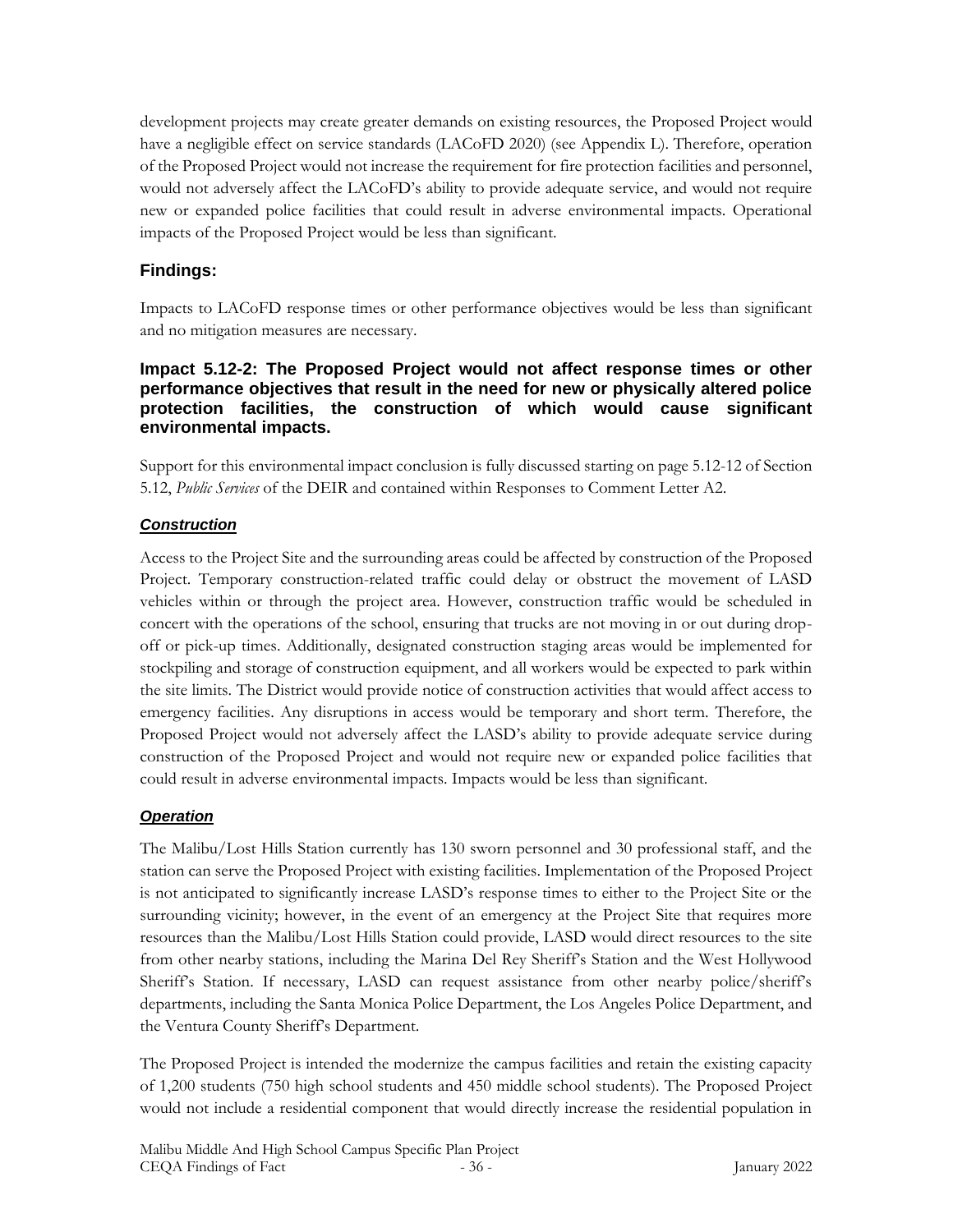development projects may create greater demands on existing resources, the Proposed Project would have a negligible effect on service standards (LACoFD 2020) (see Appendix L). Therefore, operation of the Proposed Project would not increase the requirement for fire protection facilities and personnel, would not adversely affect the LACoFD's ability to provide adequate service, and would not require new or expanded police facilities that could result in adverse environmental impacts. Operational impacts of the Proposed Project would be less than significant.

### **Findings:**

Impacts to LACoFD response times or other performance objectives would be less than significant and no mitigation measures are necessary.

### **Impact 5.12-2: The Proposed Project would not affect response times or other performance objectives that result in the need for new or physically altered police protection facilities, the construction of which would cause significant environmental impacts.**

Support for this environmental impact conclusion is fully discussed starting on page 5.12-12 of Section 5.12, *Public Services* of the DEIR and contained within Responses to Comment Letter A2.

### *Construction*

Access to the Project Site and the surrounding areas could be affected by construction of the Proposed Project. Temporary construction-related traffic could delay or obstruct the movement of LASD vehicles within or through the project area. However, construction traffic would be scheduled in concert with the operations of the school, ensuring that trucks are not moving in or out during dropoff or pick-up times. Additionally, designated construction staging areas would be implemented for stockpiling and storage of construction equipment, and all workers would be expected to park within the site limits. The District would provide notice of construction activities that would affect access to emergency facilities. Any disruptions in access would be temporary and short term. Therefore, the Proposed Project would not adversely affect the LASD's ability to provide adequate service during construction of the Proposed Project and would not require new or expanded police facilities that could result in adverse environmental impacts. Impacts would be less than significant.

### *Operation*

The Malibu/Lost Hills Station currently has 130 sworn personnel and 30 professional staff, and the station can serve the Proposed Project with existing facilities. Implementation of the Proposed Project is not anticipated to significantly increase LASD's response times to either to the Project Site or the surrounding vicinity; however, in the event of an emergency at the Project Site that requires more resources than the Malibu/Lost Hills Station could provide, LASD would direct resources to the site from other nearby stations, including the Marina Del Rey Sheriff's Station and the West Hollywood Sheriff's Station. If necessary, LASD can request assistance from other nearby police/sheriff's departments, including the Santa Monica Police Department, the Los Angeles Police Department, and the Ventura County Sheriff's Department.

The Proposed Project is intended the modernize the campus facilities and retain the existing capacity of 1,200 students (750 high school students and 450 middle school students). The Proposed Project would not include a residential component that would directly increase the residential population in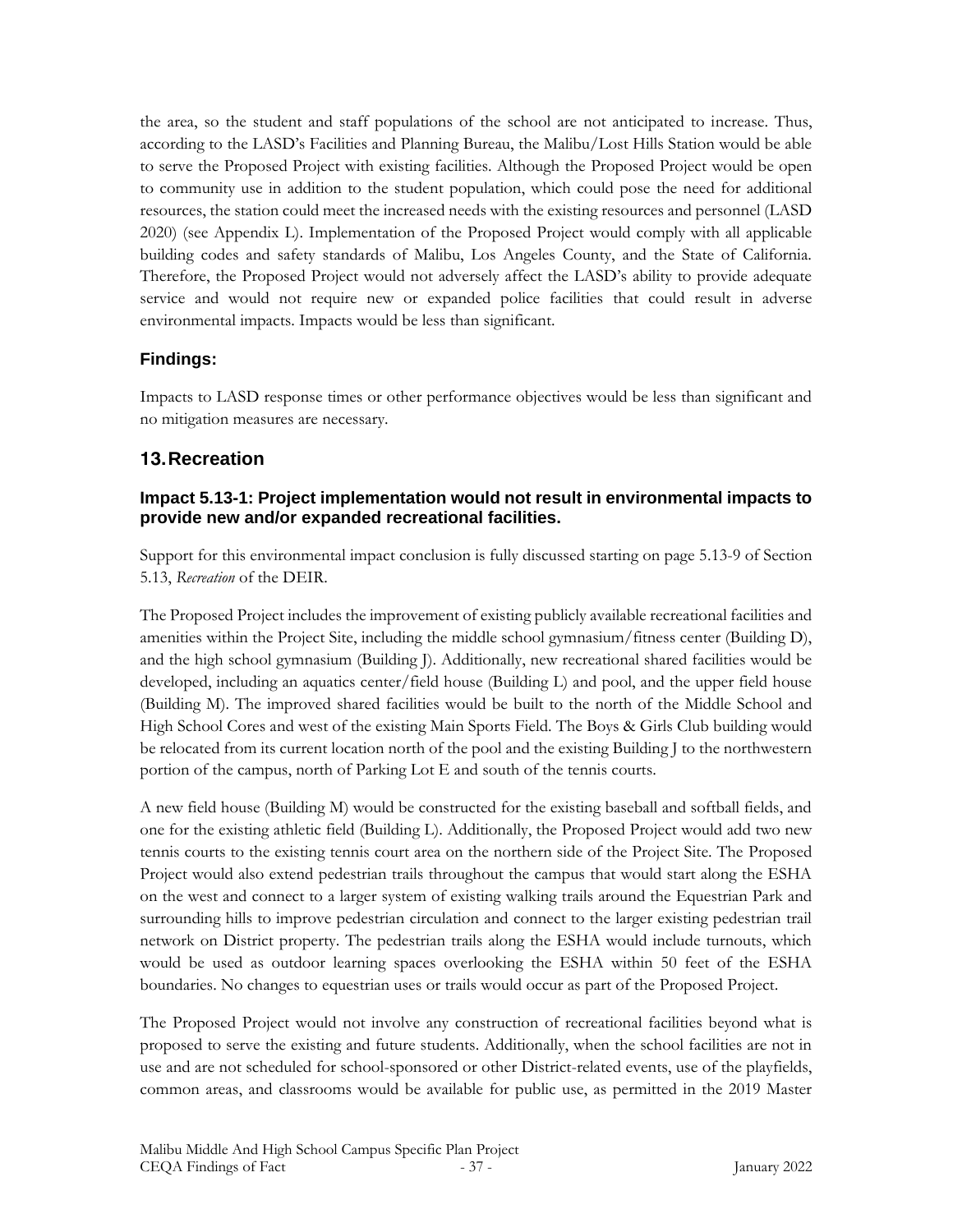the area, so the student and staff populations of the school are not anticipated to increase. Thus, according to the LASD's Facilities and Planning Bureau, the Malibu/Lost Hills Station would be able to serve the Proposed Project with existing facilities. Although the Proposed Project would be open to community use in addition to the student population, which could pose the need for additional resources, the station could meet the increased needs with the existing resources and personnel (LASD 2020) (see Appendix L). Implementation of the Proposed Project would comply with all applicable building codes and safety standards of Malibu, Los Angeles County, and the State of California. Therefore, the Proposed Project would not adversely affect the LASD's ability to provide adequate service and would not require new or expanded police facilities that could result in adverse environmental impacts. Impacts would be less than significant.

## **Findings:**

Impacts to LASD response times or other performance objectives would be less than significant and no mitigation measures are necessary.

## **13.Recreation**

### **Impact 5.13-1: Project implementation would not result in environmental impacts to provide new and/or expanded recreational facilities.**

Support for this environmental impact conclusion is fully discussed starting on page 5.13-9 of Section 5.13, *Recreation* of the DEIR.

The Proposed Project includes the improvement of existing publicly available recreational facilities and amenities within the Project Site, including the middle school gymnasium/fitness center (Building D), and the high school gymnasium (Building J). Additionally, new recreational shared facilities would be developed, including an aquatics center/field house (Building L) and pool, and the upper field house (Building M). The improved shared facilities would be built to the north of the Middle School and High School Cores and west of the existing Main Sports Field. The Boys & Girls Club building would be relocated from its current location north of the pool and the existing Building J to the northwestern portion of the campus, north of Parking Lot E and south of the tennis courts.

A new field house (Building M) would be constructed for the existing baseball and softball fields, and one for the existing athletic field (Building L). Additionally, the Proposed Project would add two new tennis courts to the existing tennis court area on the northern side of the Project Site. The Proposed Project would also extend pedestrian trails throughout the campus that would start along the ESHA on the west and connect to a larger system of existing walking trails around the Equestrian Park and surrounding hills to improve pedestrian circulation and connect to the larger existing pedestrian trail network on District property. The pedestrian trails along the ESHA would include turnouts, which would be used as outdoor learning spaces overlooking the ESHA within 50 feet of the ESHA boundaries. No changes to equestrian uses or trails would occur as part of the Proposed Project.

The Proposed Project would not involve any construction of recreational facilities beyond what is proposed to serve the existing and future students. Additionally, when the school facilities are not in use and are not scheduled for school-sponsored or other District-related events, use of the playfields, common areas, and classrooms would be available for public use, as permitted in the 2019 Master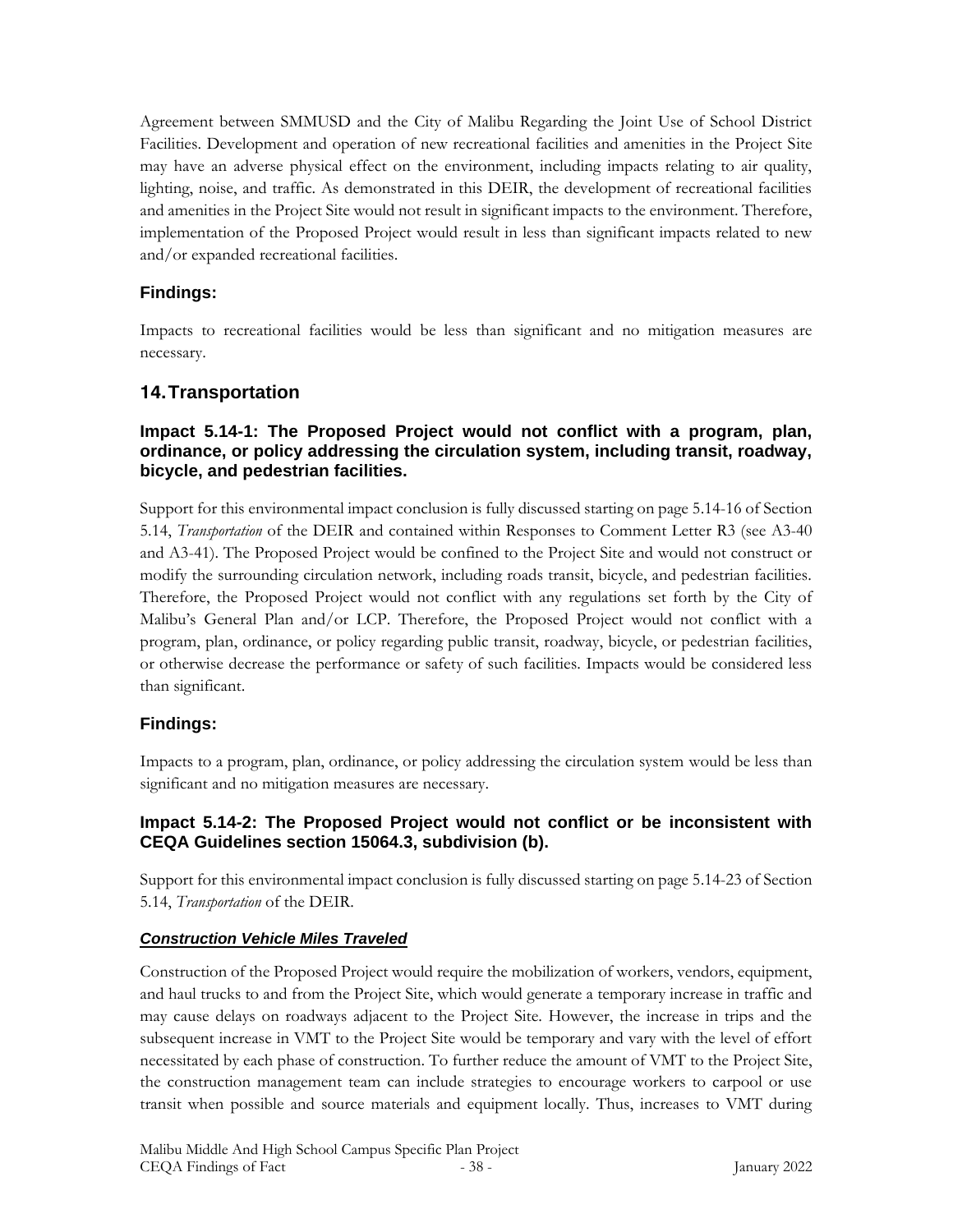Agreement between SMMUSD and the City of Malibu Regarding the Joint Use of School District Facilities. Development and operation of new recreational facilities and amenities in the Project Site may have an adverse physical effect on the environment, including impacts relating to air quality, lighting, noise, and traffic. As demonstrated in this DEIR, the development of recreational facilities and amenities in the Project Site would not result in significant impacts to the environment. Therefore, implementation of the Proposed Project would result in less than significant impacts related to new and/or expanded recreational facilities.

## **Findings:**

Impacts to recreational facilities would be less than significant and no mitigation measures are necessary.

# **14.Transportation**

## **Impact 5.14-1: The Proposed Project would not conflict with a program, plan, ordinance, or policy addressing the circulation system, including transit, roadway, bicycle, and pedestrian facilities.**

Support for this environmental impact conclusion is fully discussed starting on page 5.14-16 of Section 5.14, *Transportation* of the DEIR and contained within Responses to Comment Letter R3 (see A3-40 and A3-41). The Proposed Project would be confined to the Project Site and would not construct or modify the surrounding circulation network, including roads transit, bicycle, and pedestrian facilities. Therefore, the Proposed Project would not conflict with any regulations set forth by the City of Malibu's General Plan and/or LCP. Therefore, the Proposed Project would not conflict with a program, plan, ordinance, or policy regarding public transit, roadway, bicycle, or pedestrian facilities, or otherwise decrease the performance or safety of such facilities. Impacts would be considered less than significant.

# **Findings:**

Impacts to a program, plan, ordinance, or policy addressing the circulation system would be less than significant and no mitigation measures are necessary.

## **Impact 5.14-2: The Proposed Project would not conflict or be inconsistent with CEQA Guidelines section 15064.3, subdivision (b).**

Support for this environmental impact conclusion is fully discussed starting on page 5.14-23 of Section 5.14, *Transportation* of the DEIR.

## *Construction Vehicle Miles Traveled*

Construction of the Proposed Project would require the mobilization of workers, vendors, equipment, and haul trucks to and from the Project Site, which would generate a temporary increase in traffic and may cause delays on roadways adjacent to the Project Site. However, the increase in trips and the subsequent increase in VMT to the Project Site would be temporary and vary with the level of effort necessitated by each phase of construction. To further reduce the amount of VMT to the Project Site, the construction management team can include strategies to encourage workers to carpool or use transit when possible and source materials and equipment locally. Thus, increases to VMT during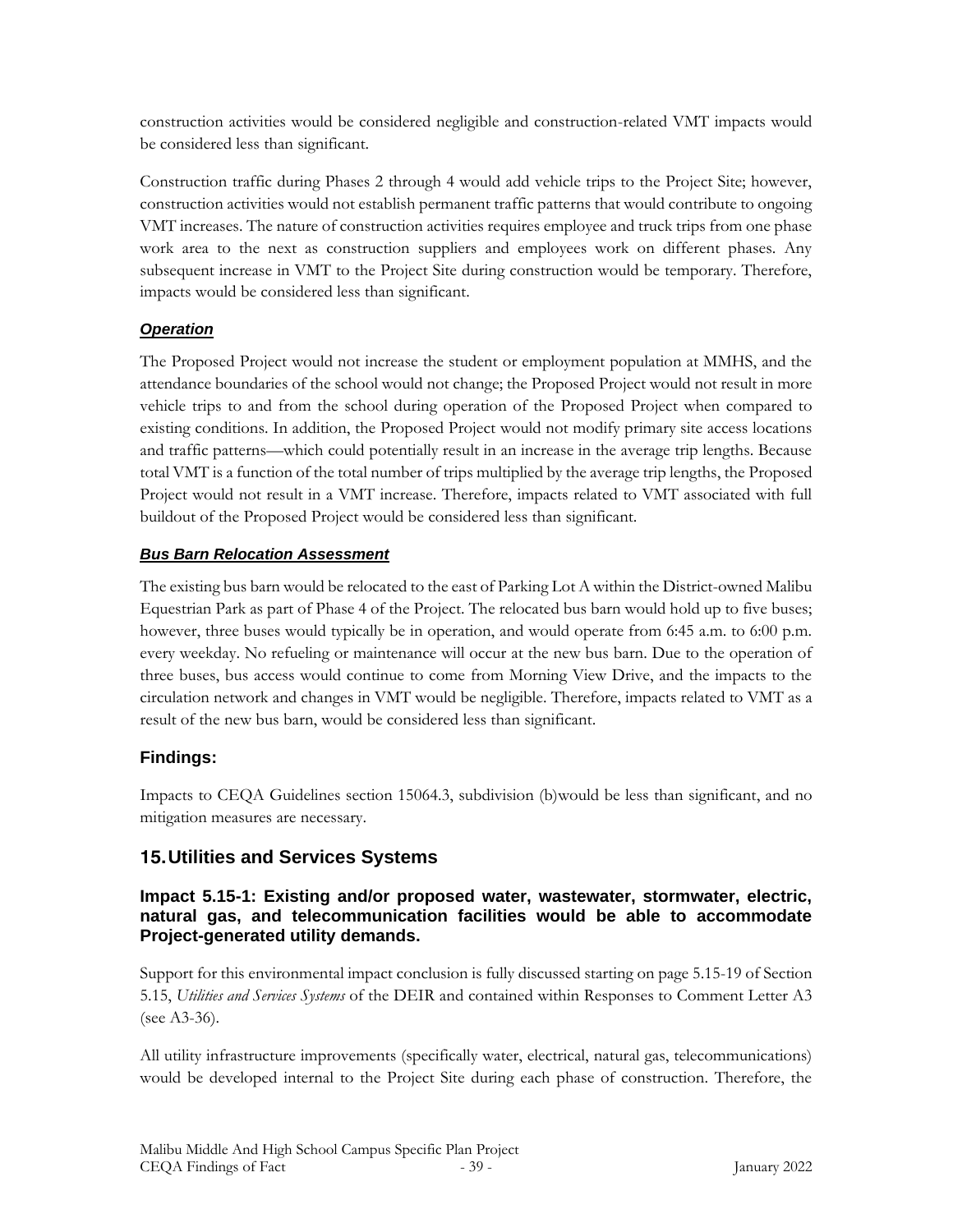construction activities would be considered negligible and construction-related VMT impacts would be considered less than significant.

Construction traffic during Phases 2 through 4 would add vehicle trips to the Project Site; however, construction activities would not establish permanent traffic patterns that would contribute to ongoing VMT increases. The nature of construction activities requires employee and truck trips from one phase work area to the next as construction suppliers and employees work on different phases. Any subsequent increase in VMT to the Project Site during construction would be temporary. Therefore, impacts would be considered less than significant.

## *Operation*

The Proposed Project would not increase the student or employment population at MMHS, and the attendance boundaries of the school would not change; the Proposed Project would not result in more vehicle trips to and from the school during operation of the Proposed Project when compared to existing conditions. In addition, the Proposed Project would not modify primary site access locations and traffic patterns—which could potentially result in an increase in the average trip lengths. Because total VMT is a function of the total number of trips multiplied by the average trip lengths, the Proposed Project would not result in a VMT increase. Therefore, impacts related to VMT associated with full buildout of the Proposed Project would be considered less than significant.

## *Bus Barn Relocation Assessment*

The existing bus barn would be relocated to the east of Parking Lot A within the District-owned Malibu Equestrian Park as part of Phase 4 of the Project. The relocated bus barn would hold up to five buses; however, three buses would typically be in operation, and would operate from 6:45 a.m. to 6:00 p.m. every weekday. No refueling or maintenance will occur at the new bus barn. Due to the operation of three buses, bus access would continue to come from Morning View Drive, and the impacts to the circulation network and changes in VMT would be negligible. Therefore, impacts related to VMT as a result of the new bus barn, would be considered less than significant.

# **Findings:**

Impacts to CEQA Guidelines section 15064.3, subdivision (b)would be less than significant, and no mitigation measures are necessary.

# **15.Utilities and Services Systems**

### **Impact 5.15-1: Existing and/or proposed water, wastewater, stormwater, electric, natural gas, and telecommunication facilities would be able to accommodate Project-generated utility demands.**

Support for this environmental impact conclusion is fully discussed starting on page 5.15-19 of Section 5.15, *Utilities and Services Systems* of the DEIR and contained within Responses to Comment Letter A3 (see A3-36).

All utility infrastructure improvements (specifically water, electrical, natural gas, telecommunications) would be developed internal to the Project Site during each phase of construction. Therefore, the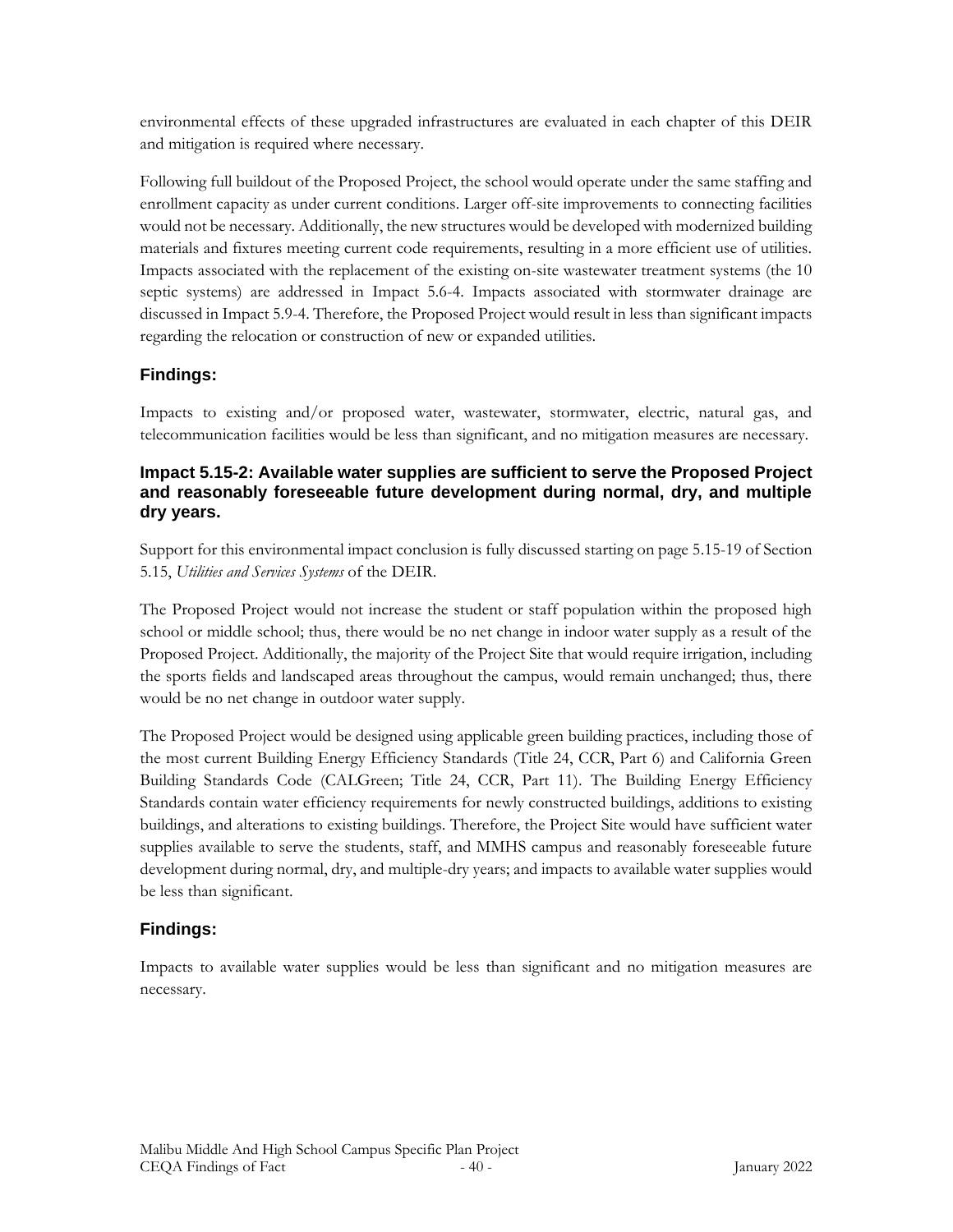environmental effects of these upgraded infrastructures are evaluated in each chapter of this DEIR and mitigation is required where necessary.

Following full buildout of the Proposed Project, the school would operate under the same staffing and enrollment capacity as under current conditions. Larger off-site improvements to connecting facilities would not be necessary. Additionally, the new structures would be developed with modernized building materials and fixtures meeting current code requirements, resulting in a more efficient use of utilities. Impacts associated with the replacement of the existing on-site wastewater treatment systems (the 10 septic systems) are addressed in Impact 5.6-4. Impacts associated with stormwater drainage are discussed in Impact 5.9-4. Therefore, the Proposed Project would result in less than significant impacts regarding the relocation or construction of new or expanded utilities.

## **Findings:**

Impacts to existing and/or proposed water, wastewater, stormwater, electric, natural gas, and telecommunication facilities would be less than significant, and no mitigation measures are necessary.

## **Impact 5.15-2: Available water supplies are sufficient to serve the Proposed Project and reasonably foreseeable future development during normal, dry, and multiple dry years.**

Support for this environmental impact conclusion is fully discussed starting on page 5.15-19 of Section 5.15, *Utilities and Services Systems* of the DEIR.

The Proposed Project would not increase the student or staff population within the proposed high school or middle school; thus, there would be no net change in indoor water supply as a result of the Proposed Project. Additionally, the majority of the Project Site that would require irrigation, including the sports fields and landscaped areas throughout the campus, would remain unchanged; thus, there would be no net change in outdoor water supply.

The Proposed Project would be designed using applicable green building practices, including those of the most current Building Energy Efficiency Standards (Title 24, CCR, Part 6) and California Green Building Standards Code (CALGreen; Title 24, CCR, Part 11). The Building Energy Efficiency Standards contain water efficiency requirements for newly constructed buildings, additions to existing buildings, and alterations to existing buildings. Therefore, the Project Site would have sufficient water supplies available to serve the students, staff, and MMHS campus and reasonably foreseeable future development during normal, dry, and multiple-dry years; and impacts to available water supplies would be less than significant.

# **Findings:**

Impacts to available water supplies would be less than significant and no mitigation measures are necessary.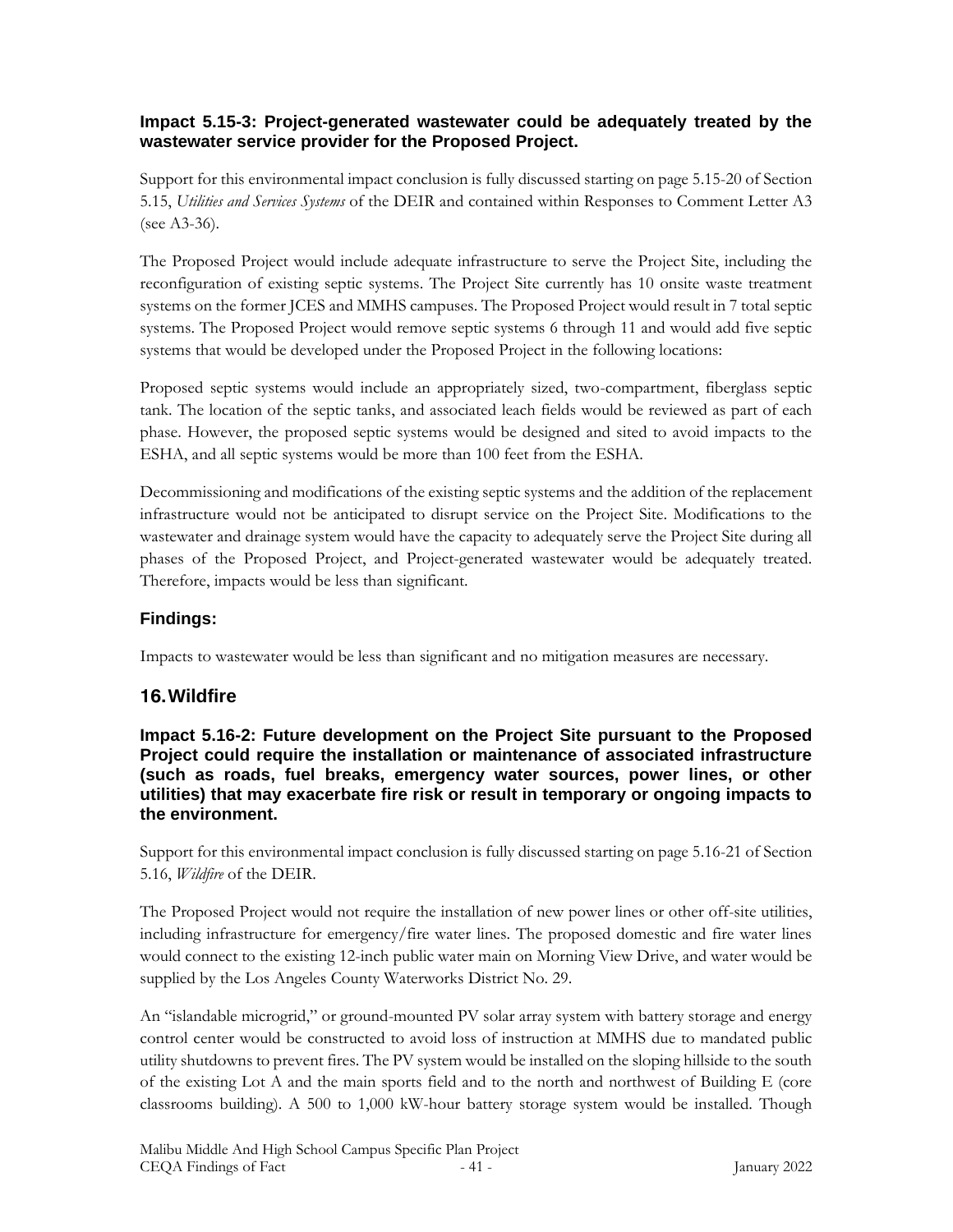## **Impact 5.15-3: Project-generated wastewater could be adequately treated by the wastewater service provider for the Proposed Project.**

Support for this environmental impact conclusion is fully discussed starting on page 5.15-20 of Section 5.15, *Utilities and Services Systems* of the DEIR and contained within Responses to Comment Letter A3 (see A3-36).

The Proposed Project would include adequate infrastructure to serve the Project Site, including the reconfiguration of existing septic systems. The Project Site currently has 10 onsite waste treatment systems on the former JCES and MMHS campuses. The Proposed Project would result in 7 total septic systems. The Proposed Project would remove septic systems 6 through 11 and would add five septic systems that would be developed under the Proposed Project in the following locations:

Proposed septic systems would include an appropriately sized, two-compartment, fiberglass septic tank. The location of the septic tanks, and associated leach fields would be reviewed as part of each phase. However, the proposed septic systems would be designed and sited to avoid impacts to the ESHA, and all septic systems would be more than 100 feet from the ESHA.

Decommissioning and modifications of the existing septic systems and the addition of the replacement infrastructure would not be anticipated to disrupt service on the Project Site. Modifications to the wastewater and drainage system would have the capacity to adequately serve the Project Site during all phases of the Proposed Project, and Project-generated wastewater would be adequately treated. Therefore, impacts would be less than significant.

# **Findings:**

Impacts to wastewater would be less than significant and no mitigation measures are necessary.

# **16.Wildfire**

**Impact 5.16-2: Future development on the Project Site pursuant to the Proposed Project could require the installation or maintenance of associated infrastructure (such as roads, fuel breaks, emergency water sources, power lines, or other utilities) that may exacerbate fire risk or result in temporary or ongoing impacts to the environment.** 

Support for this environmental impact conclusion is fully discussed starting on page 5.16-21 of Section 5.16, *Wildfire* of the DEIR.

The Proposed Project would not require the installation of new power lines or other off-site utilities, including infrastructure for emergency/fire water lines. The proposed domestic and fire water lines would connect to the existing 12-inch public water main on Morning View Drive, and water would be supplied by the Los Angeles County Waterworks District No. 29.

An "islandable microgrid," or ground-mounted PV solar array system with battery storage and energy control center would be constructed to avoid loss of instruction at MMHS due to mandated public utility shutdowns to prevent fires. The PV system would be installed on the sloping hillside to the south of the existing Lot A and the main sports field and to the north and northwest of Building E (core classrooms building). A 500 to 1,000 kW-hour battery storage system would be installed. Though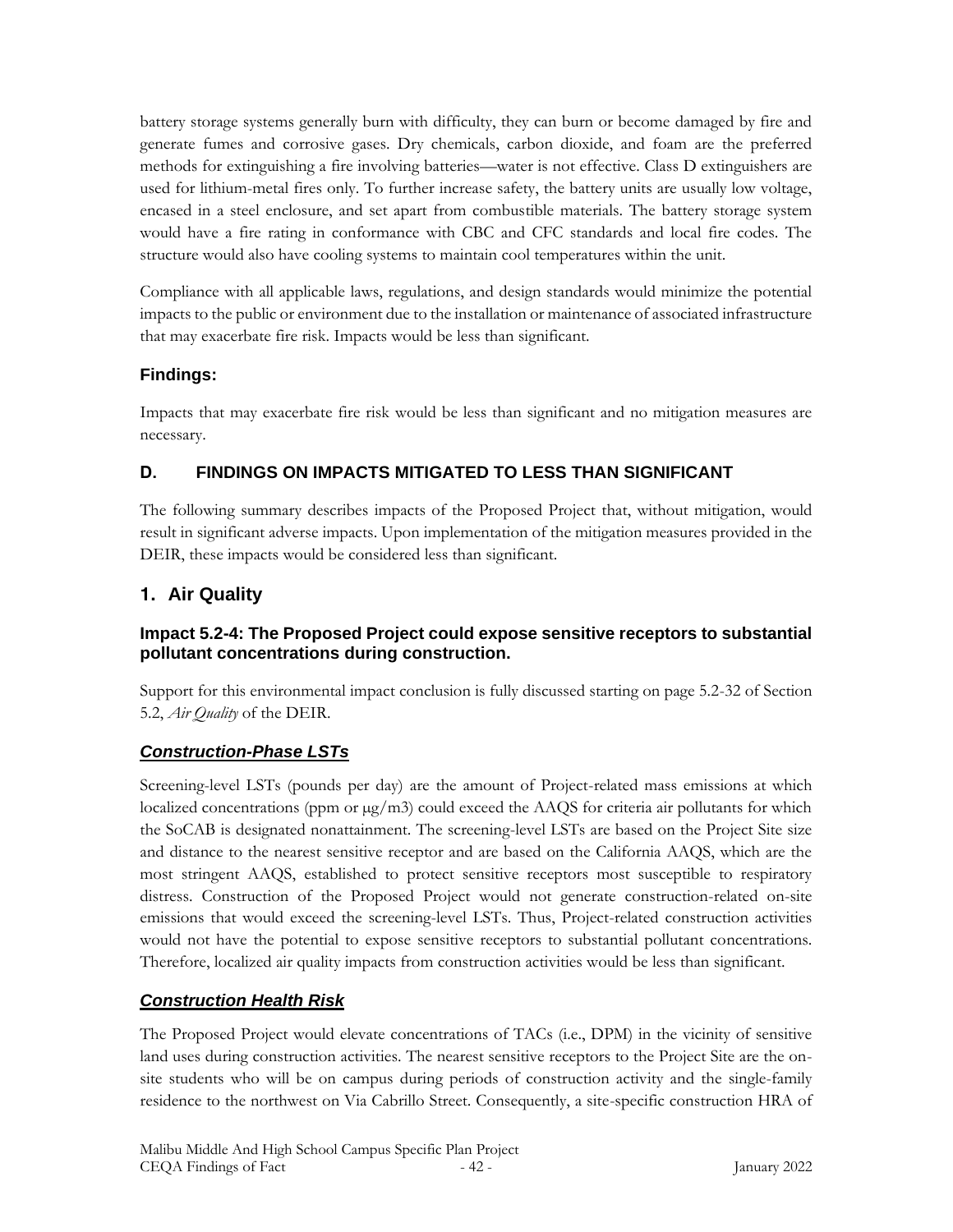battery storage systems generally burn with difficulty, they can burn or become damaged by fire and generate fumes and corrosive gases. Dry chemicals, carbon dioxide, and foam are the preferred methods for extinguishing a fire involving batteries—water is not effective. Class D extinguishers are used for lithium-metal fires only. To further increase safety, the battery units are usually low voltage, encased in a steel enclosure, and set apart from combustible materials. The battery storage system would have a fire rating in conformance with CBC and CFC standards and local fire codes. The structure would also have cooling systems to maintain cool temperatures within the unit.

Compliance with all applicable laws, regulations, and design standards would minimize the potential impacts to the public or environment due to the installation or maintenance of associated infrastructure that may exacerbate fire risk. Impacts would be less than significant.

## **Findings:**

Impacts that may exacerbate fire risk would be less than significant and no mitigation measures are necessary.

# **D. FINDINGS ON IMPACTS MITIGATED TO LESS THAN SIGNIFICANT**

The following summary describes impacts of the Proposed Project that, without mitigation, would result in significant adverse impacts. Upon implementation of the mitigation measures provided in the DEIR, these impacts would be considered less than significant.

# **1. Air Quality**

## **Impact 5.2-4: The Proposed Project could expose sensitive receptors to substantial pollutant concentrations during construction.**

Support for this environmental impact conclusion is fully discussed starting on page 5.2-32 of Section 5.2, *Air Quality* of the DEIR.

# *Construction-Phase LSTs*

Screening-level LSTs (pounds per day) are the amount of Project-related mass emissions at which localized concentrations (ppm or  $\mu$ g/m3) could exceed the AAQS for criteria air pollutants for which the SoCAB is designated nonattainment. The screening-level LSTs are based on the Project Site size and distance to the nearest sensitive receptor and are based on the California AAQS, which are the most stringent AAQS, established to protect sensitive receptors most susceptible to respiratory distress. Construction of the Proposed Project would not generate construction-related on-site emissions that would exceed the screening-level LSTs. Thus, Project-related construction activities would not have the potential to expose sensitive receptors to substantial pollutant concentrations. Therefore, localized air quality impacts from construction activities would be less than significant.

# *Construction Health Risk*

The Proposed Project would elevate concentrations of TACs (i.e., DPM) in the vicinity of sensitive land uses during construction activities. The nearest sensitive receptors to the Project Site are the onsite students who will be on campus during periods of construction activity and the single-family residence to the northwest on Via Cabrillo Street. Consequently, a site-specific construction HRA of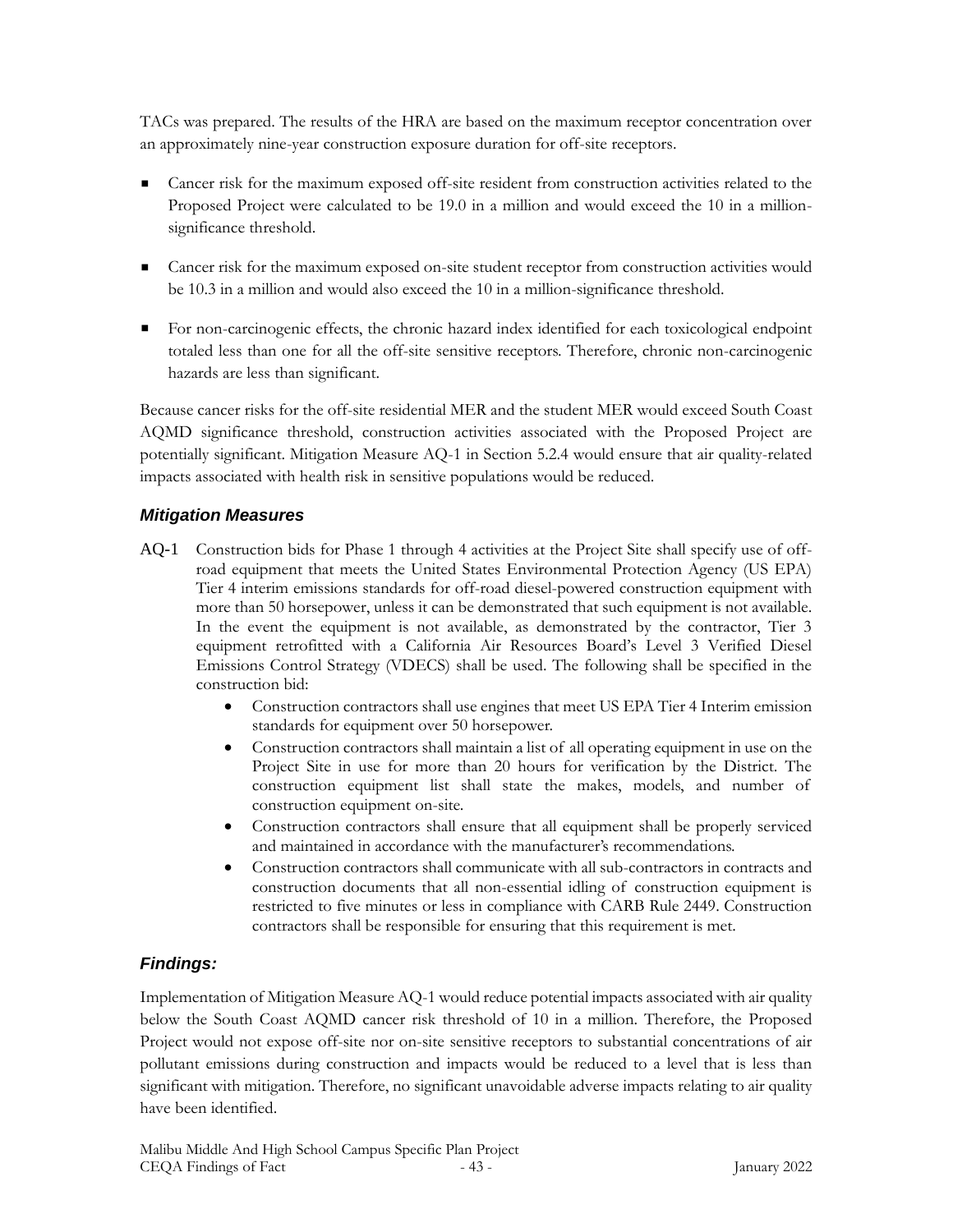TACs was prepared. The results of the HRA are based on the maximum receptor concentration over an approximately nine-year construction exposure duration for off-site receptors.

- Cancer risk for the maximum exposed off-site resident from construction activities related to the Proposed Project were calculated to be 19.0 in a million and would exceed the 10 in a millionsignificance threshold.
- Cancer risk for the maximum exposed on-site student receptor from construction activities would be 10.3 in a million and would also exceed the 10 in a million-significance threshold.
- For non-carcinogenic effects, the chronic hazard index identified for each toxicological endpoint totaled less than one for all the off-site sensitive receptors. Therefore, chronic non-carcinogenic hazards are less than significant.

Because cancer risks for the off-site residential MER and the student MER would exceed South Coast AQMD significance threshold, construction activities associated with the Proposed Project are potentially significant. Mitigation Measure AQ-1 in Section 5.2.4 would ensure that air quality-related impacts associated with health risk in sensitive populations would be reduced.

## *Mitigation Measures*

- AQ-1 Construction bids for Phase 1 through 4 activities at the Project Site shall specify use of offroad equipment that meets the United States Environmental Protection Agency (US EPA) Tier 4 interim emissions standards for off-road diesel-powered construction equipment with more than 50 horsepower, unless it can be demonstrated that such equipment is not available. In the event the equipment is not available, as demonstrated by the contractor, Tier 3 equipment retrofitted with a California Air Resources Board's Level 3 Verified Diesel Emissions Control Strategy (VDECS) shall be used. The following shall be specified in the construction bid:
	- Construction contractors shall use engines that meet US EPA Tier 4 Interim emission standards for equipment over 50 horsepower.
	- Construction contractors shall maintain a list of all operating equipment in use on the Project Site in use for more than 20 hours for verification by the District. The construction equipment list shall state the makes, models, and number of construction equipment on-site.
	- Construction contractors shall ensure that all equipment shall be properly serviced and maintained in accordance with the manufacturer's recommendations.
	- Construction contractors shall communicate with all sub-contractors in contracts and construction documents that all non-essential idling of construction equipment is restricted to five minutes or less in compliance with CARB Rule 2449. Construction contractors shall be responsible for ensuring that this requirement is met.

# *Findings:*

Implementation of Mitigation Measure AQ-1 would reduce potential impacts associated with air quality below the South Coast AQMD cancer risk threshold of 10 in a million. Therefore, the Proposed Project would not expose off-site nor on-site sensitive receptors to substantial concentrations of air pollutant emissions during construction and impacts would be reduced to a level that is less than significant with mitigation. Therefore, no significant unavoidable adverse impacts relating to air quality have been identified.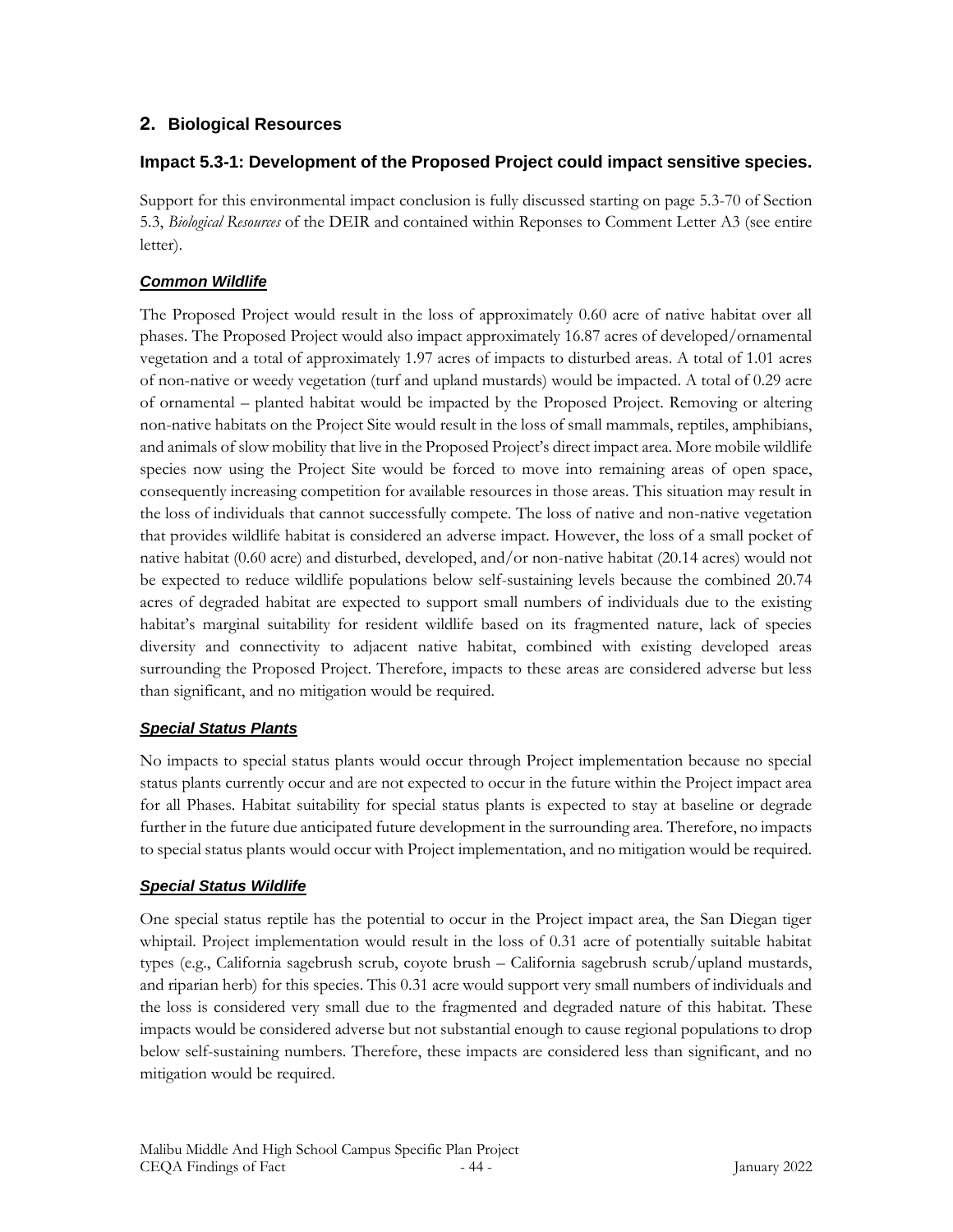# **2. Biological Resources**

## **Impact 5.3-1: Development of the Proposed Project could impact sensitive species.**

Support for this environmental impact conclusion is fully discussed starting on page 5.3-70 of Section 5.3, *Biological Resources* of the DEIR and contained within Reponses to Comment Letter A3 (see entire letter).

## *Common Wildlife*

The Proposed Project would result in the loss of approximately 0.60 acre of native habitat over all phases. The Proposed Project would also impact approximately 16.87 acres of developed/ornamental vegetation and a total of approximately 1.97 acres of impacts to disturbed areas. A total of 1.01 acres of non-native or weedy vegetation (turf and upland mustards) would be impacted. A total of 0.29 acre of ornamental – planted habitat would be impacted by the Proposed Project. Removing or altering non-native habitats on the Project Site would result in the loss of small mammals, reptiles, amphibians, and animals of slow mobility that live in the Proposed Project's direct impact area. More mobile wildlife species now using the Project Site would be forced to move into remaining areas of open space, consequently increasing competition for available resources in those areas. This situation may result in the loss of individuals that cannot successfully compete. The loss of native and non-native vegetation that provides wildlife habitat is considered an adverse impact. However, the loss of a small pocket of native habitat (0.60 acre) and disturbed, developed, and/or non-native habitat (20.14 acres) would not be expected to reduce wildlife populations below self-sustaining levels because the combined 20.74 acres of degraded habitat are expected to support small numbers of individuals due to the existing habitat's marginal suitability for resident wildlife based on its fragmented nature, lack of species diversity and connectivity to adjacent native habitat, combined with existing developed areas surrounding the Proposed Project. Therefore, impacts to these areas are considered adverse but less than significant, and no mitigation would be required.

## *Special Status Plants*

No impacts to special status plants would occur through Project implementation because no special status plants currently occur and are not expected to occur in the future within the Project impact area for all Phases. Habitat suitability for special status plants is expected to stay at baseline or degrade further in the future due anticipated future development in the surrounding area. Therefore, no impacts to special status plants would occur with Project implementation, and no mitigation would be required.

## *Special Status Wildlife*

One special status reptile has the potential to occur in the Project impact area, the San Diegan tiger whiptail. Project implementation would result in the loss of 0.31 acre of potentially suitable habitat types (e.g., California sagebrush scrub, coyote brush – California sagebrush scrub/upland mustards, and riparian herb) for this species. This 0.31 acre would support very small numbers of individuals and the loss is considered very small due to the fragmented and degraded nature of this habitat. These impacts would be considered adverse but not substantial enough to cause regional populations to drop below self-sustaining numbers. Therefore, these impacts are considered less than significant, and no mitigation would be required.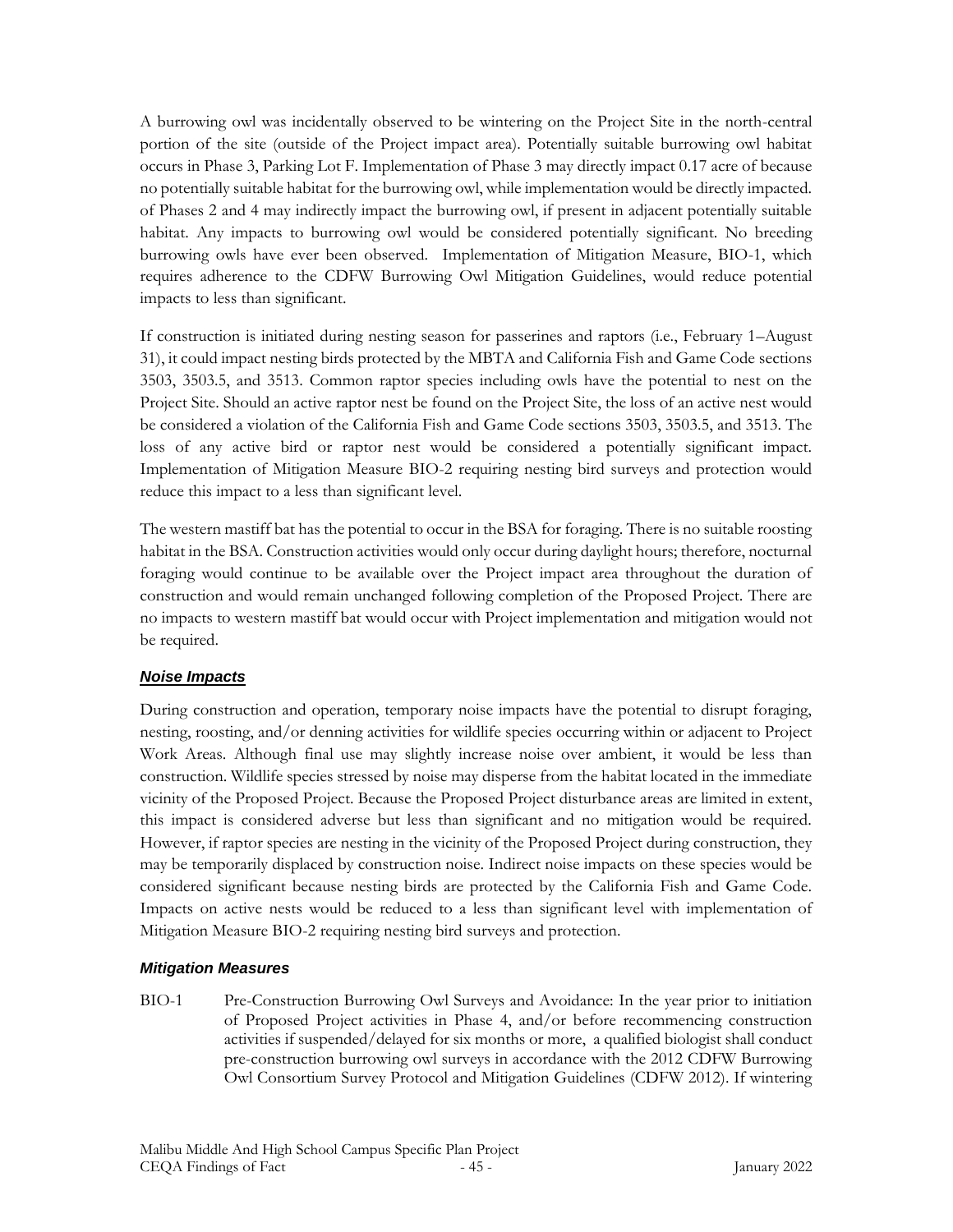A burrowing owl was incidentally observed to be wintering on the Project Site in the north-central portion of the site (outside of the Project impact area). Potentially suitable burrowing owl habitat occurs in Phase 3, Parking Lot F. Implementation of Phase 3 may directly impact 0.17 acre of because no potentially suitable habitat for the burrowing owl, while implementation would be directly impacted. of Phases 2 and 4 may indirectly impact the burrowing owl, if present in adjacent potentially suitable habitat. Any impacts to burrowing owl would be considered potentially significant. No breeding burrowing owls have ever been observed. Implementation of Mitigation Measure, BIO-1, which requires adherence to the CDFW Burrowing Owl Mitigation Guidelines, would reduce potential impacts to less than significant.

If construction is initiated during nesting season for passerines and raptors (i.e., February 1–August 31), it could impact nesting birds protected by the MBTA and California Fish and Game Code sections 3503, 3503.5, and 3513. Common raptor species including owls have the potential to nest on the Project Site. Should an active raptor nest be found on the Project Site, the loss of an active nest would be considered a violation of the California Fish and Game Code sections 3503, 3503.5, and 3513. The loss of any active bird or raptor nest would be considered a potentially significant impact. Implementation of Mitigation Measure BIO-2 requiring nesting bird surveys and protection would reduce this impact to a less than significant level.

The western mastiff bat has the potential to occur in the BSA for foraging. There is no suitable roosting habitat in the BSA. Construction activities would only occur during daylight hours; therefore, nocturnal foraging would continue to be available over the Project impact area throughout the duration of construction and would remain unchanged following completion of the Proposed Project. There are no impacts to western mastiff bat would occur with Project implementation and mitigation would not be required.

## *Noise Impacts*

During construction and operation, temporary noise impacts have the potential to disrupt foraging, nesting, roosting, and/or denning activities for wildlife species occurring within or adjacent to Project Work Areas. Although final use may slightly increase noise over ambient, it would be less than construction. Wildlife species stressed by noise may disperse from the habitat located in the immediate vicinity of the Proposed Project. Because the Proposed Project disturbance areas are limited in extent, this impact is considered adverse but less than significant and no mitigation would be required. However, if raptor species are nesting in the vicinity of the Proposed Project during construction, they may be temporarily displaced by construction noise. Indirect noise impacts on these species would be considered significant because nesting birds are protected by the California Fish and Game Code. Impacts on active nests would be reduced to a less than significant level with implementation of Mitigation Measure BIO-2 requiring nesting bird surveys and protection.

#### *Mitigation Measures*

BIO-1 Pre-Construction Burrowing Owl Surveys and Avoidance: In the year prior to initiation of Proposed Project activities in Phase 4, and/or before recommencing construction activities if suspended/delayed for six months or more, a qualified biologist shall conduct pre-construction burrowing owl surveys in accordance with the 2012 CDFW Burrowing Owl Consortium Survey Protocol and Mitigation Guidelines (CDFW 2012). If wintering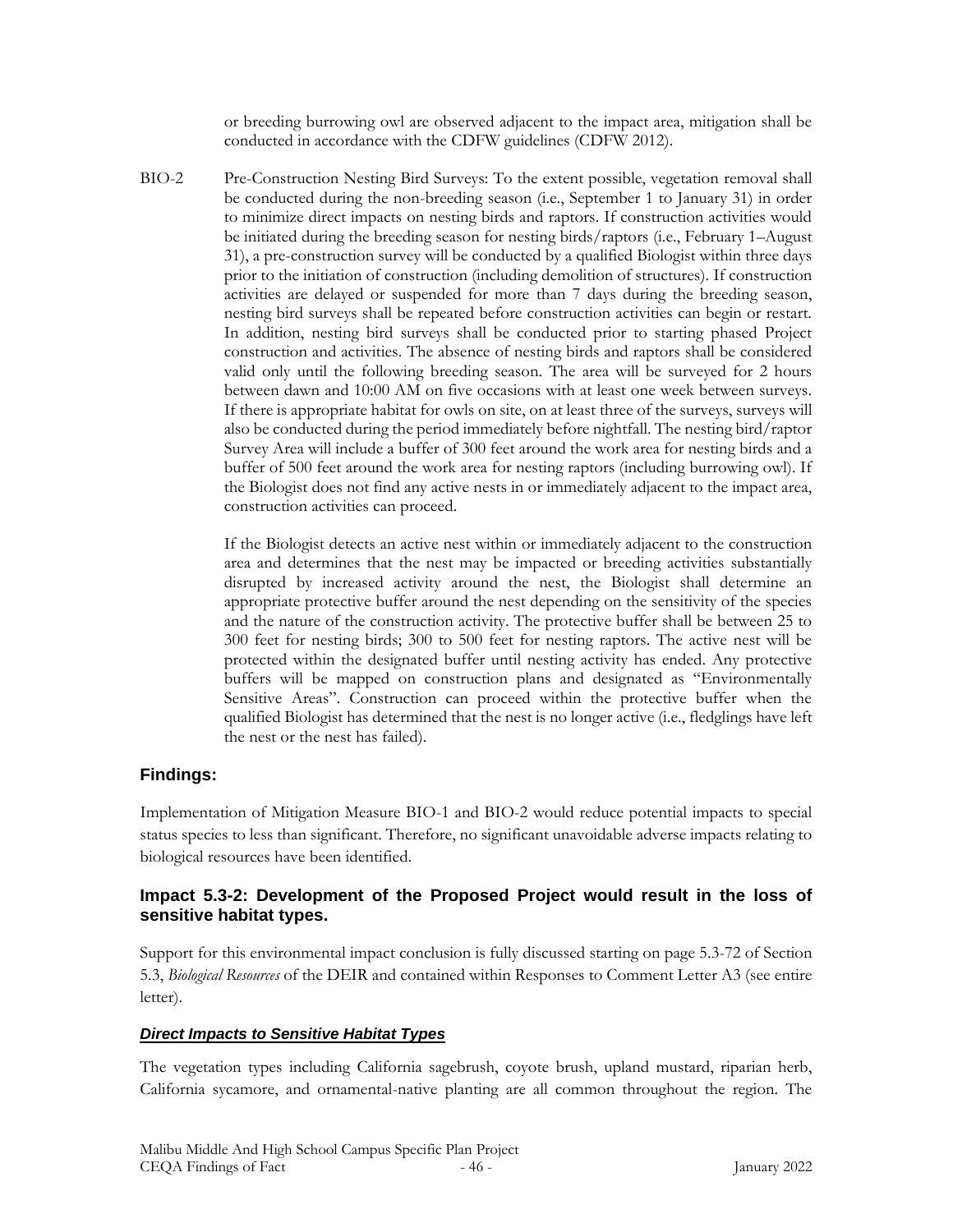or breeding burrowing owl are observed adjacent to the impact area, mitigation shall be conducted in accordance with the CDFW guidelines (CDFW 2012).

BIO-2 Pre-Construction Nesting Bird Surveys: To the extent possible, vegetation removal shall be conducted during the non-breeding season (i.e., September 1 to January 31) in order to minimize direct impacts on nesting birds and raptors. If construction activities would be initiated during the breeding season for nesting birds/raptors (i.e., February 1–August 31), a pre-construction survey will be conducted by a qualified Biologist within three days prior to the initiation of construction (including demolition of structures). If construction activities are delayed or suspended for more than 7 days during the breeding season, nesting bird surveys shall be repeated before construction activities can begin or restart. In addition, nesting bird surveys shall be conducted prior to starting phased Project construction and activities. The absence of nesting birds and raptors shall be considered valid only until the following breeding season. The area will be surveyed for 2 hours between dawn and 10:00 AM on five occasions with at least one week between surveys. If there is appropriate habitat for owls on site, on at least three of the surveys, surveys will also be conducted during the period immediately before nightfall. The nesting bird/raptor Survey Area will include a buffer of 300 feet around the work area for nesting birds and a buffer of 500 feet around the work area for nesting raptors (including burrowing owl). If the Biologist does not find any active nests in or immediately adjacent to the impact area, construction activities can proceed.

> If the Biologist detects an active nest within or immediately adjacent to the construction area and determines that the nest may be impacted or breeding activities substantially disrupted by increased activity around the nest, the Biologist shall determine an appropriate protective buffer around the nest depending on the sensitivity of the species and the nature of the construction activity. The protective buffer shall be between 25 to 300 feet for nesting birds; 300 to 500 feet for nesting raptors. The active nest will be protected within the designated buffer until nesting activity has ended. Any protective buffers will be mapped on construction plans and designated as "Environmentally Sensitive Areas". Construction can proceed within the protective buffer when the qualified Biologist has determined that the nest is no longer active (i.e., fledglings have left the nest or the nest has failed).

## **Findings:**

Implementation of Mitigation Measure BIO-1 and BIO-2 would reduce potential impacts to special status species to less than significant. Therefore, no significant unavoidable adverse impacts relating to biological resources have been identified.

## **Impact 5.3-2: Development of the Proposed Project would result in the loss of sensitive habitat types.**

Support for this environmental impact conclusion is fully discussed starting on page 5.3-72 of Section 5.3, *Biological Resources* of the DEIR and contained within Responses to Comment Letter A3 (see entire letter).

#### *Direct Impacts to Sensitive Habitat Types*

The vegetation types including California sagebrush, coyote brush, upland mustard, riparian herb, California sycamore, and ornamental-native planting are all common throughout the region. The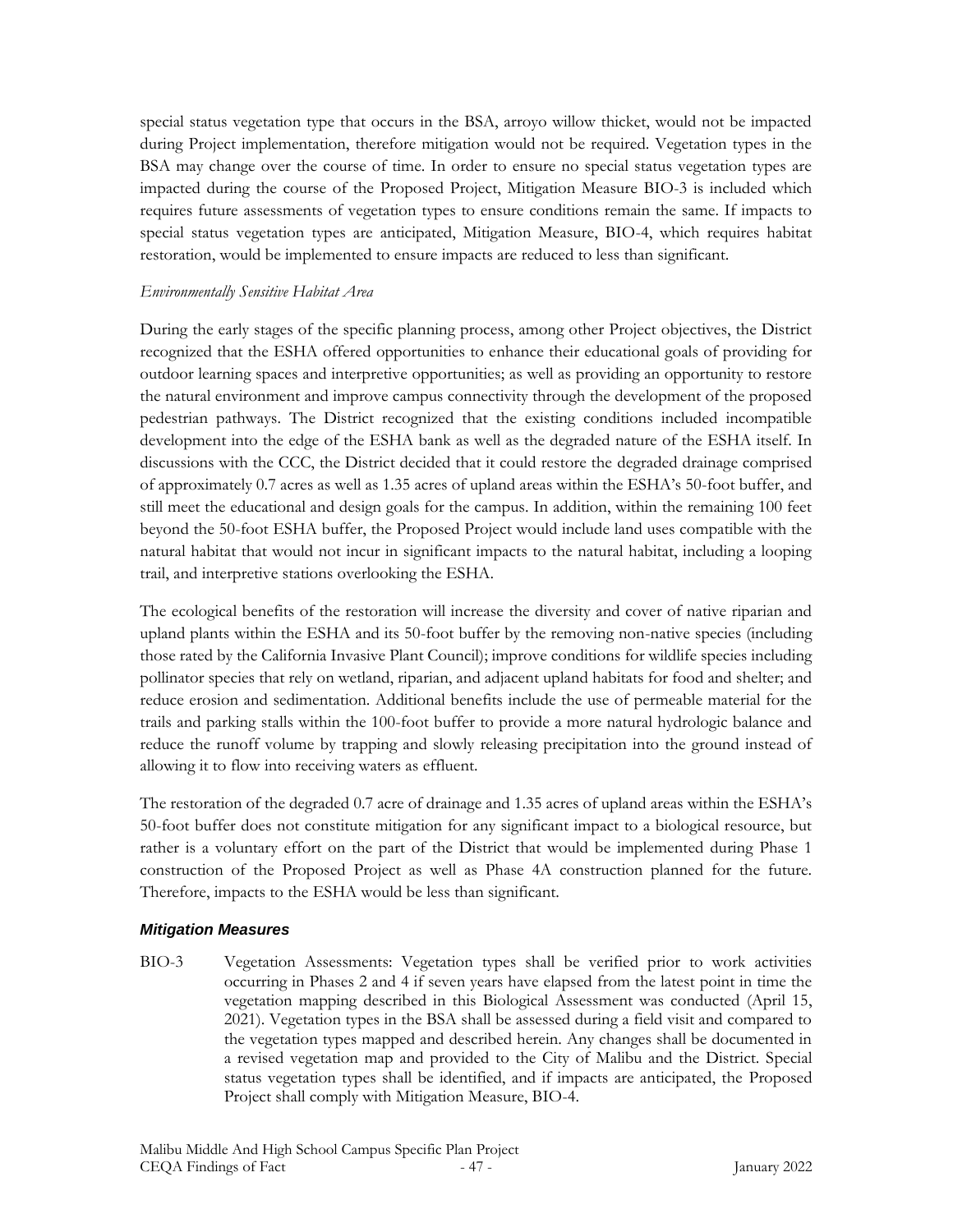special status vegetation type that occurs in the BSA, arroyo willow thicket, would not be impacted during Project implementation, therefore mitigation would not be required. Vegetation types in the BSA may change over the course of time. In order to ensure no special status vegetation types are impacted during the course of the Proposed Project, Mitigation Measure BIO-3 is included which requires future assessments of vegetation types to ensure conditions remain the same. If impacts to special status vegetation types are anticipated, Mitigation Measure, BIO-4, which requires habitat restoration, would be implemented to ensure impacts are reduced to less than significant.

### *Environmentally Sensitive Habitat Area*

During the early stages of the specific planning process, among other Project objectives, the District recognized that the ESHA offered opportunities to enhance their educational goals of providing for outdoor learning spaces and interpretive opportunities; as well as providing an opportunity to restore the natural environment and improve campus connectivity through the development of the proposed pedestrian pathways. The District recognized that the existing conditions included incompatible development into the edge of the ESHA bank as well as the degraded nature of the ESHA itself. In discussions with the CCC, the District decided that it could restore the degraded drainage comprised of approximately 0.7 acres as well as 1.35 acres of upland areas within the ESHA's 50-foot buffer, and still meet the educational and design goals for the campus. In addition, within the remaining 100 feet beyond the 50-foot ESHA buffer, the Proposed Project would include land uses compatible with the natural habitat that would not incur in significant impacts to the natural habitat, including a looping trail, and interpretive stations overlooking the ESHA.

The ecological benefits of the restoration will increase the diversity and cover of native riparian and upland plants within the ESHA and its 50-foot buffer by the removing non-native species (including those rated by the California Invasive Plant Council); improve conditions for wildlife species including pollinator species that rely on wetland, riparian, and adjacent upland habitats for food and shelter; and reduce erosion and sedimentation. Additional benefits include the use of permeable material for the trails and parking stalls within the 100-foot buffer to provide a more natural hydrologic balance and reduce the runoff volume by trapping and slowly releasing precipitation into the ground instead of allowing it to flow into receiving waters as effluent.

The restoration of the degraded 0.7 acre of drainage and 1.35 acres of upland areas within the ESHA's 50-foot buffer does not constitute mitigation for any significant impact to a biological resource, but rather is a voluntary effort on the part of the District that would be implemented during Phase 1 construction of the Proposed Project as well as Phase 4A construction planned for the future. Therefore, impacts to the ESHA would be less than significant.

#### *Mitigation Measures*

BIO-3 Vegetation Assessments: Vegetation types shall be verified prior to work activities occurring in Phases 2 and 4 if seven years have elapsed from the latest point in time the vegetation mapping described in this Biological Assessment was conducted (April 15, 2021). Vegetation types in the BSA shall be assessed during a field visit and compared to the vegetation types mapped and described herein. Any changes shall be documented in a revised vegetation map and provided to the City of Malibu and the District. Special status vegetation types shall be identified, and if impacts are anticipated, the Proposed Project shall comply with Mitigation Measure, BIO-4.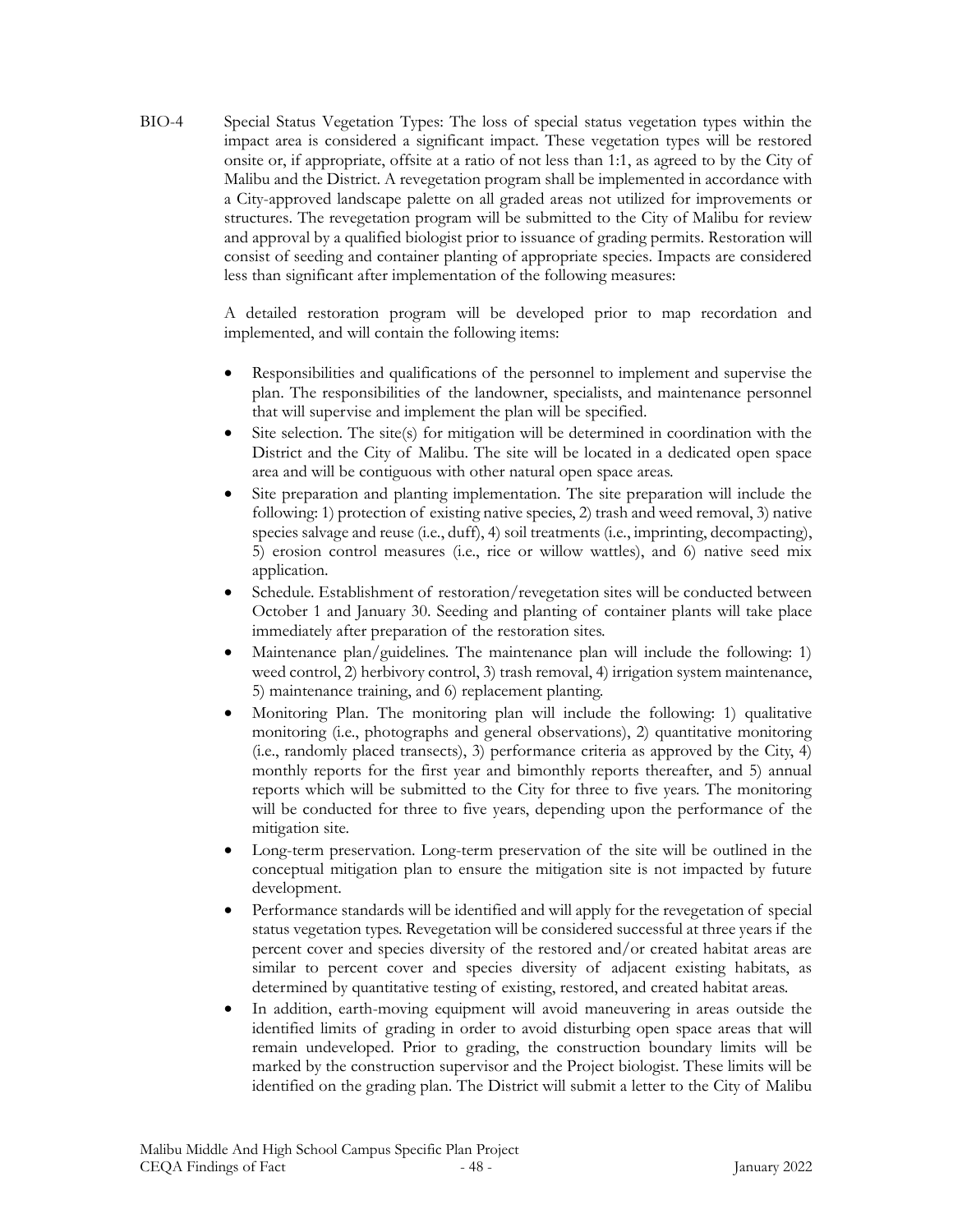BIO-4 Special Status Vegetation Types: The loss of special status vegetation types within the impact area is considered a significant impact. These vegetation types will be restored onsite or, if appropriate, offsite at a ratio of not less than 1:1, as agreed to by the City of Malibu and the District. A revegetation program shall be implemented in accordance with a City-approved landscape palette on all graded areas not utilized for improvements or structures. The revegetation program will be submitted to the City of Malibu for review and approval by a qualified biologist prior to issuance of grading permits. Restoration will consist of seeding and container planting of appropriate species. Impacts are considered less than significant after implementation of the following measures:

> A detailed restoration program will be developed prior to map recordation and implemented, and will contain the following items:

- Responsibilities and qualifications of the personnel to implement and supervise the plan. The responsibilities of the landowner, specialists, and maintenance personnel that will supervise and implement the plan will be specified.
- Site selection. The site(s) for mitigation will be determined in coordination with the District and the City of Malibu. The site will be located in a dedicated open space area and will be contiguous with other natural open space areas.
- Site preparation and planting implementation. The site preparation will include the following: 1) protection of existing native species, 2) trash and weed removal, 3) native species salvage and reuse (i.e., duff), 4) soil treatments (i.e., imprinting, decompacting), 5) erosion control measures (i.e., rice or willow wattles), and 6) native seed mix application.
- Schedule. Establishment of restoration/revegetation sites will be conducted between October 1 and January 30. Seeding and planting of container plants will take place immediately after preparation of the restoration sites.
- Maintenance plan/guidelines. The maintenance plan will include the following: 1) weed control, 2) herbivory control, 3) trash removal, 4) irrigation system maintenance, 5) maintenance training, and 6) replacement planting.
- Monitoring Plan. The monitoring plan will include the following: 1) qualitative monitoring (i.e., photographs and general observations), 2) quantitative monitoring (i.e., randomly placed transects), 3) performance criteria as approved by the City, 4) monthly reports for the first year and bimonthly reports thereafter, and 5) annual reports which will be submitted to the City for three to five years. The monitoring will be conducted for three to five years, depending upon the performance of the mitigation site.
- Long-term preservation. Long-term preservation of the site will be outlined in the conceptual mitigation plan to ensure the mitigation site is not impacted by future development.
- Performance standards will be identified and will apply for the revegetation of special status vegetation types. Revegetation will be considered successful at three years if the percent cover and species diversity of the restored and/or created habitat areas are similar to percent cover and species diversity of adjacent existing habitats, as determined by quantitative testing of existing, restored, and created habitat areas.
- In addition, earth-moving equipment will avoid maneuvering in areas outside the identified limits of grading in order to avoid disturbing open space areas that will remain undeveloped. Prior to grading, the construction boundary limits will be marked by the construction supervisor and the Project biologist. These limits will be identified on the grading plan. The District will submit a letter to the City of Malibu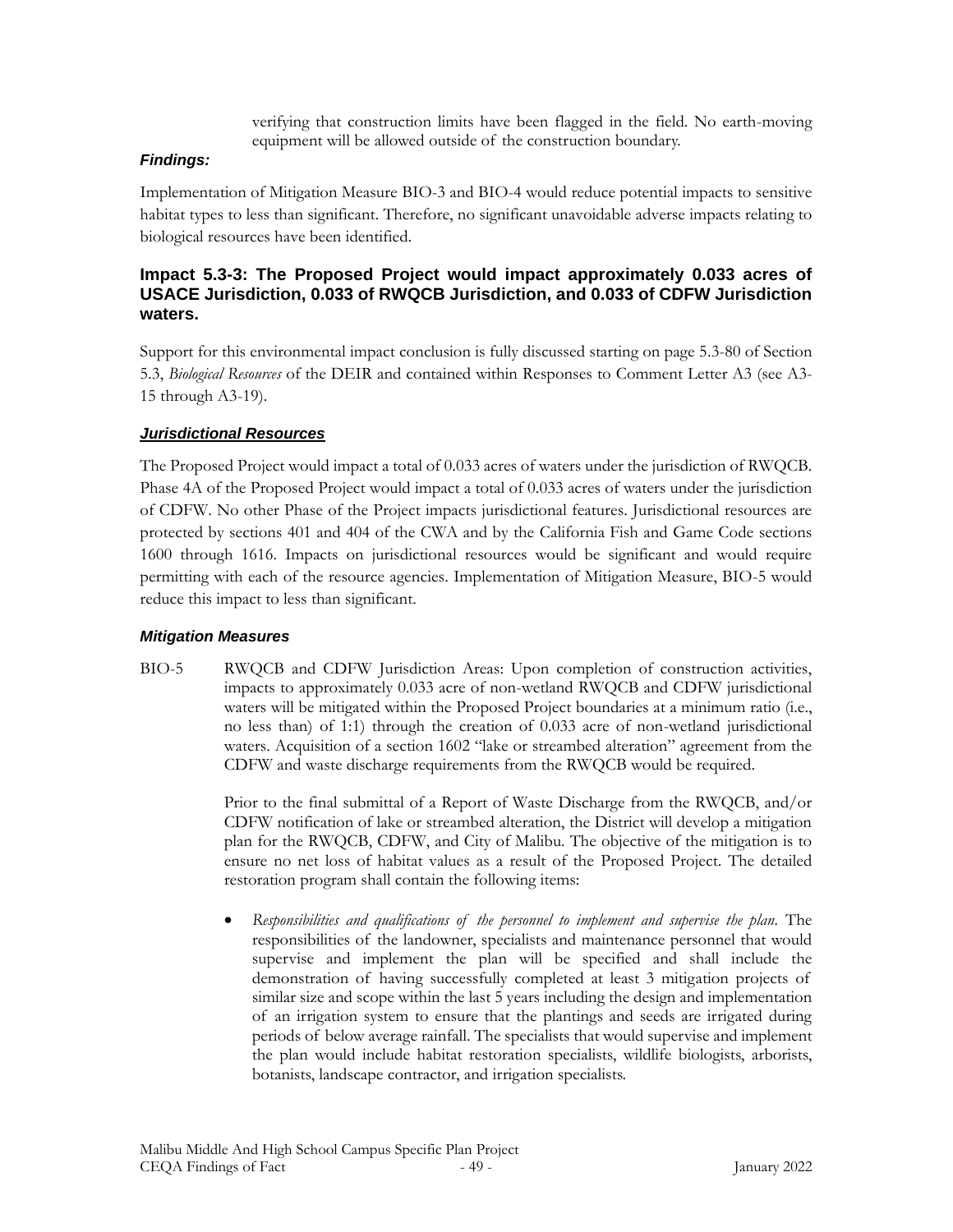verifying that construction limits have been flagged in the field. No earth-moving equipment will be allowed outside of the construction boundary.

#### *Findings:*

Implementation of Mitigation Measure BIO-3 and BIO-4 would reduce potential impacts to sensitive habitat types to less than significant. Therefore, no significant unavoidable adverse impacts relating to biological resources have been identified.

#### **Impact 5.3-3: The Proposed Project would impact approximately 0.033 acres of USACE Jurisdiction, 0.033 of RWQCB Jurisdiction, and 0.033 of CDFW Jurisdiction waters.**

Support for this environmental impact conclusion is fully discussed starting on page 5.3-80 of Section 5.3, *Biological Resources* of the DEIR and contained within Responses to Comment Letter A3 (see A3- 15 through A3-19).

#### *Jurisdictional Resources*

The Proposed Project would impact a total of 0.033 acres of waters under the jurisdiction of RWQCB. Phase 4A of the Proposed Project would impact a total of 0.033 acres of waters under the jurisdiction of CDFW. No other Phase of the Project impacts jurisdictional features. Jurisdictional resources are protected by sections 401 and 404 of the CWA and by the California Fish and Game Code sections 1600 through 1616. Impacts on jurisdictional resources would be significant and would require permitting with each of the resource agencies. Implementation of Mitigation Measure, BIO-5 would reduce this impact to less than significant.

#### *Mitigation Measures*

BIO-5 RWQCB and CDFW Jurisdiction Areas: Upon completion of construction activities, impacts to approximately 0.033 acre of non-wetland RWQCB and CDFW jurisdictional waters will be mitigated within the Proposed Project boundaries at a minimum ratio (i.e., no less than) of 1:1) through the creation of 0.033 acre of non-wetland jurisdictional waters. Acquisition of a section 1602 "lake or streambed alteration" agreement from the CDFW and waste discharge requirements from the RWQCB would be required.

> Prior to the final submittal of a Report of Waste Discharge from the RWQCB, and/or CDFW notification of lake or streambed alteration, the District will develop a mitigation plan for the RWQCB, CDFW, and City of Malibu. The objective of the mitigation is to ensure no net loss of habitat values as a result of the Proposed Project. The detailed restoration program shall contain the following items:

> • *Responsibilities and qualifications of the personnel to implement and supervise the plan.* The responsibilities of the landowner, specialists and maintenance personnel that would supervise and implement the plan will be specified and shall include the demonstration of having successfully completed at least 3 mitigation projects of similar size and scope within the last 5 years including the design and implementation of an irrigation system to ensure that the plantings and seeds are irrigated during periods of below average rainfall. The specialists that would supervise and implement the plan would include habitat restoration specialists, wildlife biologists, arborists, botanists, landscape contractor, and irrigation specialists.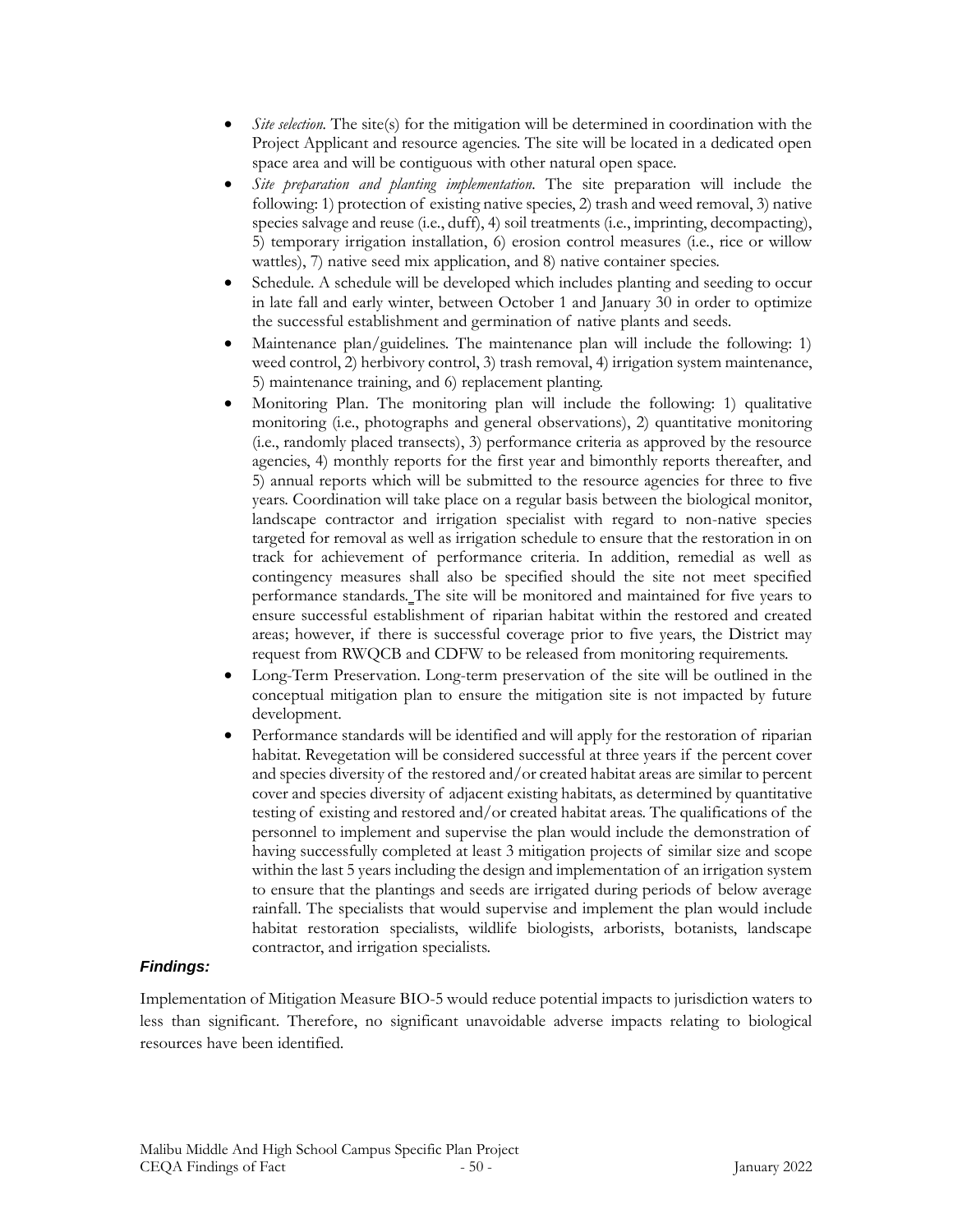- *Site selection.* The site(s) for the mitigation will be determined in coordination with the Project Applicant and resource agencies. The site will be located in a dedicated open space area and will be contiguous with other natural open space.
- *Site preparation and planting implementation.* The site preparation will include the following: 1) protection of existing native species, 2) trash and weed removal, 3) native species salvage and reuse (i.e., duff), 4) soil treatments (i.e., imprinting, decompacting), 5) temporary irrigation installation, 6) erosion control measures (i.e., rice or willow wattles), 7) native seed mix application, and 8) native container species.
- Schedule. A schedule will be developed which includes planting and seeding to occur in late fall and early winter, between October 1 and January 30 in order to optimize the successful establishment and germination of native plants and seeds.
- Maintenance plan/guidelines. The maintenance plan will include the following: 1) weed control, 2) herbivory control, 3) trash removal, 4) irrigation system maintenance, 5) maintenance training, and 6) replacement planting.
- Monitoring Plan. The monitoring plan will include the following: 1) qualitative monitoring (i.e., photographs and general observations), 2) quantitative monitoring (i.e., randomly placed transects), 3) performance criteria as approved by the resource agencies, 4) monthly reports for the first year and bimonthly reports thereafter, and 5) annual reports which will be submitted to the resource agencies for three to five years. Coordination will take place on a regular basis between the biological monitor, landscape contractor and irrigation specialist with regard to non-native species targeted for removal as well as irrigation schedule to ensure that the restoration in on track for achievement of performance criteria. In addition, remedial as well as contingency measures shall also be specified should the site not meet specified performance standards. The site will be monitored and maintained for five years to ensure successful establishment of riparian habitat within the restored and created areas; however, if there is successful coverage prior to five years, the District may request from RWQCB and CDFW to be released from monitoring requirements.
- Long-Term Preservation. Long-term preservation of the site will be outlined in the conceptual mitigation plan to ensure the mitigation site is not impacted by future development.
- Performance standards will be identified and will apply for the restoration of riparian habitat. Revegetation will be considered successful at three years if the percent cover and species diversity of the restored and/or created habitat areas are similar to percent cover and species diversity of adjacent existing habitats, as determined by quantitative testing of existing and restored and/or created habitat areas. The qualifications of the personnel to implement and supervise the plan would include the demonstration of having successfully completed at least 3 mitigation projects of similar size and scope within the last 5 years including the design and implementation of an irrigation system to ensure that the plantings and seeds are irrigated during periods of below average rainfall. The specialists that would supervise and implement the plan would include habitat restoration specialists, wildlife biologists, arborists, botanists, landscape contractor, and irrigation specialists.

#### *Findings:*

Implementation of Mitigation Measure BIO-5 would reduce potential impacts to jurisdiction waters to less than significant. Therefore, no significant unavoidable adverse impacts relating to biological resources have been identified.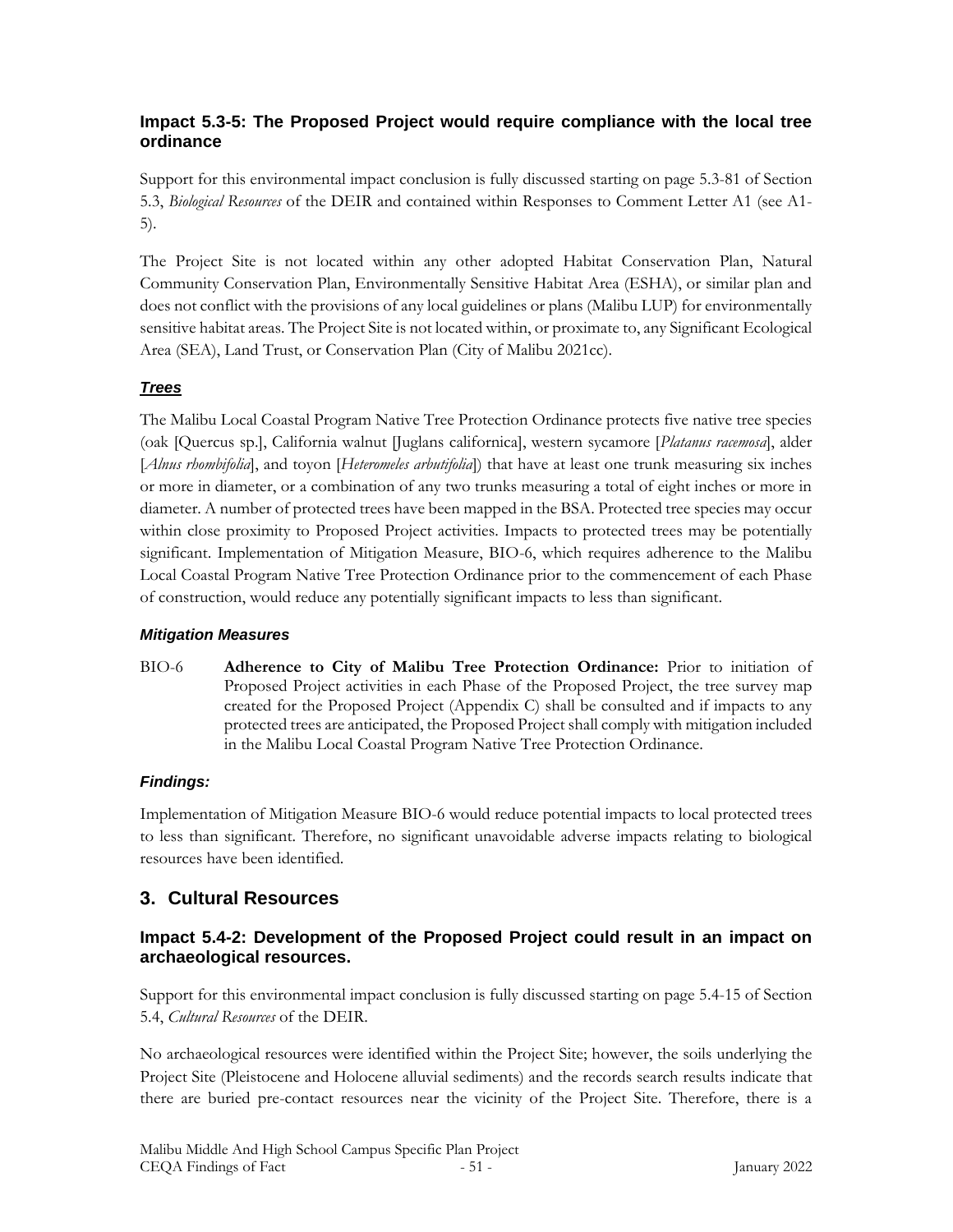## **Impact 5.3-5: The Proposed Project would require compliance with the local tree ordinance**

Support for this environmental impact conclusion is fully discussed starting on page 5.3-81 of Section 5.3, *Biological Resources* of the DEIR and contained within Responses to Comment Letter A1 (see A1- 5).

The Project Site is not located within any other adopted Habitat Conservation Plan, Natural Community Conservation Plan, Environmentally Sensitive Habitat Area (ESHA), or similar plan and does not conflict with the provisions of any local guidelines or plans (Malibu LUP) for environmentally sensitive habitat areas. The Project Site is not located within, or proximate to, any Significant Ecological Area (SEA), Land Trust, or Conservation Plan (City of Malibu 2021cc).

## *Trees*

The Malibu Local Coastal Program Native Tree Protection Ordinance protects five native tree species (oak [Quercus sp.], California walnut [Juglans californica], western sycamore [*Platanus racemosa*], alder [*Alnus rhombifolia*], and toyon [*Heteromeles arbutifolia*]) that have at least one trunk measuring six inches or more in diameter, or a combination of any two trunks measuring a total of eight inches or more in diameter. A number of protected trees have been mapped in the BSA. Protected tree species may occur within close proximity to Proposed Project activities. Impacts to protected trees may be potentially significant. Implementation of Mitigation Measure, BIO-6, which requires adherence to the Malibu Local Coastal Program Native Tree Protection Ordinance prior to the commencement of each Phase of construction, would reduce any potentially significant impacts to less than significant.

## *Mitigation Measures*

BIO-6 **Adherence to City of Malibu Tree Protection Ordinance:** Prior to initiation of Proposed Project activities in each Phase of the Proposed Project, the tree survey map created for the Proposed Project (Appendix C) shall be consulted and if impacts to any protected trees are anticipated, the Proposed Project shall comply with mitigation included in the Malibu Local Coastal Program Native Tree Protection Ordinance.

## *Findings:*

Implementation of Mitigation Measure BIO-6 would reduce potential impacts to local protected trees to less than significant. Therefore, no significant unavoidable adverse impacts relating to biological resources have been identified.

# **3. Cultural Resources**

## **Impact 5.4-2: Development of the Proposed Project could result in an impact on archaeological resources.**

Support for this environmental impact conclusion is fully discussed starting on page 5.4-15 of Section 5.4, *Cultural Resources* of the DEIR.

No archaeological resources were identified within the Project Site; however, the soils underlying the Project Site (Pleistocene and Holocene alluvial sediments) and the records search results indicate that there are buried pre-contact resources near the vicinity of the Project Site. Therefore, there is a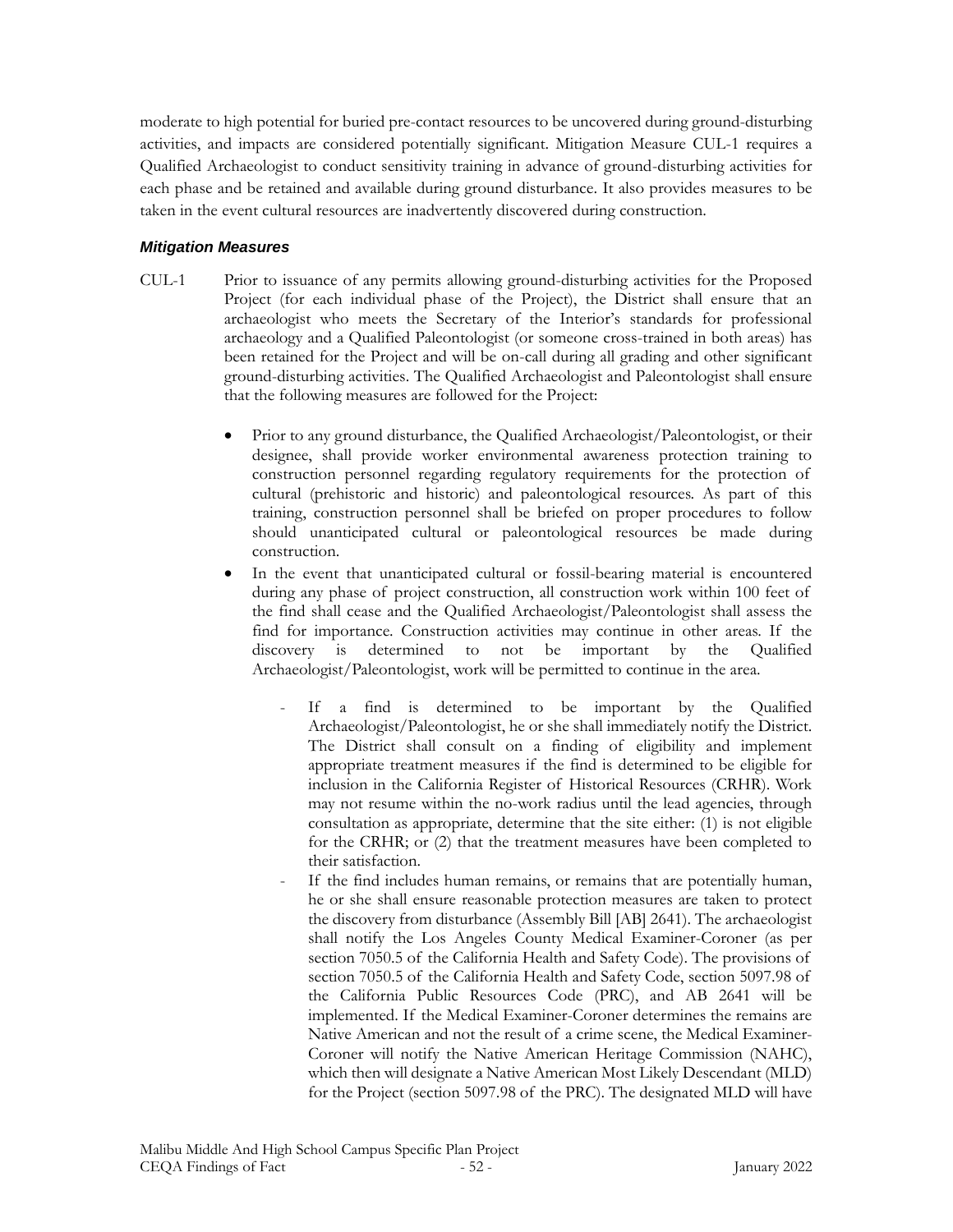moderate to high potential for buried pre-contact resources to be uncovered during ground-disturbing activities, and impacts are considered potentially significant. Mitigation Measure CUL-1 requires a Qualified Archaeologist to conduct sensitivity training in advance of ground-disturbing activities for each phase and be retained and available during ground disturbance. It also provides measures to be taken in the event cultural resources are inadvertently discovered during construction.

#### *Mitigation Measures*

- CUL-1 Prior to issuance of any permits allowing ground-disturbing activities for the Proposed Project (for each individual phase of the Project), the District shall ensure that an archaeologist who meets the Secretary of the Interior's standards for professional archaeology and a Qualified Paleontologist (or someone cross-trained in both areas) has been retained for the Project and will be on-call during all grading and other significant ground-disturbing activities. The Qualified Archaeologist and Paleontologist shall ensure that the following measures are followed for the Project:
	- Prior to any ground disturbance, the Qualified Archaeologist/Paleontologist, or their designee, shall provide worker environmental awareness protection training to construction personnel regarding regulatory requirements for the protection of cultural (prehistoric and historic) and paleontological resources. As part of this training, construction personnel shall be briefed on proper procedures to follow should unanticipated cultural or paleontological resources be made during construction.
	- In the event that unanticipated cultural or fossil-bearing material is encountered during any phase of project construction, all construction work within 100 feet of the find shall cease and the Qualified Archaeologist/Paleontologist shall assess the find for importance. Construction activities may continue in other areas. If the discovery is determined to not be important by the Qualified Archaeologist/Paleontologist, work will be permitted to continue in the area.
		- If a find is determined to be important by the Qualified Archaeologist/Paleontologist, he or she shall immediately notify the District. The District shall consult on a finding of eligibility and implement appropriate treatment measures if the find is determined to be eligible for inclusion in the California Register of Historical Resources (CRHR). Work may not resume within the no-work radius until the lead agencies, through consultation as appropriate, determine that the site either: (1) is not eligible for the CRHR; or (2) that the treatment measures have been completed to their satisfaction.
		- If the find includes human remains, or remains that are potentially human, he or she shall ensure reasonable protection measures are taken to protect the discovery from disturbance (Assembly Bill [AB] 2641). The archaeologist shall notify the Los Angeles County Medical Examiner-Coroner (as per section 7050.5 of the California Health and Safety Code). The provisions of section 7050.5 of the California Health and Safety Code, section 5097.98 of the California Public Resources Code (PRC), and AB 2641 will be implemented. If the Medical Examiner-Coroner determines the remains are Native American and not the result of a crime scene, the Medical Examiner-Coroner will notify the Native American Heritage Commission (NAHC), which then will designate a Native American Most Likely Descendant (MLD) for the Project (section 5097.98 of the PRC). The designated MLD will have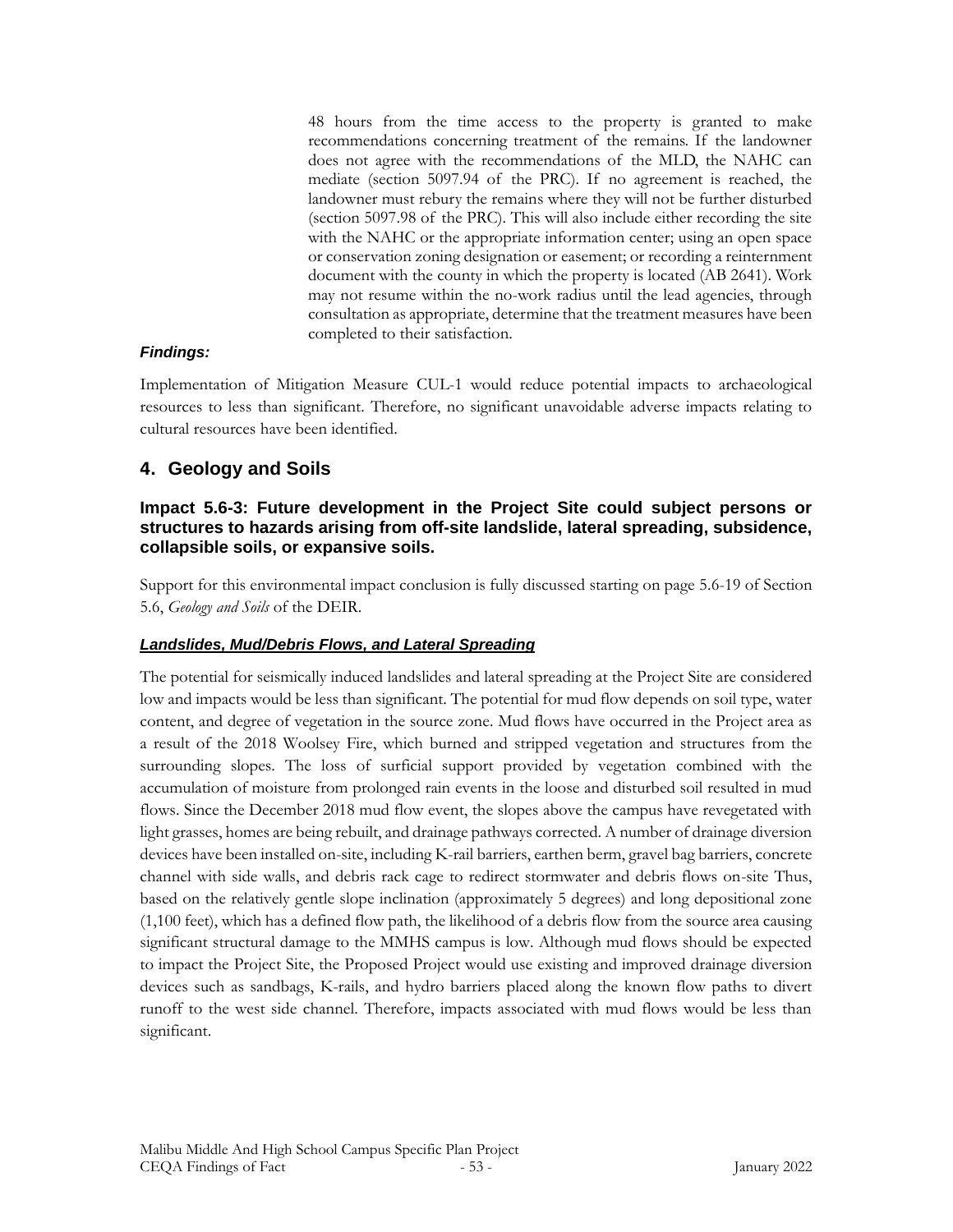48 hours from the time access to the property is granted to make recommendations concerning treatment of the remains. If the landowner does not agree with the recommendations of the MLD, the NAHC can mediate (section 5097.94 of the PRC). If no agreement is reached, the landowner must rebury the remains where they will not be further disturbed (section 5097.98 of the PRC). This will also include either recording the site with the NAHC or the appropriate information center; using an open space or conservation zoning designation or easement; or recording a reinternment document with the county in which the property is located (AB 2641). Work may not resume within the no-work radius until the lead agencies, through consultation as appropriate, determine that the treatment measures have been completed to their satisfaction.

#### *Findings:*

Implementation of Mitigation Measure CUL-1 would reduce potential impacts to archaeological resources to less than significant. Therefore, no significant unavoidable adverse impacts relating to cultural resources have been identified.

## **4. Geology and Soils**

### **Impact 5.6-3: Future development in the Project Site could subject persons or structures to hazards arising from off-site landslide, lateral spreading, subsidence, collapsible soils, or expansive soils.**

Support for this environmental impact conclusion is fully discussed starting on page 5.6-19 of Section 5.6, *Geology and Soils* of the DEIR.

#### *Landslides, Mud/Debris Flows, and Lateral Spreading*

The potential for seismically induced landslides and lateral spreading at the Project Site are considered low and impacts would be less than significant. The potential for mud flow depends on soil type, water content, and degree of vegetation in the source zone. Mud flows have occurred in the Project area as a result of the 2018 Woolsey Fire, which burned and stripped vegetation and structures from the surrounding slopes. The loss of surficial support provided by vegetation combined with the accumulation of moisture from prolonged rain events in the loose and disturbed soil resulted in mud flows. Since the December 2018 mud flow event, the slopes above the campus have revegetated with light grasses, homes are being rebuilt, and drainage pathways corrected. A number of drainage diversion devices have been installed on-site, including K-rail barriers, earthen berm, gravel bag barriers, concrete channel with side walls, and debris rack cage to redirect stormwater and debris flows on-site Thus, based on the relatively gentle slope inclination (approximately 5 degrees) and long depositional zone (1,100 feet), which has a defined flow path, the likelihood of a debris flow from the source area causing significant structural damage to the MMHS campus is low. Although mud flows should be expected to impact the Project Site, the Proposed Project would use existing and improved drainage diversion devices such as sandbags, K-rails, and hydro barriers placed along the known flow paths to divert runoff to the west side channel. Therefore, impacts associated with mud flows would be less than significant.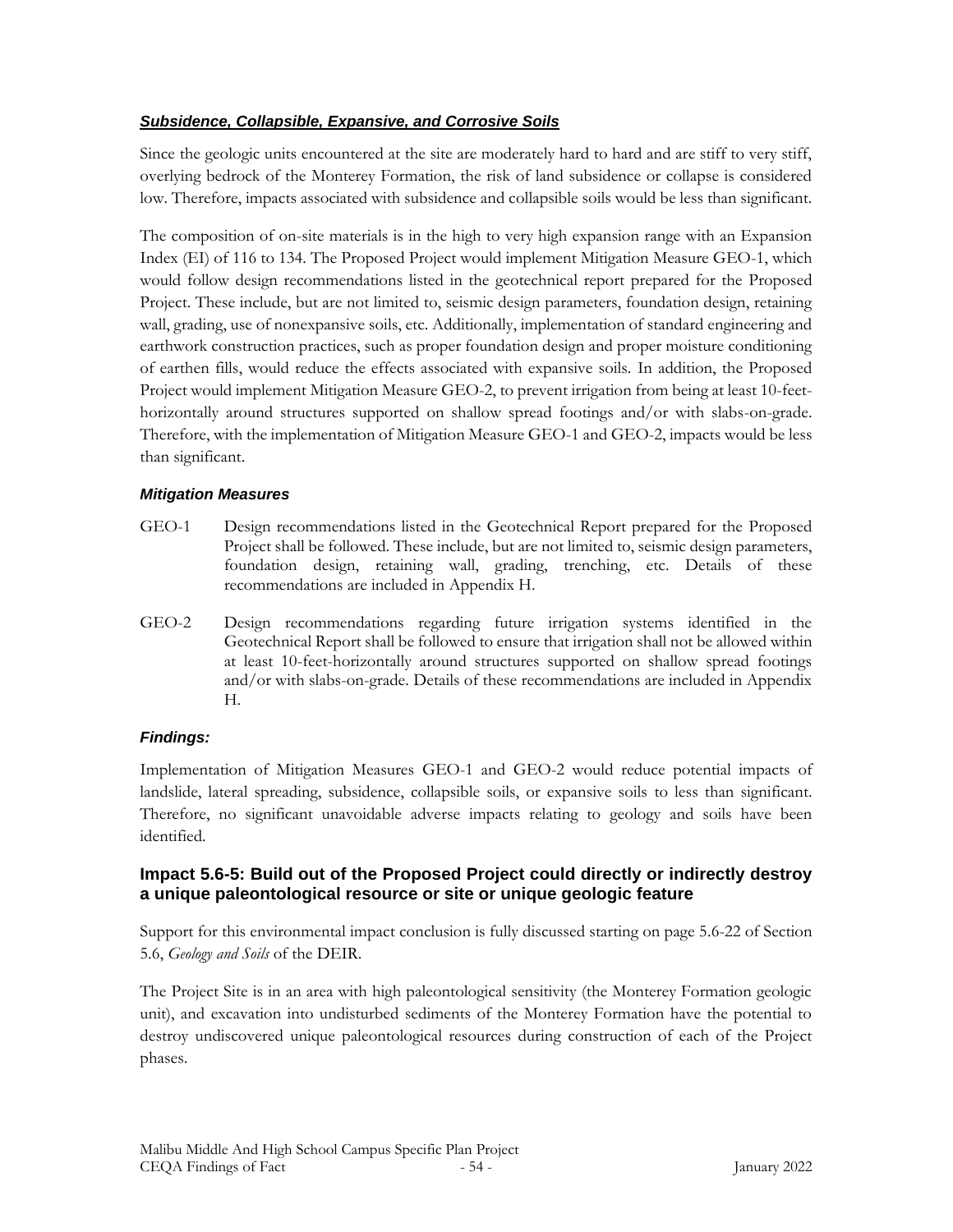## *Subsidence, Collapsible, Expansive, and Corrosive Soils*

Since the geologic units encountered at the site are moderately hard to hard and are stiff to very stiff, overlying bedrock of the Monterey Formation, the risk of land subsidence or collapse is considered low. Therefore, impacts associated with subsidence and collapsible soils would be less than significant.

The composition of on-site materials is in the high to very high expansion range with an Expansion Index (EI) of 116 to 134. The Proposed Project would implement Mitigation Measure GEO-1, which would follow design recommendations listed in the geotechnical report prepared for the Proposed Project. These include, but are not limited to, seismic design parameters, foundation design, retaining wall, grading, use of nonexpansive soils, etc. Additionally, implementation of standard engineering and earthwork construction practices, such as proper foundation design and proper moisture conditioning of earthen fills, would reduce the effects associated with expansive soils. In addition, the Proposed Project would implement Mitigation Measure GEO-2, to prevent irrigation from being at least 10-feethorizontally around structures supported on shallow spread footings and/or with slabs-on-grade. Therefore, with the implementation of Mitigation Measure GEO-1 and GEO-2, impacts would be less than significant.

### *Mitigation Measures*

- GEO-1 Design recommendations listed in the Geotechnical Report prepared for the Proposed Project shall be followed. These include, but are not limited to, seismic design parameters, foundation design, retaining wall, grading, trenching, etc. Details of these recommendations are included in Appendix H.
- GEO-2 Design recommendations regarding future irrigation systems identified in the Geotechnical Report shall be followed to ensure that irrigation shall not be allowed within at least 10-feet-horizontally around structures supported on shallow spread footings and/or with slabs-on-grade. Details of these recommendations are included in Appendix H.

## *Findings:*

Implementation of Mitigation Measures GEO-1 and GEO-2 would reduce potential impacts of landslide, lateral spreading, subsidence, collapsible soils, or expansive soils to less than significant. Therefore, no significant unavoidable adverse impacts relating to geology and soils have been identified.

## **Impact 5.6-5: Build out of the Proposed Project could directly or indirectly destroy a unique paleontological resource or site or unique geologic feature**

Support for this environmental impact conclusion is fully discussed starting on page 5.6-22 of Section 5.6, *Geology and Soils* of the DEIR.

The Project Site is in an area with high paleontological sensitivity (the Monterey Formation geologic unit), and excavation into undisturbed sediments of the Monterey Formation have the potential to destroy undiscovered unique paleontological resources during construction of each of the Project phases.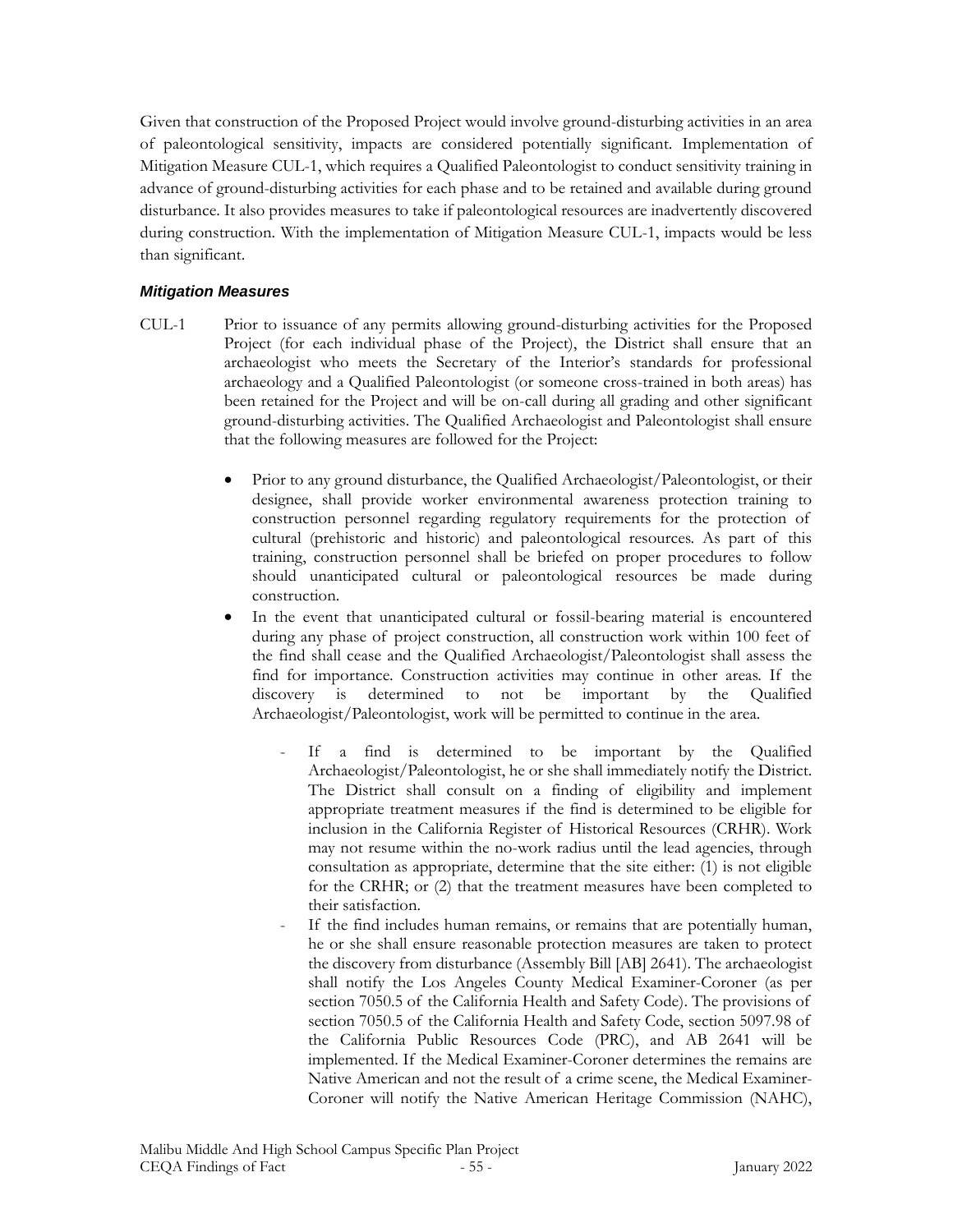Given that construction of the Proposed Project would involve ground-disturbing activities in an area of paleontological sensitivity, impacts are considered potentially significant. Implementation of Mitigation Measure CUL-1, which requires a Qualified Paleontologist to conduct sensitivity training in advance of ground-disturbing activities for each phase and to be retained and available during ground disturbance. It also provides measures to take if paleontological resources are inadvertently discovered during construction. With the implementation of Mitigation Measure CUL-1, impacts would be less than significant.

#### *Mitigation Measures*

- CUL-1 Prior to issuance of any permits allowing ground-disturbing activities for the Proposed Project (for each individual phase of the Project), the District shall ensure that an archaeologist who meets the Secretary of the Interior's standards for professional archaeology and a Qualified Paleontologist (or someone cross-trained in both areas) has been retained for the Project and will be on-call during all grading and other significant ground-disturbing activities. The Qualified Archaeologist and Paleontologist shall ensure that the following measures are followed for the Project:
	- Prior to any ground disturbance, the Qualified Archaeologist/Paleontologist, or their designee, shall provide worker environmental awareness protection training to construction personnel regarding regulatory requirements for the protection of cultural (prehistoric and historic) and paleontological resources. As part of this training, construction personnel shall be briefed on proper procedures to follow should unanticipated cultural or paleontological resources be made during construction.
	- In the event that unanticipated cultural or fossil-bearing material is encountered during any phase of project construction, all construction work within 100 feet of the find shall cease and the Qualified Archaeologist/Paleontologist shall assess the find for importance. Construction activities may continue in other areas. If the discovery is determined to not be important by the Qualified Archaeologist/Paleontologist, work will be permitted to continue in the area.
		- If a find is determined to be important by the Qualified Archaeologist/Paleontologist, he or she shall immediately notify the District. The District shall consult on a finding of eligibility and implement appropriate treatment measures if the find is determined to be eligible for inclusion in the California Register of Historical Resources (CRHR). Work may not resume within the no-work radius until the lead agencies, through consultation as appropriate, determine that the site either: (1) is not eligible for the CRHR; or (2) that the treatment measures have been completed to their satisfaction.
		- If the find includes human remains, or remains that are potentially human, he or she shall ensure reasonable protection measures are taken to protect the discovery from disturbance (Assembly Bill [AB] 2641). The archaeologist shall notify the Los Angeles County Medical Examiner-Coroner (as per section 7050.5 of the California Health and Safety Code). The provisions of section 7050.5 of the California Health and Safety Code, section 5097.98 of the California Public Resources Code (PRC), and AB 2641 will be implemented. If the Medical Examiner-Coroner determines the remains are Native American and not the result of a crime scene, the Medical Examiner-Coroner will notify the Native American Heritage Commission (NAHC),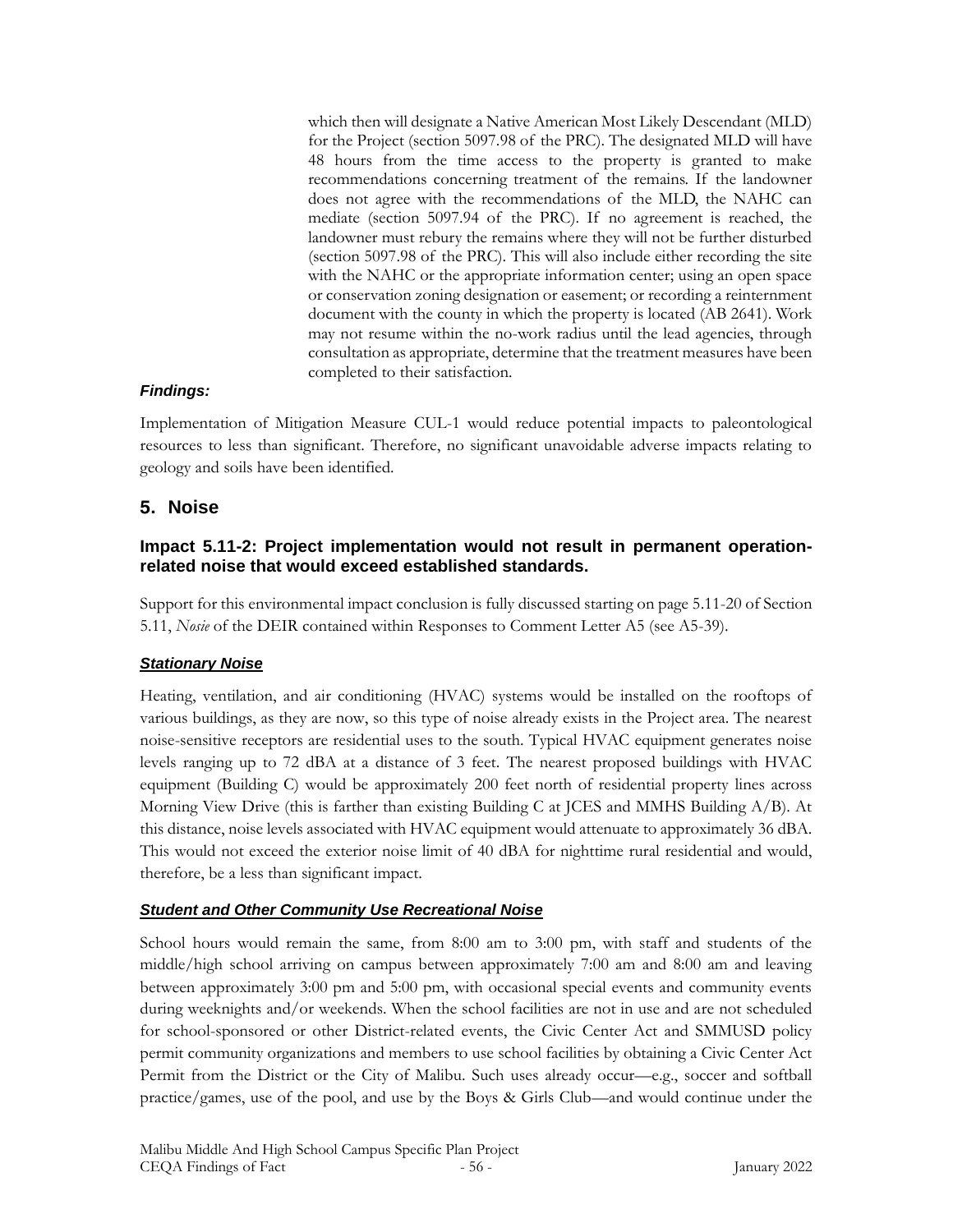which then will designate a Native American Most Likely Descendant (MLD) for the Project (section 5097.98 of the PRC). The designated MLD will have 48 hours from the time access to the property is granted to make recommendations concerning treatment of the remains. If the landowner does not agree with the recommendations of the MLD, the NAHC can mediate (section 5097.94 of the PRC). If no agreement is reached, the landowner must rebury the remains where they will not be further disturbed (section 5097.98 of the PRC). This will also include either recording the site with the NAHC or the appropriate information center; using an open space or conservation zoning designation or easement; or recording a reinternment document with the county in which the property is located (AB 2641). Work may not resume within the no-work radius until the lead agencies, through consultation as appropriate, determine that the treatment measures have been completed to their satisfaction.

#### *Findings:*

Implementation of Mitigation Measure CUL-1 would reduce potential impacts to paleontological resources to less than significant. Therefore, no significant unavoidable adverse impacts relating to geology and soils have been identified.

### **5. Noise**

### **Impact 5.11-2: Project implementation would not result in permanent operationrelated noise that would exceed established standards.**

Support for this environmental impact conclusion is fully discussed starting on page 5.11-20 of Section 5.11, *Nosie* of the DEIR contained within Responses to Comment Letter A5 (see A5-39).

#### *Stationary Noise*

Heating, ventilation, and air conditioning (HVAC) systems would be installed on the rooftops of various buildings, as they are now, so this type of noise already exists in the Project area. The nearest noise-sensitive receptors are residential uses to the south. Typical HVAC equipment generates noise levels ranging up to 72 dBA at a distance of 3 feet. The nearest proposed buildings with HVAC equipment (Building C) would be approximately 200 feet north of residential property lines across Morning View Drive (this is farther than existing Building C at JCES and MMHS Building A/B). At this distance, noise levels associated with HVAC equipment would attenuate to approximately 36 dBA. This would not exceed the exterior noise limit of 40 dBA for nighttime rural residential and would, therefore, be a less than significant impact.

#### *Student and Other Community Use Recreational Noise*

School hours would remain the same, from 8:00 am to 3:00 pm, with staff and students of the middle/high school arriving on campus between approximately 7:00 am and 8:00 am and leaving between approximately 3:00 pm and 5:00 pm, with occasional special events and community events during weeknights and/or weekends. When the school facilities are not in use and are not scheduled for school-sponsored or other District-related events, the Civic Center Act and SMMUSD policy permit community organizations and members to use school facilities by obtaining a Civic Center Act Permit from the District or the City of Malibu. Such uses already occur—e.g., soccer and softball practice/games, use of the pool, and use by the Boys & Girls Club—and would continue under the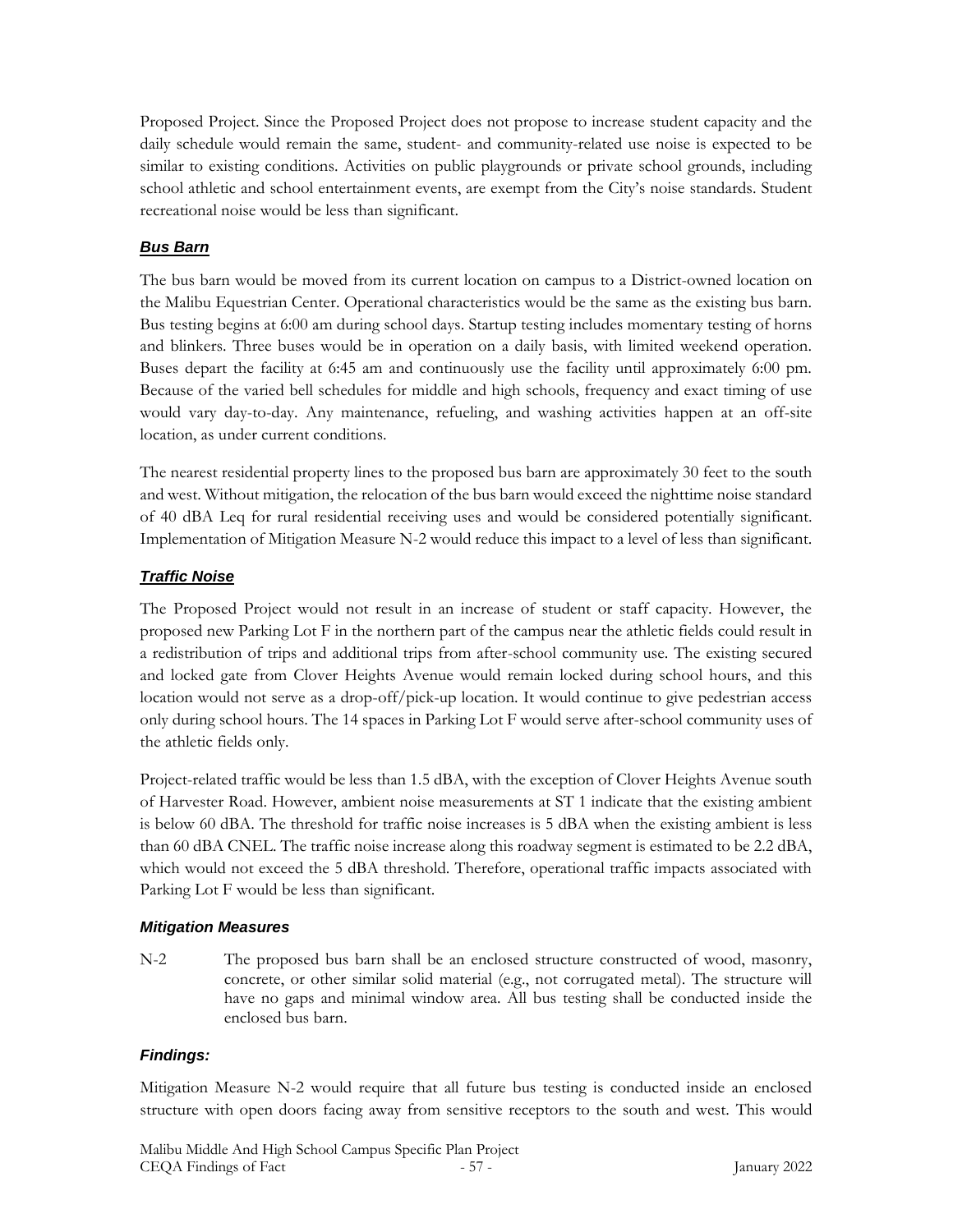Proposed Project. Since the Proposed Project does not propose to increase student capacity and the daily schedule would remain the same, student- and community-related use noise is expected to be similar to existing conditions. Activities on public playgrounds or private school grounds, including school athletic and school entertainment events, are exempt from the City's noise standards. Student recreational noise would be less than significant.

## *Bus Barn*

The bus barn would be moved from its current location on campus to a District-owned location on the Malibu Equestrian Center. Operational characteristics would be the same as the existing bus barn. Bus testing begins at 6:00 am during school days. Startup testing includes momentary testing of horns and blinkers. Three buses would be in operation on a daily basis, with limited weekend operation. Buses depart the facility at 6:45 am and continuously use the facility until approximately 6:00 pm. Because of the varied bell schedules for middle and high schools, frequency and exact timing of use would vary day-to-day. Any maintenance, refueling, and washing activities happen at an off-site location, as under current conditions.

The nearest residential property lines to the proposed bus barn are approximately 30 feet to the south and west. Without mitigation, the relocation of the bus barn would exceed the nighttime noise standard of 40 dBA Leq for rural residential receiving uses and would be considered potentially significant. Implementation of Mitigation Measure N-2 would reduce this impact to a level of less than significant.

# *Traffic Noise*

The Proposed Project would not result in an increase of student or staff capacity. However, the proposed new Parking Lot F in the northern part of the campus near the athletic fields could result in a redistribution of trips and additional trips from after-school community use. The existing secured and locked gate from Clover Heights Avenue would remain locked during school hours, and this location would not serve as a drop-off/pick-up location. It would continue to give pedestrian access only during school hours. The 14 spaces in Parking Lot F would serve after-school community uses of the athletic fields only.

Project-related traffic would be less than 1.5 dBA, with the exception of Clover Heights Avenue south of Harvester Road. However, ambient noise measurements at ST 1 indicate that the existing ambient is below 60 dBA. The threshold for traffic noise increases is 5 dBA when the existing ambient is less than 60 dBA CNEL. The traffic noise increase along this roadway segment is estimated to be 2.2 dBA, which would not exceed the 5 dBA threshold. Therefore, operational traffic impacts associated with Parking Lot F would be less than significant.

## *Mitigation Measures*

N-2 The proposed bus barn shall be an enclosed structure constructed of wood, masonry, concrete, or other similar solid material (e.g., not corrugated metal). The structure will have no gaps and minimal window area. All bus testing shall be conducted inside the enclosed bus barn.

## *Findings:*

Mitigation Measure N-2 would require that all future bus testing is conducted inside an enclosed structure with open doors facing away from sensitive receptors to the south and west. This would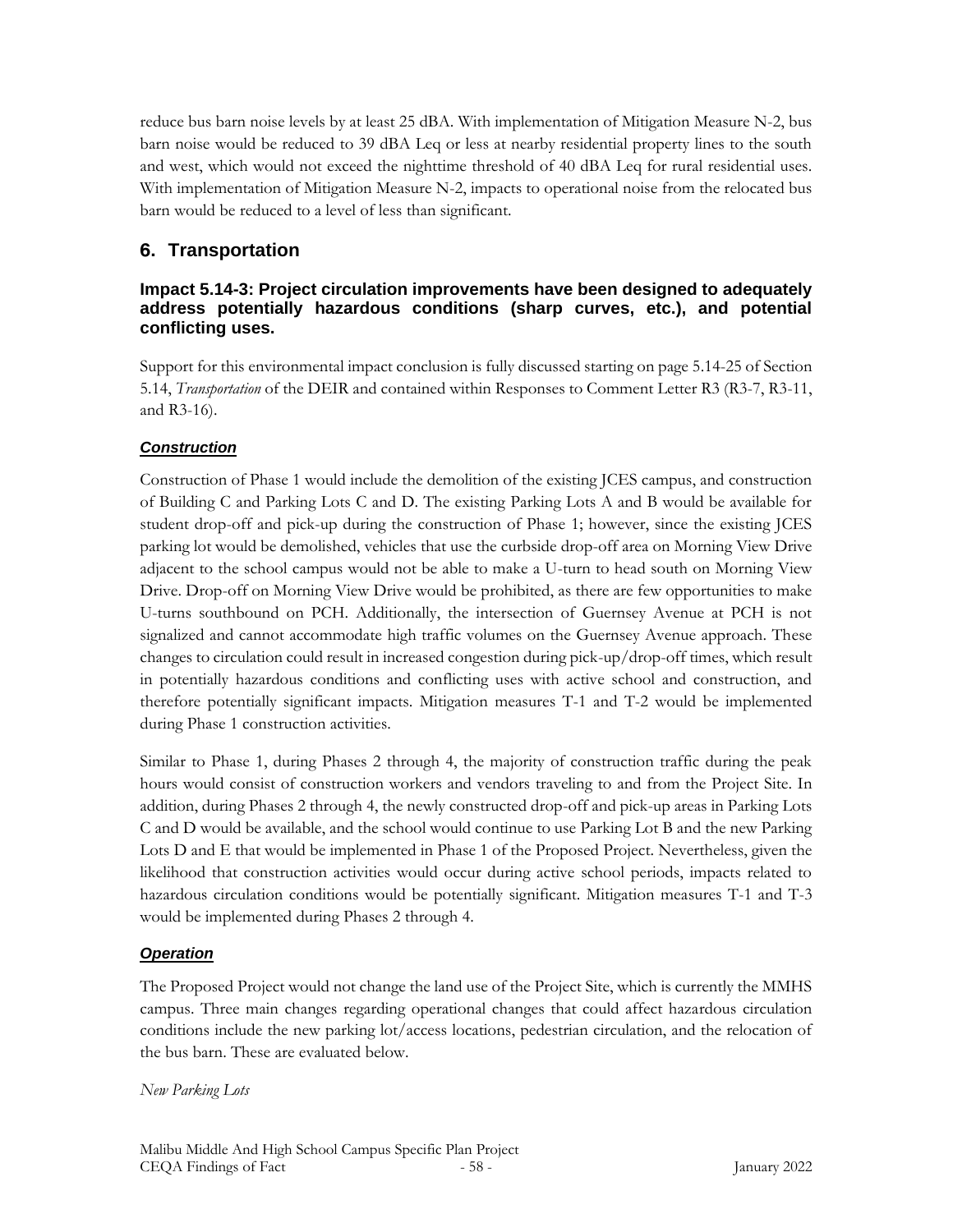reduce bus barn noise levels by at least 25 dBA. With implementation of Mitigation Measure N-2, bus barn noise would be reduced to 39 dBA Leq or less at nearby residential property lines to the south and west, which would not exceed the nighttime threshold of 40 dBA Leq for rural residential uses. With implementation of Mitigation Measure N-2, impacts to operational noise from the relocated bus barn would be reduced to a level of less than significant.

# **6. Transportation**

## **Impact 5.14-3: Project circulation improvements have been designed to adequately address potentially hazardous conditions (sharp curves, etc.), and potential conflicting uses.**

Support for this environmental impact conclusion is fully discussed starting on page 5.14-25 of Section 5.14, *Transportation* of the DEIR and contained within Responses to Comment Letter R3 (R3-7, R3-11, and R3-16).

## *Construction*

Construction of Phase 1 would include the demolition of the existing JCES campus, and construction of Building C and Parking Lots C and D. The existing Parking Lots A and B would be available for student drop-off and pick-up during the construction of Phase 1; however, since the existing JCES parking lot would be demolished, vehicles that use the curbside drop-off area on Morning View Drive adjacent to the school campus would not be able to make a U-turn to head south on Morning View Drive. Drop-off on Morning View Drive would be prohibited, as there are few opportunities to make U-turns southbound on PCH. Additionally, the intersection of Guernsey Avenue at PCH is not signalized and cannot accommodate high traffic volumes on the Guernsey Avenue approach. These changes to circulation could result in increased congestion during pick-up/drop-off times, which result in potentially hazardous conditions and conflicting uses with active school and construction, and therefore potentially significant impacts. Mitigation measures T-1 and T-2 would be implemented during Phase 1 construction activities.

Similar to Phase 1, during Phases 2 through 4, the majority of construction traffic during the peak hours would consist of construction workers and vendors traveling to and from the Project Site. In addition, during Phases 2 through 4, the newly constructed drop-off and pick-up areas in Parking Lots C and D would be available, and the school would continue to use Parking Lot B and the new Parking Lots D and E that would be implemented in Phase 1 of the Proposed Project. Nevertheless, given the likelihood that construction activities would occur during active school periods, impacts related to hazardous circulation conditions would be potentially significant. Mitigation measures T-1 and T-3 would be implemented during Phases 2 through 4.

## *Operation*

The Proposed Project would not change the land use of the Project Site, which is currently the MMHS campus. Three main changes regarding operational changes that could affect hazardous circulation conditions include the new parking lot/access locations, pedestrian circulation, and the relocation of the bus barn. These are evaluated below.

*New Parking Lots*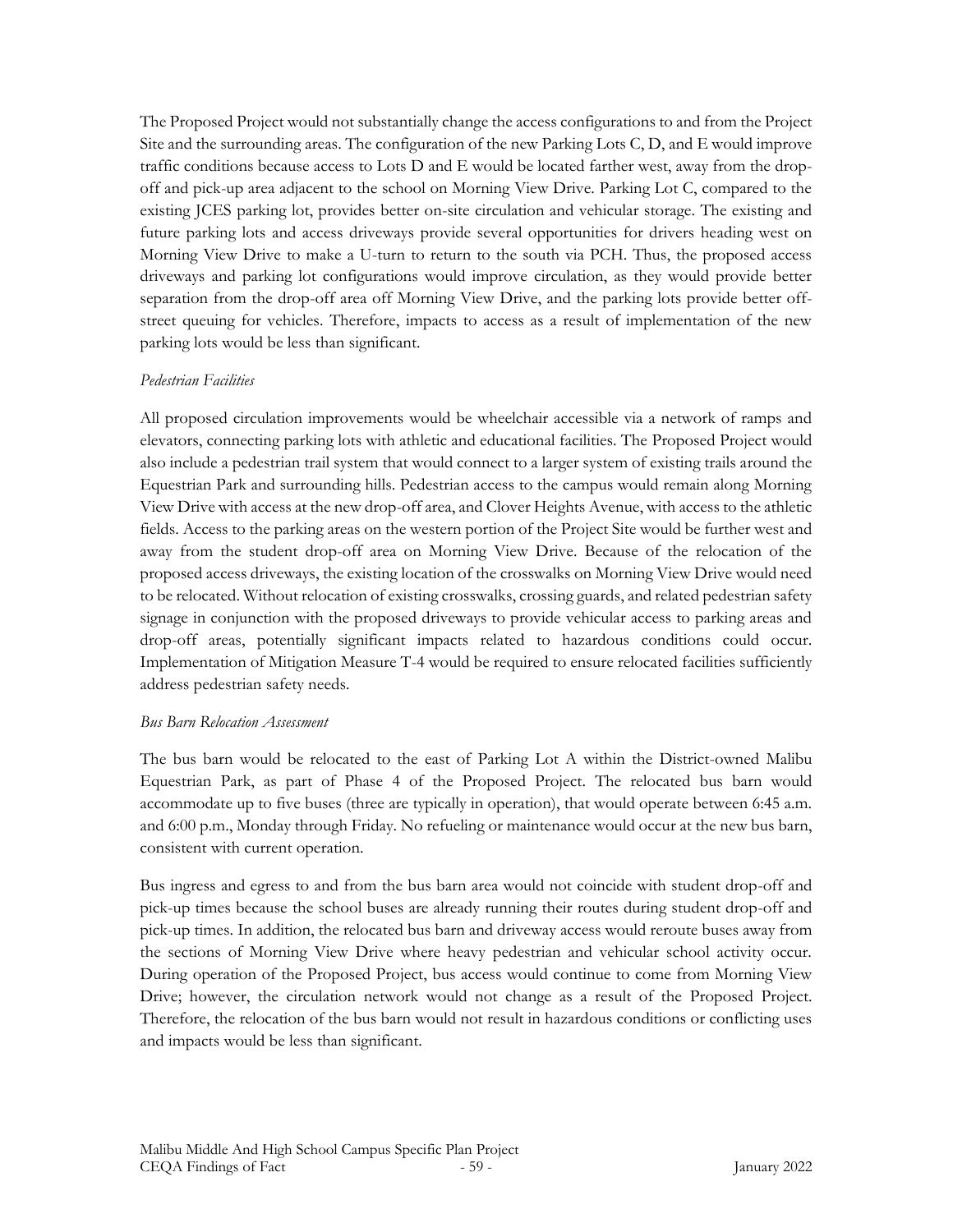The Proposed Project would not substantially change the access configurations to and from the Project Site and the surrounding areas. The configuration of the new Parking Lots C, D, and E would improve traffic conditions because access to Lots D and E would be located farther west, away from the dropoff and pick-up area adjacent to the school on Morning View Drive. Parking Lot C, compared to the existing JCES parking lot, provides better on-site circulation and vehicular storage. The existing and future parking lots and access driveways provide several opportunities for drivers heading west on Morning View Drive to make a U-turn to return to the south via PCH. Thus, the proposed access driveways and parking lot configurations would improve circulation, as they would provide better separation from the drop-off area off Morning View Drive, and the parking lots provide better offstreet queuing for vehicles. Therefore, impacts to access as a result of implementation of the new parking lots would be less than significant.

#### *Pedestrian Facilities*

All proposed circulation improvements would be wheelchair accessible via a network of ramps and elevators, connecting parking lots with athletic and educational facilities. The Proposed Project would also include a pedestrian trail system that would connect to a larger system of existing trails around the Equestrian Park and surrounding hills. Pedestrian access to the campus would remain along Morning View Drive with access at the new drop-off area, and Clover Heights Avenue, with access to the athletic fields. Access to the parking areas on the western portion of the Project Site would be further west and away from the student drop-off area on Morning View Drive. Because of the relocation of the proposed access driveways, the existing location of the crosswalks on Morning View Drive would need to be relocated. Without relocation of existing crosswalks, crossing guards, and related pedestrian safety signage in conjunction with the proposed driveways to provide vehicular access to parking areas and drop-off areas, potentially significant impacts related to hazardous conditions could occur. Implementation of Mitigation Measure T-4 would be required to ensure relocated facilities sufficiently address pedestrian safety needs.

#### *Bus Barn Relocation Assessment*

The bus barn would be relocated to the east of Parking Lot A within the District-owned Malibu Equestrian Park, as part of Phase 4 of the Proposed Project. The relocated bus barn would accommodate up to five buses (three are typically in operation), that would operate between 6:45 a.m. and 6:00 p.m., Monday through Friday. No refueling or maintenance would occur at the new bus barn, consistent with current operation.

Bus ingress and egress to and from the bus barn area would not coincide with student drop-off and pick-up times because the school buses are already running their routes during student drop-off and pick-up times. In addition, the relocated bus barn and driveway access would reroute buses away from the sections of Morning View Drive where heavy pedestrian and vehicular school activity occur. During operation of the Proposed Project, bus access would continue to come from Morning View Drive; however, the circulation network would not change as a result of the Proposed Project. Therefore, the relocation of the bus barn would not result in hazardous conditions or conflicting uses and impacts would be less than significant.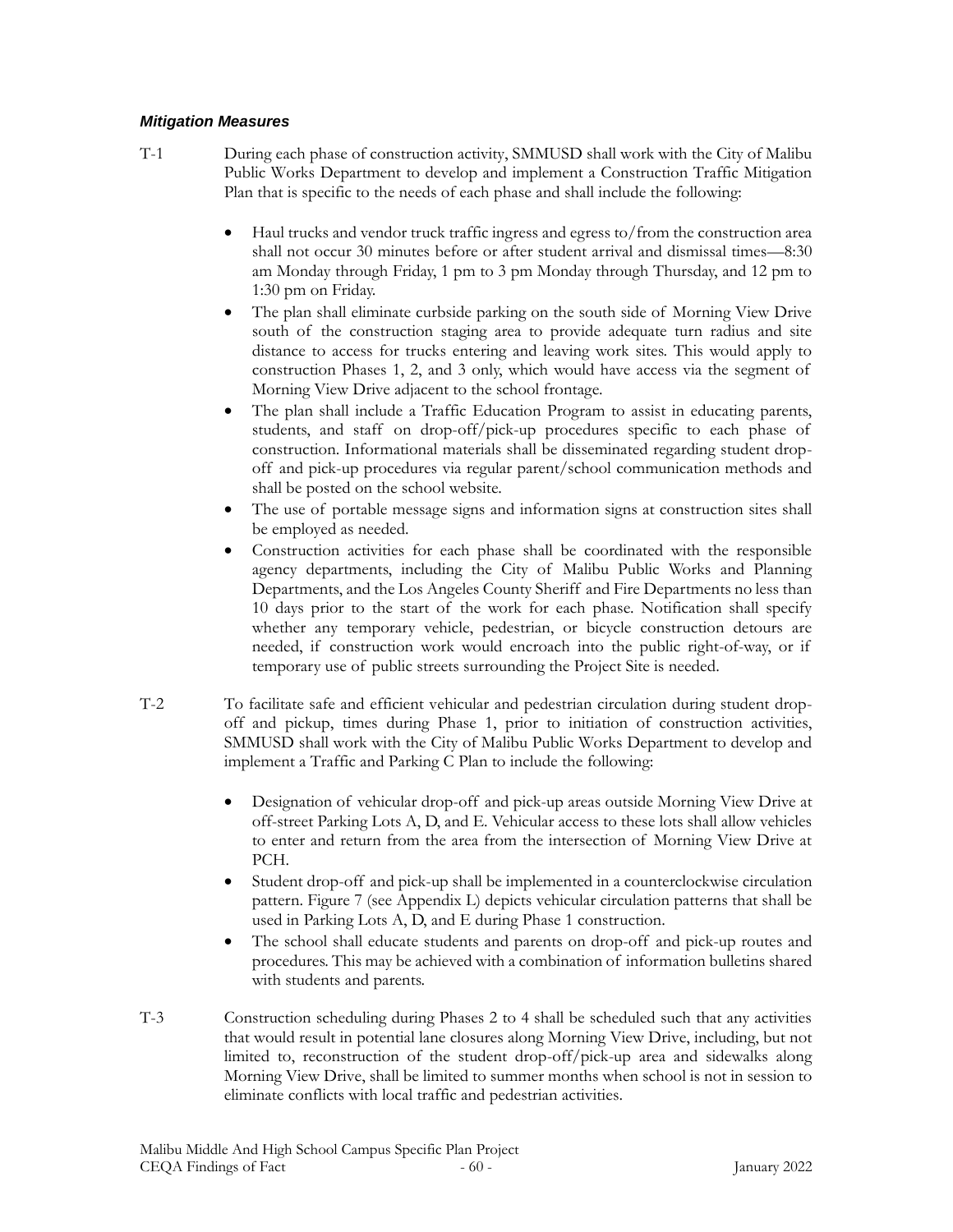#### *Mitigation Measures*

- T-1 During each phase of construction activity, SMMUSD shall work with the City of Malibu Public Works Department to develop and implement a Construction Traffic Mitigation Plan that is specific to the needs of each phase and shall include the following:
	- Haul trucks and vendor truck traffic ingress and egress to/from the construction area shall not occur 30 minutes before or after student arrival and dismissal times—8:30 am Monday through Friday, 1 pm to 3 pm Monday through Thursday, and 12 pm to 1:30 pm on Friday.
	- The plan shall eliminate curbside parking on the south side of Morning View Drive south of the construction staging area to provide adequate turn radius and site distance to access for trucks entering and leaving work sites. This would apply to construction Phases 1, 2, and 3 only, which would have access via the segment of Morning View Drive adjacent to the school frontage.
	- The plan shall include a Traffic Education Program to assist in educating parents, students, and staff on drop-off/pick-up procedures specific to each phase of construction. Informational materials shall be disseminated regarding student dropoff and pick-up procedures via regular parent/school communication methods and shall be posted on the school website.
	- The use of portable message signs and information signs at construction sites shall be employed as needed.
	- Construction activities for each phase shall be coordinated with the responsible agency departments, including the City of Malibu Public Works and Planning Departments, and the Los Angeles County Sheriff and Fire Departments no less than 10 days prior to the start of the work for each phase. Notification shall specify whether any temporary vehicle, pedestrian, or bicycle construction detours are needed, if construction work would encroach into the public right-of-way, or if temporary use of public streets surrounding the Project Site is needed.
- T-2 To facilitate safe and efficient vehicular and pedestrian circulation during student dropoff and pickup, times during Phase 1, prior to initiation of construction activities, SMMUSD shall work with the City of Malibu Public Works Department to develop and implement a Traffic and Parking C Plan to include the following:
	- Designation of vehicular drop-off and pick-up areas outside Morning View Drive at off-street Parking Lots A, D, and E. Vehicular access to these lots shall allow vehicles to enter and return from the area from the intersection of Morning View Drive at PCH.
	- Student drop-off and pick-up shall be implemented in a counterclockwise circulation pattern. Figure 7 (see Appendix L) depicts vehicular circulation patterns that shall be used in Parking Lots A, D, and E during Phase 1 construction.
	- The school shall educate students and parents on drop-off and pick-up routes and procedures. This may be achieved with a combination of information bulletins shared with students and parents.
- T-3 Construction scheduling during Phases 2 to 4 shall be scheduled such that any activities that would result in potential lane closures along Morning View Drive, including, but not limited to, reconstruction of the student drop-off/pick-up area and sidewalks along Morning View Drive, shall be limited to summer months when school is not in session to eliminate conflicts with local traffic and pedestrian activities.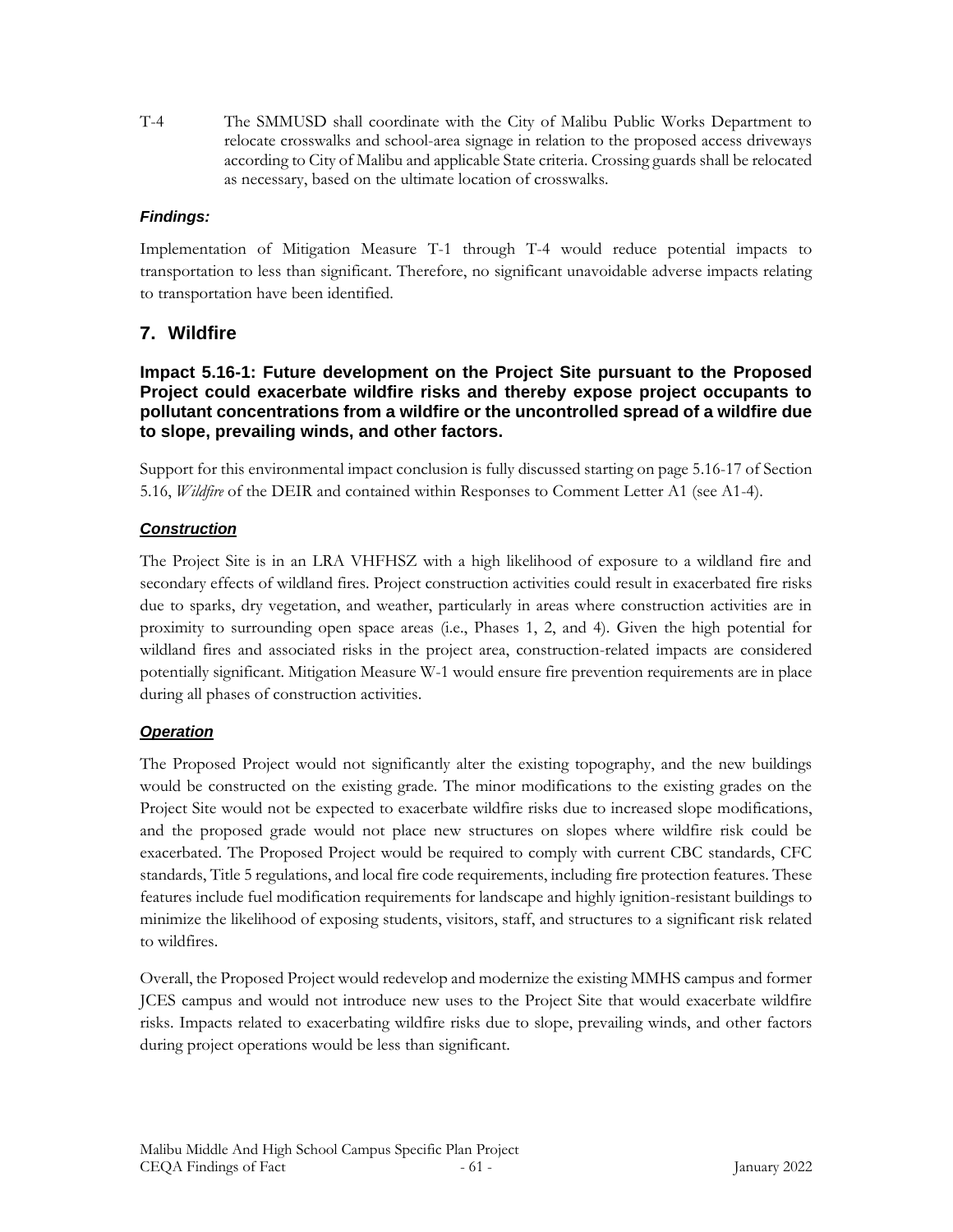T-4 The SMMUSD shall coordinate with the City of Malibu Public Works Department to relocate crosswalks and school-area signage in relation to the proposed access driveways according to City of Malibu and applicable State criteria. Crossing guards shall be relocated as necessary, based on the ultimate location of crosswalks.

## *Findings:*

Implementation of Mitigation Measure T-1 through T-4 would reduce potential impacts to transportation to less than significant. Therefore, no significant unavoidable adverse impacts relating to transportation have been identified.

# **7. Wildfire**

### **Impact 5.16-1: Future development on the Project Site pursuant to the Proposed Project could exacerbate wildfire risks and thereby expose project occupants to pollutant concentrations from a wildfire or the uncontrolled spread of a wildfire due to slope, prevailing winds, and other factors.**

Support for this environmental impact conclusion is fully discussed starting on page 5.16-17 of Section 5.16, *Wildfire* of the DEIR and contained within Responses to Comment Letter A1 (see A1-4).

### *Construction*

The Project Site is in an LRA VHFHSZ with a high likelihood of exposure to a wildland fire and secondary effects of wildland fires. Project construction activities could result in exacerbated fire risks due to sparks, dry vegetation, and weather, particularly in areas where construction activities are in proximity to surrounding open space areas (i.e., Phases 1, 2, and 4). Given the high potential for wildland fires and associated risks in the project area, construction-related impacts are considered potentially significant. Mitigation Measure W-1 would ensure fire prevention requirements are in place during all phases of construction activities.

## *Operation*

The Proposed Project would not significantly alter the existing topography, and the new buildings would be constructed on the existing grade. The minor modifications to the existing grades on the Project Site would not be expected to exacerbate wildfire risks due to increased slope modifications, and the proposed grade would not place new structures on slopes where wildfire risk could be exacerbated. The Proposed Project would be required to comply with current CBC standards, CFC standards, Title 5 regulations, and local fire code requirements, including fire protection features. These features include fuel modification requirements for landscape and highly ignition-resistant buildings to minimize the likelihood of exposing students, visitors, staff, and structures to a significant risk related to wildfires.

Overall, the Proposed Project would redevelop and modernize the existing MMHS campus and former JCES campus and would not introduce new uses to the Project Site that would exacerbate wildfire risks. Impacts related to exacerbating wildfire risks due to slope, prevailing winds, and other factors during project operations would be less than significant.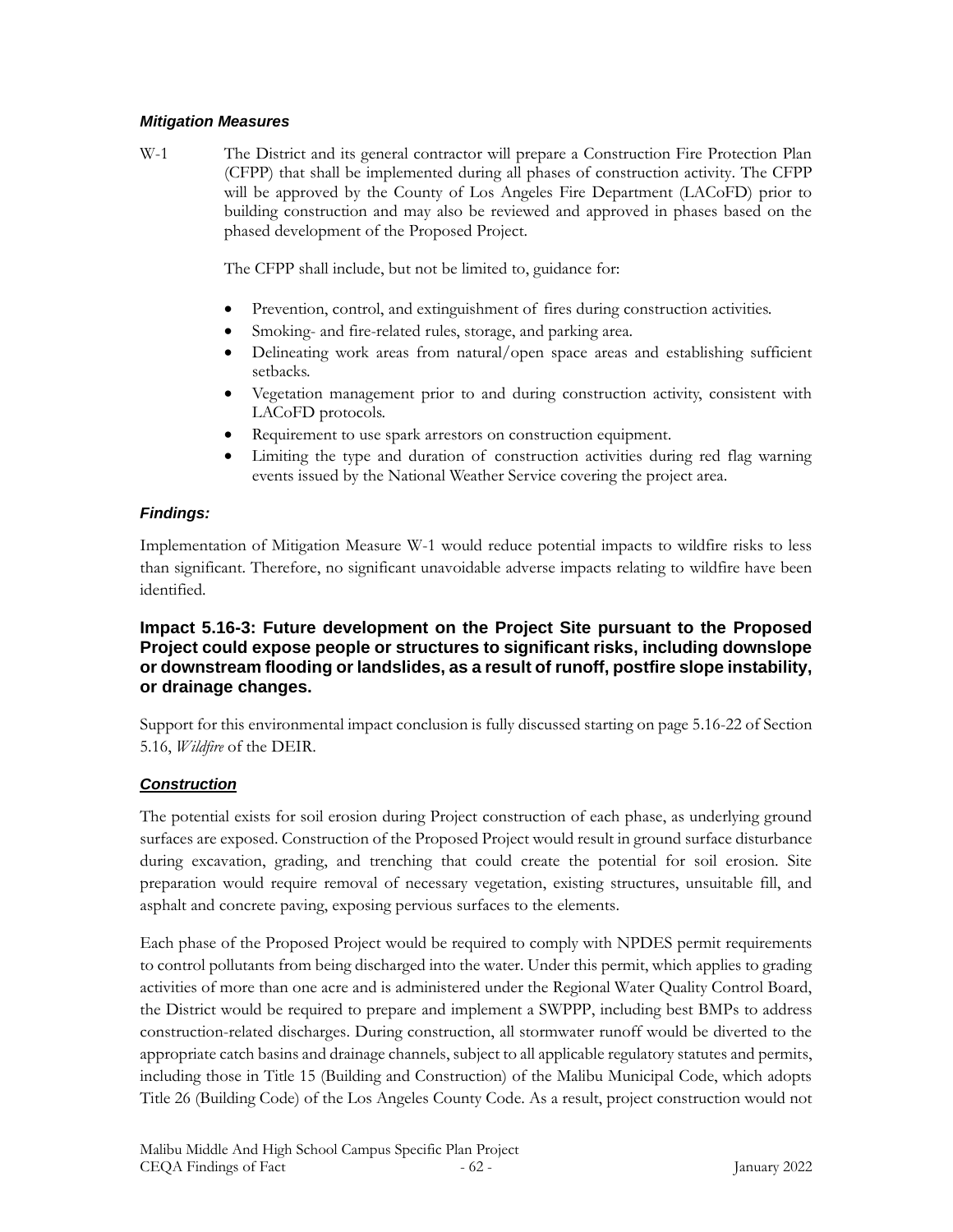#### *Mitigation Measures*

W-1 The District and its general contractor will prepare a Construction Fire Protection Plan (CFPP) that shall be implemented during all phases of construction activity. The CFPP will be approved by the County of Los Angeles Fire Department (LACoFD) prior to building construction and may also be reviewed and approved in phases based on the phased development of the Proposed Project.

The CFPP shall include, but not be limited to, guidance for:

- Prevention, control, and extinguishment of fires during construction activities.
- Smoking- and fire-related rules, storage, and parking area.
- Delineating work areas from natural/open space areas and establishing sufficient setbacks.
- Vegetation management prior to and during construction activity, consistent with LACoFD protocols.
- Requirement to use spark arrestors on construction equipment.
- Limiting the type and duration of construction activities during red flag warning events issued by the National Weather Service covering the project area.

## *Findings:*

Implementation of Mitigation Measure W-1 would reduce potential impacts to wildfire risks to less than significant. Therefore, no significant unavoidable adverse impacts relating to wildfire have been identified.

## **Impact 5.16-3: Future development on the Project Site pursuant to the Proposed Project could expose people or structures to significant risks, including downslope or downstream flooding or landslides, as a result of runoff, postfire slope instability, or drainage changes.**

Support for this environmental impact conclusion is fully discussed starting on page 5.16-22 of Section 5.16, *Wildfire* of the DEIR.

# *Construction*

The potential exists for soil erosion during Project construction of each phase, as underlying ground surfaces are exposed. Construction of the Proposed Project would result in ground surface disturbance during excavation, grading, and trenching that could create the potential for soil erosion. Site preparation would require removal of necessary vegetation, existing structures, unsuitable fill, and asphalt and concrete paving, exposing pervious surfaces to the elements.

Each phase of the Proposed Project would be required to comply with NPDES permit requirements to control pollutants from being discharged into the water. Under this permit, which applies to grading activities of more than one acre and is administered under the Regional Water Quality Control Board, the District would be required to prepare and implement a SWPPP, including best BMPs to address construction-related discharges. During construction, all stormwater runoff would be diverted to the appropriate catch basins and drainage channels, subject to all applicable regulatory statutes and permits, including those in Title 15 (Building and Construction) of the Malibu Municipal Code, which adopts Title 26 (Building Code) of the Los Angeles County Code. As a result, project construction would not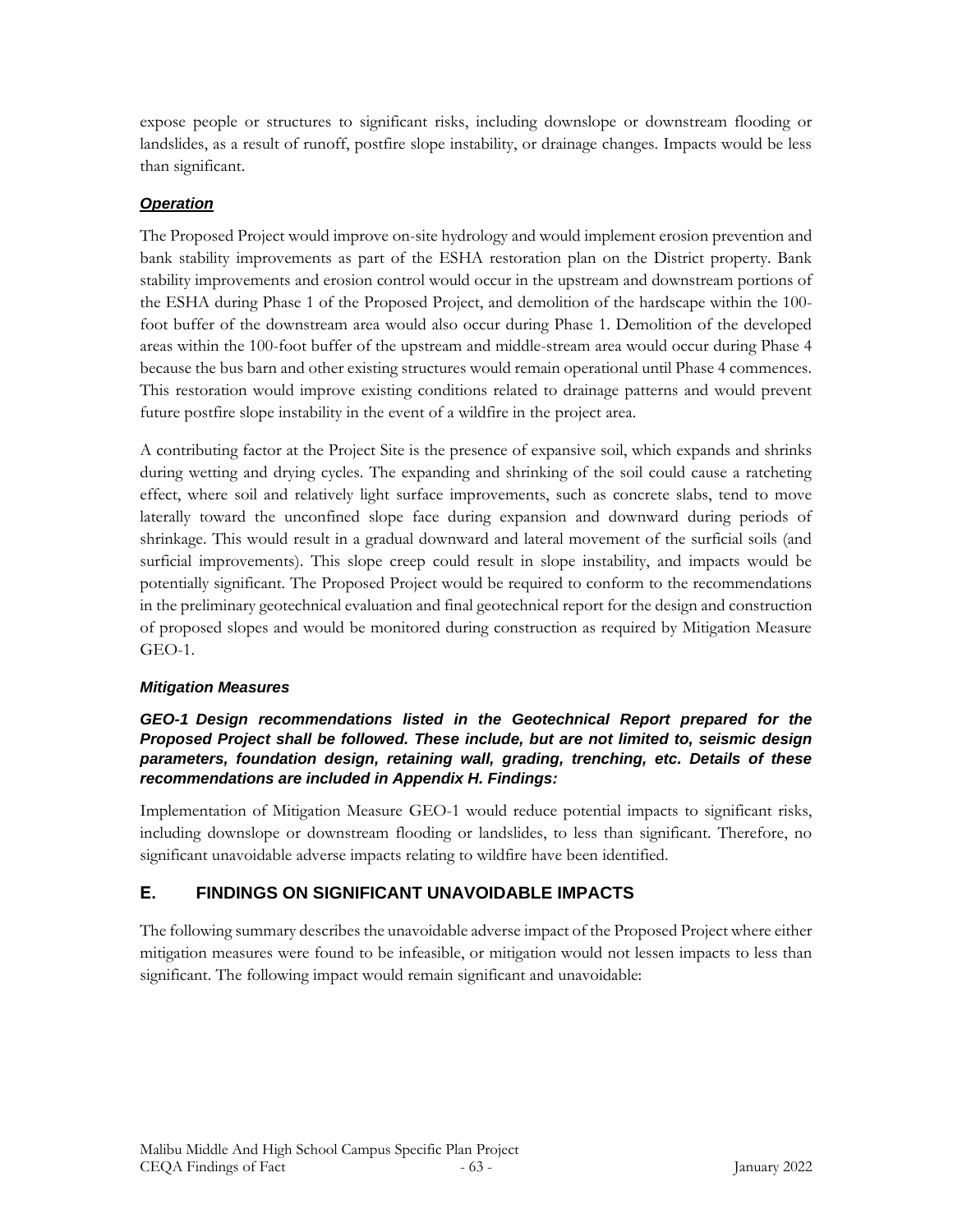expose people or structures to significant risks, including downslope or downstream flooding or landslides, as a result of runoff, postfire slope instability, or drainage changes. Impacts would be less than significant.

## *Operation*

The Proposed Project would improve on-site hydrology and would implement erosion prevention and bank stability improvements as part of the ESHA restoration plan on the District property. Bank stability improvements and erosion control would occur in the upstream and downstream portions of the ESHA during Phase 1 of the Proposed Project, and demolition of the hardscape within the 100 foot buffer of the downstream area would also occur during Phase 1. Demolition of the developed areas within the 100-foot buffer of the upstream and middle-stream area would occur during Phase 4 because the bus barn and other existing structures would remain operational until Phase 4 commences. This restoration would improve existing conditions related to drainage patterns and would prevent future postfire slope instability in the event of a wildfire in the project area.

A contributing factor at the Project Site is the presence of expansive soil, which expands and shrinks during wetting and drying cycles. The expanding and shrinking of the soil could cause a ratcheting effect, where soil and relatively light surface improvements, such as concrete slabs, tend to move laterally toward the unconfined slope face during expansion and downward during periods of shrinkage. This would result in a gradual downward and lateral movement of the surficial soils (and surficial improvements). This slope creep could result in slope instability, and impacts would be potentially significant. The Proposed Project would be required to conform to the recommendations in the preliminary geotechnical evaluation and final geotechnical report for the design and construction of proposed slopes and would be monitored during construction as required by Mitigation Measure GEO-1.

## *Mitigation Measures*

### *GEO-1 Design recommendations listed in the Geotechnical Report prepared for the Proposed Project shall be followed. These include, but are not limited to, seismic design parameters, foundation design, retaining wall, grading, trenching, etc. Details of these recommendations are included in Appendix H. Findings:*

Implementation of Mitigation Measure GEO-1 would reduce potential impacts to significant risks, including downslope or downstream flooding or landslides, to less than significant. Therefore, no significant unavoidable adverse impacts relating to wildfire have been identified.

# **E. FINDINGS ON SIGNIFICANT UNAVOIDABLE IMPACTS**

The following summary describes the unavoidable adverse impact of the Proposed Project where either mitigation measures were found to be infeasible, or mitigation would not lessen impacts to less than significant. The following impact would remain significant and unavoidable: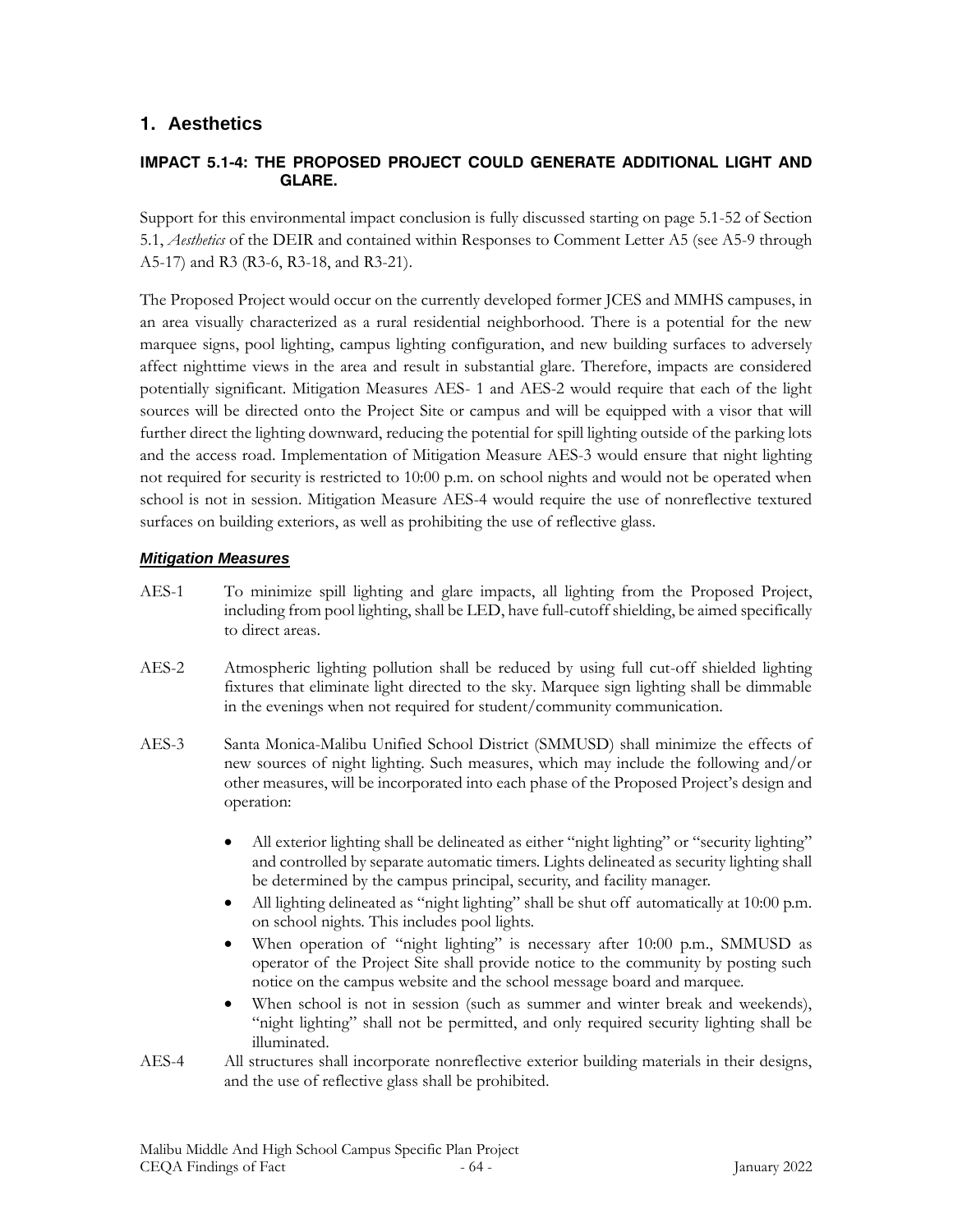# **1. Aesthetics**

#### **IMPACT 5.1-4: THE PROPOSED PROJECT COULD GENERATE ADDITIONAL LIGHT AND GLARE.**

Support for this environmental impact conclusion is fully discussed starting on page 5.1-52 of Section 5.1, *Aesthetics* of the DEIR and contained within Responses to Comment Letter A5 (see A5-9 through A5-17) and R3 (R3-6, R3-18, and R3-21).

The Proposed Project would occur on the currently developed former JCES and MMHS campuses, in an area visually characterized as a rural residential neighborhood. There is a potential for the new marquee signs, pool lighting, campus lighting configuration, and new building surfaces to adversely affect nighttime views in the area and result in substantial glare. Therefore, impacts are considered potentially significant. Mitigation Measures AES- 1 and AES-2 would require that each of the light sources will be directed onto the Project Site or campus and will be equipped with a visor that will further direct the lighting downward, reducing the potential for spill lighting outside of the parking lots and the access road. Implementation of Mitigation Measure AES-3 would ensure that night lighting not required for security is restricted to 10:00 p.m. on school nights and would not be operated when school is not in session. Mitigation Measure AES-4 would require the use of nonreflective textured surfaces on building exteriors, as well as prohibiting the use of reflective glass.

#### *Mitigation Measures*

- AES-1 To minimize spill lighting and glare impacts, all lighting from the Proposed Project, including from pool lighting, shall be LED, have full-cutoff shielding, be aimed specifically to direct areas.
- AES-2 Atmospheric lighting pollution shall be reduced by using full cut-off shielded lighting fixtures that eliminate light directed to the sky. Marquee sign lighting shall be dimmable in the evenings when not required for student/community communication.
- AES-3 Santa Monica-Malibu Unified School District (SMMUSD) shall minimize the effects of new sources of night lighting. Such measures, which may include the following and/or other measures, will be incorporated into each phase of the Proposed Project's design and operation:
	- All exterior lighting shall be delineated as either "night lighting" or "security lighting" and controlled by separate automatic timers. Lights delineated as security lighting shall be determined by the campus principal, security, and facility manager.
	- All lighting delineated as "night lighting" shall be shut off automatically at 10:00 p.m. on school nights. This includes pool lights.
	- When operation of "night lighting" is necessary after 10:00 p.m., SMMUSD as operator of the Project Site shall provide notice to the community by posting such notice on the campus website and the school message board and marquee.
	- When school is not in session (such as summer and winter break and weekends), "night lighting" shall not be permitted, and only required security lighting shall be illuminated.
- AES-4 All structures shall incorporate nonreflective exterior building materials in their designs, and the use of reflective glass shall be prohibited.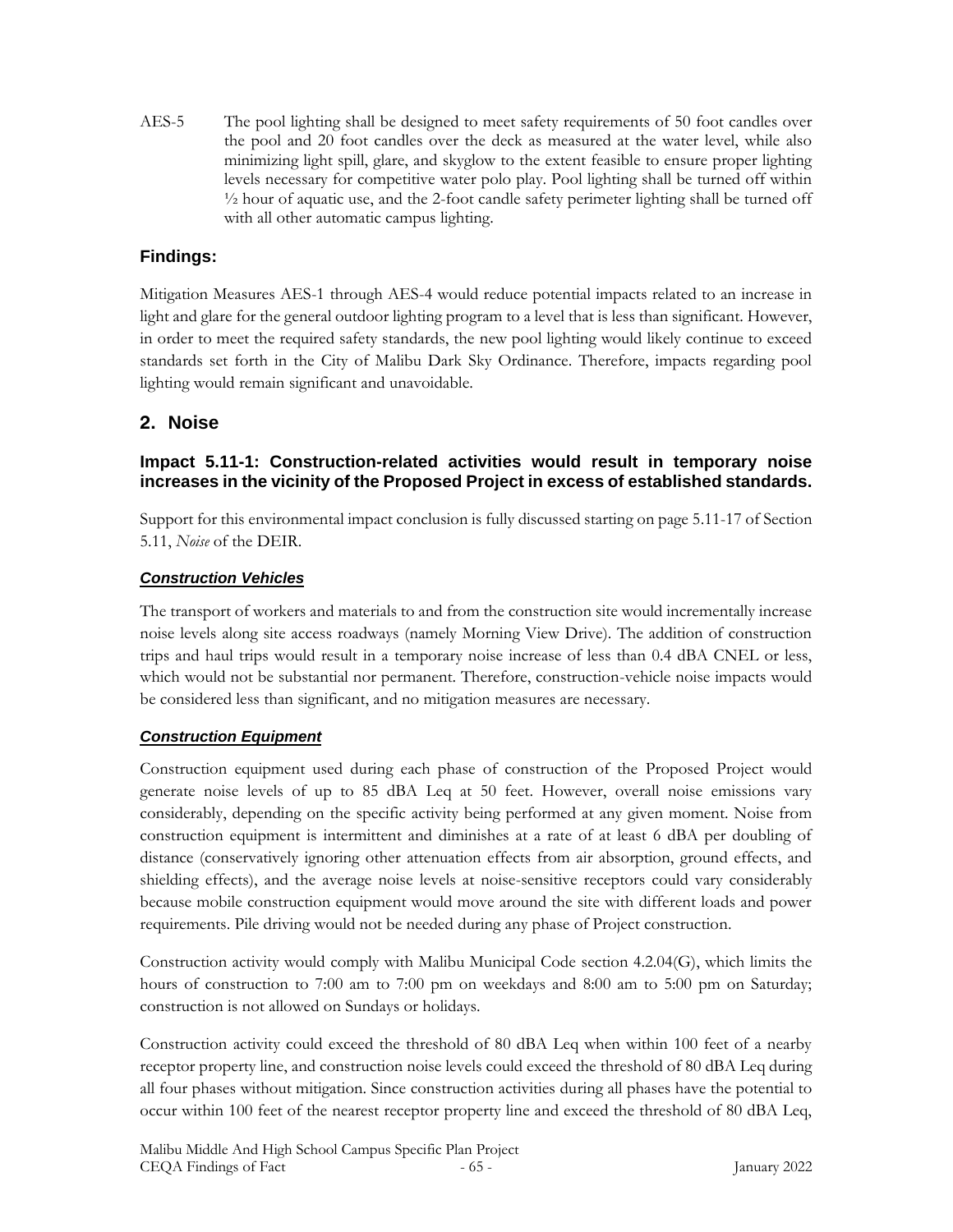AES-5 The pool lighting shall be designed to meet safety requirements of 50 foot candles over the pool and 20 foot candles over the deck as measured at the water level, while also minimizing light spill, glare, and skyglow to the extent feasible to ensure proper lighting levels necessary for competitive water polo play. Pool lighting shall be turned off within ½ hour of aquatic use, and the 2-foot candle safety perimeter lighting shall be turned off with all other automatic campus lighting.

# **Findings:**

Mitigation Measures AES-1 through AES-4 would reduce potential impacts related to an increase in light and glare for the general outdoor lighting program to a level that is less than significant. However, in order to meet the required safety standards, the new pool lighting would likely continue to exceed standards set forth in the City of Malibu Dark Sky Ordinance. Therefore, impacts regarding pool lighting would remain significant and unavoidable.

# **2. Noise**

## **Impact 5.11-1: Construction-related activities would result in temporary noise increases in the vicinity of the Proposed Project in excess of established standards.**

Support for this environmental impact conclusion is fully discussed starting on page 5.11-17 of Section 5.11, *Noise* of the DEIR.

### *Construction Vehicles*

The transport of workers and materials to and from the construction site would incrementally increase noise levels along site access roadways (namely Morning View Drive). The addition of construction trips and haul trips would result in a temporary noise increase of less than 0.4 dBA CNEL or less, which would not be substantial nor permanent. Therefore, construction-vehicle noise impacts would be considered less than significant, and no mitigation measures are necessary.

## *Construction Equipment*

Construction equipment used during each phase of construction of the Proposed Project would generate noise levels of up to 85 dBA Leq at 50 feet. However, overall noise emissions vary considerably, depending on the specific activity being performed at any given moment. Noise from construction equipment is intermittent and diminishes at a rate of at least 6 dBA per doubling of distance (conservatively ignoring other attenuation effects from air absorption, ground effects, and shielding effects), and the average noise levels at noise-sensitive receptors could vary considerably because mobile construction equipment would move around the site with different loads and power requirements. Pile driving would not be needed during any phase of Project construction.

Construction activity would comply with Malibu Municipal Code section 4.2.04(G), which limits the hours of construction to 7:00 am to 7:00 pm on weekdays and 8:00 am to 5:00 pm on Saturday; construction is not allowed on Sundays or holidays.

Construction activity could exceed the threshold of 80 dBA Leq when within 100 feet of a nearby receptor property line, and construction noise levels could exceed the threshold of 80 dBA Leq during all four phases without mitigation. Since construction activities during all phases have the potential to occur within 100 feet of the nearest receptor property line and exceed the threshold of 80 dBA Leq,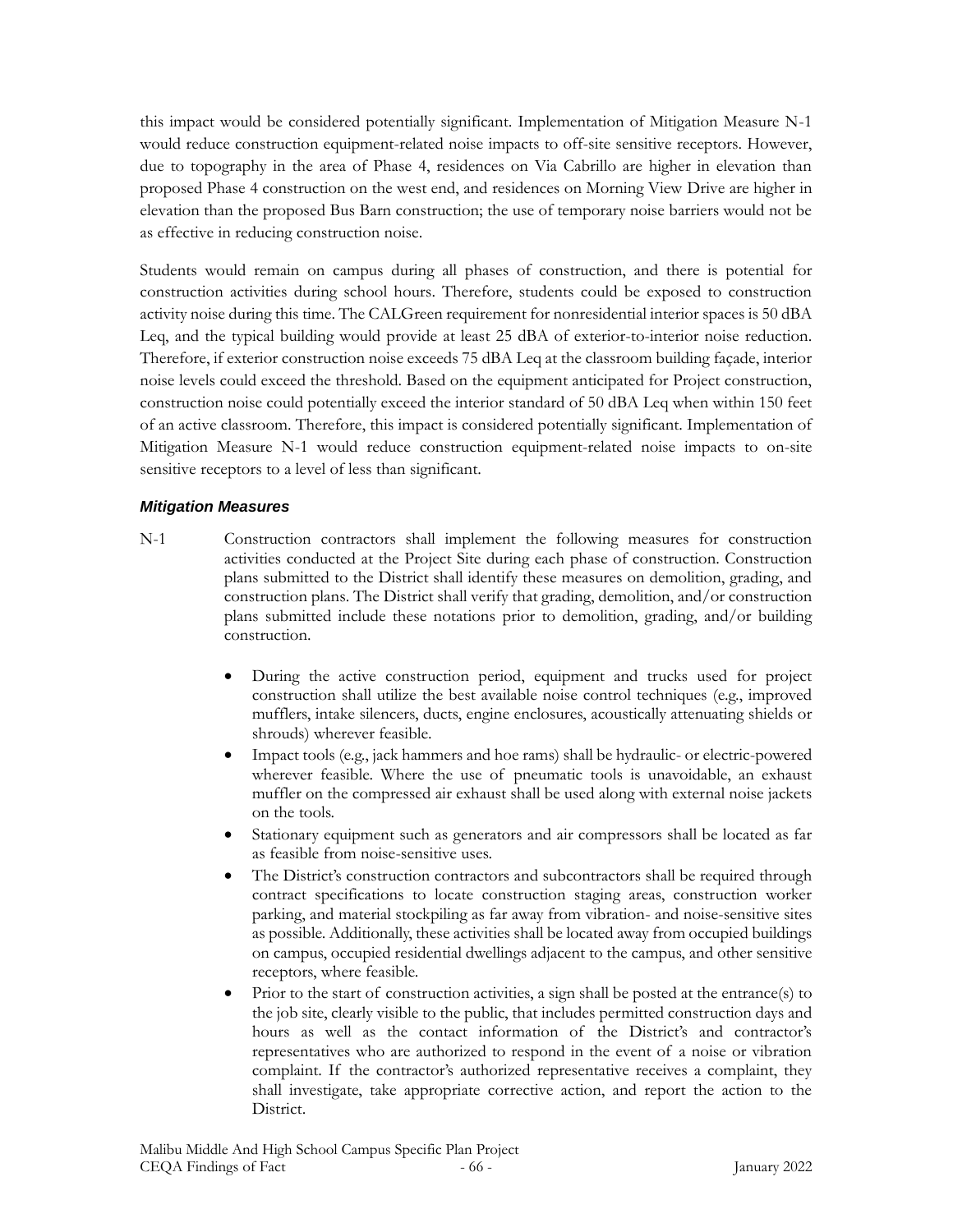this impact would be considered potentially significant. Implementation of Mitigation Measure N-1 would reduce construction equipment-related noise impacts to off-site sensitive receptors. However, due to topography in the area of Phase 4, residences on Via Cabrillo are higher in elevation than proposed Phase 4 construction on the west end, and residences on Morning View Drive are higher in elevation than the proposed Bus Barn construction; the use of temporary noise barriers would not be as effective in reducing construction noise.

Students would remain on campus during all phases of construction, and there is potential for construction activities during school hours. Therefore, students could be exposed to construction activity noise during this time. The CALGreen requirement for nonresidential interior spaces is 50 dBA Leq, and the typical building would provide at least 25 dBA of exterior-to-interior noise reduction. Therefore, if exterior construction noise exceeds 75 dBA Leq at the classroom building façade, interior noise levels could exceed the threshold. Based on the equipment anticipated for Project construction, construction noise could potentially exceed the interior standard of 50 dBA Leq when within 150 feet of an active classroom. Therefore, this impact is considered potentially significant. Implementation of Mitigation Measure N-1 would reduce construction equipment-related noise impacts to on-site sensitive receptors to a level of less than significant.

#### *Mitigation Measures*

- N-1 Construction contractors shall implement the following measures for construction activities conducted at the Project Site during each phase of construction. Construction plans submitted to the District shall identify these measures on demolition, grading, and construction plans. The District shall verify that grading, demolition, and/or construction plans submitted include these notations prior to demolition, grading, and/or building construction.
	- During the active construction period, equipment and trucks used for project construction shall utilize the best available noise control techniques (e.g., improved mufflers, intake silencers, ducts, engine enclosures, acoustically attenuating shields or shrouds) wherever feasible.
	- Impact tools (e.g., jack hammers and hoe rams) shall be hydraulic- or electric-powered wherever feasible. Where the use of pneumatic tools is unavoidable, an exhaust muffler on the compressed air exhaust shall be used along with external noise jackets on the tools.
	- Stationary equipment such as generators and air compressors shall be located as far as feasible from noise-sensitive uses.
	- The District's construction contractors and subcontractors shall be required through contract specifications to locate construction staging areas, construction worker parking, and material stockpiling as far away from vibration- and noise-sensitive sites as possible. Additionally, these activities shall be located away from occupied buildings on campus, occupied residential dwellings adjacent to the campus, and other sensitive receptors, where feasible.
	- Prior to the start of construction activities, a sign shall be posted at the entrance(s) to the job site, clearly visible to the public, that includes permitted construction days and hours as well as the contact information of the District's and contractor's representatives who are authorized to respond in the event of a noise or vibration complaint. If the contractor's authorized representative receives a complaint, they shall investigate, take appropriate corrective action, and report the action to the District.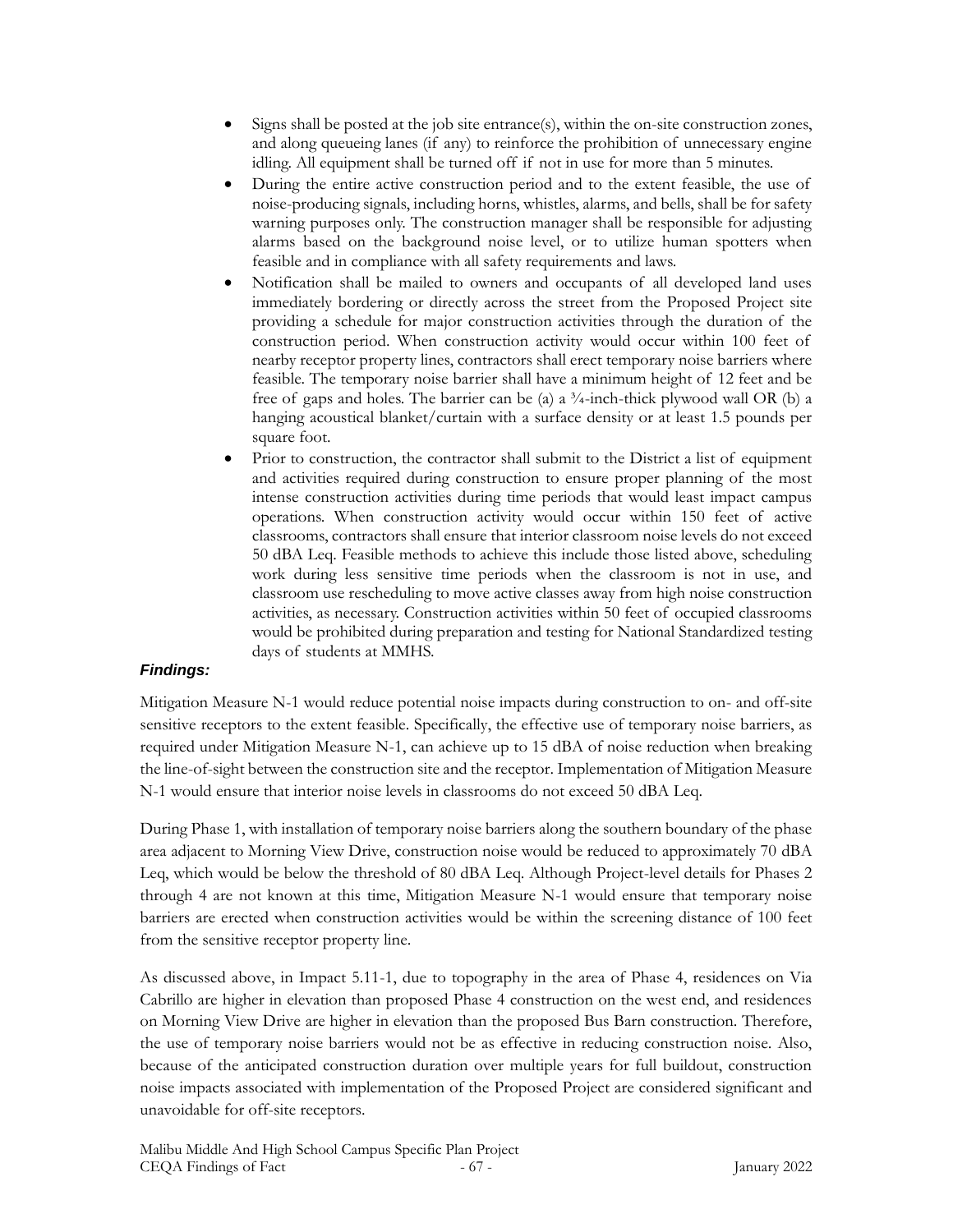- Signs shall be posted at the job site entrance(s), within the on-site construction zones, and along queueing lanes (if any) to reinforce the prohibition of unnecessary engine idling. All equipment shall be turned off if not in use for more than 5 minutes.
- During the entire active construction period and to the extent feasible, the use of noise-producing signals, including horns, whistles, alarms, and bells, shall be for safety warning purposes only. The construction manager shall be responsible for adjusting alarms based on the background noise level, or to utilize human spotters when feasible and in compliance with all safety requirements and laws.
- Notification shall be mailed to owners and occupants of all developed land uses immediately bordering or directly across the street from the Proposed Project site providing a schedule for major construction activities through the duration of the construction period. When construction activity would occur within 100 feet of nearby receptor property lines, contractors shall erect temporary noise barriers where feasible. The temporary noise barrier shall have a minimum height of 12 feet and be free of gaps and holes. The barrier can be (a) a  $\frac{3}{4}$ -inch-thick plywood wall OR (b) a hanging acoustical blanket/curtain with a surface density or at least 1.5 pounds per square foot.
- Prior to construction, the contractor shall submit to the District a list of equipment and activities required during construction to ensure proper planning of the most intense construction activities during time periods that would least impact campus operations. When construction activity would occur within 150 feet of active classrooms, contractors shall ensure that interior classroom noise levels do not exceed 50 dBA Leq. Feasible methods to achieve this include those listed above, scheduling work during less sensitive time periods when the classroom is not in use, and classroom use rescheduling to move active classes away from high noise construction activities, as necessary. Construction activities within 50 feet of occupied classrooms would be prohibited during preparation and testing for National Standardized testing days of students at MMHS.

#### *Findings:*

Mitigation Measure N-1 would reduce potential noise impacts during construction to on- and off-site sensitive receptors to the extent feasible. Specifically, the effective use of temporary noise barriers, as required under Mitigation Measure N-1, can achieve up to 15 dBA of noise reduction when breaking the line-of-sight between the construction site and the receptor. Implementation of Mitigation Measure N-1 would ensure that interior noise levels in classrooms do not exceed 50 dBA Leq.

During Phase 1, with installation of temporary noise barriers along the southern boundary of the phase area adjacent to Morning View Drive, construction noise would be reduced to approximately 70 dBA Leq, which would be below the threshold of 80 dBA Leq. Although Project-level details for Phases 2 through 4 are not known at this time, Mitigation Measure N-1 would ensure that temporary noise barriers are erected when construction activities would be within the screening distance of 100 feet from the sensitive receptor property line.

As discussed above, in Impact 5.11-1, due to topography in the area of Phase 4, residences on Via Cabrillo are higher in elevation than proposed Phase 4 construction on the west end, and residences on Morning View Drive are higher in elevation than the proposed Bus Barn construction. Therefore, the use of temporary noise barriers would not be as effective in reducing construction noise. Also, because of the anticipated construction duration over multiple years for full buildout, construction noise impacts associated with implementation of the Proposed Project are considered significant and unavoidable for off-site receptors.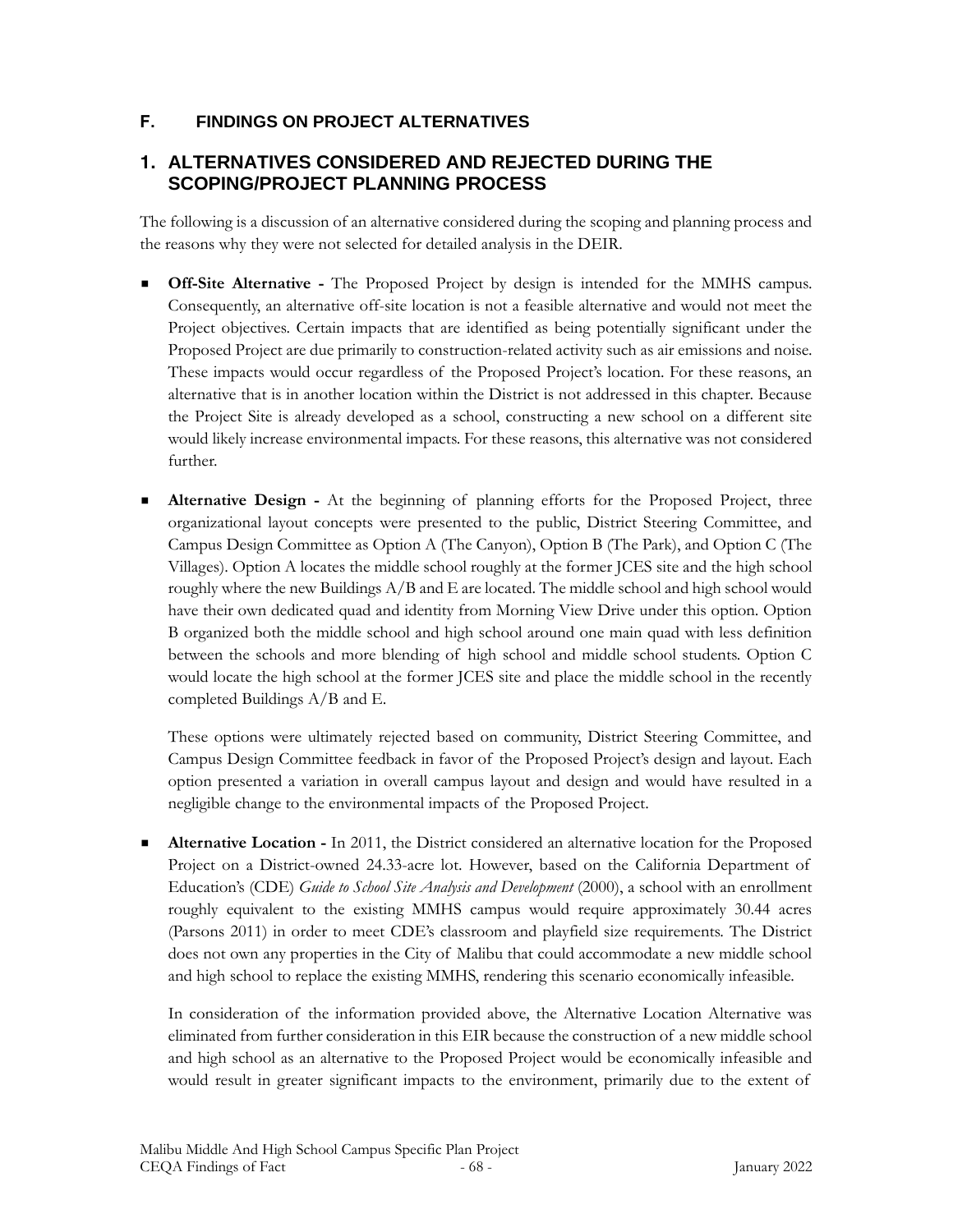# **F. FINDINGS ON PROJECT ALTERNATIVES**

# **1. ALTERNATIVES CONSIDERED AND REJECTED DURING THE SCOPING/PROJECT PLANNING PROCESS**

The following is a discussion of an alternative considered during the scoping and planning process and the reasons why they were not selected for detailed analysis in the DEIR.

- **Off-Site Alternative** The Proposed Project by design is intended for the MMHS campus. Consequently, an alternative off-site location is not a feasible alternative and would not meet the Project objectives. Certain impacts that are identified as being potentially significant under the Proposed Project are due primarily to construction-related activity such as air emissions and noise. These impacts would occur regardless of the Proposed Project's location. For these reasons, an alternative that is in another location within the District is not addressed in this chapter. Because the Project Site is already developed as a school, constructing a new school on a different site would likely increase environmental impacts. For these reasons, this alternative was not considered further.
- **Alternative Design -** At the beginning of planning efforts for the Proposed Project, three organizational layout concepts were presented to the public, District Steering Committee, and Campus Design Committee as Option A (The Canyon), Option B (The Park), and Option C (The Villages). Option A locates the middle school roughly at the former JCES site and the high school roughly where the new Buildings A/B and E are located. The middle school and high school would have their own dedicated quad and identity from Morning View Drive under this option. Option B organized both the middle school and high school around one main quad with less definition between the schools and more blending of high school and middle school students. Option C would locate the high school at the former JCES site and place the middle school in the recently completed Buildings A/B and E.

These options were ultimately rejected based on community, District Steering Committee, and Campus Design Committee feedback in favor of the Proposed Project's design and layout. Each option presented a variation in overall campus layout and design and would have resulted in a negligible change to the environmental impacts of the Proposed Project.

**Alternative Location -** In 2011, the District considered an alternative location for the Proposed Project on a District-owned 24.33-acre lot. However, based on the California Department of Education's (CDE) *Guide to School Site Analysis and Development* (2000), a school with an enrollment roughly equivalent to the existing MMHS campus would require approximately 30.44 acres (Parsons 2011) in order to meet CDE's classroom and playfield size requirements. The District does not own any properties in the City of Malibu that could accommodate a new middle school and high school to replace the existing MMHS, rendering this scenario economically infeasible.

In consideration of the information provided above, the Alternative Location Alternative was eliminated from further consideration in this EIR because the construction of a new middle school and high school as an alternative to the Proposed Project would be economically infeasible and would result in greater significant impacts to the environment, primarily due to the extent of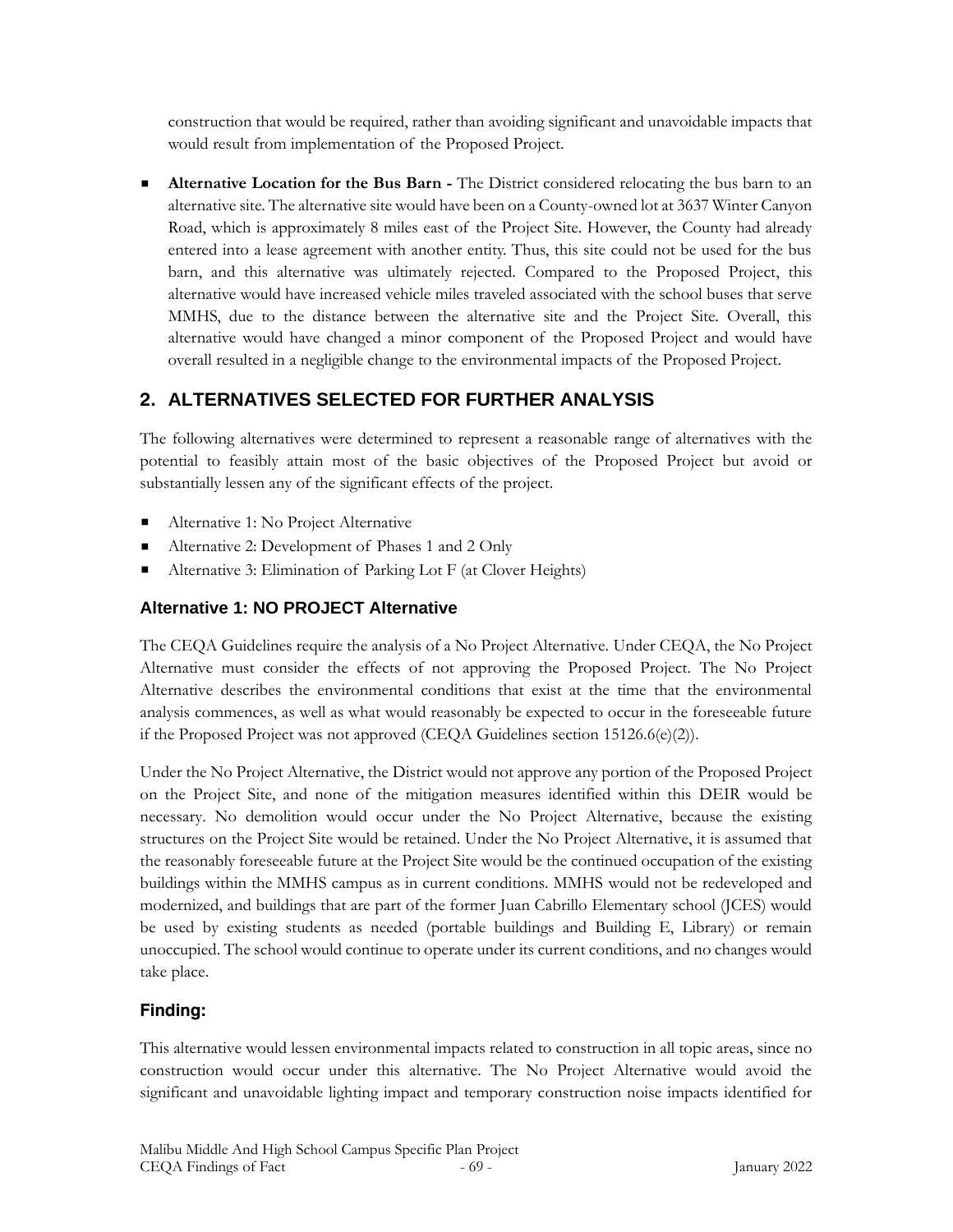construction that would be required, rather than avoiding significant and unavoidable impacts that would result from implementation of the Proposed Project.

**EXECUTE:** Alternative Location for the Bus Barn - The District considered relocating the bus barn to an alternative site. The alternative site would have been on a County-owned lot at 3637 Winter Canyon Road, which is approximately 8 miles east of the Project Site. However, the County had already entered into a lease agreement with another entity. Thus, this site could not be used for the bus barn, and this alternative was ultimately rejected. Compared to the Proposed Project, this alternative would have increased vehicle miles traveled associated with the school buses that serve MMHS, due to the distance between the alternative site and the Project Site. Overall, this alternative would have changed a minor component of the Proposed Project and would have overall resulted in a negligible change to the environmental impacts of the Proposed Project.

# **2. ALTERNATIVES SELECTED FOR FURTHER ANALYSIS**

The following alternatives were determined to represent a reasonable range of alternatives with the potential to feasibly attain most of the basic objectives of the Proposed Project but avoid or substantially lessen any of the significant effects of the project.

- Alternative 1: No Project Alternative
- Alternative 2: Development of Phases 1 and 2 Only
- Alternative 3: Elimination of Parking Lot F (at Clover Heights)

# **Alternative 1: NO PROJECT Alternative**

The CEQA Guidelines require the analysis of a No Project Alternative. Under CEQA, the No Project Alternative must consider the effects of not approving the Proposed Project. The No Project Alternative describes the environmental conditions that exist at the time that the environmental analysis commences, as well as what would reasonably be expected to occur in the foreseeable future if the Proposed Project was not approved (CEQA Guidelines section 15126.6(e)(2)).

Under the No Project Alternative, the District would not approve any portion of the Proposed Project on the Project Site, and none of the mitigation measures identified within this DEIR would be necessary. No demolition would occur under the No Project Alternative, because the existing structures on the Project Site would be retained. Under the No Project Alternative, it is assumed that the reasonably foreseeable future at the Project Site would be the continued occupation of the existing buildings within the MMHS campus as in current conditions. MMHS would not be redeveloped and modernized, and buildings that are part of the former Juan Cabrillo Elementary school (JCES) would be used by existing students as needed (portable buildings and Building E, Library) or remain unoccupied. The school would continue to operate under its current conditions, and no changes would take place.

# **Finding:**

This alternative would lessen environmental impacts related to construction in all topic areas, since no construction would occur under this alternative. The No Project Alternative would avoid the significant and unavoidable lighting impact and temporary construction noise impacts identified for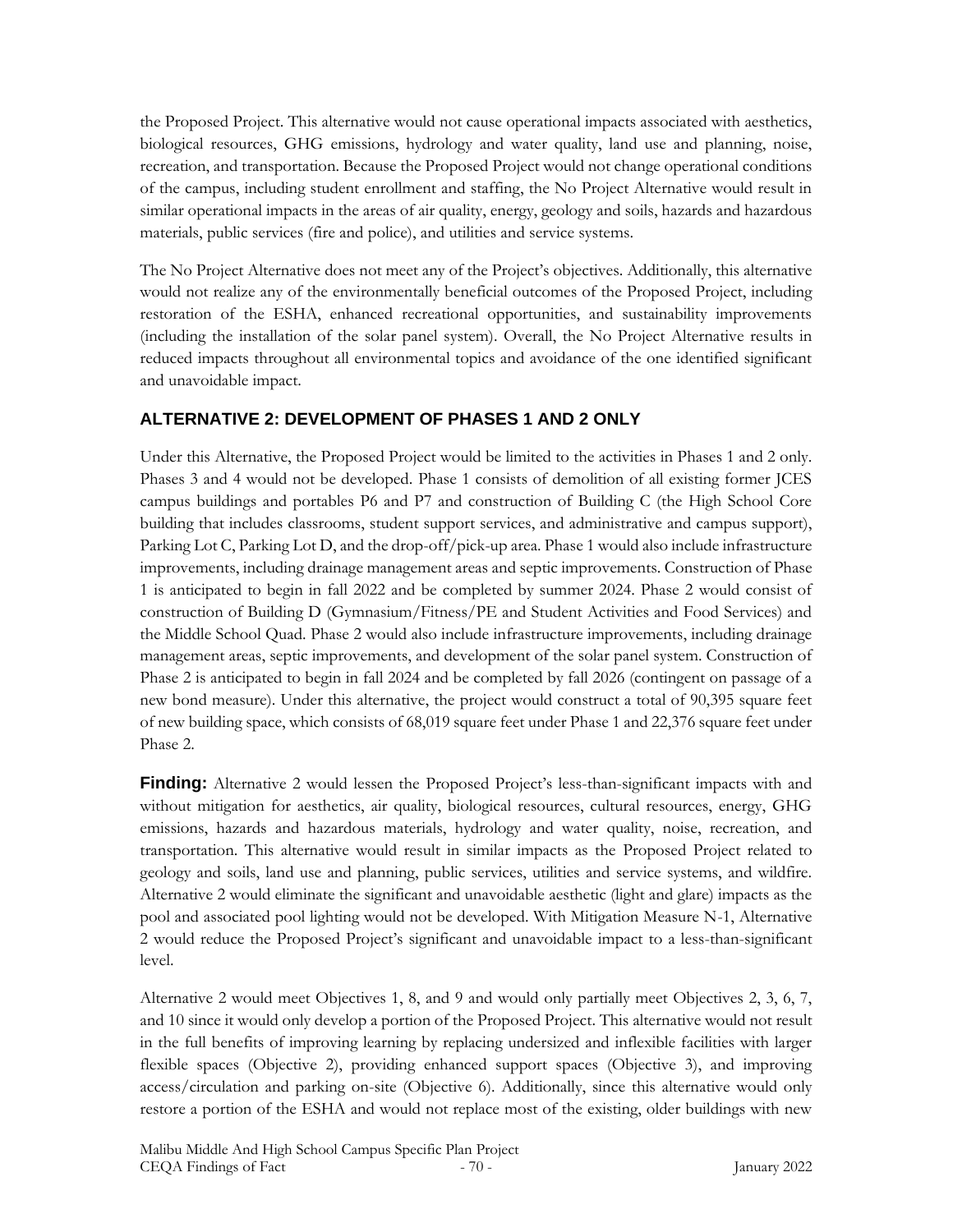the Proposed Project. This alternative would not cause operational impacts associated with aesthetics, biological resources, GHG emissions, hydrology and water quality, land use and planning, noise, recreation, and transportation. Because the Proposed Project would not change operational conditions of the campus, including student enrollment and staffing, the No Project Alternative would result in similar operational impacts in the areas of air quality, energy, geology and soils, hazards and hazardous materials, public services (fire and police), and utilities and service systems.

The No Project Alternative does not meet any of the Project's objectives. Additionally, this alternative would not realize any of the environmentally beneficial outcomes of the Proposed Project, including restoration of the ESHA, enhanced recreational opportunities, and sustainability improvements (including the installation of the solar panel system). Overall, the No Project Alternative results in reduced impacts throughout all environmental topics and avoidance of the one identified significant and unavoidable impact.

# **ALTERNATIVE 2: DEVELOPMENT OF PHASES 1 AND 2 ONLY**

Under this Alternative, the Proposed Project would be limited to the activities in Phases 1 and 2 only. Phases 3 and 4 would not be developed. Phase 1 consists of demolition of all existing former JCES campus buildings and portables P6 and P7 and construction of Building C (the High School Core building that includes classrooms, student support services, and administrative and campus support), Parking Lot C, Parking Lot D, and the drop-off/pick-up area. Phase 1 would also include infrastructure improvements, including drainage management areas and septic improvements. Construction of Phase 1 is anticipated to begin in fall 2022 and be completed by summer 2024. Phase 2 would consist of construction of Building D (Gymnasium/Fitness/PE and Student Activities and Food Services) and the Middle School Quad. Phase 2 would also include infrastructure improvements, including drainage management areas, septic improvements, and development of the solar panel system. Construction of Phase 2 is anticipated to begin in fall 2024 and be completed by fall 2026 (contingent on passage of a new bond measure). Under this alternative, the project would construct a total of 90,395 square feet of new building space, which consists of 68,019 square feet under Phase 1 and 22,376 square feet under Phase 2.

**Finding:** Alternative 2 would lessen the Proposed Project's less-than-significant impacts with and without mitigation for aesthetics, air quality, biological resources, cultural resources, energy, GHG emissions, hazards and hazardous materials, hydrology and water quality, noise, recreation, and transportation. This alternative would result in similar impacts as the Proposed Project related to geology and soils, land use and planning, public services, utilities and service systems, and wildfire. Alternative 2 would eliminate the significant and unavoidable aesthetic (light and glare) impacts as the pool and associated pool lighting would not be developed. With Mitigation Measure N-1, Alternative 2 would reduce the Proposed Project's significant and unavoidable impact to a less-than-significant level.

Alternative 2 would meet Objectives 1, 8, and 9 and would only partially meet Objectives 2, 3, 6, 7, and 10 since it would only develop a portion of the Proposed Project. This alternative would not result in the full benefits of improving learning by replacing undersized and inflexible facilities with larger flexible spaces (Objective 2), providing enhanced support spaces (Objective 3), and improving access/circulation and parking on-site (Objective 6). Additionally, since this alternative would only restore a portion of the ESHA and would not replace most of the existing, older buildings with new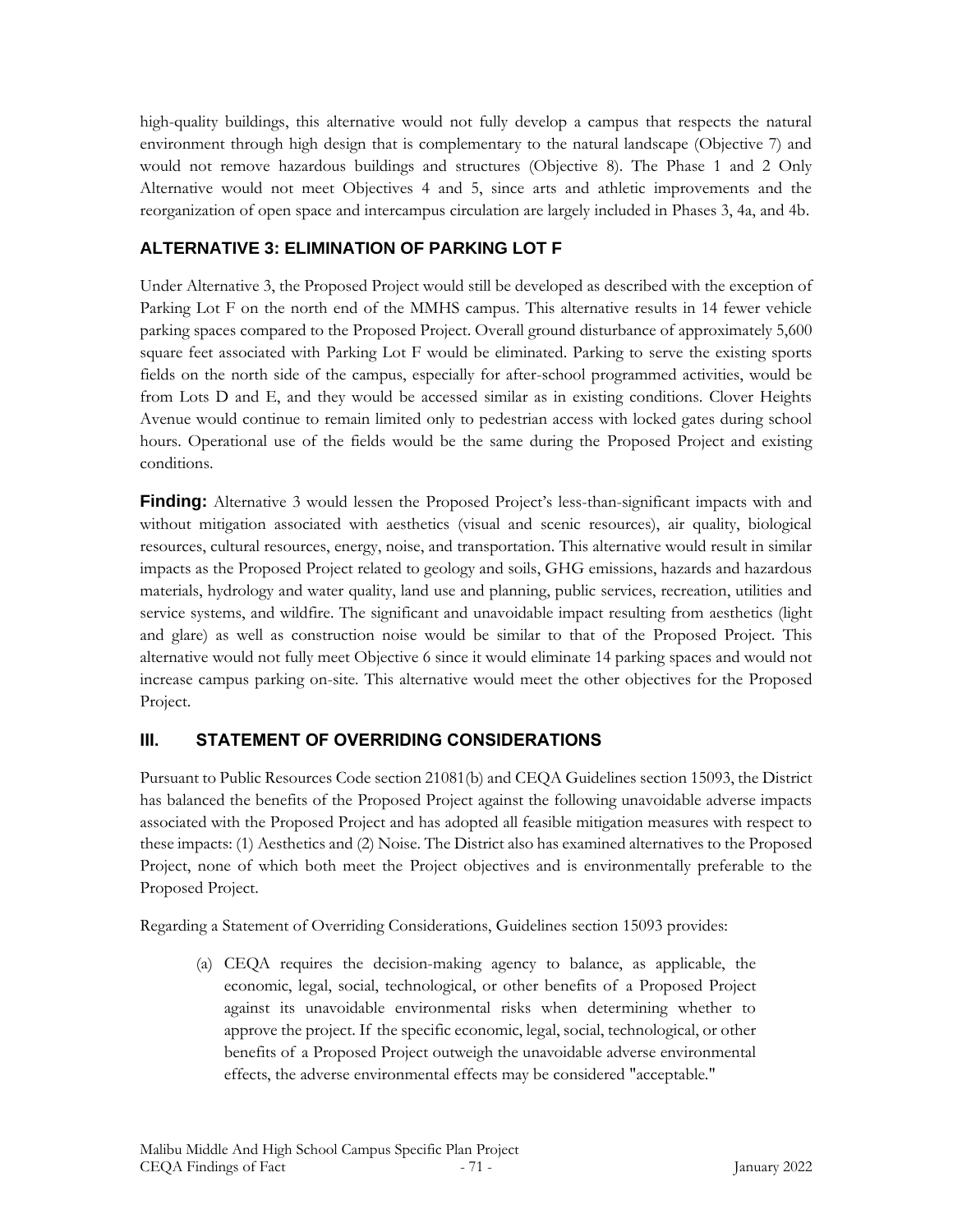high-quality buildings, this alternative would not fully develop a campus that respects the natural environment through high design that is complementary to the natural landscape (Objective 7) and would not remove hazardous buildings and structures (Objective 8). The Phase 1 and 2 Only Alternative would not meet Objectives 4 and 5, since arts and athletic improvements and the reorganization of open space and intercampus circulation are largely included in Phases 3, 4a, and 4b.

# **ALTERNATIVE 3: ELIMINATION OF PARKING LOT F**

Under Alternative 3, the Proposed Project would still be developed as described with the exception of Parking Lot F on the north end of the MMHS campus. This alternative results in 14 fewer vehicle parking spaces compared to the Proposed Project. Overall ground disturbance of approximately 5,600 square feet associated with Parking Lot F would be eliminated. Parking to serve the existing sports fields on the north side of the campus, especially for after-school programmed activities, would be from Lots D and E, and they would be accessed similar as in existing conditions. Clover Heights Avenue would continue to remain limited only to pedestrian access with locked gates during school hours. Operational use of the fields would be the same during the Proposed Project and existing conditions.

**Finding:** Alternative 3 would lessen the Proposed Project's less-than-significant impacts with and without mitigation associated with aesthetics (visual and scenic resources), air quality, biological resources, cultural resources, energy, noise, and transportation. This alternative would result in similar impacts as the Proposed Project related to geology and soils, GHG emissions, hazards and hazardous materials, hydrology and water quality, land use and planning, public services, recreation, utilities and service systems, and wildfire. The significant and unavoidable impact resulting from aesthetics (light and glare) as well as construction noise would be similar to that of the Proposed Project. This alternative would not fully meet Objective 6 since it would eliminate 14 parking spaces and would not increase campus parking on-site. This alternative would meet the other objectives for the Proposed Project.

# **III. STATEMENT OF OVERRIDING CONSIDERATIONS**

Pursuant to Public Resources Code section 21081(b) and CEQA Guidelines section 15093, the District has balanced the benefits of the Proposed Project against the following unavoidable adverse impacts associated with the Proposed Project and has adopted all feasible mitigation measures with respect to these impacts: (1) Aesthetics and (2) Noise. The District also has examined alternatives to the Proposed Project, none of which both meet the Project objectives and is environmentally preferable to the Proposed Project.

Regarding a Statement of Overriding Considerations, Guidelines section 15093 provides:

(a) CEQA requires the decision-making agency to balance, as applicable, the economic, legal, social, technological, or other benefits of a Proposed Project against its unavoidable environmental risks when determining whether to approve the project. If the specific economic, legal, social, technological, or other benefits of a Proposed Project outweigh the unavoidable adverse environmental effects, the adverse environmental effects may be considered "acceptable."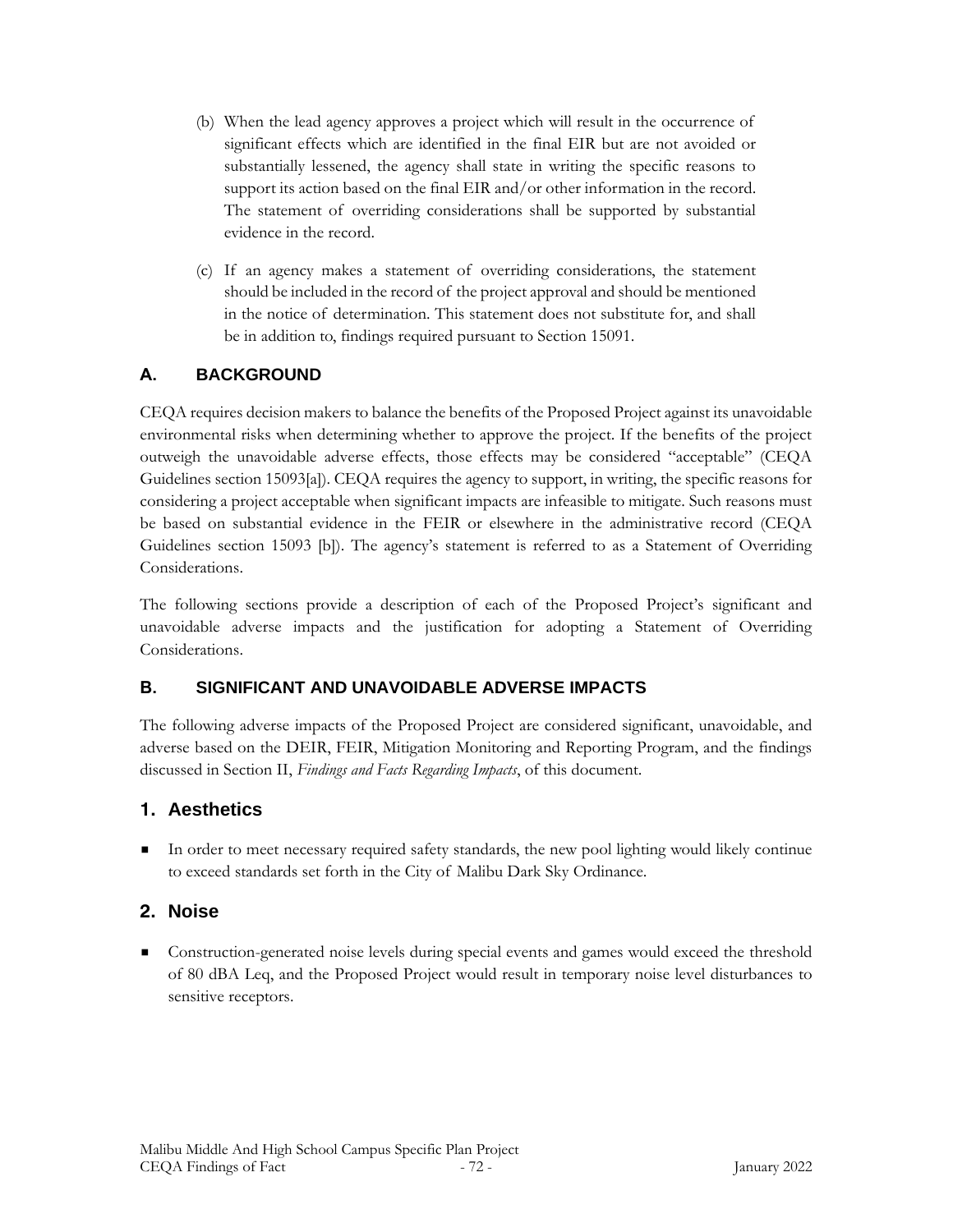- (b) When the lead agency approves a project which will result in the occurrence of significant effects which are identified in the final EIR but are not avoided or substantially lessened, the agency shall state in writing the specific reasons to support its action based on the final EIR and/or other information in the record. The statement of overriding considerations shall be supported by substantial evidence in the record.
- (c) If an agency makes a statement of overriding considerations, the statement should be included in the record of the project approval and should be mentioned in the notice of determination. This statement does not substitute for, and shall be in addition to, findings required pursuant to Section 15091.

# **A. BACKGROUND**

CEQA requires decision makers to balance the benefits of the Proposed Project against its unavoidable environmental risks when determining whether to approve the project. If the benefits of the project outweigh the unavoidable adverse effects, those effects may be considered "acceptable" (CEQA Guidelines section 15093[a]). CEQA requires the agency to support, in writing, the specific reasons for considering a project acceptable when significant impacts are infeasible to mitigate. Such reasons must be based on substantial evidence in the FEIR or elsewhere in the administrative record (CEQA Guidelines section 15093 [b]). The agency's statement is referred to as a Statement of Overriding Considerations.

The following sections provide a description of each of the Proposed Project's significant and unavoidable adverse impacts and the justification for adopting a Statement of Overriding Considerations.

# **B. SIGNIFICANT AND UNAVOIDABLE ADVERSE IMPACTS**

The following adverse impacts of the Proposed Project are considered significant, unavoidable, and adverse based on the DEIR, FEIR, Mitigation Monitoring and Reporting Program, and the findings discussed in Section II, *Findings and Facts Regarding Impacts*, of this document.

# **1. Aesthetics**

In order to meet necessary required safety standards, the new pool lighting would likely continue to exceed standards set forth in the City of Malibu Dark Sky Ordinance.

# **2. Noise**

■ Construction-generated noise levels during special events and games would exceed the threshold of 80 dBA Leq, and the Proposed Project would result in temporary noise level disturbances to sensitive receptors.